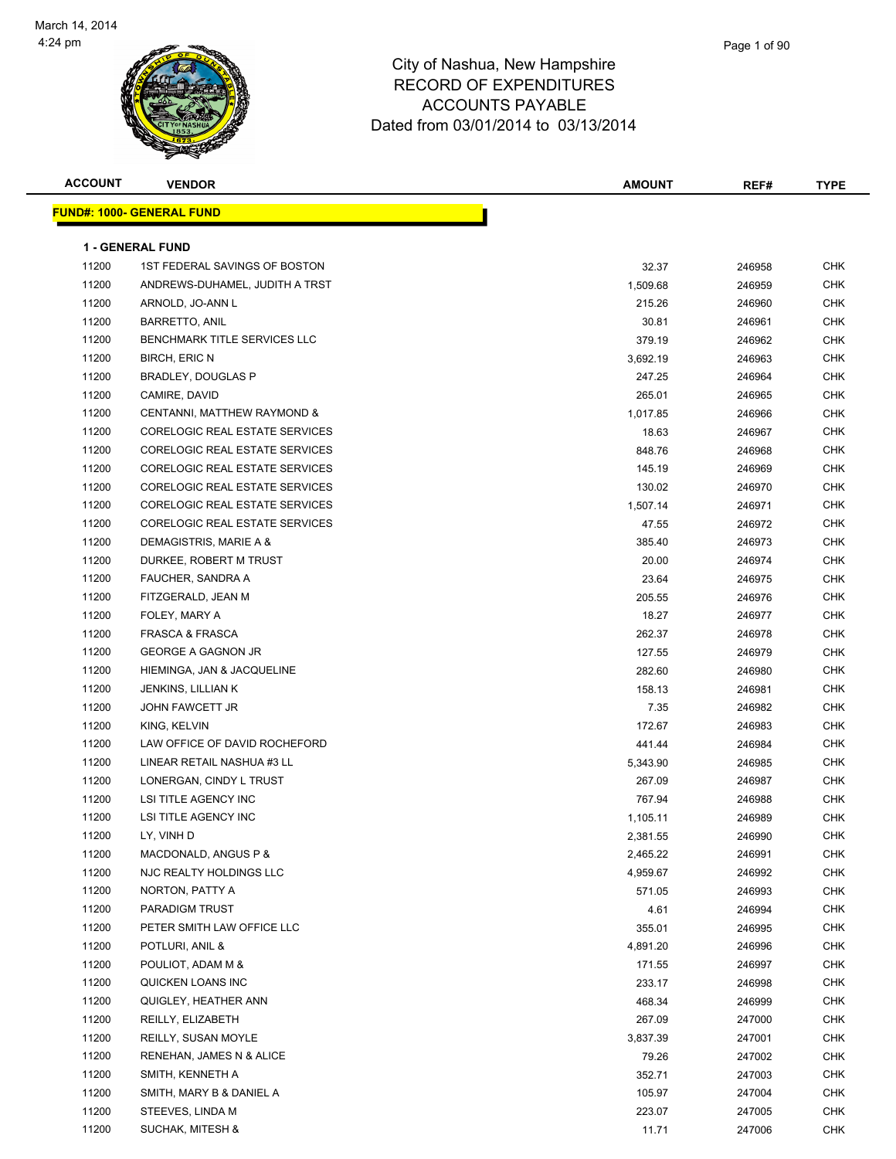

| <b>ACCOUNT</b> | <b>VENDOR</b>                     | <b>AMOUNT</b> | REF#   | <b>TYPE</b> |
|----------------|-----------------------------------|---------------|--------|-------------|
|                | <u> FUND#: 1000- GENERAL FUND</u> |               |        |             |
|                |                                   |               |        |             |
|                | <b>1 - GENERAL FUND</b>           |               |        |             |
| 11200          | 1ST FEDERAL SAVINGS OF BOSTON     | 32.37         | 246958 | <b>CHK</b>  |
| 11200          | ANDREWS-DUHAMEL, JUDITH A TRST    | 1,509.68      | 246959 | <b>CHK</b>  |
| 11200          | ARNOLD, JO-ANN L                  | 215.26        | 246960 | <b>CHK</b>  |
| 11200          | <b>BARRETTO, ANIL</b>             | 30.81         | 246961 | <b>CHK</b>  |
| 11200          | BENCHMARK TITLE SERVICES LLC      | 379.19        | 246962 | <b>CHK</b>  |
| 11200          | <b>BIRCH, ERIC N</b>              | 3,692.19      | 246963 | CHK         |
| 11200          | <b>BRADLEY, DOUGLAS P</b>         | 247.25        | 246964 | CHK         |
| 11200          | CAMIRE, DAVID                     | 265.01        | 246965 | CHK         |
| 11200          | CENTANNI, MATTHEW RAYMOND &       | 1,017.85      | 246966 | CHK         |
| 11200          | CORELOGIC REAL ESTATE SERVICES    | 18.63         | 246967 | CHK         |
| 11200          | CORELOGIC REAL ESTATE SERVICES    | 848.76        | 246968 | <b>CHK</b>  |
| 11200          | CORELOGIC REAL ESTATE SERVICES    | 145.19        | 246969 | <b>CHK</b>  |
| 11200          | CORELOGIC REAL ESTATE SERVICES    | 130.02        | 246970 | CHK         |
| 11200          | CORELOGIC REAL ESTATE SERVICES    | 1,507.14      | 246971 | CHK         |
| 11200          | CORELOGIC REAL ESTATE SERVICES    | 47.55         | 246972 | CHK         |
| 11200          | DEMAGISTRIS, MARIE A &            | 385.40        | 246973 | CHK         |
| 11200          | DURKEE, ROBERT M TRUST            | 20.00         | 246974 | CHK         |
| 11200          | FAUCHER, SANDRA A                 | 23.64         | 246975 | CHK         |
| 11200          | FITZGERALD, JEAN M                | 205.55        | 246976 | CHK         |
| 11200          | FOLEY, MARY A                     | 18.27         | 246977 | CHK         |
| 11200          | <b>FRASCA &amp; FRASCA</b>        | 262.37        | 246978 | CHK         |
| 11200          | <b>GEORGE A GAGNON JR</b>         | 127.55        | 246979 | <b>CHK</b>  |
| 11200          | HIEMINGA, JAN & JACQUELINE        | 282.60        | 246980 | <b>CHK</b>  |
| 11200          | <b>JENKINS, LILLIAN K</b>         | 158.13        | 246981 | <b>CHK</b>  |
| 11200          | <b>JOHN FAWCETT JR</b>            | 7.35          | 246982 | <b>CHK</b>  |
| 11200          | KING, KELVIN                      | 172.67        | 246983 | <b>CHK</b>  |
| 11200          | LAW OFFICE OF DAVID ROCHEFORD     | 441.44        | 246984 | CHK         |
| 11200          | LINEAR RETAIL NASHUA #3 LL        | 5,343.90      | 246985 | CHK         |
| 11200          | LONERGAN, CINDY L TRUST           | 267.09        | 246987 | <b>CHK</b>  |
| 11200          | LSI TITLE AGENCY INC              | 767.94        | 246988 | CHK         |
| 11200          | <b>LSI TITLE AGENCY INC</b>       | 1,105.11      | 246989 | <b>CHK</b>  |
| 11200          | LY, VINH D                        | 2,381.55      | 246990 | CHK         |
| 11200          | MACDONALD, ANGUS P &              | 2,465.22      | 246991 | <b>CHK</b>  |
| 11200          | NJC REALTY HOLDINGS LLC           | 4,959.67      | 246992 | <b>CHK</b>  |
| 11200          | NORTON, PATTY A                   | 571.05        | 246993 | CHK         |
| 11200          | PARADIGM TRUST                    | 4.61          | 246994 | <b>CHK</b>  |
| 11200          | PETER SMITH LAW OFFICE LLC        | 355.01        | 246995 | <b>CHK</b>  |
| 11200          | POTLURI, ANIL &                   | 4,891.20      | 246996 | CHK         |
| 11200          | POULIOT, ADAM M &                 | 171.55        | 246997 | CHK         |
| 11200          | QUICKEN LOANS INC                 | 233.17        | 246998 | CHK         |
| 11200          | QUIGLEY, HEATHER ANN              | 468.34        | 246999 | CHK         |
| 11200          | REILLY, ELIZABETH                 | 267.09        | 247000 | CHK         |
| 11200          | REILLY, SUSAN MOYLE               | 3,837.39      | 247001 | CHK         |
| 11200          | RENEHAN, JAMES N & ALICE          | 79.26         | 247002 | CHK         |
| 11200          | SMITH, KENNETH A                  | 352.71        | 247003 | CHK         |
| 11200          | SMITH, MARY B & DANIEL A          | 105.97        | 247004 | CHK         |
| 11200          | STEEVES, LINDA M                  | 223.07        | 247005 | CHK         |
| 11200          | SUCHAK, MITESH &                  | 11.71         | 247006 | <b>CHK</b>  |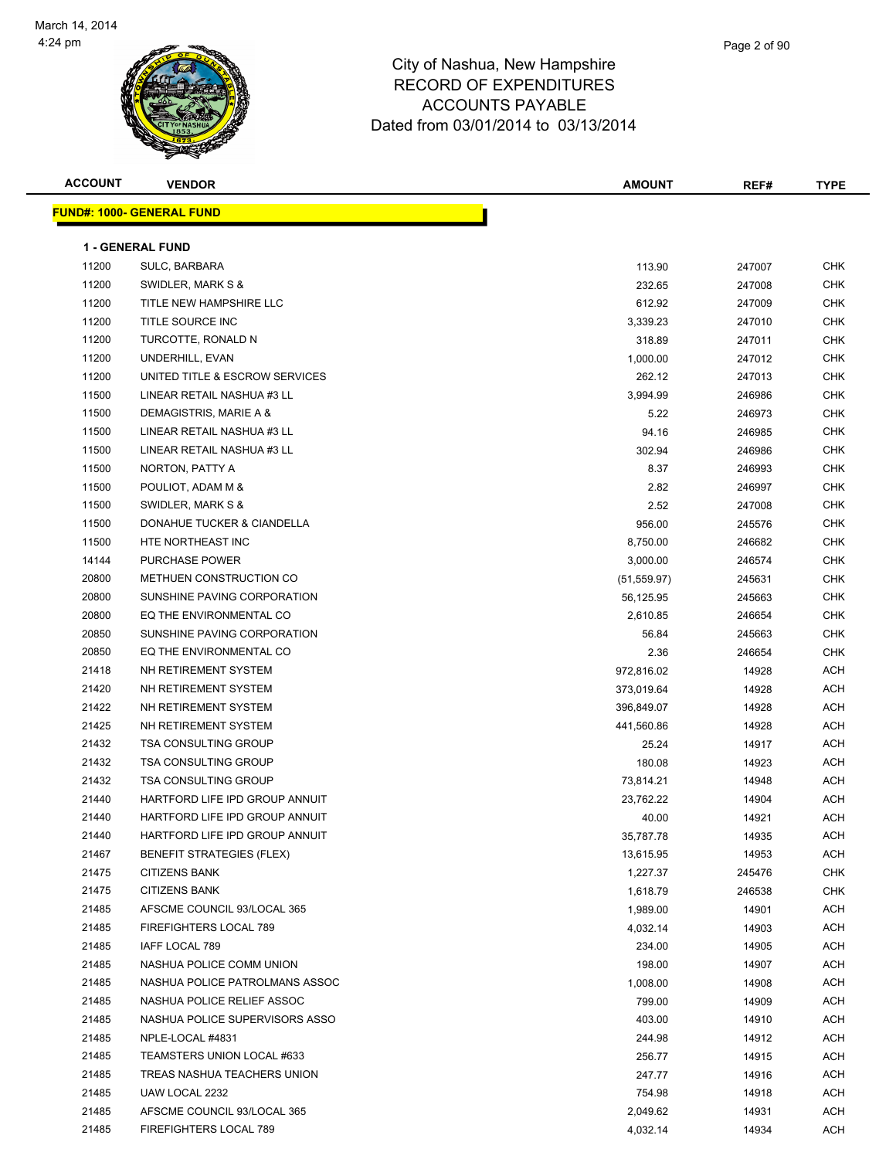

Page 2 of 90

| <b>ACCOUNT</b> | <b>VENDOR</b>                    | <b>AMOUNT</b> | REF#   | <b>TYPE</b> |
|----------------|----------------------------------|---------------|--------|-------------|
|                | <b>FUND#: 1000- GENERAL FUND</b> |               |        |             |
|                |                                  |               |        |             |
|                | <b>1 - GENERAL FUND</b>          |               |        |             |
| 11200          | SULC, BARBARA                    | 113.90        | 247007 | <b>CHK</b>  |
| 11200          | SWIDLER, MARK S &                | 232.65        | 247008 | CHK         |
| 11200          | TITLE NEW HAMPSHIRE LLC          | 612.92        | 247009 | CHK         |
| 11200          | TITLE SOURCE INC                 | 3,339.23      | 247010 | <b>CHK</b>  |
| 11200          | TURCOTTE, RONALD N               | 318.89        | 247011 | <b>CHK</b>  |
| 11200          | UNDERHILL, EVAN                  | 1,000.00      | 247012 | CHK         |
| 11200          | UNITED TITLE & ESCROW SERVICES   | 262.12        | 247013 | <b>CHK</b>  |
| 11500          | LINEAR RETAIL NASHUA #3 LL       | 3,994.99      | 246986 | <b>CHK</b>  |
| 11500          | DEMAGISTRIS, MARIE A &           | 5.22          | 246973 | <b>CHK</b>  |
| 11500          | LINEAR RETAIL NASHUA #3 LL       | 94.16         | 246985 | <b>CHK</b>  |
| 11500          | LINEAR RETAIL NASHUA #3 LL       | 302.94        | 246986 | <b>CHK</b>  |
| 11500          | NORTON, PATTY A                  | 8.37          | 246993 | <b>CHK</b>  |
| 11500          | POULIOT, ADAM M &                | 2.82          | 246997 | <b>CHK</b>  |
| 11500          | SWIDLER, MARK S &                | 2.52          | 247008 | CHK         |
| 11500          | DONAHUE TUCKER & CIANDELLA       | 956.00        | 245576 | CHK         |
| 11500          | HTE NORTHEAST INC                | 8,750.00      | 246682 | CHK         |
| 14144          | <b>PURCHASE POWER</b>            | 3,000.00      | 246574 | CHK         |
| 20800          | METHUEN CONSTRUCTION CO          | (51, 559.97)  | 245631 | <b>CHK</b>  |
| 20800          | SUNSHINE PAVING CORPORATION      | 56,125.95     | 245663 | <b>CHK</b>  |
| 20800          | EQ THE ENVIRONMENTAL CO          | 2,610.85      | 246654 | <b>CHK</b>  |
| 20850          | SUNSHINE PAVING CORPORATION      | 56.84         | 245663 | <b>CHK</b>  |
| 20850          | EQ THE ENVIRONMENTAL CO          | 2.36          | 246654 | CHK         |
| 21418          | NH RETIREMENT SYSTEM             | 972,816.02    | 14928  | ACH         |
| 21420          | NH RETIREMENT SYSTEM             | 373,019.64    | 14928  | ACH         |
| 21422          | NH RETIREMENT SYSTEM             | 396,849.07    | 14928  | ACH         |
| 21425          | NH RETIREMENT SYSTEM             | 441,560.86    | 14928  | ACH         |
| 21432          | <b>TSA CONSULTING GROUP</b>      | 25.24         | 14917  | ACH         |
| 21432          | <b>TSA CONSULTING GROUP</b>      | 180.08        | 14923  | ACH         |
| 21432          | <b>TSA CONSULTING GROUP</b>      | 73,814.21     | 14948  | ACH         |
| 21440          | HARTFORD LIFE IPD GROUP ANNUIT   | 23,762.22     | 14904  | ACH         |
| 21440          | HARTFORD LIFE IPD GROUP ANNUIT   | 40.00         | 14921  | ACH         |
| 21440          | HARTFORD LIFE IPD GROUP ANNUIT   | 35,787.78     | 14935  | ACH         |
| 21467          | <b>BENEFIT STRATEGIES (FLEX)</b> | 13,615.95     | 14953  | ACH         |
| 21475          | <b>CITIZENS BANK</b>             | 1,227.37      | 245476 | CHK         |
| 21475          | <b>CITIZENS BANK</b>             | 1,618.79      | 246538 | CHK         |
| 21485          | AFSCME COUNCIL 93/LOCAL 365      | 1,989.00      | 14901  | ACH         |
| 21485          | FIREFIGHTERS LOCAL 789           | 4,032.14      | 14903  | ACH         |
| 21485          | IAFF LOCAL 789                   | 234.00        | 14905  | ACH         |
| 21485          | NASHUA POLICE COMM UNION         | 198.00        | 14907  | ACH         |
| 21485          | NASHUA POLICE PATROLMANS ASSOC   | 1,008.00      | 14908  | ACH         |
| 21485          | NASHUA POLICE RELIEF ASSOC       | 799.00        | 14909  | ACH         |
| 21485          | NASHUA POLICE SUPERVISORS ASSO   | 403.00        | 14910  | ACH         |
| 21485          | NPLE-LOCAL #4831                 | 244.98        | 14912  | ACH         |
| 21485          | TEAMSTERS UNION LOCAL #633       | 256.77        | 14915  | ACH         |
| 21485          | TREAS NASHUA TEACHERS UNION      | 247.77        | 14916  | ACH         |
| 21485          | UAW LOCAL 2232                   | 754.98        | 14918  | ACH         |
| 21485          | AFSCME COUNCIL 93/LOCAL 365      | 2,049.62      | 14931  | ACH         |
| 21485          | FIREFIGHTERS LOCAL 789           | 4,032.14      | 14934  | ACH         |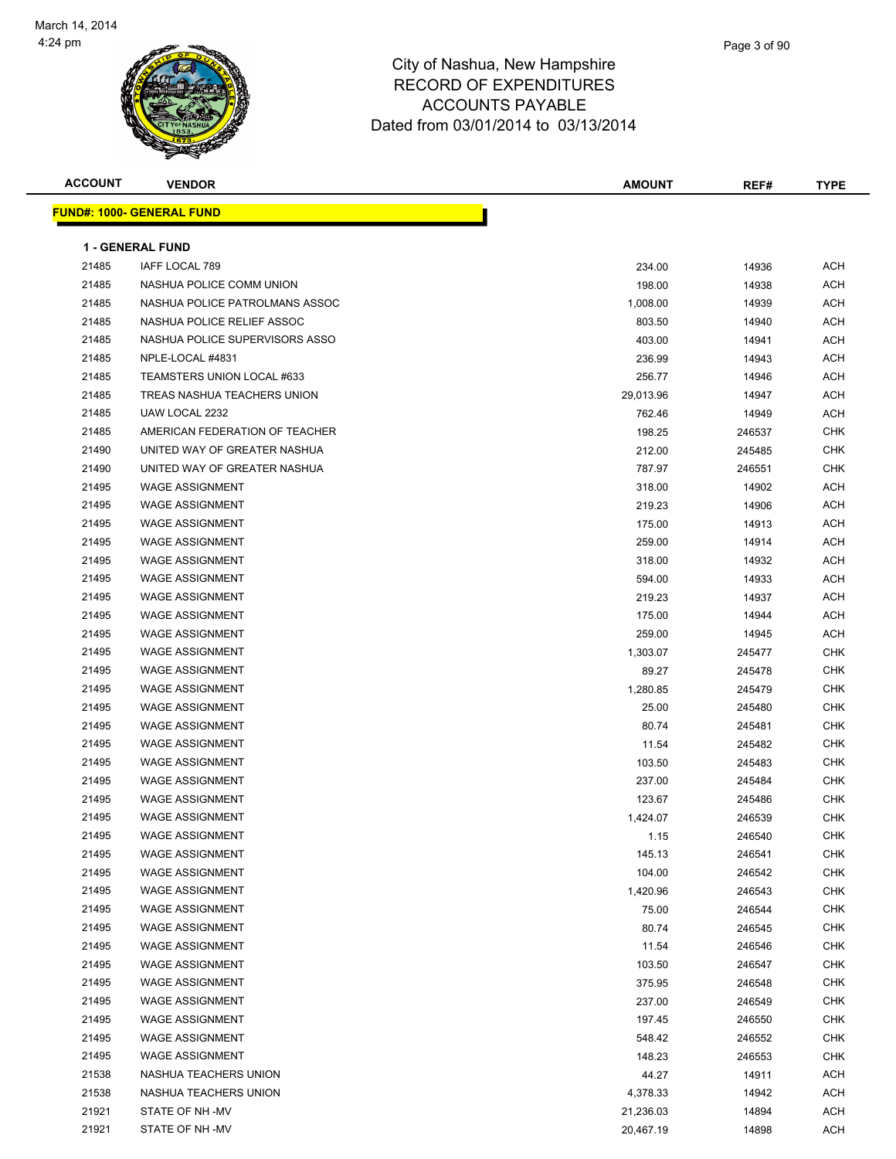

| <b>ACCOUNT</b> | <b>VENDOR</b>                     | <b>AMOUNT</b> | REF#   | <b>TYPE</b> |
|----------------|-----------------------------------|---------------|--------|-------------|
|                | <u> FUND#: 1000- GENERAL FUND</u> |               |        |             |
|                |                                   |               |        |             |
|                | <b>1 - GENERAL FUND</b>           |               |        |             |
| 21485          | IAFF LOCAL 789                    | 234.00        | 14936  | <b>ACH</b>  |
| 21485          | NASHUA POLICE COMM UNION          | 198.00        | 14938  | ACH         |
| 21485          | NASHUA POLICE PATROLMANS ASSOC    | 1,008.00      | 14939  | ACH         |
| 21485          | NASHUA POLICE RELIEF ASSOC        | 803.50        | 14940  | ACH         |
| 21485          | NASHUA POLICE SUPERVISORS ASSO    | 403.00        | 14941  | ACH         |
| 21485          | NPLE-LOCAL #4831                  | 236.99        | 14943  | ACH         |
| 21485          | TEAMSTERS UNION LOCAL #633        | 256.77        | 14946  | ACH         |
| 21485          | TREAS NASHUA TEACHERS UNION       | 29,013.96     | 14947  | ACH         |
| 21485          | UAW LOCAL 2232                    | 762.46        | 14949  | ACH         |
| 21485          | AMERICAN FEDERATION OF TEACHER    | 198.25        | 246537 | CHK         |
| 21490          | UNITED WAY OF GREATER NASHUA      | 212.00        | 245485 | CHK         |
| 21490          | UNITED WAY OF GREATER NASHUA      | 787.97        | 246551 | <b>CHK</b>  |
| 21495          | <b>WAGE ASSIGNMENT</b>            | 318.00        | 14902  | ACH         |
| 21495          | <b>WAGE ASSIGNMENT</b>            | 219.23        | 14906  | ACH         |
| 21495          | <b>WAGE ASSIGNMENT</b>            | 175.00        | 14913  | ACH         |
| 21495          | <b>WAGE ASSIGNMENT</b>            | 259.00        | 14914  | ACH         |
| 21495          | <b>WAGE ASSIGNMENT</b>            | 318.00        | 14932  | ACH         |
| 21495          | <b>WAGE ASSIGNMENT</b>            | 594.00        | 14933  | ACH         |
| 21495          | <b>WAGE ASSIGNMENT</b>            | 219.23        | 14937  | ACH         |
| 21495          | <b>WAGE ASSIGNMENT</b>            | 175.00        | 14944  | ACH         |
| 21495          | <b>WAGE ASSIGNMENT</b>            | 259.00        | 14945  | ACH         |
| 21495          | <b>WAGE ASSIGNMENT</b>            | 1,303.07      | 245477 | <b>CHK</b>  |
| 21495          | <b>WAGE ASSIGNMENT</b>            | 89.27         | 245478 | <b>CHK</b>  |
| 21495          | <b>WAGE ASSIGNMENT</b>            | 1,280.85      | 245479 | CHK         |
| 21495          | <b>WAGE ASSIGNMENT</b>            | 25.00         | 245480 | CHK         |
| 21495          | <b>WAGE ASSIGNMENT</b>            | 80.74         | 245481 | CHK         |
| 21495          | <b>WAGE ASSIGNMENT</b>            | 11.54         | 245482 | CHK         |
| 21495          | <b>WAGE ASSIGNMENT</b>            | 103.50        | 245483 | CHK         |
| 21495          | <b>WAGE ASSIGNMENT</b>            | 237.00        | 245484 | CHK         |
| 21495          | <b>WAGE ASSIGNMENT</b>            | 123.67        | 245486 | CHK         |
| 21495          | <b>WAGE ASSIGNMENT</b>            | 1,424.07      | 246539 | <b>CHK</b>  |
| 21495          | WAGE ASSIGNMENT                   | 1.15          | 246540 | CHK         |
| 21495          | <b>WAGE ASSIGNMENT</b>            | 145.13        | 246541 | <b>CHK</b>  |
| 21495          | <b>WAGE ASSIGNMENT</b>            | 104.00        | 246542 | <b>CHK</b>  |
| 21495          | <b>WAGE ASSIGNMENT</b>            | 1,420.96      | 246543 | <b>CHK</b>  |
| 21495          | <b>WAGE ASSIGNMENT</b>            | 75.00         | 246544 | <b>CHK</b>  |
| 21495          | <b>WAGE ASSIGNMENT</b>            | 80.74         | 246545 | CHK         |
| 21495          | <b>WAGE ASSIGNMENT</b>            | 11.54         | 246546 | CHK         |
| 21495          | <b>WAGE ASSIGNMENT</b>            | 103.50        | 246547 | <b>CHK</b>  |
| 21495          | <b>WAGE ASSIGNMENT</b>            | 375.95        | 246548 | <b>CHK</b>  |
| 21495          | <b>WAGE ASSIGNMENT</b>            | 237.00        | 246549 | CHK         |
| 21495          | <b>WAGE ASSIGNMENT</b>            | 197.45        | 246550 | <b>CHK</b>  |
| 21495          | <b>WAGE ASSIGNMENT</b>            | 548.42        | 246552 | CHK         |
| 21495          | <b>WAGE ASSIGNMENT</b>            | 148.23        | 246553 | CHK         |
| 21538          | NASHUA TEACHERS UNION             | 44.27         | 14911  | ACH         |
| 21538          | NASHUA TEACHERS UNION             | 4,378.33      | 14942  | <b>ACH</b>  |
| 21921          | STATE OF NH-MV                    | 21,236.03     | 14894  | ACH         |
| 21921          | STATE OF NH-MV                    | 20,467.19     | 14898  | <b>ACH</b>  |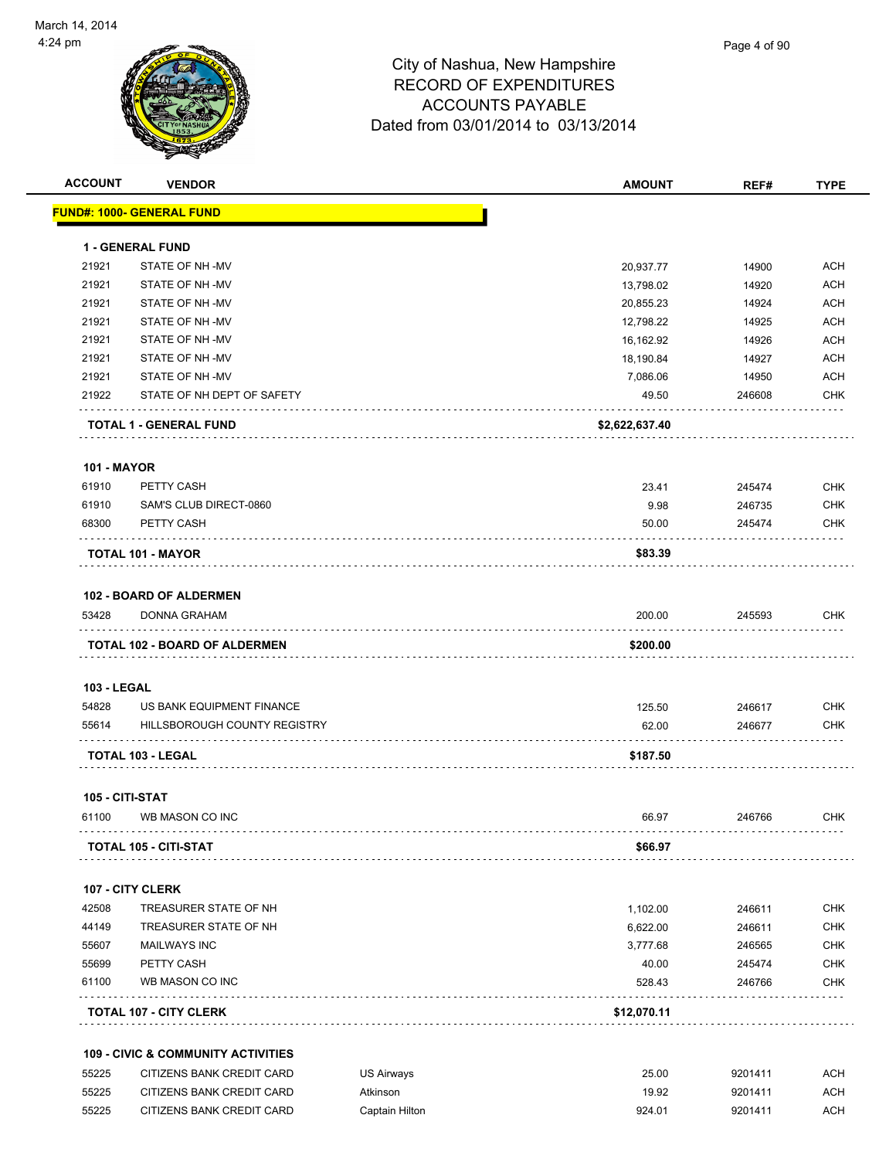

| <b>ACCOUNT</b>     | <b>VENDOR</b>                                 |                   | <b>AMOUNT</b>  | REF#    | <b>TYPE</b> |
|--------------------|-----------------------------------------------|-------------------|----------------|---------|-------------|
|                    | <b>FUND#: 1000- GENERAL FUND</b>              |                   |                |         |             |
|                    | <b>1 - GENERAL FUND</b>                       |                   |                |         |             |
| 21921              | STATE OF NH-MV                                |                   | 20,937.77      | 14900   | <b>ACH</b>  |
| 21921              | STATE OF NH-MV                                |                   | 13,798.02      | 14920   | <b>ACH</b>  |
| 21921              | STATE OF NH-MV                                |                   | 20,855.23      | 14924   | ACH         |
| 21921              | STATE OF NH-MV                                |                   | 12,798.22      | 14925   | ACH         |
| 21921              | STATE OF NH-MV                                |                   | 16,162.92      | 14926   | <b>ACH</b>  |
| 21921              | STATE OF NH-MV                                |                   | 18,190.84      | 14927   | <b>ACH</b>  |
| 21921              | STATE OF NH-MV                                |                   | 7,086.06       | 14950   | <b>ACH</b>  |
| 21922              | STATE OF NH DEPT OF SAFETY                    |                   | 49.50          | 246608  | <b>CHK</b>  |
|                    | TOTAL 1 - GENERAL FUND                        |                   | \$2,622,637.40 |         |             |
| <b>101 - MAYOR</b> |                                               |                   |                |         |             |
| 61910              | PETTY CASH                                    |                   | 23.41          | 245474  | <b>CHK</b>  |
| 61910              | SAM'S CLUB DIRECT-0860                        |                   | 9.98           | 246735  | <b>CHK</b>  |
| 68300              | PETTY CASH                                    |                   | 50.00          | 245474  | <b>CHK</b>  |
|                    | TOTAL 101 - MAYOR                             |                   | \$83.39        |         |             |
|                    |                                               |                   |                |         |             |
|                    | <b>102 - BOARD OF ALDERMEN</b>                |                   |                |         |             |
| 53428              | DONNA GRAHAM                                  |                   | 200.00         | 245593  | CHK         |
|                    | <b>TOTAL 102 - BOARD OF ALDERMEN</b>          |                   | \$200.00       |         |             |
| <b>103 - LEGAL</b> |                                               |                   |                |         |             |
| 54828              | US BANK EQUIPMENT FINANCE                     |                   | 125.50         | 246617  | <b>CHK</b>  |
| 55614              | HILLSBOROUGH COUNTY REGISTRY                  |                   | 62.00          | 246677  | <b>CHK</b>  |
|                    | <b>TOTAL 103 - LEGAL</b>                      |                   | \$187.50       |         |             |
|                    | 105 - CITI-STAT                               |                   |                |         |             |
| 61100              | WB MASON CO INC                               |                   | 66.97          | 246766  | <b>CHK</b>  |
|                    | TOTAL 105 - CITI-STAT                         |                   | \$66.97        |         |             |
|                    | 107 - CITY CLERK                              |                   |                |         |             |
| 42508              | TREASURER STATE OF NH                         |                   | 1,102.00       | 246611  | <b>CHK</b>  |
| 44149              | TREASURER STATE OF NH                         |                   | 6,622.00       | 246611  | <b>CHK</b>  |
| 55607              | <b>MAILWAYS INC</b>                           |                   | 3,777.68       | 246565  | <b>CHK</b>  |
| 55699              | PETTY CASH                                    |                   | 40.00          | 245474  | CHK         |
| 61100              | WB MASON CO INC                               |                   | 528.43         | 246766  | <b>CHK</b>  |
|                    | <b>TOTAL 107 - CITY CLERK</b>                 |                   | \$12,070.11    |         |             |
|                    | <b>109 - CIVIC &amp; COMMUNITY ACTIVITIES</b> |                   |                |         |             |
| 55225              | CITIZENS BANK CREDIT CARD                     | <b>US Airways</b> | 25.00          | 9201411 | ACH         |
| 55225              | CITIZENS BANK CREDIT CARD                     | Atkinson          | 19.92          | 9201411 | <b>ACH</b>  |

55225 CITIZENS BANK CREDIT CARD Captain Hilton 924.01 9201411 ACH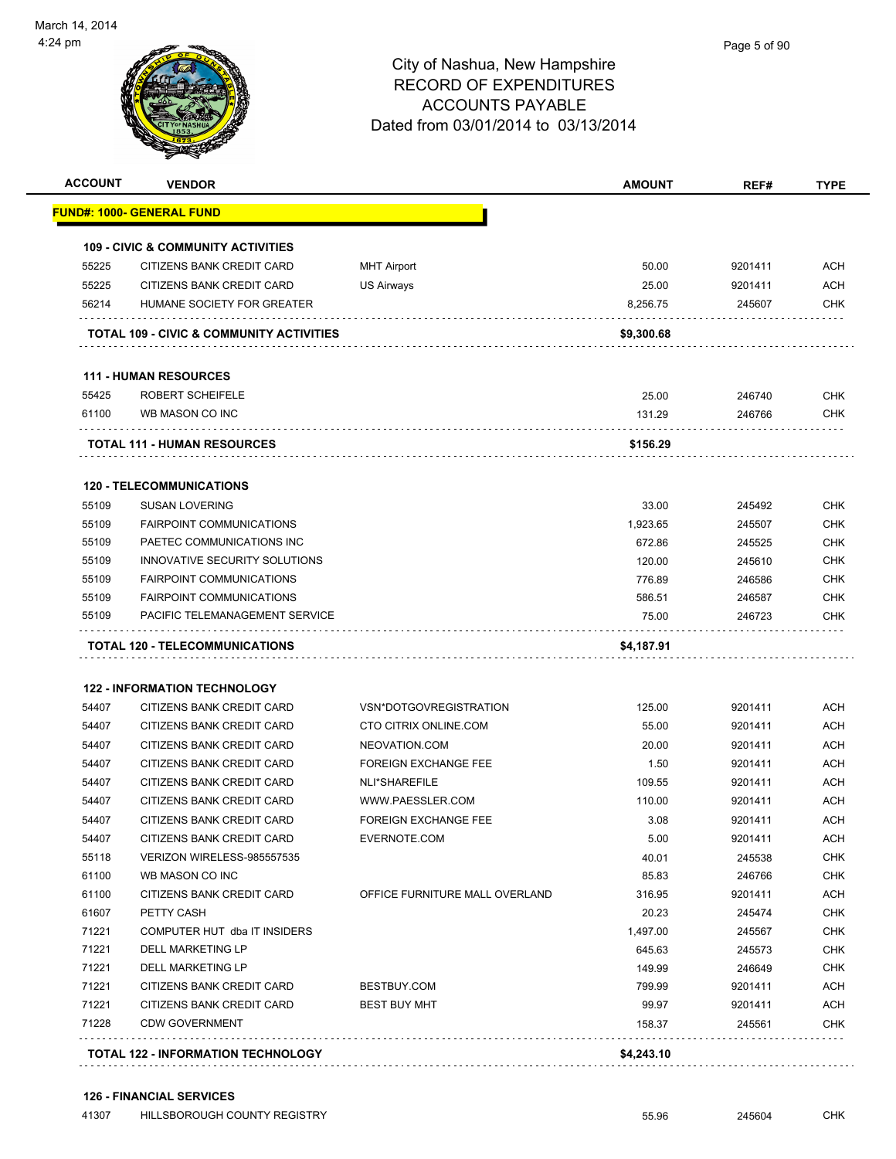|                                                                                                                                     | <b>VENDOR</b>                                 |                                | <b>AMOUNT</b>   | REF#              | <b>TYPE</b>                                                                                                                                                                                                           |
|-------------------------------------------------------------------------------------------------------------------------------------|-----------------------------------------------|--------------------------------|-----------------|-------------------|-----------------------------------------------------------------------------------------------------------------------------------------------------------------------------------------------------------------------|
|                                                                                                                                     | <u> FUND#: 1000- GENERAL FUND</u>             |                                |                 |                   |                                                                                                                                                                                                                       |
|                                                                                                                                     | <b>109 - CIVIC &amp; COMMUNITY ACTIVITIES</b> |                                |                 |                   |                                                                                                                                                                                                                       |
| 55225                                                                                                                               | CITIZENS BANK CREDIT CARD                     | <b>MHT Airport</b>             | 50.00           | 9201411           | ACH                                                                                                                                                                                                                   |
| 55225                                                                                                                               | CITIZENS BANK CREDIT CARD                     | US Airways                     | 25.00           | 9201411           | <b>ACH</b>                                                                                                                                                                                                            |
| 56214                                                                                                                               | HUMANE SOCIETY FOR GREATER                    |                                | 8,256.75        | 245607            | CHK                                                                                                                                                                                                                   |
|                                                                                                                                     | TOTAL 109 - CIVIC & COMMUNITY ACTIVITIES      |                                | \$9,300.68      |                   |                                                                                                                                                                                                                       |
|                                                                                                                                     | <b>111 - HUMAN RESOURCES</b>                  |                                |                 |                   |                                                                                                                                                                                                                       |
| 55425                                                                                                                               | ROBERT SCHEIFELE                              |                                | 25.00           | 246740            | <b>CHK</b>                                                                                                                                                                                                            |
| 61100                                                                                                                               | WB MASON CO INC                               |                                | 131.29          | 246766            | <b>CHK</b>                                                                                                                                                                                                            |
|                                                                                                                                     | <b>TOTAL 111 - HUMAN RESOURCES</b>            |                                | \$156.29        |                   |                                                                                                                                                                                                                       |
|                                                                                                                                     | <b>120 - TELECOMMUNICATIONS</b>               |                                |                 |                   |                                                                                                                                                                                                                       |
| 55109                                                                                                                               | <b>SUSAN LOVERING</b>                         |                                | 33.00           | 245492            | <b>CHK</b>                                                                                                                                                                                                            |
| 55109                                                                                                                               | <b>FAIRPOINT COMMUNICATIONS</b>               |                                | 1,923.65        | 245507            | <b>CHK</b>                                                                                                                                                                                                            |
| 55109                                                                                                                               | PAETEC COMMUNICATIONS INC                     |                                | 672.86          | 245525            | <b>CHK</b>                                                                                                                                                                                                            |
| 55109                                                                                                                               | INNOVATIVE SECURITY SOLUTIONS                 |                                | 120.00          | 245610            | <b>CHK</b>                                                                                                                                                                                                            |
| 55109                                                                                                                               | <b>FAIRPOINT COMMUNICATIONS</b>               |                                | 776.89          | 246586            | CHK                                                                                                                                                                                                                   |
|                                                                                                                                     | <b>FAIRPOINT COMMUNICATIONS</b>               |                                | 586.51          | 246587            | <b>CHK</b>                                                                                                                                                                                                            |
|                                                                                                                                     |                                               |                                |                 |                   |                                                                                                                                                                                                                       |
| 55109<br>55109                                                                                                                      | PACIFIC TELEMANAGEMENT SERVICE                |                                | 75.00           | 246723            |                                                                                                                                                                                                                       |
|                                                                                                                                     | <b>TOTAL 120 - TELECOMMUNICATIONS</b>         |                                | \$4,187.91      |                   | <b>CHK</b>                                                                                                                                                                                                            |
|                                                                                                                                     |                                               |                                |                 |                   |                                                                                                                                                                                                                       |
|                                                                                                                                     | <b>122 - INFORMATION TECHNOLOGY</b>           |                                |                 |                   |                                                                                                                                                                                                                       |
| 54407                                                                                                                               | CITIZENS BANK CREDIT CARD                     | VSN*DOTGOVREGISTRATION         | 125.00          | 9201411           |                                                                                                                                                                                                                       |
| 54407                                                                                                                               | CITIZENS BANK CREDIT CARD                     | CTO CITRIX ONLINE.COM          | 55.00           | 9201411           |                                                                                                                                                                                                                       |
|                                                                                                                                     | CITIZENS BANK CREDIT CARD                     | NEOVATION.COM                  | 20.00           | 9201411           |                                                                                                                                                                                                                       |
|                                                                                                                                     | CITIZENS BANK CREDIT CARD                     | <b>FOREIGN EXCHANGE FEE</b>    | 1.50            | 9201411           |                                                                                                                                                                                                                       |
|                                                                                                                                     | CITIZENS BANK CREDIT CARD                     | NLI*SHAREFILE                  | 109.55          | 9201411           |                                                                                                                                                                                                                       |
|                                                                                                                                     | CITIZENS BANK CREDIT CARD                     | WWW.PAESSLER.COM               | 110.00          | 9201411           |                                                                                                                                                                                                                       |
|                                                                                                                                     | CITIZENS BANK CREDIT CARD                     | <b>FOREIGN EXCHANGE FEE</b>    | 3.08            | 9201411           |                                                                                                                                                                                                                       |
|                                                                                                                                     | CITIZENS BANK CREDIT CARD                     | EVERNOTE.COM                   | 5.00            | 9201411           |                                                                                                                                                                                                                       |
|                                                                                                                                     | VERIZON WIRELESS-985557535                    |                                | 40.01           | 245538            |                                                                                                                                                                                                                       |
|                                                                                                                                     | WB MASON CO INC<br>CITIZENS BANK CREDIT CARD  | OFFICE FURNITURE MALL OVERLAND | 85.83<br>316.95 | 246766<br>9201411 |                                                                                                                                                                                                                       |
|                                                                                                                                     | PETTY CASH                                    |                                | 20.23           | 245474            |                                                                                                                                                                                                                       |
|                                                                                                                                     | COMPUTER HUT dba IT INSIDERS                  |                                | 1,497.00        |                   |                                                                                                                                                                                                                       |
|                                                                                                                                     | DELL MARKETING LP                             |                                | 645.63          | 245567<br>245573  |                                                                                                                                                                                                                       |
|                                                                                                                                     | <b>DELL MARKETING LP</b>                      |                                | 149.99          | 246649            |                                                                                                                                                                                                                       |
|                                                                                                                                     | CITIZENS BANK CREDIT CARD                     | BESTBUY.COM                    | 799.99          | 9201411           |                                                                                                                                                                                                                       |
| 54407<br>54407<br>54407<br>54407<br>54407<br>54407<br>55118<br>61100<br>61100<br>61607<br>71221<br>71221<br>71221<br>71221<br>71221 | CITIZENS BANK CREDIT CARD                     | <b>BEST BUY MHT</b>            | 99.97           | 9201411           | ACH<br><b>ACH</b><br><b>ACH</b><br><b>ACH</b><br>ACH<br><b>ACH</b><br><b>ACH</b><br>ACH<br><b>CHK</b><br><b>CHK</b><br><b>ACH</b><br><b>CHK</b><br><b>CHK</b><br><b>CHK</b><br><b>CHK</b><br><b>ACH</b><br><b>ACH</b> |

#### **126 - FINANCIAL SERVICES**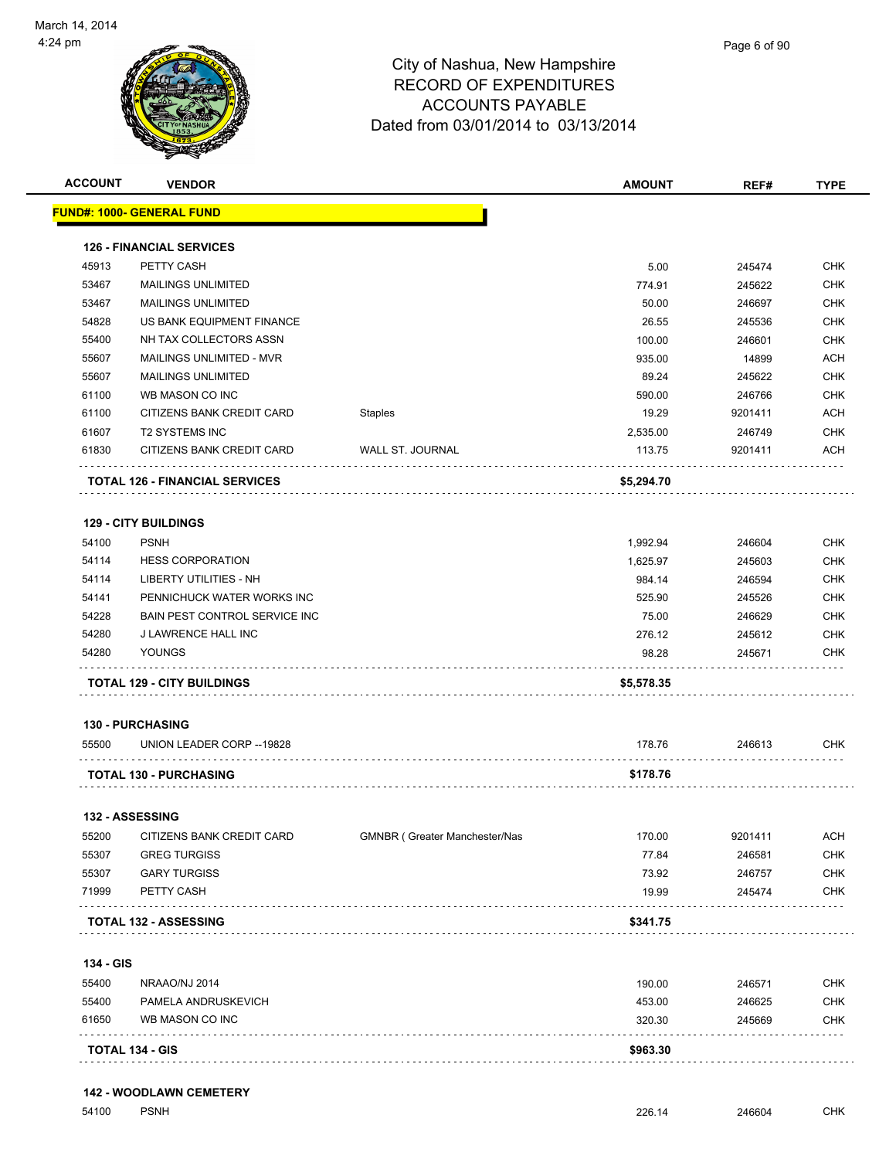

| <b>ACCOUNT</b> | <b>VENDOR</b>                         |                               | <b>AMOUNT</b> | REF#    | <b>TYPE</b>              |
|----------------|---------------------------------------|-------------------------------|---------------|---------|--------------------------|
|                | <b>FUND#: 1000- GENERAL FUND</b>      |                               |               |         |                          |
|                | <b>126 - FINANCIAL SERVICES</b>       |                               |               |         |                          |
| 45913          | PETTY CASH                            |                               | 5.00          | 245474  | <b>CHK</b>               |
| 53467          | <b>MAILINGS UNLIMITED</b>             |                               | 774.91        | 245622  | <b>CHK</b>               |
| 53467          | <b>MAILINGS UNLIMITED</b>             |                               | 50.00         | 246697  | <b>CHK</b>               |
| 54828          | US BANK EQUIPMENT FINANCE             |                               | 26.55         | 245536  | <b>CHK</b>               |
| 55400          | NH TAX COLLECTORS ASSN                |                               | 100.00        | 246601  | <b>CHK</b>               |
| 55607          | MAILINGS UNLIMITED - MVR              |                               | 935.00        | 14899   | <b>ACH</b>               |
| 55607          | <b>MAILINGS UNLIMITED</b>             |                               | 89.24         | 245622  | <b>CHK</b>               |
| 61100          | WB MASON CO INC                       |                               | 590.00        | 246766  | <b>CHK</b>               |
| 61100          | CITIZENS BANK CREDIT CARD             | Staples                       | 19.29         | 9201411 | <b>ACH</b>               |
| 61607          | <b>T2 SYSTEMS INC</b>                 |                               | 2,535.00      | 246749  | <b>CHK</b>               |
| 61830          | CITIZENS BANK CREDIT CARD             | WALL ST. JOURNAL              | 113.75        | 9201411 | ACH                      |
|                | <b>TOTAL 126 - FINANCIAL SERVICES</b> |                               | \$5,294.70    |         |                          |
|                | <b>129 - CITY BUILDINGS</b>           |                               |               |         |                          |
| 54100          | <b>PSNH</b>                           |                               | 1,992.94      | 246604  | <b>CHK</b>               |
| 54114          | <b>HESS CORPORATION</b>               |                               | 1,625.97      | 245603  | <b>CHK</b>               |
| 54114          | LIBERTY UTILITIES - NH                |                               | 984.14        | 246594  | <b>CHK</b>               |
| 54141          | PENNICHUCK WATER WORKS INC            |                               | 525.90        | 245526  | <b>CHK</b>               |
| 54228          | BAIN PEST CONTROL SERVICE INC         |                               | 75.00         | 246629  | <b>CHK</b>               |
| 54280          | J LAWRENCE HALL INC                   |                               | 276.12        | 245612  | <b>CHK</b>               |
| 54280          | YOUNGS                                |                               | 98.28         | 245671  | <b>CHK</b>               |
|                | <b>TOTAL 129 - CITY BUILDINGS</b>     |                               | \$5,578.35    |         |                          |
|                | <b>130 - PURCHASING</b>               |                               |               |         |                          |
| 55500          | UNION LEADER CORP -- 19828            |                               | 178.76        | 246613  | <b>CHK</b>               |
|                | <b>TOTAL 130 - PURCHASING</b>         |                               | \$178.76      |         |                          |
|                | 132 - ASSESSING                       |                               |               |         |                          |
| 55200          | CITIZENS BANK CREDIT CARD             | GMNBR (Greater Manchester/Nas | 170.00        | 9201411 |                          |
| 55307          | <b>GREG TURGISS</b>                   |                               | 77.84         | 246581  | <b>ACH</b><br><b>CHK</b> |
| 55307          | <b>GARY TURGISS</b>                   |                               | 73.92         | 246757  | <b>CHK</b>               |
| 71999          | PETTY CASH                            |                               | 19.99         | 245474  | <b>CHK</b>               |
|                | TOTAL 132 - ASSESSING                 |                               | \$341.75      |         |                          |
|                |                                       |                               |               |         |                          |
| 134 - GIS      |                                       |                               |               |         |                          |
| 55400          | NRAAO/NJ 2014                         |                               | 190.00        | 246571  | <b>CHK</b>               |
|                | PAMELA ANDRUSKEVICH                   |                               | 453.00        | 246625  | <b>CHK</b>               |
| 55400          |                                       |                               |               |         |                          |
| 61650          | WB MASON CO INC                       |                               | 320.30        | 245669  | <b>CHK</b>               |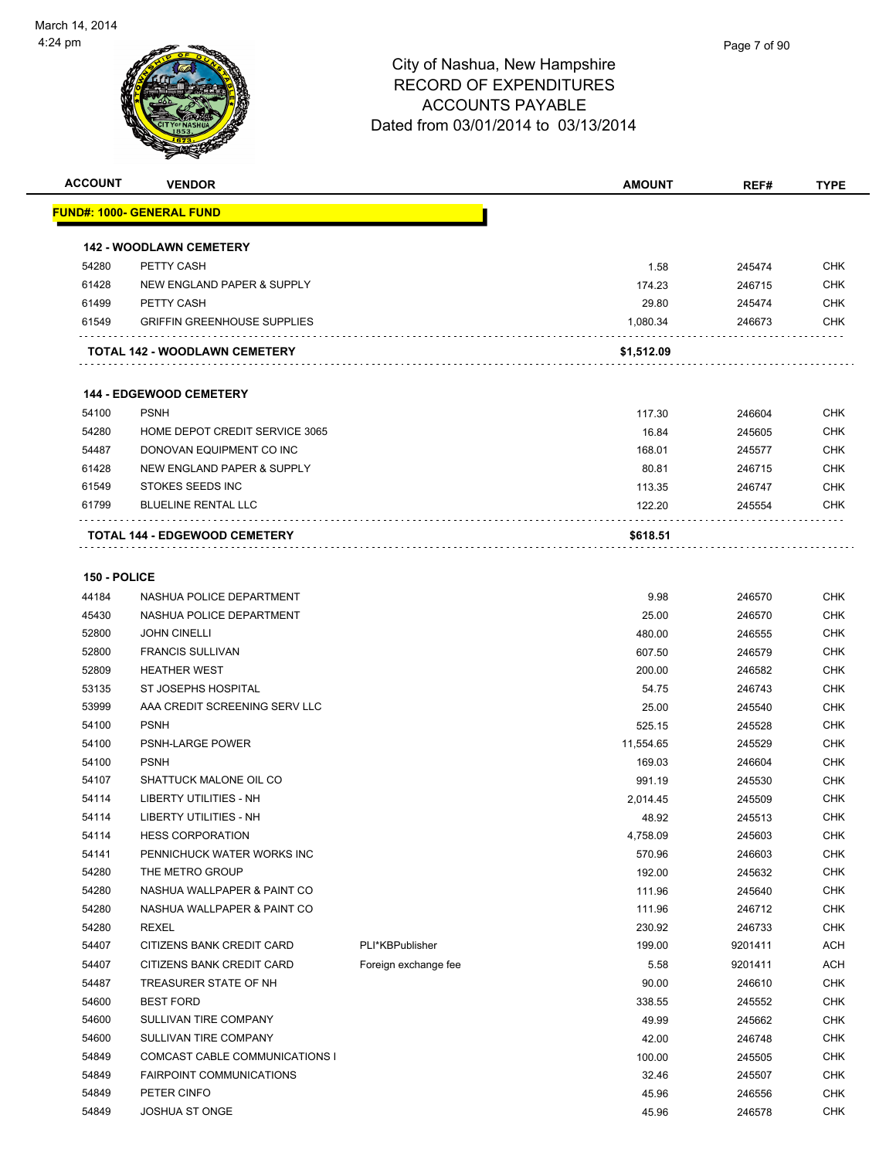

| <b>ACCOUNT</b> | <b>VENDOR</b>                                 |                      | <b>AMOUNT</b>    | REF#             | <b>TYPE</b>       |
|----------------|-----------------------------------------------|----------------------|------------------|------------------|-------------------|
|                | <u> FUND#: 1000- GENERAL FUND</u>             |                      |                  |                  |                   |
|                | <b>142 - WOODLAWN CEMETERY</b>                |                      |                  |                  |                   |
| 54280          | PETTY CASH                                    |                      | 1.58             | 245474           | <b>CHK</b>        |
| 61428          | NEW ENGLAND PAPER & SUPPLY                    |                      | 174.23           | 246715           | <b>CHK</b>        |
| 61499          | PETTY CASH                                    |                      | 29.80            | 245474           | CHK               |
| 61549          | <b>GRIFFIN GREENHOUSE SUPPLIES</b>            |                      | 1,080.34         | 246673           | CHK               |
|                |                                               |                      |                  |                  |                   |
|                | TOTAL 142 - WOODLAWN CEMETERY                 |                      | \$1,512.09       |                  |                   |
|                | <b>144 - EDGEWOOD CEMETERY</b>                |                      |                  |                  |                   |
| 54100          | <b>PSNH</b>                                   |                      | 117.30           | 246604           | CHK               |
| 54280          | HOME DEPOT CREDIT SERVICE 3065                |                      | 16.84            | 245605           | <b>CHK</b>        |
| 54487          | DONOVAN EQUIPMENT CO INC                      |                      | 168.01           | 245577           | CHK               |
| 61428          | NEW ENGLAND PAPER & SUPPLY                    |                      | 80.81            | 246715           | CHK               |
| 61549          | STOKES SEEDS INC                              |                      | 113.35           | 246747           | <b>CHK</b>        |
| 61799          | <b>BLUELINE RENTAL LLC</b>                    |                      | 122.20           | 245554           | CHK               |
|                | <b>TOTAL 144 - EDGEWOOD CEMETERY</b>          |                      | \$618.51         |                  |                   |
|                |                                               |                      |                  |                  |                   |
| 150 - POLICE   |                                               |                      |                  |                  |                   |
| 44184          | NASHUA POLICE DEPARTMENT                      |                      | 9.98             | 246570           | <b>CHK</b>        |
| 45430          | NASHUA POLICE DEPARTMENT                      |                      | 25.00            | 246570           | <b>CHK</b>        |
| 52800          | <b>JOHN CINELLI</b>                           |                      | 480.00           | 246555           | <b>CHK</b>        |
| 52800          | <b>FRANCIS SULLIVAN</b>                       |                      | 607.50           | 246579           | CHK               |
| 52809          | <b>HEATHER WEST</b>                           |                      | 200.00           | 246582           | CHK               |
| 53135          | ST JOSEPHS HOSPITAL                           |                      | 54.75            | 246743           | <b>CHK</b>        |
| 53999          | AAA CREDIT SCREENING SERV LLC                 |                      | 25.00            | 245540           | CHK               |
| 54100          | <b>PSNH</b>                                   |                      | 525.15           | 245528           | CHK               |
| 54100          | PSNH-LARGE POWER                              |                      | 11,554.65        | 245529           | <b>CHK</b>        |
| 54100          | <b>PSNH</b>                                   |                      | 169.03           | 246604           | CHK               |
| 54107          | SHATTUCK MALONE OIL CO                        |                      | 991.19           | 245530           | <b>CHK</b>        |
| 54114          | LIBERTY UTILITIES - NH                        |                      | 2,014.45         | 245509           | <b>CHK</b>        |
| 54114          | LIBERTY UTILITIES - NH                        |                      | 48.92            | 245513           | CHK               |
| 54114          | <b>HESS CORPORATION</b>                       |                      | 4,758.09         | 245603           | <b>CHK</b>        |
| 54141<br>54280 | PENNICHUCK WATER WORKS INC<br>THE METRO GROUP |                      | 570.96<br>192.00 | 246603           | CHK<br><b>CHK</b> |
| 54280          | NASHUA WALLPAPER & PAINT CO                   |                      |                  | 245632           | <b>CHK</b>        |
| 54280          | NASHUA WALLPAPER & PAINT CO                   |                      | 111.96<br>111.96 | 245640<br>246712 | CHK               |
| 54280          | REXEL                                         |                      | 230.92           | 246733           | <b>CHK</b>        |
| 54407          | CITIZENS BANK CREDIT CARD                     | PLI*KBPublisher      | 199.00           | 9201411          | <b>ACH</b>        |
| 54407          | CITIZENS BANK CREDIT CARD                     | Foreign exchange fee | 5.58             | 9201411          | ACH               |
| 54487          | TREASURER STATE OF NH                         |                      | 90.00            | 246610           | <b>CHK</b>        |
| 54600          | <b>BEST FORD</b>                              |                      | 338.55           | 245552           | <b>CHK</b>        |
| 54600          | SULLIVAN TIRE COMPANY                         |                      | 49.99            | 245662           | <b>CHK</b>        |
| 54600          | SULLIVAN TIRE COMPANY                         |                      | 42.00            | 246748           | CHK               |
| 54849          | COMCAST CABLE COMMUNICATIONS I                |                      | 100.00           | 245505           | <b>CHK</b>        |
| 54849          | <b>FAIRPOINT COMMUNICATIONS</b>               |                      | 32.46            | 245507           | <b>CHK</b>        |
| 54849          | PETER CINFO                                   |                      | 45.96            | 246556           | <b>CHK</b>        |
| 54849          | <b>JOSHUA ST ONGE</b>                         |                      | 45.96            | 246578           | <b>CHK</b>        |
|                |                                               |                      |                  |                  |                   |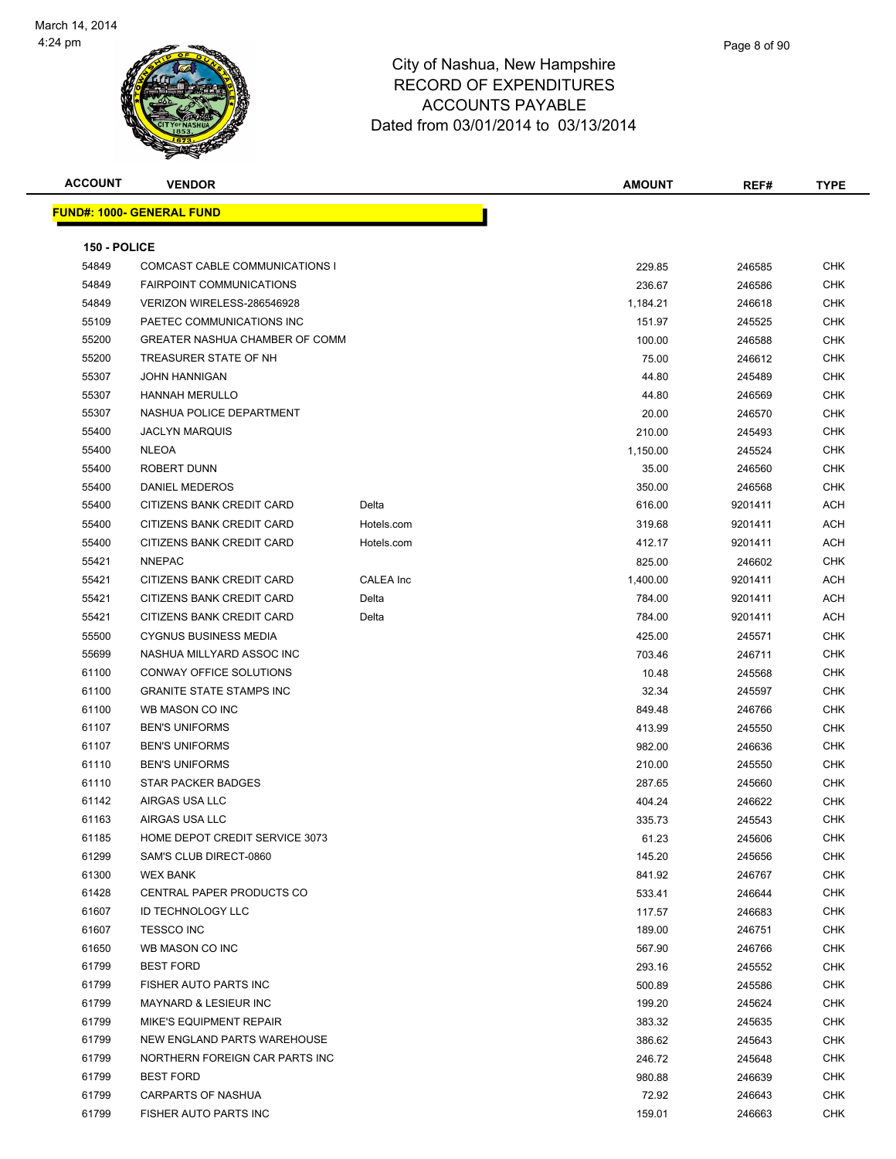

| <b>ACCOUNT</b> | <b>VENDOR</b>                                             |            | <b>AMOUNT</b>   | REF#             | <b>TYPE</b> |
|----------------|-----------------------------------------------------------|------------|-----------------|------------------|-------------|
|                | <u> FUND#: 1000- GENERAL FUND</u>                         |            |                 |                  |             |
|                |                                                           |            |                 |                  |             |
| 150 - POLICE   |                                                           |            |                 |                  |             |
| 54849          | COMCAST CABLE COMMUNICATIONS I                            |            | 229.85          | 246585           | CHK         |
| 54849          | <b>FAIRPOINT COMMUNICATIONS</b>                           |            | 236.67          | 246586           | <b>CHK</b>  |
| 54849          | VERIZON WIRELESS-286546928                                |            | 1,184.21        | 246618           | CHK         |
| 55109          | PAETEC COMMUNICATIONS INC                                 |            | 151.97          | 245525           | <b>CHK</b>  |
| 55200          | <b>GREATER NASHUA CHAMBER OF COMM</b>                     |            | 100.00          | 246588           | <b>CHK</b>  |
| 55200          | TREASURER STATE OF NH                                     |            | 75.00           | 246612           | CHK         |
| 55307          | <b>JOHN HANNIGAN</b>                                      |            | 44.80           | 245489           | CHK         |
| 55307          | <b>HANNAH MERULLO</b>                                     |            | 44.80           | 246569           | CHK         |
| 55307          | NASHUA POLICE DEPARTMENT                                  |            | 20.00           | 246570           | <b>CHK</b>  |
| 55400          | <b>JACLYN MARQUIS</b>                                     |            | 210.00          | 245493           | <b>CHK</b>  |
| 55400          | <b>NLEOA</b>                                              |            | 1,150.00        | 245524           | <b>CHK</b>  |
| 55400          | ROBERT DUNN<br><b>DANIEL MEDEROS</b>                      |            | 35.00           | 246560           | CHK         |
| 55400          |                                                           |            | 350.00          | 246568           | <b>CHK</b>  |
| 55400          | CITIZENS BANK CREDIT CARD                                 | Delta      | 616.00          | 9201411          | ACH         |
| 55400          | CITIZENS BANK CREDIT CARD                                 | Hotels.com | 319.68          | 9201411          | ACH         |
| 55400          | CITIZENS BANK CREDIT CARD                                 | Hotels.com | 412.17          | 9201411          | ACH         |
| 55421          | <b>NNEPAC</b>                                             |            | 825.00          | 246602           | CHK         |
| 55421          | CITIZENS BANK CREDIT CARD                                 | CALEA Inc  | 1,400.00        | 9201411          | ACH         |
| 55421          | CITIZENS BANK CREDIT CARD                                 | Delta      | 784.00          | 9201411          | ACH         |
| 55421          | CITIZENS BANK CREDIT CARD                                 | Delta      | 784.00          | 9201411          | ACH         |
| 55500          | <b>CYGNUS BUSINESS MEDIA</b>                              |            | 425.00          | 245571           | <b>CHK</b>  |
| 55699          | NASHUA MILLYARD ASSOC INC                                 |            | 703.46          | 246711           | CHK         |
| 61100          | CONWAY OFFICE SOLUTIONS                                   |            | 10.48           | 245568           | <b>CHK</b>  |
| 61100          | <b>GRANITE STATE STAMPS INC</b>                           |            | 32.34           | 245597           | <b>CHK</b>  |
| 61100          | WB MASON CO INC                                           |            | 849.48          | 246766           | CHK         |
| 61107          | <b>BEN'S UNIFORMS</b>                                     |            | 413.99          | 245550           | CHK         |
| 61107          | <b>BEN'S UNIFORMS</b>                                     |            | 982.00          | 246636           | CHK         |
| 61110          | <b>BEN'S UNIFORMS</b>                                     |            | 210.00          | 245550           | <b>CHK</b>  |
| 61110          | STAR PACKER BADGES                                        |            | 287.65          | 245660           | CHK         |
| 61142          | AIRGAS USA LLC                                            |            | 404.24          | 246622           | CHK         |
| 61163          | AIRGAS USA LLC                                            |            | 335.73          | 245543           | CHK         |
| 61185          | HOME DEPOT CREDIT SERVICE 3073<br>SAM'S CLUB DIRECT-0860  |            | 61.23           | 245606           | <b>CHK</b>  |
| 61299          |                                                           |            | 145.20          | 245656           | <b>CHK</b>  |
| 61300          | <b>WEX BANK</b><br><b>CENTRAL PAPER PRODUCTS CO</b>       |            | 841.92          | 246767           | CHK         |
| 61428          |                                                           |            | 533.41          | 246644           | CHK         |
| 61607          | <b>ID TECHNOLOGY LLC</b>                                  |            | 117.57          | 246683           | CHK         |
| 61607          | <b>TESSCO INC</b>                                         |            | 189.00          | 246751           | CHK         |
| 61650          | WB MASON CO INC                                           |            | 567.90          | 246766           | CHK         |
| 61799          | <b>BEST FORD</b>                                          |            | 293.16          | 245552           | CHK         |
| 61799<br>61799 | FISHER AUTO PARTS INC<br><b>MAYNARD &amp; LESIEUR INC</b> |            | 500.89          | 245586           | CHK         |
|                |                                                           |            | 199.20          | 245624           | CHK         |
| 61799          | MIKE'S EQUIPMENT REPAIR<br>NEW ENGLAND PARTS WAREHOUSE    |            | 383.32          | 245635           | CHK         |
| 61799          |                                                           |            | 386.62          | 245643           | CHK         |
| 61799<br>61799 | NORTHERN FOREIGN CAR PARTS INC<br><b>BEST FORD</b>        |            | 246.72          | 245648           | CHK<br>CHK  |
| 61799          | <b>CARPARTS OF NASHUA</b>                                 |            | 980.88<br>72.92 | 246639<br>246643 | CHK         |
| 61799          | FISHER AUTO PARTS INC                                     |            | 159.01          | 246663           | CHK         |
|                |                                                           |            |                 |                  |             |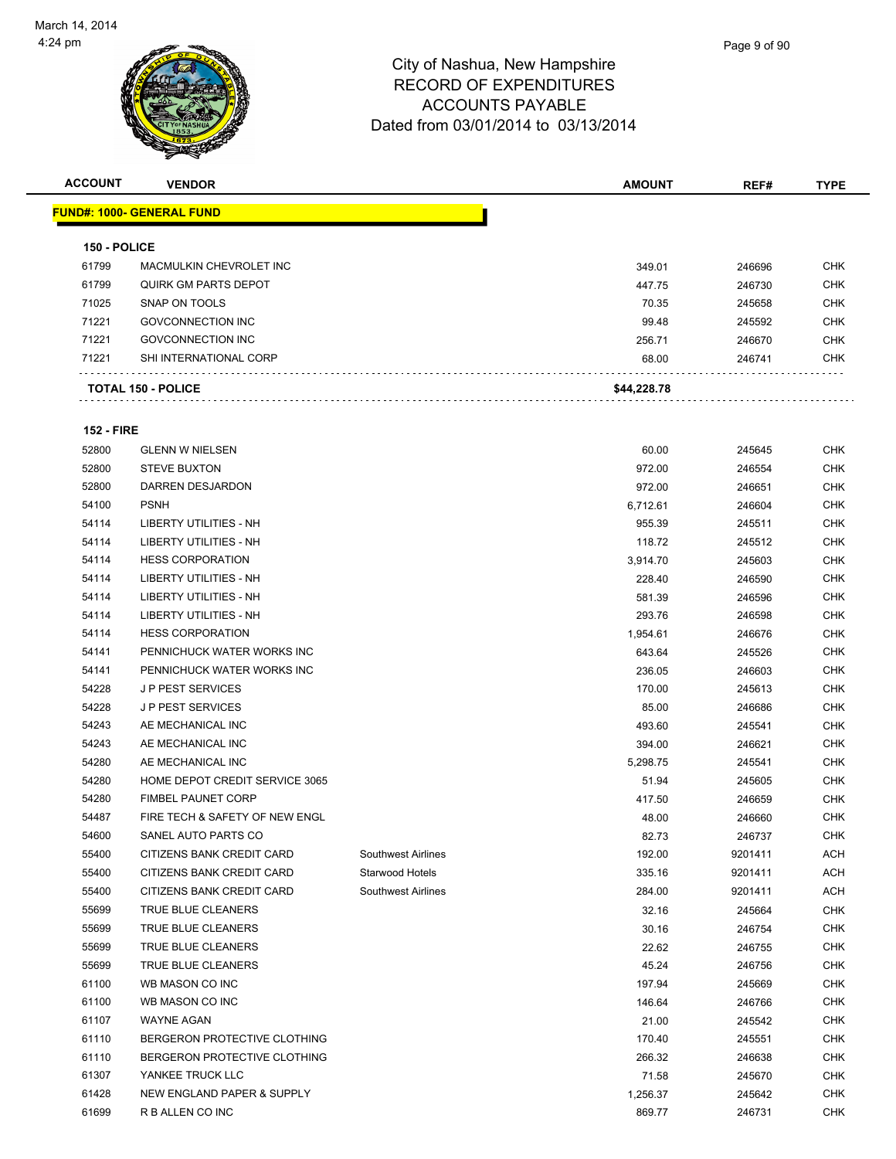| <b>ACCOUNT</b>    | <b>VENDOR</b>                     |                    | <b>AMOUNT</b> | REF#             | <b>TYPE</b> |
|-------------------|-----------------------------------|--------------------|---------------|------------------|-------------|
|                   | <u> FUND#: 1000- GENERAL FUND</u> |                    |               |                  |             |
|                   |                                   |                    |               |                  |             |
| 150 - POLICE      |                                   |                    |               |                  |             |
| 61799             | MACMULKIN CHEVROLET INC           |                    | 349.01        | 246696           | CHK         |
| 61799             | <b>QUIRK GM PARTS DEPOT</b>       |                    | 447.75        | 246730           | <b>CHK</b>  |
| 71025             | SNAP ON TOOLS                     |                    | 70.35         | 245658           | CHK         |
| 71221             | <b>GOVCONNECTION INC</b>          |                    | 99.48         | 245592           | CHK         |
| 71221             | <b>GOVCONNECTION INC</b>          |                    | 256.71        | 246670           | CHK         |
| 71221             | SHI INTERNATIONAL CORP            |                    | 68.00         | 246741           | CHK         |
|                   | <b>TOTAL 150 - POLICE</b>         |                    | \$44,228.78   |                  |             |
| <b>152 - FIRE</b> |                                   |                    |               |                  |             |
| 52800             | <b>GLENN W NIELSEN</b>            |                    | 60.00         | 245645           | CHK         |
| 52800             | <b>STEVE BUXTON</b>               |                    | 972.00        | 246554           | CHK         |
| 52800             | <b>DARREN DESJARDON</b>           |                    | 972.00        | 246651           | <b>CHK</b>  |
| 54100             | <b>PSNH</b>                       |                    | 6,712.61      | 246604           | CHK         |
| 54114             | LIBERTY UTILITIES - NH            |                    | 955.39        | 245511           | CHK         |
| 54114             | LIBERTY UTILITIES - NH            |                    | 118.72        | 245512           | CHK         |
| 54114             | <b>HESS CORPORATION</b>           |                    | 3,914.70      | 245603           | CHK         |
| 54114             | LIBERTY UTILITIES - NH            |                    | 228.40        | 246590           | CHK         |
| 54114             | <b>LIBERTY UTILITIES - NH</b>     |                    | 581.39        | 246596           | CHK         |
| 54114             | LIBERTY UTILITIES - NH            |                    | 293.76        | 246598           | CHK         |
| 54114             | <b>HESS CORPORATION</b>           |                    | 1,954.61      | 246676           | CHK         |
| 54141             | PENNICHUCK WATER WORKS INC        |                    | 643.64        | 245526           | CHK         |
| 54141             | PENNICHUCK WATER WORKS INC        |                    | 236.05        | 246603           | CHK         |
| 54228             | <b>JP PEST SERVICES</b>           |                    | 170.00        | 245613           | <b>CHK</b>  |
| 54228             | <b>JP PEST SERVICES</b>           |                    | 85.00         | 246686           | CHK         |
| 54243             | AE MECHANICAL INC                 |                    | 493.60        | 245541           | CHK         |
| 54243             | AE MECHANICAL INC                 |                    | 394.00        | 246621           | CHK         |
| 54280             | AE MECHANICAL INC                 |                    | 5,298.75      | 245541           | CHK         |
| 54280             | HOME DEPOT CREDIT SERVICE 3065    |                    | 51.94         | 245605           | <b>CHK</b>  |
| 54280             | <b>FIMBEL PAUNET CORP</b>         |                    | 417.50        | 246659           | CHK         |
| 54487             | FIRE TECH & SAFETY OF NEW ENGL    |                    | 48.00         | 246660           | CHK         |
| 54600             | SANEL AUTO PARTS CO               |                    | 82.73         | 246737           | <b>CHK</b>  |
| 55400             | CITIZENS BANK CREDIT CARD         | Southwest Airlines | 192.00        | 9201411          | ACH         |
| 55400             | CITIZENS BANK CREDIT CARD         | Starwood Hotels    | 335.16        | 9201411          | <b>ACH</b>  |
| 55400             | CITIZENS BANK CREDIT CARD         | Southwest Airlines | 284.00        | 9201411          | ACH         |
| 55699             | TRUE BLUE CLEANERS                |                    | 32.16         | 245664           | <b>CHK</b>  |
| 55699             | TRUE BLUE CLEANERS                |                    | 30.16         | 246754           | CHK         |
| 55699             | TRUE BLUE CLEANERS                |                    | 22.62         | 246755           | <b>CHK</b>  |
| 55699             | TRUE BLUE CLEANERS                |                    | 45.24         | 246756           | <b>CHK</b>  |
| 61100             | WB MASON CO INC                   |                    | 197.94        | 245669           | <b>CHK</b>  |
| 61100             | WB MASON CO INC                   |                    | 146.64        | 246766           | CHK         |
| 61107             | WAYNE AGAN                        |                    | 21.00         | 245542           | CHK         |
| 61110             | BERGERON PROTECTIVE CLOTHING      |                    | 170.40        | 245551           | CHK         |
| 61110             | BERGERON PROTECTIVE CLOTHING      |                    | 266.32        | 246638           | <b>CHK</b>  |
| 61307             | YANKEE TRUCK LLC                  |                    | 71.58         |                  | <b>CHK</b>  |
| 61428             | NEW ENGLAND PAPER & SUPPLY        |                    | 1,256.37      | 245670<br>245642 | <b>CHK</b>  |
| 61699             | R B ALLEN CO INC                  |                    |               |                  | <b>CHK</b>  |
|                   |                                   |                    | 869.77        | 246731           |             |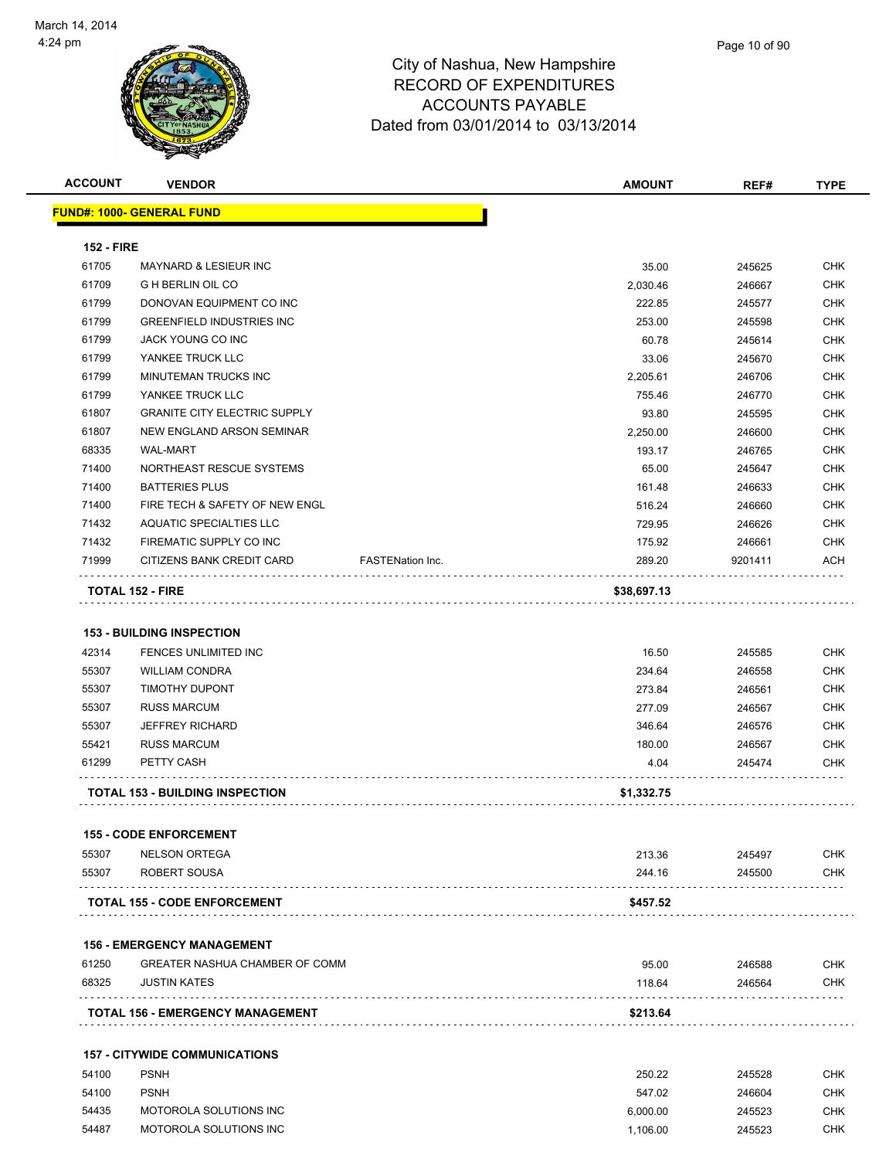

| <b>ACCOUNT</b>    | <b>VENDOR</b>                           | <b>AMOUNT</b>                     | REF#    | <b>TYPE</b> |
|-------------------|-----------------------------------------|-----------------------------------|---------|-------------|
|                   | <b>FUND#: 1000- GENERAL FUND</b>        |                                   |         |             |
| <b>152 - FIRE</b> |                                         |                                   |         |             |
| 61705             | <b>MAYNARD &amp; LESIEUR INC</b>        | 35.00                             | 245625  | <b>CHK</b>  |
| 61709             | <b>G H BERLIN OIL CO</b>                | 2,030.46                          | 246667  | <b>CHK</b>  |
| 61799             | DONOVAN EQUIPMENT CO INC                | 222.85                            | 245577  | <b>CHK</b>  |
| 61799             | <b>GREENFIELD INDUSTRIES INC</b>        | 253.00                            | 245598  | <b>CHK</b>  |
| 61799             | JACK YOUNG CO INC                       | 60.78                             | 245614  | <b>CHK</b>  |
| 61799             | YANKEE TRUCK LLC                        | 33.06                             | 245670  | <b>CHK</b>  |
| 61799             | MINUTEMAN TRUCKS INC                    | 2,205.61                          | 246706  | <b>CHK</b>  |
| 61799             | YANKEE TRUCK LLC                        | 755.46                            | 246770  | <b>CHK</b>  |
| 61807             | <b>GRANITE CITY ELECTRIC SUPPLY</b>     | 93.80                             | 245595  | <b>CHK</b>  |
| 61807             | NEW ENGLAND ARSON SEMINAR               | 2,250.00                          | 246600  | <b>CHK</b>  |
| 68335             | <b>WAL-MART</b>                         | 193.17                            | 246765  | <b>CHK</b>  |
| 71400             | NORTHEAST RESCUE SYSTEMS                | 65.00                             | 245647  | <b>CHK</b>  |
| 71400             | <b>BATTERIES PLUS</b>                   | 161.48                            | 246633  | <b>CHK</b>  |
| 71400             | FIRE TECH & SAFETY OF NEW ENGL          | 516.24                            | 246660  | <b>CHK</b>  |
| 71432             | <b>AQUATIC SPECIALTIES LLC</b>          | 729.95                            | 246626  | <b>CHK</b>  |
| 71432             | FIREMATIC SUPPLY CO INC                 | 175.92                            | 246661  | <b>CHK</b>  |
| 71999             | CITIZENS BANK CREDIT CARD               | <b>FASTENation Inc.</b><br>289.20 | 9201411 | ACH         |
|                   | <b>TOTAL 152 - FIRE</b>                 | \$38,697.13                       |         |             |
|                   |                                         |                                   |         |             |
|                   | <b>153 - BUILDING INSPECTION</b>        |                                   |         |             |
| 42314             | FENCES UNLIMITED INC                    | 16.50                             | 245585  | <b>CHK</b>  |
| 55307             | <b>WILLIAM CONDRA</b>                   | 234.64                            | 246558  | <b>CHK</b>  |
| 55307             | <b>TIMOTHY DUPONT</b>                   | 273.84                            | 246561  | <b>CHK</b>  |
| 55307             | <b>RUSS MARCUM</b>                      | 277.09                            | 246567  | <b>CHK</b>  |
| 55307             | <b>JEFFREY RICHARD</b>                  | 346.64                            | 246576  | <b>CHK</b>  |
| 55421             | <b>RUSS MARCUM</b>                      | 180.00                            | 246567  | <b>CHK</b>  |
| 61299             | PETTY CASH                              | 4.04                              | 245474  | <b>CHK</b>  |
|                   | <b>TOTAL 153 - BUILDING INSPECTION</b>  | \$1,332.75                        |         |             |
|                   | <b>155 - CODE ENFORCEMENT</b>           |                                   |         |             |
| 55307             | <b>NELSON ORTEGA</b>                    | 213.36                            | 245497  | <b>CHK</b>  |
| 55307             | ROBERT SOUSA                            | 244.16                            | 245500  | <b>CHK</b>  |
|                   | <b>TOTAL 155 - CODE ENFORCEMENT</b>     | \$457.52                          | .       |             |
|                   | <b>156 - EMERGENCY MANAGEMENT</b>       |                                   |         |             |
| 61250             | GREATER NASHUA CHAMBER OF COMM          | 95.00                             | 246588  | <b>CHK</b>  |
| 68325             | <b>JUSTIN KATES</b>                     | 118.64                            | 246564  | CHK         |
|                   | <b>TOTAL 156 - EMERGENCY MANAGEMENT</b> | \$213.64                          |         |             |
|                   | <b>157 - CITYWIDE COMMUNICATIONS</b>    |                                   |         |             |
| 54100             | <b>PSNH</b>                             | 250.22                            | 245528  | <b>CHK</b>  |

| - - - - - |                        | -------- |        | ------ |
|-----------|------------------------|----------|--------|--------|
| 54100     | <b>PSNH</b>            | 547.02   | 246604 | СНК    |
| 54435     | MOTOROLA SOLUTIONS INC | 6.000.00 | 245523 | СНК    |
| 54487     | MOTOROLA SOLUTIONS INC | 1.106.00 | 245523 | СНК    |
|           |                        |          |        |        |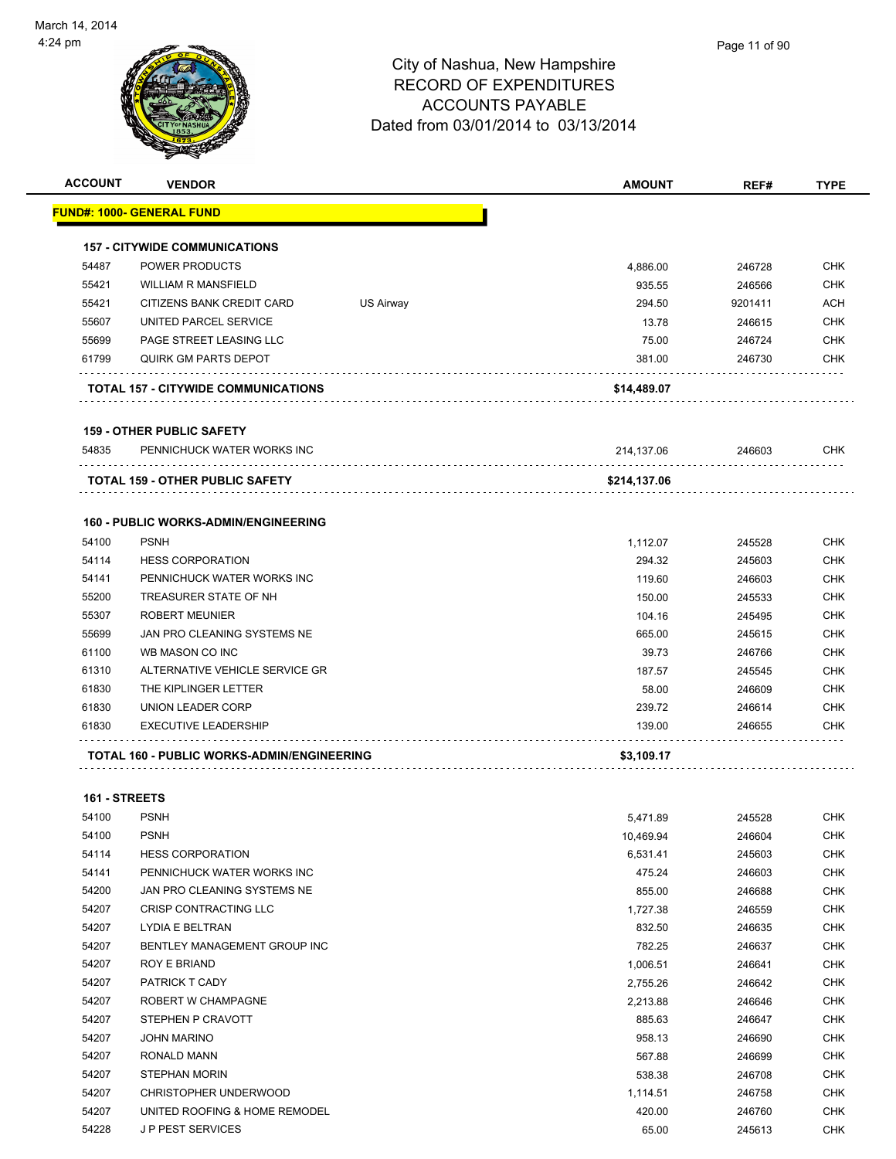| <b>ACCOUNT</b> | <b>VENDOR</b>                                         |           | <b>AMOUNT</b>    | REF#             | <b>TYPE</b>              |
|----------------|-------------------------------------------------------|-----------|------------------|------------------|--------------------------|
|                | FUND#: 1000- GENERAL FUND                             |           |                  |                  |                          |
|                | <b>157 - CITYWIDE COMMUNICATIONS</b>                  |           |                  |                  |                          |
| 54487          | <b>POWER PRODUCTS</b>                                 |           | 4,886.00         | 246728           | <b>CHK</b>               |
| 55421          | <b>WILLIAM R MANSFIELD</b>                            |           | 935.55           | 246566           | <b>CHK</b>               |
| 55421          | CITIZENS BANK CREDIT CARD                             | US Airway | 294.50           | 9201411          | <b>ACH</b>               |
| 55607          | UNITED PARCEL SERVICE                                 |           | 13.78            | 246615           | <b>CHK</b>               |
| 55699          | PAGE STREET LEASING LLC                               |           | 75.00            | 246724           | <b>CHK</b>               |
| 61799          | QUIRK GM PARTS DEPOT                                  |           | 381.00           | 246730           | <b>CHK</b>               |
|                | TOTAL 157 - CITYWIDE COMMUNICATIONS                   |           | \$14,489.07      |                  |                          |
|                | <b>159 - OTHER PUBLIC SAFETY</b>                      |           |                  |                  |                          |
| 54835          | PENNICHUCK WATER WORKS INC                            |           | 214,137.06       | 246603           | <b>CHK</b>               |
|                | <b>TOTAL 159 - OTHER PUBLIC SAFETY</b>                |           | \$214,137.06     |                  |                          |
|                |                                                       |           |                  |                  |                          |
|                | <b>160 - PUBLIC WORKS-ADMIN/ENGINEERING</b>           |           |                  |                  |                          |
| 54100          | <b>PSNH</b>                                           |           | 1,112.07         | 245528           | <b>CHK</b>               |
| 54114<br>54141 | <b>HESS CORPORATION</b><br>PENNICHUCK WATER WORKS INC |           | 294.32           | 245603           | <b>CHK</b>               |
| 55200          | TREASURER STATE OF NH                                 |           | 119.60           | 246603           | <b>CHK</b><br><b>CHK</b> |
| 55307          | <b>ROBERT MEUNIER</b>                                 |           | 150.00<br>104.16 | 245533<br>245495 | <b>CHK</b>               |
| 55699          | JAN PRO CLEANING SYSTEMS NE                           |           | 665.00           | 245615           | <b>CHK</b>               |
| 61100          | WB MASON CO INC                                       |           | 39.73            | 246766           | <b>CHK</b>               |
| 61310          | ALTERNATIVE VEHICLE SERVICE GR                        |           | 187.57           | 245545           | <b>CHK</b>               |
| 61830          | THE KIPLINGER LETTER                                  |           | 58.00            | 246609           | <b>CHK</b>               |
| 61830          | <b>UNION LEADER CORP</b>                              |           | 239.72           | 246614           | <b>CHK</b>               |
| 61830          | <b>EXECUTIVE LEADERSHIP</b>                           |           | 139.00           | 246655           | <b>CHK</b>               |
|                | TOTAL 160 - PUBLIC WORKS-ADMIN/ENGINEERING            |           | \$3,109.17       |                  |                          |
|                |                                                       |           |                  |                  |                          |
| 161 - STREETS  |                                                       |           |                  |                  |                          |
| 54100          | <b>PSNH</b>                                           |           | 5,471.89         | 245528           | <b>CHK</b>               |
| 54100          | <b>PSNH</b>                                           |           | 10,469.94        | 246604           | <b>CHK</b>               |
| 54114          | <b>HESS CORPORATION</b>                               |           | 6,531.41         | 245603           | <b>CHK</b>               |
| 54141          | PENNICHUCK WATER WORKS INC                            |           | 475.24           | 246603           | <b>CHK</b>               |
| 54200          | JAN PRO CLEANING SYSTEMS NE                           |           | 855.00           | 246688           | <b>CHK</b>               |
| 54207          | CRISP CONTRACTING LLC                                 |           | 1,727.38         | 246559           | <b>CHK</b>               |
| 54207          | <b>LYDIA E BELTRAN</b>                                |           | 83250            | 246635           | <b>CHK</b>               |

| 54207 | CRISP CONTRACTING LLC         | 1,727.38 | 246559 | <b>CHK</b> |
|-------|-------------------------------|----------|--------|------------|
| 54207 | LYDIA E BELTRAN               | 832.50   | 246635 | <b>CHK</b> |
| 54207 | BENTLEY MANAGEMENT GROUP INC  | 782.25   | 246637 | <b>CHK</b> |
| 54207 | <b>ROY E BRIAND</b>           | 1,006.51 | 246641 | <b>CHK</b> |
| 54207 | <b>PATRICK T CADY</b>         | 2,755.26 | 246642 | <b>CHK</b> |
| 54207 | ROBERT W CHAMPAGNE            | 2,213.88 | 246646 | <b>CHK</b> |
| 54207 | STEPHEN P CRAVOTT             | 885.63   | 246647 | <b>CHK</b> |
| 54207 | <b>JOHN MARINO</b>            | 958.13   | 246690 | <b>CHK</b> |
| 54207 | RONALD MANN                   | 567.88   | 246699 | <b>CHK</b> |
| 54207 | STEPHAN MORIN                 | 538.38   | 246708 | <b>CHK</b> |
| 54207 | CHRISTOPHER UNDERWOOD         | 1,114.51 | 246758 | <b>CHK</b> |
| 54207 | UNITED ROOFING & HOME REMODEL | 420.00   | 246760 | <b>CHK</b> |
| 54228 | <b>JP PEST SERVICES</b>       | 65.00    | 245613 | <b>CHK</b> |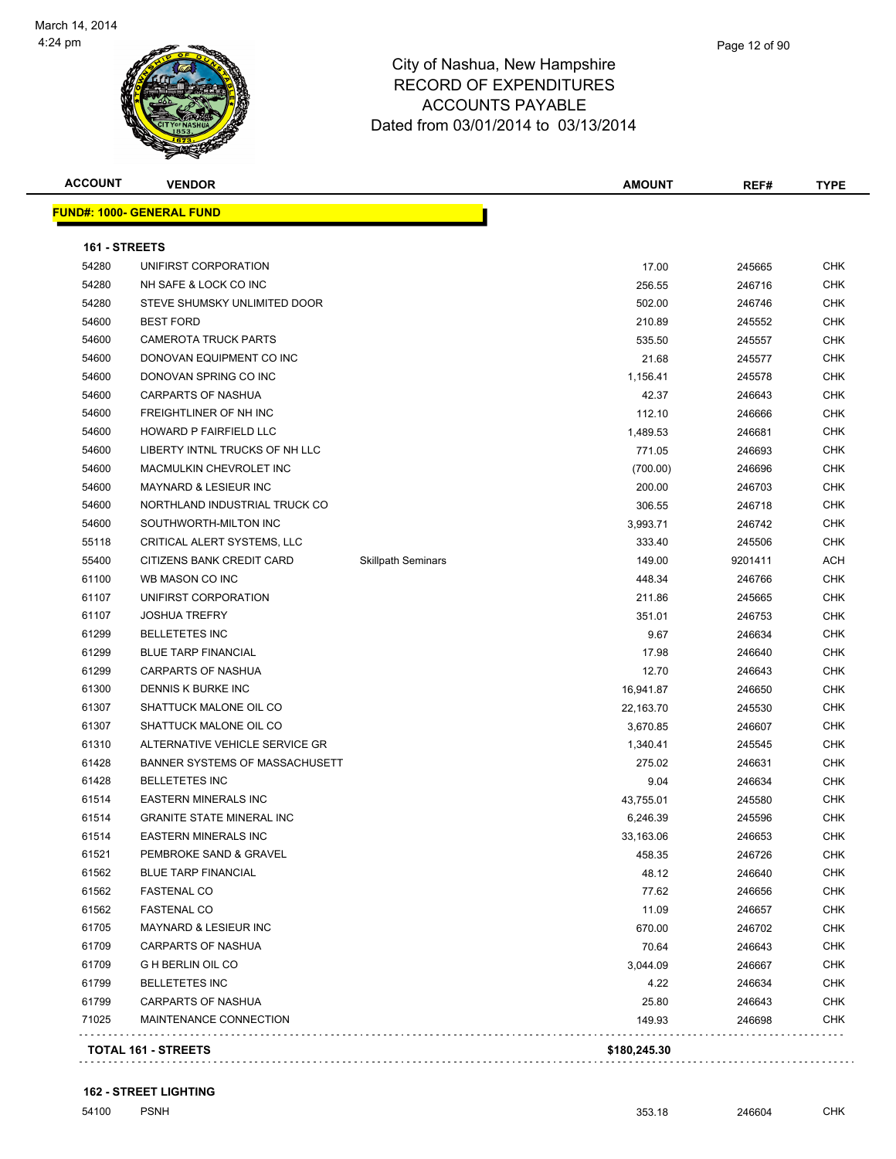

**ACCOUNT VENDOR AMOUNT REF# TYPE FUND#: 1000- GENERAL FUND 161 - STREETS** UNIFIRST CORPORATION 17.00 245665 CHK NH SAFE & LOCK CO INC 256.55 246716 CHK 54280 STEVE SHUMSKY UNLIMITED DOOR SEE AND STEVE SHUMSKY UNLIMITED DOOR BEST FORD 210.89 245552 CHK CAMEROTA TRUCK PARTS 535.50 245557 CHK DONOVAN EQUIPMENT CO INC 21.68 245577 CHK DONOVAN SPRING CO INC 1,156.41 245578 CHK CARPARTS OF NASHUA 42.37 246643 CHK 54600 FREIGHTLINER OF NH INC NEW REAL ASSESSMENT OF THE RESERVE OF THE RESERVE OF THE REAL ASSESSMENT OF THE REAL ASSESSMENT OF THE REAL ASSESSMENT OF THE REAL ASSESSMENT OF THE REAL ASSESSMENT OF THE REAL ASSESSMENT OF TH HOWARD P FAIRFIELD LLC 1,489.53 246681 CHK LIBERTY INTNL TRUCKS OF NH LLC 771.05 246693 CHK MACMULKIN CHEVROLET INC (700.00) 246696 CHK MAYNARD & LESIEUR INC 200.00 246703 CHK NORTHLAND INDUSTRIAL TRUCK CO 306.55 246718 CHK SOUTHWORTH-MILTON INC 3,993.71 246742 CHK CRITICAL ALERT SYSTEMS, LLC 333.40 245506 CHK 55400 CITIZENS BANK CREDIT CARD Skillpath Seminars 149.00 9201411 ACH WB MASON CO INC 448.34 246766 CHK UNIFIRST CORPORATION 211.86 245665 CHK JOSHUA TREFRY 351.01 246753 CHK BELLETETES INC 9.67 246634 CHK BLUE TARP FINANCIAL 17.98 246640 CHK CARPARTS OF NASHUA 12.70 246643 CHK DENNIS K BURKE INC 16,941.87 246650 CHK SHATTUCK MALONE OIL CO 22,163.70 245530 CHK SHATTUCK MALONE OIL CO 3,670.85 246607 CHK 61310 ALTERNATIVE VEHICLE SERVICE GR<br>
61310 ALTERNATIVE VEHICLE SERVICE GR BANNER SYSTEMS OF MASSACHUSETT 275.02 246631 CHK BELLETETES INC 9.04 246634 CHK EASTERN MINERALS INC 43,755.01 245580 CHK GRANITE STATE MINERAL INC 6,246.39 245596 CHK EASTERN MINERALS INC 33,163.06 246653 CHK PEMBROKE SAND & GRAVEL 458.35 246726 CHK BLUE TARP FINANCIAL 48.12 246640 CHK FASTENAL CO 77.62 246656 CHK FASTENAL CO 11.09 246657 CHK MAYNARD & LESIEUR INC 670.00 246702 CHK CARPARTS OF NASHUA 70.64 246643 CHK

 G H BERLIN OIL CO 3,044.09 246667 CHK BELLETETES INC 4.22 246634 CHK CARPARTS OF NASHUA 25.80 246643 CHK MAINTENANCE CONNECTION 149.93 246698 CHK

**TOTAL 161 - STREETS \$180,245.30**

. . . . . . . .

. . . . . . . .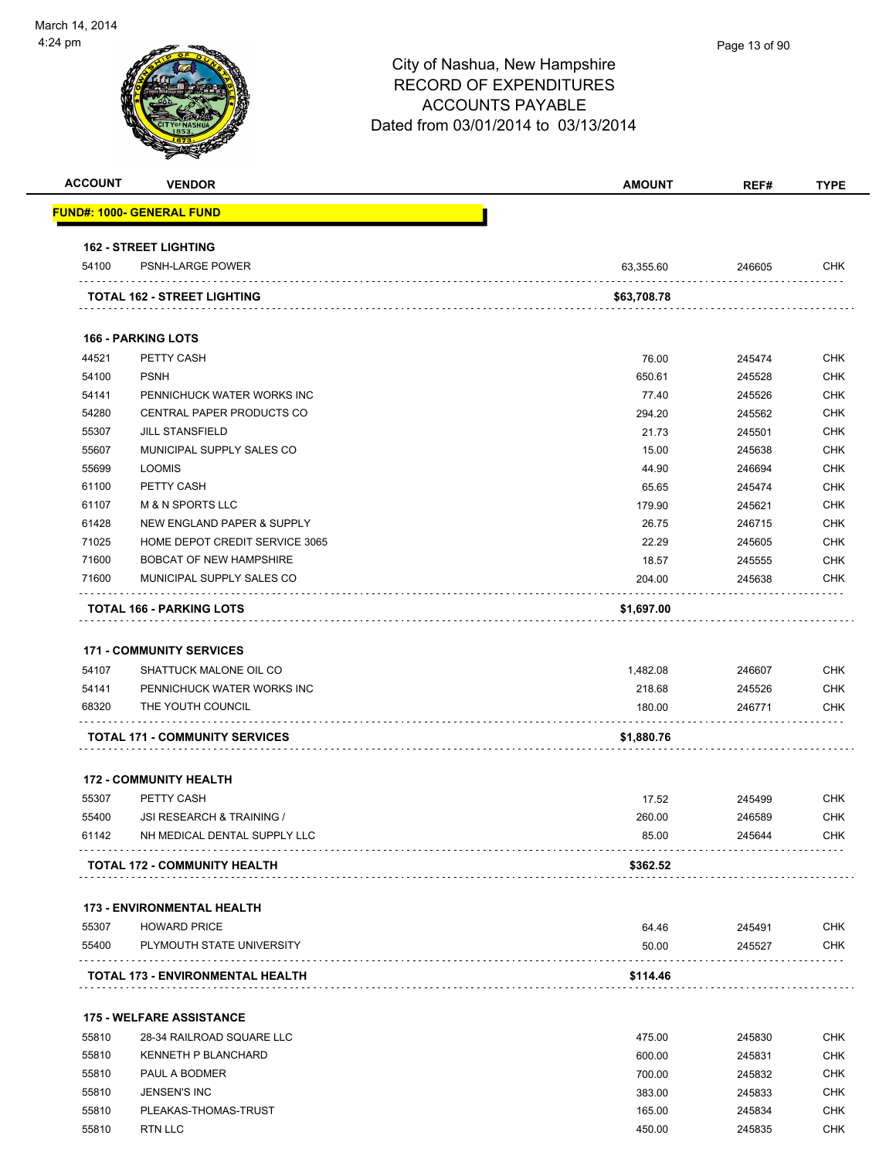

| <b>ACCOUNT</b> | <b>VENDOR</b>                         | <b>AMOUNT</b> | REF#   | <b>TYPE</b> |
|----------------|---------------------------------------|---------------|--------|-------------|
|                | <b>FUND#: 1000- GENERAL FUND</b>      |               |        |             |
|                | <b>162 - STREET LIGHTING</b>          |               |        |             |
| 54100          | PSNH-LARGE POWER                      | 63,355.60     | 246605 | <b>CHK</b>  |
|                | <b>TOTAL 162 - STREET LIGHTING</b>    | \$63,708.78   |        |             |
|                | <b>166 - PARKING LOTS</b>             |               |        |             |
| 44521          | PETTY CASH                            | 76.00         | 245474 | <b>CHK</b>  |
| 54100          | <b>PSNH</b>                           | 650.61        | 245528 | <b>CHK</b>  |
| 54141          | PENNICHUCK WATER WORKS INC            | 77.40         | 245526 | <b>CHK</b>  |
| 54280          | CENTRAL PAPER PRODUCTS CO             | 294.20        | 245562 | <b>CHK</b>  |
| 55307          | <b>JILL STANSFIELD</b>                | 21.73         | 245501 | <b>CHK</b>  |
| 55607          | MUNICIPAL SUPPLY SALES CO             | 15.00         | 245638 | <b>CHK</b>  |
| 55699          | <b>LOOMIS</b>                         | 44.90         | 246694 | <b>CHK</b>  |
| 61100          | PETTY CASH                            | 65.65         | 245474 | <b>CHK</b>  |
| 61107          | <b>M &amp; N SPORTS LLC</b>           | 179.90        | 245621 | <b>CHK</b>  |
| 61428          | <b>NEW ENGLAND PAPER &amp; SUPPLY</b> | 26.75         | 246715 | <b>CHK</b>  |
| 71025          | HOME DEPOT CREDIT SERVICE 3065        | 22.29         | 245605 | <b>CHK</b>  |
| 71600          | <b>BOBCAT OF NEW HAMPSHIRE</b>        | 18.57         | 245555 | <b>CHK</b>  |
| 71600          | MUNICIPAL SUPPLY SALES CO             | 204.00        | 245638 | <b>CHK</b>  |
|                | <b>TOTAL 166 - PARKING LOTS</b>       | \$1,697.00    |        |             |
|                |                                       |               |        |             |
|                | <b>171 - COMMUNITY SERVICES</b>       |               |        |             |
| 54107          | SHATTUCK MALONE OIL CO                | 1,482.08      | 246607 | <b>CHK</b>  |
| 54141          | PENNICHUCK WATER WORKS INC            | 218.68        | 245526 | <b>CHK</b>  |
| 68320          | THE YOUTH COUNCIL                     | 180.00        | 246771 | CHK         |
|                | <b>TOTAL 171 - COMMUNITY SERVICES</b> | \$1,880.76    |        |             |
|                | <b>172 - COMMUNITY HEALTH</b>         |               |        |             |
| 55307          | PETTY CASH                            | 17.52         | 245499 | <b>CHK</b>  |
| 55400          | JSI RESEARCH & TRAINING /             | 260.00        | 246589 | <b>CHK</b>  |
| 61142          | NH MEDICAL DENTAL SUPPLY LLC          | 85.00         | 245644 | <b>CHK</b>  |
|                | <b>TOTAL 172 - COMMUNITY HEALTH</b>   | \$362.52      |        |             |
|                | <b>173 - ENVIRONMENTAL HEALTH</b>     |               |        |             |
| 55307          | <b>HOWARD PRICE</b>                   | 64.46         | 245491 | <b>CHK</b>  |
| 55400          | PLYMOUTH STATE UNIVERSITY             | 50.00         | 245527 | <b>CHK</b>  |
|                | TOTAL 173 - ENVIRONMENTAL HEALTH      | \$114.46      | .      |             |
|                | <b>175 - WELFARE ASSISTANCE</b>       |               |        |             |
| 55810          | 28-34 RAILROAD SQUARE LLC             | 475.00        | 245830 | <b>CHK</b>  |
| 55810          | <b>KENNETH P BLANCHARD</b>            | 600.00        | 245831 | CHK         |
| 55810          | PAUL A BODMER                         | 700.00        | 245832 | CHK         |
| 55810          | JENSEN'S INC                          | 383.00        | 245833 | CHK         |
| 55810          | PLEAKAS-THOMAS-TRUST                  | 165.00        | 245834 | <b>CHK</b>  |

55810 RTN LLC 450.00 245835 CHK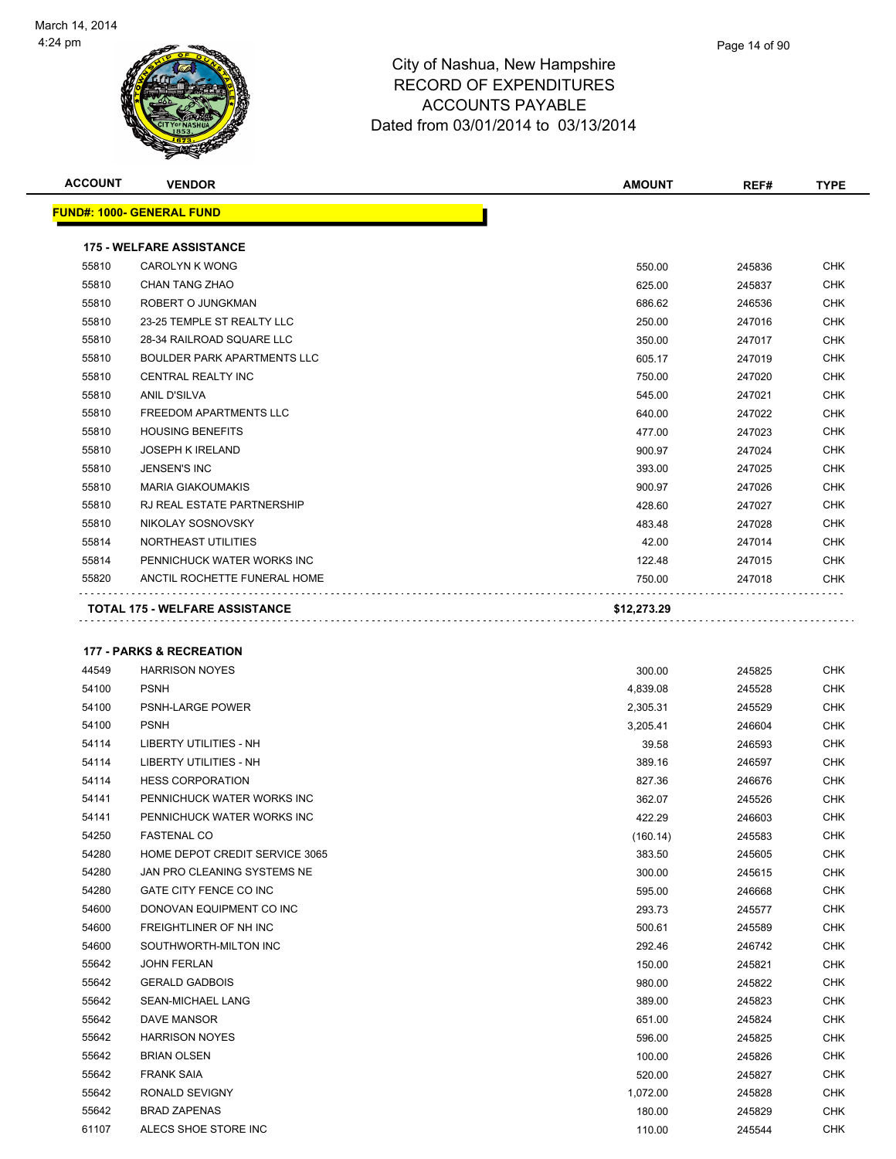

| <b>ACCOUNT</b> | <b>VENDOR</b>                    | <b>AMOUNT</b> | REF#   | <b>TYPE</b> |
|----------------|----------------------------------|---------------|--------|-------------|
|                | <b>FUND#: 1000- GENERAL FUND</b> |               |        |             |
|                | <b>175 - WELFARE ASSISTANCE</b>  |               |        |             |
| 55810          | <b>CAROLYN K WONG</b>            | 550.00        | 245836 | <b>CHK</b>  |
| 55810          | CHAN TANG ZHAO                   | 625.00        | 245837 | <b>CHK</b>  |
| 55810          | ROBERT O JUNGKMAN                | 686.62        | 246536 | <b>CHK</b>  |
| 55810          | 23-25 TEMPLE ST REALTY LLC       | 250.00        | 247016 | <b>CHK</b>  |
| 55810          | 28-34 RAILROAD SQUARE LLC        | 350.00        | 247017 | <b>CHK</b>  |
| 55810          | BOULDER PARK APARTMENTS LLC      | 605.17        | 247019 | <b>CHK</b>  |
| 55810          | <b>CENTRAL REALTY INC</b>        | 750.00        | 247020 | <b>CHK</b>  |
| 55810          | ANIL D'SILVA                     | 545.00        | 247021 | <b>CHK</b>  |
| 55810          | FREEDOM APARTMENTS LLC           | 640.00        | 247022 | <b>CHK</b>  |
| 55810          | <b>HOUSING BENEFITS</b>          | 477.00        | 247023 | <b>CHK</b>  |

. . . . . . . . .

| 55810 | <b>JOSEPH K IRELAND</b>      | 900.97 | 247024 | <b>CHK</b> |
|-------|------------------------------|--------|--------|------------|
| 55810 | JENSEN'S INC                 | 393.00 | 247025 | <b>CHK</b> |
| 55810 | MARIA GIAKOUMAKIS            | 900.97 | 247026 | <b>CHK</b> |
| 55810 | RJ REAL ESTATE PARTNERSHIP   | 428.60 | 247027 | <b>CHK</b> |
| 55810 | NIKOLAY SOSNOVSKY            | 483.48 | 247028 | <b>CHK</b> |
| 55814 | NORTHEAST UTILITIES          | 42.00  | 247014 | <b>CHK</b> |
| 55814 | PENNICHUCK WATER WORKS INC   | 122.48 | 247015 | <b>CHK</b> |
| 55820 | ANCTIL ROCHETTE FUNERAL HOME | 750.00 | 247018 | <b>CHK</b> |
|       |                              |        |        |            |

did did did did did did

**TOTAL 175 - WELFARE ASSISTANCE \$12,273.29**

#### **177 - PARKS & RECREATION**

| 44549 | <b>HARRISON NOYES</b>          | 300.00   | 245825 | <b>CHK</b> |
|-------|--------------------------------|----------|--------|------------|
| 54100 | <b>PSNH</b>                    | 4,839.08 | 245528 | <b>CHK</b> |
| 54100 | PSNH-LARGE POWER               | 2,305.31 | 245529 | <b>CHK</b> |
| 54100 | <b>PSNH</b>                    | 3,205.41 | 246604 | <b>CHK</b> |
| 54114 | LIBERTY UTILITIES - NH         | 39.58    | 246593 | <b>CHK</b> |
| 54114 | <b>LIBERTY UTILITIES - NH</b>  | 389.16   | 246597 | <b>CHK</b> |
| 54114 | <b>HESS CORPORATION</b>        | 827.36   | 246676 | <b>CHK</b> |
| 54141 | PENNICHUCK WATER WORKS INC     | 362.07   | 245526 | <b>CHK</b> |
| 54141 | PENNICHUCK WATER WORKS INC     | 422.29   | 246603 | <b>CHK</b> |
| 54250 | <b>FASTENAL CO</b>             | (160.14) | 245583 | <b>CHK</b> |
| 54280 | HOME DEPOT CREDIT SERVICE 3065 | 383.50   | 245605 | <b>CHK</b> |
| 54280 | JAN PRO CLEANING SYSTEMS NE    | 300.00   | 245615 | <b>CHK</b> |
| 54280 | GATE CITY FENCE CO INC         | 595.00   | 246668 | <b>CHK</b> |
| 54600 | DONOVAN EQUIPMENT CO INC       | 293.73   | 245577 | <b>CHK</b> |
| 54600 | FREIGHTLINER OF NH INC         | 500.61   | 245589 | <b>CHK</b> |
| 54600 | SOUTHWORTH-MILTON INC          | 292.46   | 246742 | <b>CHK</b> |
| 55642 | <b>JOHN FERLAN</b>             | 150.00   | 245821 | <b>CHK</b> |
| 55642 | <b>GERALD GADBOIS</b>          | 980.00   | 245822 | <b>CHK</b> |
| 55642 | SEAN-MICHAEL LANG              | 389.00   | 245823 | <b>CHK</b> |
| 55642 | DAVE MANSOR                    | 651.00   | 245824 | <b>CHK</b> |
| 55642 | <b>HARRISON NOYES</b>          | 596.00   | 245825 | <b>CHK</b> |
| 55642 | <b>BRIAN OLSEN</b>             | 100.00   | 245826 | <b>CHK</b> |
| 55642 | <b>FRANK SAIA</b>              | 520.00   | 245827 | <b>CHK</b> |
| 55642 | RONALD SEVIGNY                 | 1,072.00 | 245828 | <b>CHK</b> |
| 55642 | <b>BRAD ZAPENAS</b>            | 180.00   | 245829 | <b>CHK</b> |
| 61107 | ALECS SHOE STORE INC           | 110.00   | 245544 | <b>CHK</b> |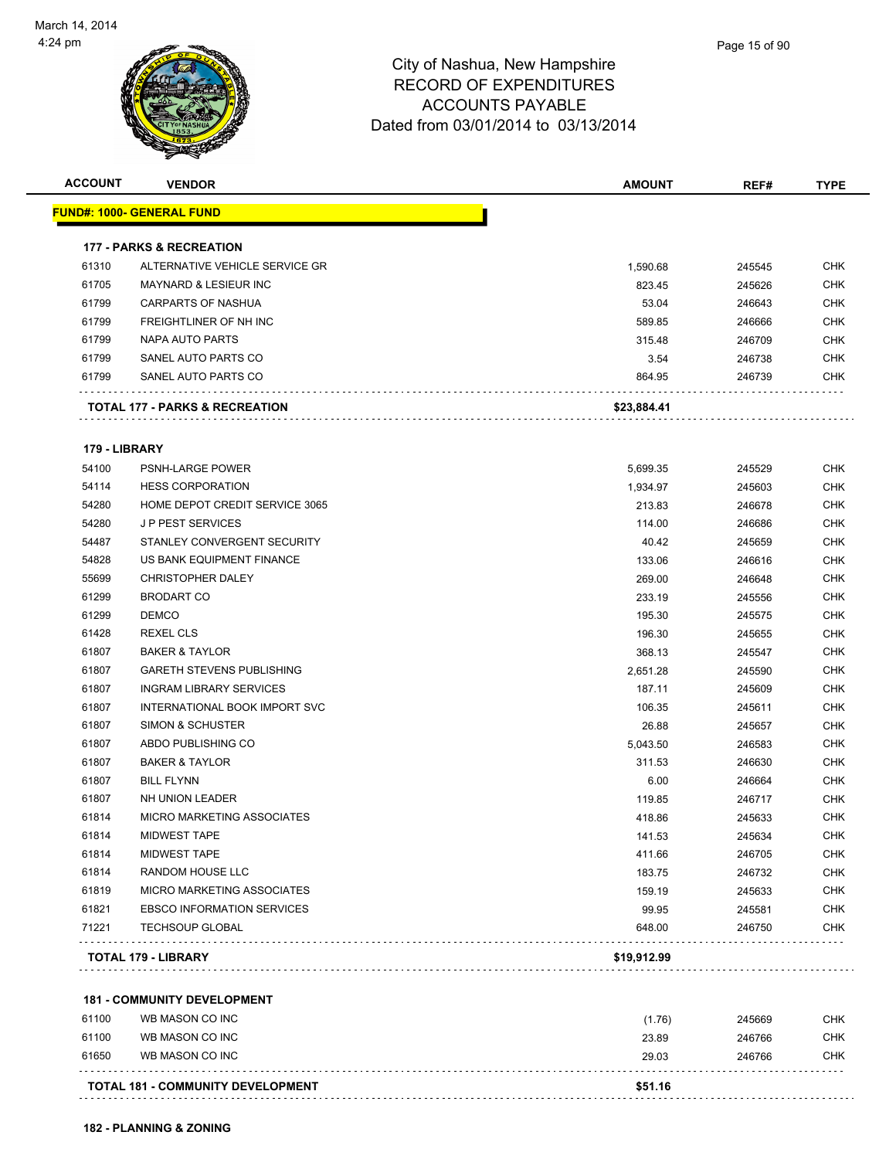

| <b>ACCOUNT</b> | <b>VENDOR</b>                             | <b>AMOUNT</b> | REF#   | <b>TYPE</b> |
|----------------|-------------------------------------------|---------------|--------|-------------|
|                | <b>FUND#: 1000- GENERAL FUND</b>          |               |        |             |
|                | <b>177 - PARKS &amp; RECREATION</b>       |               |        |             |
| 61310          | ALTERNATIVE VEHICLE SERVICE GR            | 1,590.68      | 245545 | <b>CHK</b>  |
| 61705          | <b>MAYNARD &amp; LESIEUR INC</b>          | 823.45        | 245626 | <b>CHK</b>  |
| 61799          | CARPARTS OF NASHUA                        | 53.04         | 246643 | <b>CHK</b>  |
| 61799          | FREIGHTLINER OF NH INC                    | 589.85        | 246666 | <b>CHK</b>  |
| 61799          | NAPA AUTO PARTS                           | 315.48        | 246709 | <b>CHK</b>  |
| 61799          | SANEL AUTO PARTS CO                       | 3.54          | 246738 | <b>CHK</b>  |
| 61799          | SANEL AUTO PARTS CO                       | 864.95        | 246739 | <b>CHK</b>  |
|                | <b>TOTAL 177 - PARKS &amp; RECREATION</b> | \$23,884.41   |        |             |
| 179 - LIBRARY  |                                           |               |        |             |
| 54100          | PSNH-LARGE POWER                          | 5,699.35      | 245529 | CHK         |
| 54114          | <b>HESS CORPORATION</b>                   | 1,934.97      | 245603 | <b>CHK</b>  |
| 54280          | HOME DEPOT CREDIT SERVICE 3065            | 213.83        | 246678 | <b>CHK</b>  |
| 54280          | <b>JP PEST SERVICES</b>                   | 114.00        | 246686 | <b>CHK</b>  |
| 54487          | STANLEY CONVERGENT SECURITY               | 40.42         | 245659 | <b>CHK</b>  |
| 54828          | US BANK EQUIPMENT FINANCE                 | 133.06        | 246616 | <b>CHK</b>  |
| 55699          | <b>CHRISTOPHER DALEY</b>                  | 269.00        | 246648 | <b>CHK</b>  |
| 61299          | <b>BRODART CO</b>                         | 233.19        | 245556 | <b>CHK</b>  |
| 61299          | <b>DEMCO</b>                              | 195.30        | 245575 | <b>CHK</b>  |
| 61428          | <b>REXEL CLS</b>                          | 196.30        | 245655 | <b>CHK</b>  |
| 61807          | <b>BAKER &amp; TAYLOR</b>                 | 368.13        | 245547 | <b>CHK</b>  |
| 61807          | <b>GARETH STEVENS PUBLISHING</b>          | 2,651.28      | 245590 | <b>CHK</b>  |
| 61807          | <b>INGRAM LIBRARY SERVICES</b>            | 187.11        | 245609 | <b>CHK</b>  |
| 61807          | INTERNATIONAL BOOK IMPORT SVC             | 106.35        | 245611 | <b>CHK</b>  |
| 61807          | SIMON & SCHUSTER                          | 26.88         | 245657 | <b>CHK</b>  |
| 61807          | ABDO PUBLISHING CO                        | 5,043.50      | 246583 | <b>CHK</b>  |
| 61807          | <b>BAKER &amp; TAYLOR</b>                 | 311.53        | 246630 | <b>CHK</b>  |
| 61807          | <b>BILL FLYNN</b>                         | 6.00          | 246664 | <b>CHK</b>  |
| 61807          | NH UNION LEADER                           | 119.85        | 246717 | CHK         |
| 61814          | <b>MICRO MARKETING ASSOCIATES</b>         | 418.86        | 245633 | <b>CHK</b>  |
| 61814          | <b>MIDWEST TAPE</b>                       | 141.53        | 245634 | <b>CHK</b>  |
| 61814          | <b>MIDWEST TAPE</b>                       | 411.66        | 246705 | <b>CHK</b>  |
| 61814          | RANDOM HOUSE LLC                          | 183.75        | 246732 | <b>CHK</b>  |
| 61819          | MICRO MARKETING ASSOCIATES                | 159.19        | 245633 | <b>CHK</b>  |
| 61821          | <b>EBSCO INFORMATION SERVICES</b>         | 99.95         | 245581 | <b>CHK</b>  |
| 71221          | <b>TECHSOUP GLOBAL</b>                    | 648.00        | 246750 | <b>CHK</b>  |
|                | <b>TOTAL 179 - LIBRARY</b>                | \$19,912.99   |        |             |
|                | <b>181 - COMMUNITY DEVELOPMENT</b>        |               |        |             |
| 61100          | WB MASON CO INC                           | (1.76)        | 245669 | <b>CHK</b>  |
| 61100          | WB MASON CO INC                           | 23.89         | 246766 | <b>CHK</b>  |
| 61650          | WB MASON CO INC                           | 29.03         | 246766 | <b>CHK</b>  |
|                |                                           |               |        |             |

**TOTAL 181 - COMMUNITY DEVELOPMENT \$51.16**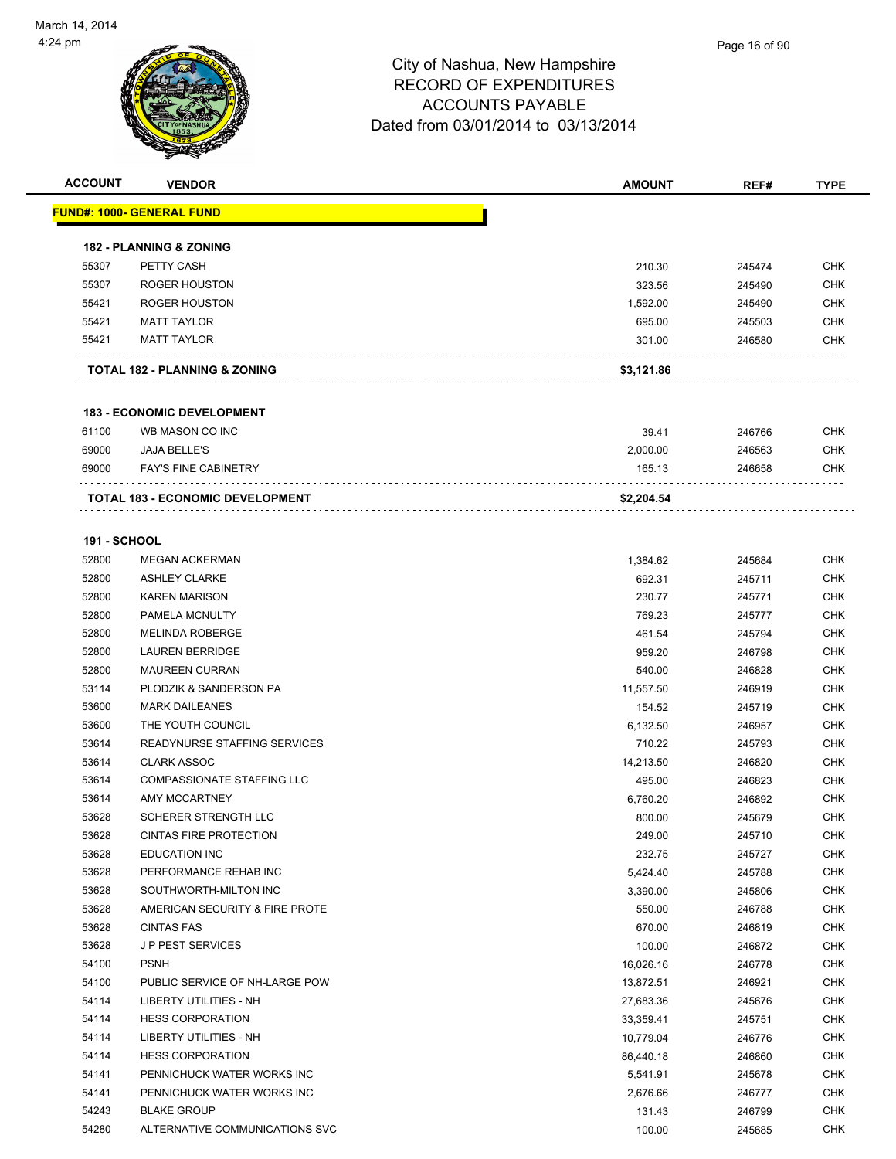| <b>ACCOUNT</b>      | <b>VENDOR</b>                            | <b>AMOUNT</b> | REF#   | <b>TYPE</b> |
|---------------------|------------------------------------------|---------------|--------|-------------|
|                     | <u> FUND#: 1000- GENERAL FUND</u>        |               |        |             |
|                     | <b>182 - PLANNING &amp; ZONING</b>       |               |        |             |
| 55307               | PETTY CASH                               | 210.30        | 245474 | <b>CHK</b>  |
| 55307               | <b>ROGER HOUSTON</b>                     | 323.56        | 245490 | <b>CHK</b>  |
| 55421               | <b>ROGER HOUSTON</b>                     | 1,592.00      | 245490 | CHK         |
| 55421               | <b>MATT TAYLOR</b>                       | 695.00        | 245503 | <b>CHK</b>  |
| 55421               | <b>MATT TAYLOR</b>                       | 301.00        | 246580 | CHK         |
|                     | <b>TOTAL 182 - PLANNING &amp; ZONING</b> | \$3,121.86    |        |             |
|                     | <b>183 - ECONOMIC DEVELOPMENT</b>        |               |        |             |
| 61100               | WB MASON CO INC                          | 39.41         | 246766 | <b>CHK</b>  |
| 69000               | <b>JAJA BELLE'S</b>                      | 2,000.00      | 246563 | CHK         |
| 69000               | <b>FAY'S FINE CABINETRY</b>              | 165.13        | 246658 | CHK         |
|                     | <b>TOTAL 183 - ECONOMIC DEVELOPMENT</b>  | \$2,204.54    |        |             |
|                     |                                          |               |        |             |
| <b>191 - SCHOOL</b> |                                          |               |        |             |
| 52800               | <b>MEGAN ACKERMAN</b>                    | 1,384.62      | 245684 | CHK         |
| 52800               | <b>ASHLEY CLARKE</b>                     | 692.31        | 245711 | <b>CHK</b>  |
| 52800               | <b>KAREN MARISON</b>                     | 230.77        | 245771 | <b>CHK</b>  |
| 52800               | PAMELA MCNULTY                           | 769.23        | 245777 | CHK         |
| 52800               | <b>MELINDA ROBERGE</b>                   | 461.54        | 245794 | <b>CHK</b>  |
| 52800               | <b>LAUREN BERRIDGE</b>                   | 959.20        | 246798 | CHK         |
| 52800               | <b>MAUREEN CURRAN</b>                    | 540.00        | 246828 | CHK         |
| 53114               | PLODZIK & SANDERSON PA                   | 11,557.50     | 246919 | <b>CHK</b>  |
| 53600               | <b>MARK DAILEANES</b>                    | 154.52        | 245719 | CHK         |
| 53600               | THE YOUTH COUNCIL                        | 6,132.50      | 246957 | <b>CHK</b>  |
| 53614               | READYNURSE STAFFING SERVICES             | 710.22        | 245793 | <b>CHK</b>  |
| 53614               | <b>CLARK ASSOC</b>                       | 14,213.50     | 246820 | CHK         |
| 53614               | <b>COMPASSIONATE STAFFING LLC</b>        | 495.00        | 246823 | <b>CHK</b>  |
| 53614               | <b>AMY MCCARTNEY</b>                     | 6,760.20      | 246892 | <b>CHK</b>  |
| 53628               | <b>SCHERER STRENGTH LLC</b>              | 800.00        | 245679 | CHK         |
| 53628               | CINTAS FIRE PROTECTION                   | 249.00        | 245710 | <b>CHK</b>  |
| 53628               | <b>EDUCATION INC</b>                     | 232.75        | 245727 | CHK         |
| 53628               | PERFORMANCE REHAB INC                    | 5,424.40      | 245788 | <b>CHK</b>  |
| 53628               | SOUTHWORTH-MILTON INC                    | 3,390.00      | 245806 | <b>CHK</b>  |
| 53628               | AMERICAN SECURITY & FIRE PROTE           | 550.00        | 246788 | <b>CHK</b>  |
| 53628               | <b>CINTAS FAS</b>                        | 670.00        | 246819 | <b>CHK</b>  |
| 53628               | JP PEST SERVICES                         | 100.00        | 246872 | <b>CHK</b>  |
| 54100               | <b>PSNH</b>                              | 16,026.16     | 246778 | <b>CHK</b>  |
| 54100               | PUBLIC SERVICE OF NH-LARGE POW           | 13,872.51     | 246921 | <b>CHK</b>  |
| 54114               | LIBERTY UTILITIES - NH                   | 27,683.36     | 245676 | <b>CHK</b>  |
| 54114               | <b>HESS CORPORATION</b>                  | 33,359.41     | 245751 | CHK         |
| 54114               | LIBERTY UTILITIES - NH                   | 10,779.04     | 246776 | <b>CHK</b>  |
| 54114               | <b>HESS CORPORATION</b>                  | 86,440.18     | 246860 | CHK         |
| 54141               | PENNICHUCK WATER WORKS INC               | 5,541.91      | 245678 | <b>CHK</b>  |
| 54141               | PENNICHUCK WATER WORKS INC               | 2,676.66      | 246777 | <b>CHK</b>  |
| 54243               | <b>BLAKE GROUP</b>                       | 131.43        | 246799 | <b>CHK</b>  |
| 54280               | ALTERNATIVE COMMUNICATIONS SVC           | 100.00        | 245685 | <b>CHK</b>  |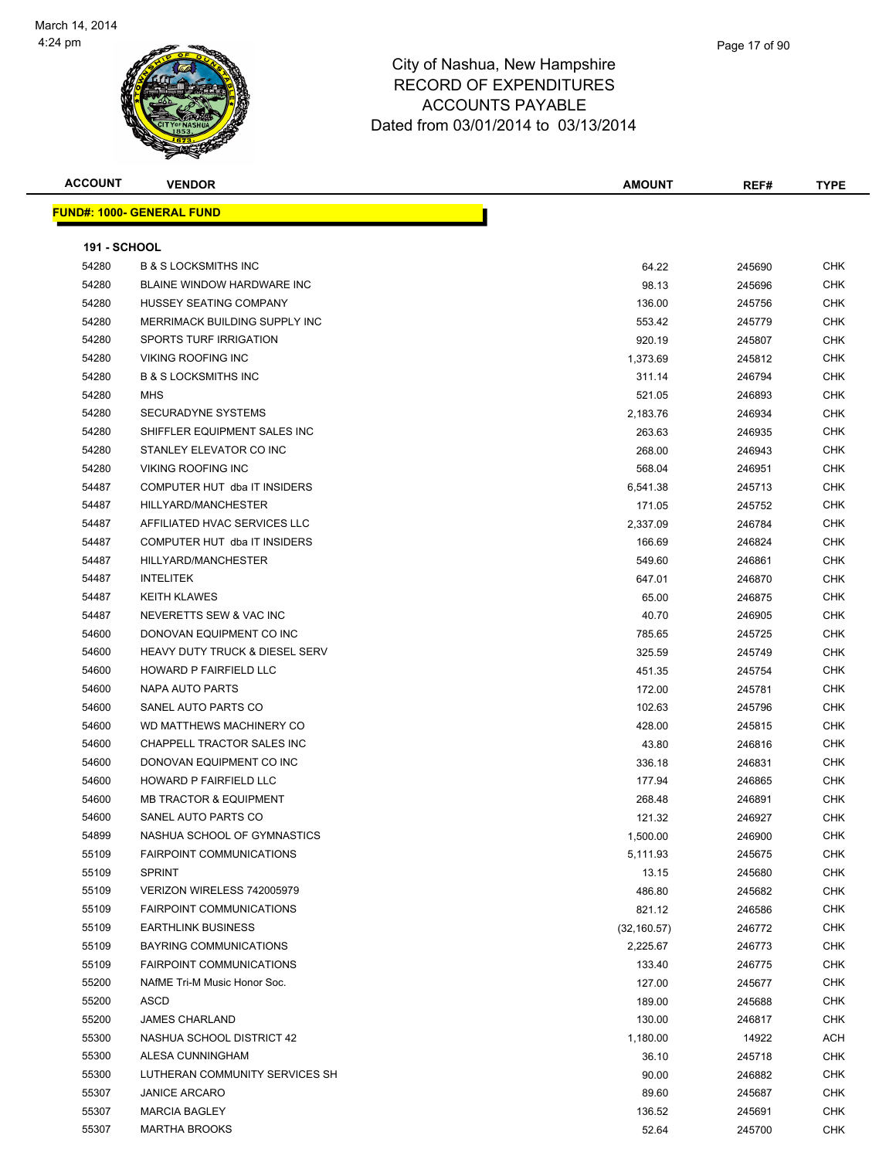

**ACCOUNT VENDOR AMOUNT REF# TYPE FUND#: 1000- GENERAL FUND 191 - SCHOOL** B & S LOCKSMITHS INC 64.22 245690 CHK BLAINE WINDOW HARDWARE INC 98.13 245696 CHK HUSSEY SEATING COMPANY 136.00 245756 CHK 54280 MERRIMACK BUILDING SUPPLY INC SALLY AND STRAIN STRAINING THE SEAL STRAINING SUPPLY INC SPORTS TURF IRRIGATION 920.19 245807 CHK VIKING ROOFING INC 1,373.69 245812 CHK B & S LOCKSMITHS INC 311.14 246794 CHK MHS 521.05 246893 CHK SECURADYNE SYSTEMS 2,183.76 246934 CHK SHIFFLER EQUIPMENT SALES INC 263.63 246935 CHK STANLEY ELEVATOR CO INC 268.00 246943 CHK VIKING ROOFING INC 568.04 246951 CHK 54487 COMPUTER HUT dba IT INSIDERS 6,541.38 245713 CHK 54487 HILLYARD/MANCHESTER 171.05 245752 CHK AFFILIATED HVAC SERVICES LLC 2,337.09 246784 CHK COMPUTER HUT dba IT INSIDERS 166.69 246824 CHK HILLYARD/MANCHESTER 549.60 246861 CHK INTELITEK 647.01 246870 CHK KEITH KLAWES 65.00 246875 CHK NEVERETTS SEW & VAC INC 40.70 246905 CHK DONOVAN EQUIPMENT CO INC 785.65 245725 CHK HEAVY DUTY TRUCK & DIESEL SERV 325.59 245749 CHK HOWARD P FAIRFIELD LLC 451.35 245754 CHK NAPA AUTO PARTS 172.00 245781 CHK SANEL AUTO PARTS CO 102.63 245796 CHK WD MATTHEWS MACHINERY CO 428.00 245815 CHK CHAPPELL TRACTOR SALES INC 43.80 246816 CHK DONOVAN EQUIPMENT CO INC 336.18 246831 CHK 54600 HOWARD P FAIRFIELD LLC **The CHK State of the CHK** STATE 177.94 246865 CHK MB TRACTOR & EQUIPMENT 268.48 246891 CHK 54600 SANEL AUTO PARTS CO 2002 121.32 246927 CHK NASHUA SCHOOL OF GYMNASTICS 1,500.00 246900 CHK FAIRPOINT COMMUNICATIONS 5,111.93 245675 CHK SPRINT 13.15 245680 CHK VERIZON WIRELESS 742005979 486.80 245682 CHK FAIRPOINT COMMUNICATIONS 821.12 246586 CHK EARTHLINK BUSINESS (32,160.57) 246772 CHK BAYRING COMMUNICATIONS 2,225.67 246773 CHK FAIRPOINT COMMUNICATIONS 133.40 246775 CHK NAfME Tri-M Music Honor Soc. 127.00 245677 CHK ASCD 189.00 245688 CHK JAMES CHARLAND 130.00 246817 CHK 55300 NASHUA SCHOOL DISTRICT 42 2 1,180.00 14922 ACH ALESA CUNNINGHAM 36.10 245718 CHK

 LUTHERAN COMMUNITY SERVICES SH 90.00 246882 CHK JANICE ARCARO 89.60 245687 CHK MARCIA BAGLEY 136.52 245691 CHK MARTHA BROOKS 52.64 245700 CHK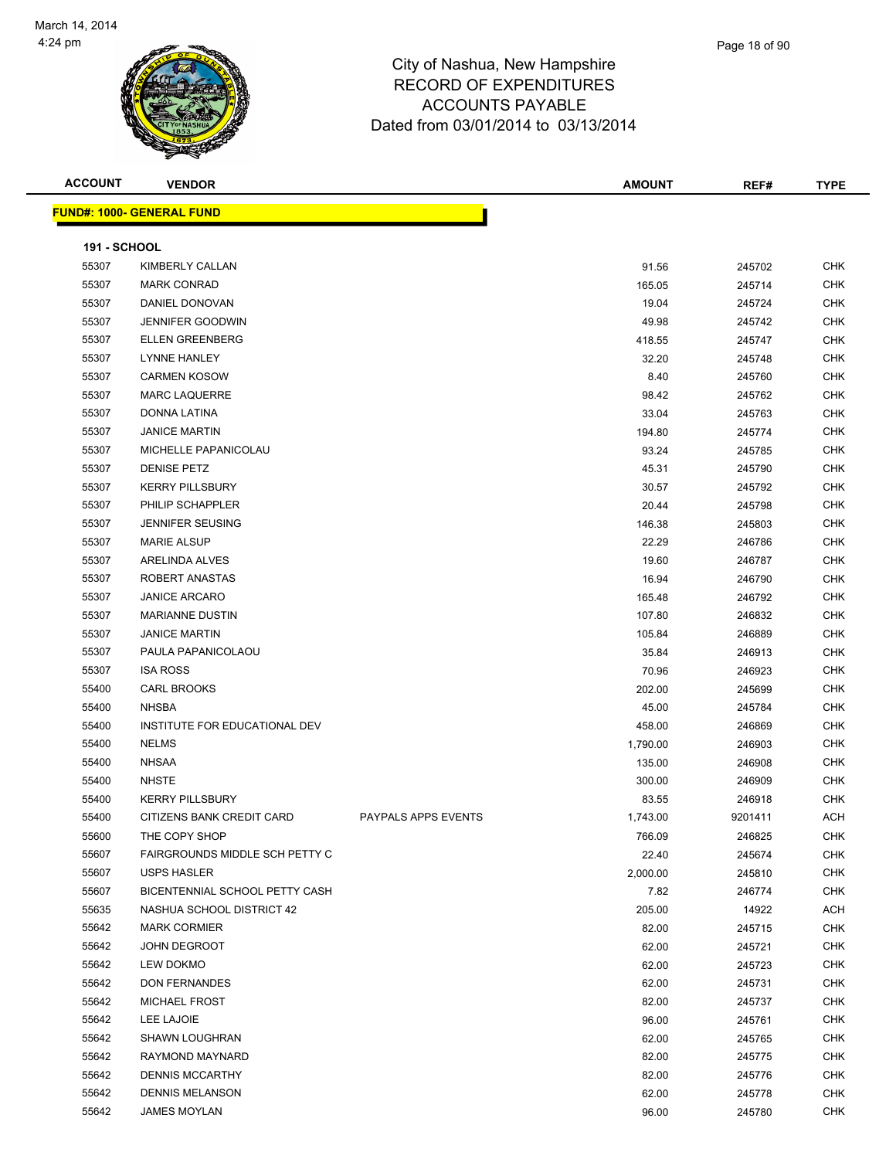

| <b>ACCOUNT</b>      | <b>VENDOR</b>                    |                            | <b>AMOUNT</b> | REF#    | <b>TYPE</b> |
|---------------------|----------------------------------|----------------------------|---------------|---------|-------------|
|                     | <b>FUND#: 1000- GENERAL FUND</b> |                            |               |         |             |
|                     |                                  |                            |               |         |             |
| <b>191 - SCHOOL</b> |                                  |                            |               |         |             |
| 55307               | <b>KIMBERLY CALLAN</b>           |                            | 91.56         | 245702  | <b>CHK</b>  |
| 55307               | <b>MARK CONRAD</b>               |                            | 165.05        | 245714  | <b>CHK</b>  |
| 55307               | DANIEL DONOVAN                   |                            | 19.04         | 245724  | CHK         |
| 55307               | <b>JENNIFER GOODWIN</b>          |                            | 49.98         | 245742  | <b>CHK</b>  |
| 55307               | <b>ELLEN GREENBERG</b>           |                            | 418.55        | 245747  | <b>CHK</b>  |
| 55307               | <b>LYNNE HANLEY</b>              |                            | 32.20         | 245748  | <b>CHK</b>  |
| 55307               | <b>CARMEN KOSOW</b>              |                            | 8.40          | 245760  | <b>CHK</b>  |
| 55307               | <b>MARC LAQUERRE</b>             |                            | 98.42         | 245762  | CHK         |
| 55307               | DONNA LATINA                     |                            | 33.04         | 245763  | CHK         |
| 55307               | <b>JANICE MARTIN</b>             |                            | 194.80        | 245774  | <b>CHK</b>  |
| 55307               | MICHELLE PAPANICOLAU             |                            | 93.24         | 245785  | CHK         |
| 55307               | <b>DENISE PETZ</b>               |                            | 45.31         | 245790  | <b>CHK</b>  |
| 55307               | <b>KERRY PILLSBURY</b>           |                            | 30.57         | 245792  | <b>CHK</b>  |
| 55307               | PHILIP SCHAPPLER                 |                            | 20.44         | 245798  | CHK         |
| 55307               | <b>JENNIFER SEUSING</b>          |                            | 146.38        | 245803  | CHK         |
| 55307               | <b>MARIE ALSUP</b>               |                            | 22.29         | 246786  | CHK         |
| 55307               | ARELINDA ALVES                   |                            | 19.60         | 246787  | CHK         |
| 55307               | ROBERT ANASTAS                   |                            | 16.94         | 246790  | CHK         |
| 55307               | <b>JANICE ARCARO</b>             |                            | 165.48        | 246792  | CHK         |
| 55307               | <b>MARIANNE DUSTIN</b>           |                            | 107.80        | 246832  | CHK         |
| 55307               | <b>JANICE MARTIN</b>             |                            | 105.84        | 246889  | CHK         |
| 55307               | PAULA PAPANICOLAOU               |                            | 35.84         | 246913  | CHK         |
| 55307               | <b>ISA ROSS</b>                  |                            | 70.96         | 246923  | <b>CHK</b>  |
| 55400               | CARL BROOKS                      |                            | 202.00        | 245699  | CHK         |
| 55400               | <b>NHSBA</b>                     |                            | 45.00         | 245784  | CHK         |
| 55400               | INSTITUTE FOR EDUCATIONAL DEV    |                            | 458.00        | 246869  | <b>CHK</b>  |
| 55400               | <b>NELMS</b>                     |                            | 1,790.00      | 246903  | CHK         |
| 55400               | <b>NHSAA</b>                     |                            | 135.00        | 246908  | CHK         |
| 55400               | <b>NHSTE</b>                     |                            | 300.00        | 246909  | <b>CHK</b>  |
| 55400               | <b>KERRY PILLSBURY</b>           |                            | 83.55         | 246918  | CHK         |
| 55400               | CITIZENS BANK CREDIT CARD        | <b>PAYPALS APPS EVENTS</b> | 1,743.00      | 9201411 | <b>ACH</b>  |
| 55600               | THE COPY SHOP                    |                            | 766.09        | 246825  | CHK         |
| 55607               | FAIRGROUNDS MIDDLE SCH PETTY C   |                            | 22.40         | 245674  | CHK         |
| 55607               | USPS HASLER                      |                            | 2,000.00      | 245810  | <b>CHK</b>  |
| 55607               | BICENTENNIAL SCHOOL PETTY CASH   |                            | 7.82          | 246774  | CHK         |
| 55635               | NASHUA SCHOOL DISTRICT 42        |                            | 205.00        | 14922   | <b>ACH</b>  |
| 55642               | <b>MARK CORMIER</b>              |                            | 82.00         | 245715  | <b>CHK</b>  |
| 55642               | <b>JOHN DEGROOT</b>              |                            | 62.00         | 245721  | CHK         |
| 55642               | <b>LEW DOKMO</b>                 |                            | 62.00         | 245723  | <b>CHK</b>  |
| 55642               | <b>DON FERNANDES</b>             |                            | 62.00         | 245731  | CHK         |
| 55642               | <b>MICHAEL FROST</b>             |                            | 82.00         | 245737  | CHK         |
| 55642               | LEE LAJOIE                       |                            | 96.00         | 245761  | <b>CHK</b>  |
| 55642               | <b>SHAWN LOUGHRAN</b>            |                            | 62.00         | 245765  | CHK         |
| 55642               | RAYMOND MAYNARD                  |                            | 82.00         | 245775  | <b>CHK</b>  |
| 55642               | <b>DENNIS MCCARTHY</b>           |                            | 82.00         | 245776  | <b>CHK</b>  |
| 55642               | <b>DENNIS MELANSON</b>           |                            | 62.00         | 245778  | CHK         |
| 55642               | JAMES MOYLAN                     |                            | 96.00         | 245780  | <b>CHK</b>  |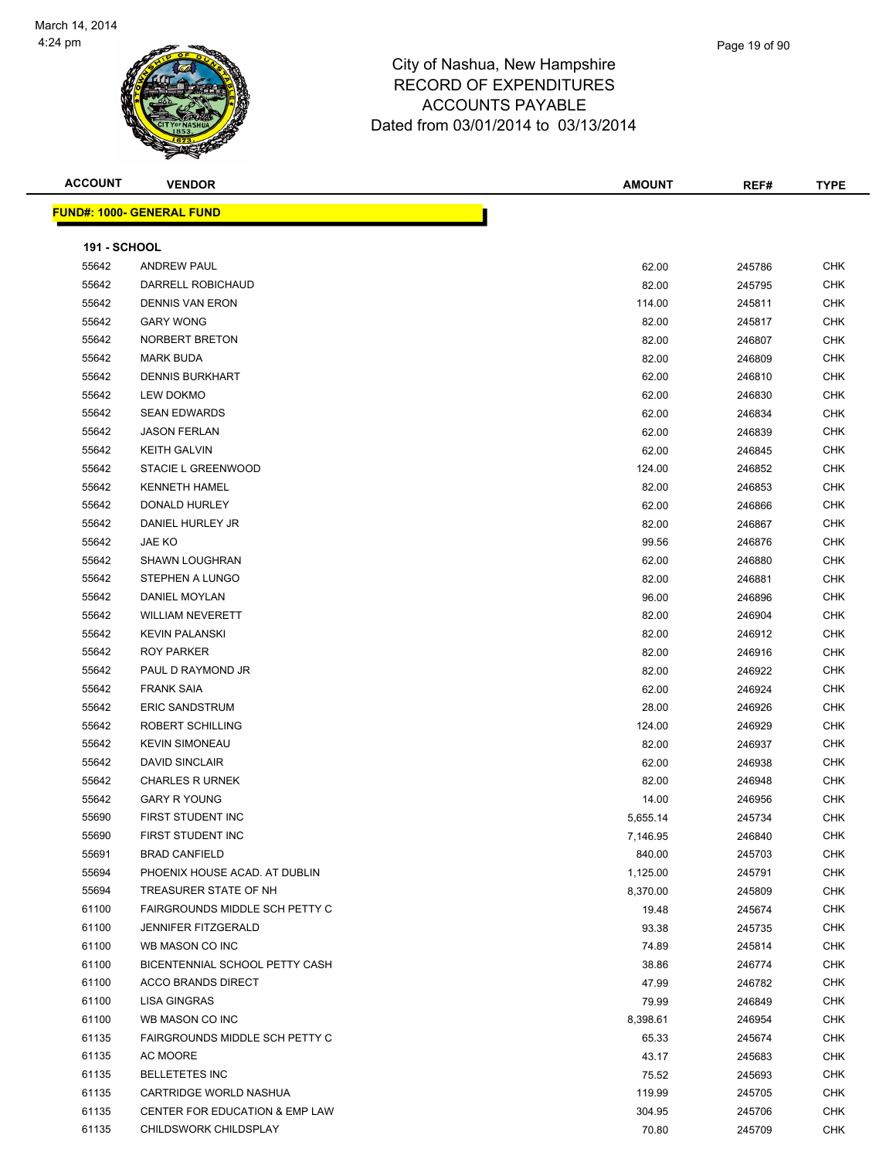

#### City of Nashua, New Hampshire RECORD OF EXPENDITURES ACCO Dated from 0

|                | <u> IND#: 1000- GENERAL FUND</u> |                                                                                          |               |      |             |
|----------------|----------------------------------|------------------------------------------------------------------------------------------|---------------|------|-------------|
| <b>ACCOUNT</b> | <b>VENDOR</b>                    |                                                                                          | <b>AMOUNT</b> | REF# | <b>TYPE</b> |
|                |                                  | RECORD OF EXPENDITURES<br><b>ACCOUNTS PAYABLE</b><br>Dated from 03/01/2014 to 03/13/2014 |               |      |             |

**FUND#: 1000- GENERAL FUND**

| <b>191 - SCHOOL</b> |                                                       |                      |                  |                   |
|---------------------|-------------------------------------------------------|----------------------|------------------|-------------------|
| 55642               | <b>ANDREW PAUL</b>                                    | 62.00                | 245786           | <b>CHK</b>        |
| 55642               | DARRELL ROBICHAUD                                     | 82.00                | 245795           | <b>CHK</b>        |
| 55642               | <b>DENNIS VAN ERON</b>                                | 114.00               | 245811           | CHK               |
| 55642               | <b>GARY WONG</b>                                      | 82.00                | 245817           | <b>CHK</b>        |
| 55642               | NORBERT BRETON                                        | 82.00                | 246807           | <b>CHK</b>        |
| 55642               | <b>MARK BUDA</b>                                      | 82.00                | 246809           | <b>CHK</b>        |
| 55642               | <b>DENNIS BURKHART</b>                                | 62.00                | 246810           | <b>CHK</b>        |
| 55642               | <b>LEW DOKMO</b>                                      | 62.00                | 246830           | <b>CHK</b>        |
| 55642               | <b>SEAN EDWARDS</b>                                   | 62.00                | 246834           | <b>CHK</b>        |
| 55642               | <b>JASON FERLAN</b>                                   | 62.00                | 246839           | <b>CHK</b>        |
| 55642               | <b>KEITH GALVIN</b>                                   | 62.00                | 246845           | <b>CHK</b>        |
| 55642               | <b>STACIE L GREENWOOD</b>                             | 124.00               | 246852           | <b>CHK</b>        |
| 55642               | <b>KENNETH HAMEL</b>                                  | 82.00                | 246853           | CHK               |
| 55642               | DONALD HURLEY                                         | 62.00                | 246866           | CHK               |
| 55642               | DANIEL HURLEY JR                                      | 82.00                | 246867           | CHK               |
| 55642               | JAE KO                                                | 99.56                | 246876           | <b>CHK</b>        |
| 55642               | SHAWN LOUGHRAN                                        | 62.00                | 246880           | <b>CHK</b>        |
| 55642               | STEPHEN A LUNGO                                       | 82.00                | 246881           | <b>CHK</b>        |
| 55642               | DANIEL MOYLAN                                         | 96.00                | 246896           | CHK               |
| 55642               | <b>WILLIAM NEVERETT</b>                               | 82.00                | 246904           | CHK               |
| 55642               | <b>KEVIN PALANSKI</b>                                 | 82.00                | 246912           | <b>CHK</b>        |
| 55642               | <b>ROY PARKER</b>                                     | 82.00                | 246916           | <b>CHK</b>        |
| 55642               | PAUL D RAYMOND JR                                     | 82.00                | 246922           | <b>CHK</b>        |
| 55642               | <b>FRANK SAIA</b>                                     | 62.00                | 246924           | <b>CHK</b>        |
| 55642               | <b>ERIC SANDSTRUM</b>                                 | 28.00                | 246926           | <b>CHK</b>        |
| 55642               | ROBERT SCHILLING                                      | 124.00               | 246929           | <b>CHK</b>        |
| 55642               | <b>KEVIN SIMONEAU</b>                                 | 82.00                | 246937           | <b>CHK</b>        |
| 55642               | <b>DAVID SINCLAIR</b>                                 | 62.00                | 246938           | <b>CHK</b>        |
| 55642               | <b>CHARLES R URNEK</b>                                | 82.00                | 246948           | <b>CHK</b>        |
| 55642               | <b>GARY R YOUNG</b>                                   | 14.00                | 246956           | CHK               |
| 55690               | FIRST STUDENT INC                                     | 5,655.14             | 245734           | <b>CHK</b>        |
| 55690               | FIRST STUDENT INC                                     | 7,146.95             | 246840           | CHK               |
| 55691<br>55694      | <b>BRAD CANFIELD</b><br>PHOENIX HOUSE ACAD. AT DUBLIN | 840.00               | 245703           | CHK<br><b>CHK</b> |
| 55694               | TREASURER STATE OF NH                                 | 1,125.00<br>8,370.00 | 245791<br>245809 | CHK               |
| 61100               | FAIRGROUNDS MIDDLE SCH PETTY C                        | 19.48                | 245674           | <b>CHK</b>        |
| 61100               | <b>JENNIFER FITZGERALD</b>                            | 93.38                | 245735           | <b>CHK</b>        |
| 61100               | WB MASON CO INC                                       | 74.89                | 245814           | <b>CHK</b>        |
| 61100               | BICENTENNIAL SCHOOL PETTY CASH                        | 38.86                | 246774           | <b>CHK</b>        |
| 61100               | <b>ACCO BRANDS DIRECT</b>                             | 47.99                | 246782           | <b>CHK</b>        |
| 61100               | <b>LISA GINGRAS</b>                                   | 79.99                | 246849           | CHK               |
| 61100               | WB MASON CO INC                                       | 8,398.61             | 246954           | <b>CHK</b>        |
| 61135               | FAIRGROUNDS MIDDLE SCH PETTY C                        | 65.33                | 245674           | <b>CHK</b>        |
| 61135               | AC MOORE                                              | 43.17                | 245683           | <b>CHK</b>        |
| 61135               | <b>BELLETETES INC</b>                                 | 75.52                | 245693           | CHK               |
| 61135               | CARTRIDGE WORLD NASHUA                                | 119.99               | 245705           | <b>CHK</b>        |
| 61135               | <b>CENTER FOR EDUCATION &amp; EMP LAW</b>             | 304.95               | 245706           | <b>CHK</b>        |
| 61135               | CHILDSWORK CHILDSPLAY                                 | 70.80                | 245709           | <b>CHK</b>        |
|                     |                                                       |                      |                  |                   |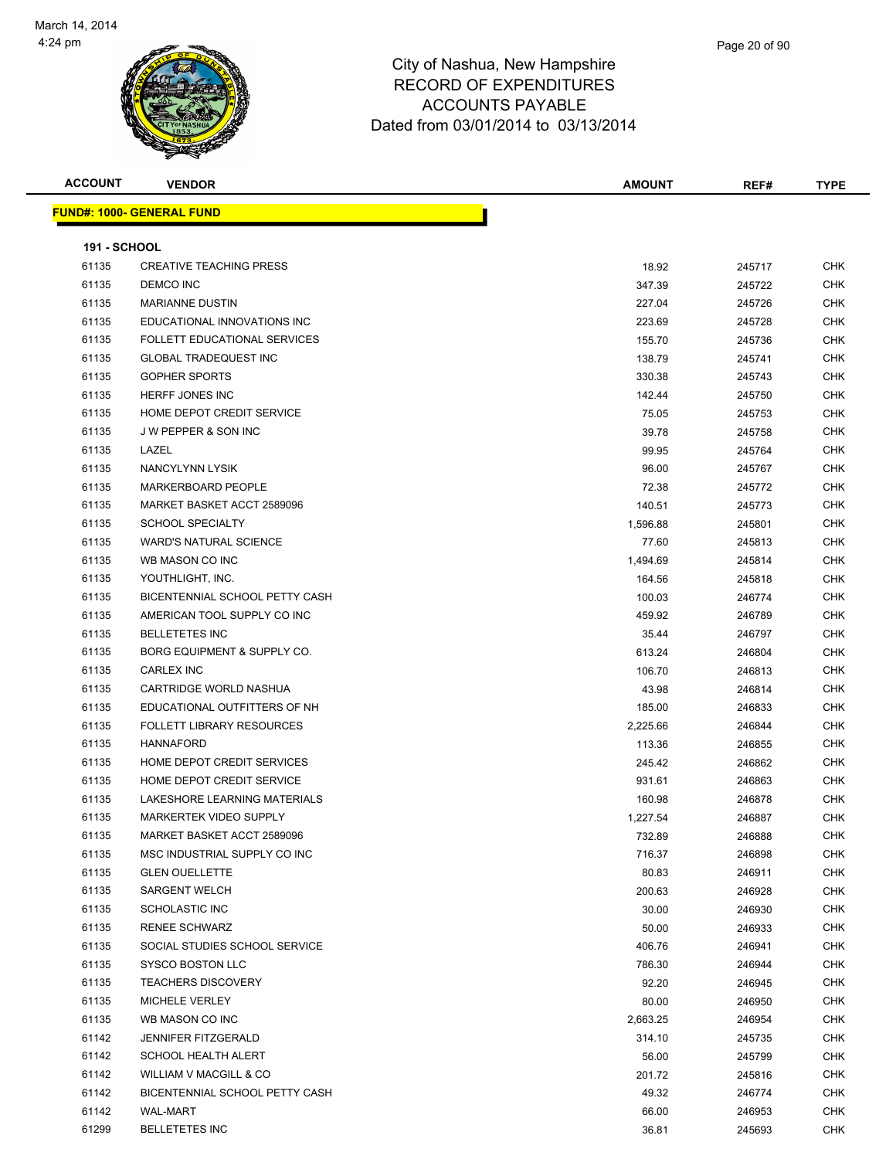

| <b>ACCOUNT</b>      | <b>VENDOR</b>                       | AMOUNT   | REF#   | <b>TYPE</b> |
|---------------------|-------------------------------------|----------|--------|-------------|
|                     | <u> FUND#: 1000- GENERAL FUND</u>   |          |        |             |
|                     |                                     |          |        |             |
| <b>191 - SCHOOL</b> |                                     |          |        |             |
| 61135               | <b>CREATIVE TEACHING PRESS</b>      | 18.92    | 245717 | CHK         |
| 61135               | DEMCO INC                           | 347.39   | 245722 | <b>CHK</b>  |
| 61135               | <b>MARIANNE DUSTIN</b>              | 227.04   | 245726 | <b>CHK</b>  |
| 61135               | EDUCATIONAL INNOVATIONS INC         | 223.69   | 245728 | CHK         |
| 61135               | <b>FOLLETT EDUCATIONAL SERVICES</b> | 155.70   | 245736 | <b>CHK</b>  |
| 61135               | <b>GLOBAL TRADEQUEST INC</b>        | 138.79   | 245741 | <b>CHK</b>  |
| 61135               | <b>GOPHER SPORTS</b>                | 330.38   | 245743 | CHK         |
| 61135               | HERFF JONES INC                     | 142.44   | 245750 | <b>CHK</b>  |
| 61135               | HOME DEPOT CREDIT SERVICE           | 75.05    | 245753 | CHK         |
| 61135               | <b>JW PEPPER &amp; SON INC</b>      | 39.78    | 245758 | CHK         |
| 61135               | LAZEL                               | 99.95    | 245764 | <b>CHK</b>  |
| 61135               | NANCYLYNN LYSIK                     | 96.00    | 245767 | CHK         |
| 61135               | <b>MARKERBOARD PEOPLE</b>           | 72.38    | 245772 | CHK         |
| 61135               | MARKET BASKET ACCT 2589096          | 140.51   | 245773 | <b>CHK</b>  |
| 61135               | <b>SCHOOL SPECIALTY</b>             | 1,596.88 | 245801 | CHK         |
| 61135               | <b>WARD'S NATURAL SCIENCE</b>       | 77.60    | 245813 | CHK         |
| 61135               | WB MASON CO INC                     | 1,494.69 | 245814 | <b>CHK</b>  |
| 61135               | YOUTHLIGHT, INC.                    | 164.56   | 245818 | CHK         |
| 61135               | BICENTENNIAL SCHOOL PETTY CASH      | 100.03   | 246774 | <b>CHK</b>  |
| 61135               | AMERICAN TOOL SUPPLY CO INC         | 459.92   | 246789 | CHK         |
| 61135               | <b>BELLETETES INC</b>               | 35.44    | 246797 | CHK         |
| 61135               | BORG EQUIPMENT & SUPPLY CO.         | 613.24   | 246804 | CHK         |
| 61135               | <b>CARLEX INC</b>                   | 106.70   | 246813 | CHK         |
| 61135               | CARTRIDGE WORLD NASHUA              | 43.98    | 246814 | <b>CHK</b>  |
| 61135               | EDUCATIONAL OUTFITTERS OF NH        | 185.00   | 246833 | <b>CHK</b>  |
| 61135               | <b>FOLLETT LIBRARY RESOURCES</b>    | 2,225.66 | 246844 | CHK         |
| 61135               | <b>HANNAFORD</b>                    | 113.36   | 246855 | <b>CHK</b>  |
| 61135               | HOME DEPOT CREDIT SERVICES          | 245.42   | 246862 | <b>CHK</b>  |
| 61135               | HOME DEPOT CREDIT SERVICE           | 931.61   | 246863 | CHK         |
| 61135               | LAKESHORE LEARNING MATERIALS        | 160.98   | 246878 | <b>CHK</b>  |
| 61135               | MARKERTEK VIDEO SUPPLY              | 1,227.54 | 246887 | <b>CHK</b>  |
| 61135               | MARKET BASKET ACCT 2589096          | 732.89   | 246888 | CHK         |
| 61135               | MSC INDUSTRIAL SUPPLY CO INC        | 716.37   | 246898 | CHK         |
| 61135               | <b>GLEN OUELLETTE</b>               | 80.83    | 246911 | CHK         |
| 61135               | <b>SARGENT WELCH</b>                | 200.63   | 246928 | <b>CHK</b>  |
| 61135               | SCHOLASTIC INC                      | 30.00    | 246930 | CHK         |
| 61135               | <b>RENEE SCHWARZ</b>                | 50.00    | 246933 | CHK         |
| 61135               | SOCIAL STUDIES SCHOOL SERVICE       | 406.76   | 246941 | <b>CHK</b>  |
| 61135               | <b>SYSCO BOSTON LLC</b>             | 786.30   | 246944 | <b>CHK</b>  |
| 61135               | <b>TEACHERS DISCOVERY</b>           | 92.20    | 246945 | <b>CHK</b>  |
| 61135               | MICHELE VERLEY                      | 80.00    | 246950 | <b>CHK</b>  |
| 61135               | WB MASON CO INC                     | 2,663.25 | 246954 | <b>CHK</b>  |
| 61142               | <b>JENNIFER FITZGERALD</b>          | 314.10   | 245735 | CHK         |
| 61142               | SCHOOL HEALTH ALERT                 | 56.00    | 245799 | CHK         |
| 61142               | WILLIAM V MACGILL & CO              | 201.72   | 245816 | CHK         |
| 61142               | BICENTENNIAL SCHOOL PETTY CASH      | 49.32    | 246774 | <b>CHK</b>  |
| 61142               | WAL-MART                            | 66.00    | 246953 | CHK         |
| 61299               | <b>BELLETETES INC</b>               | 36.81    | 245693 | <b>CHK</b>  |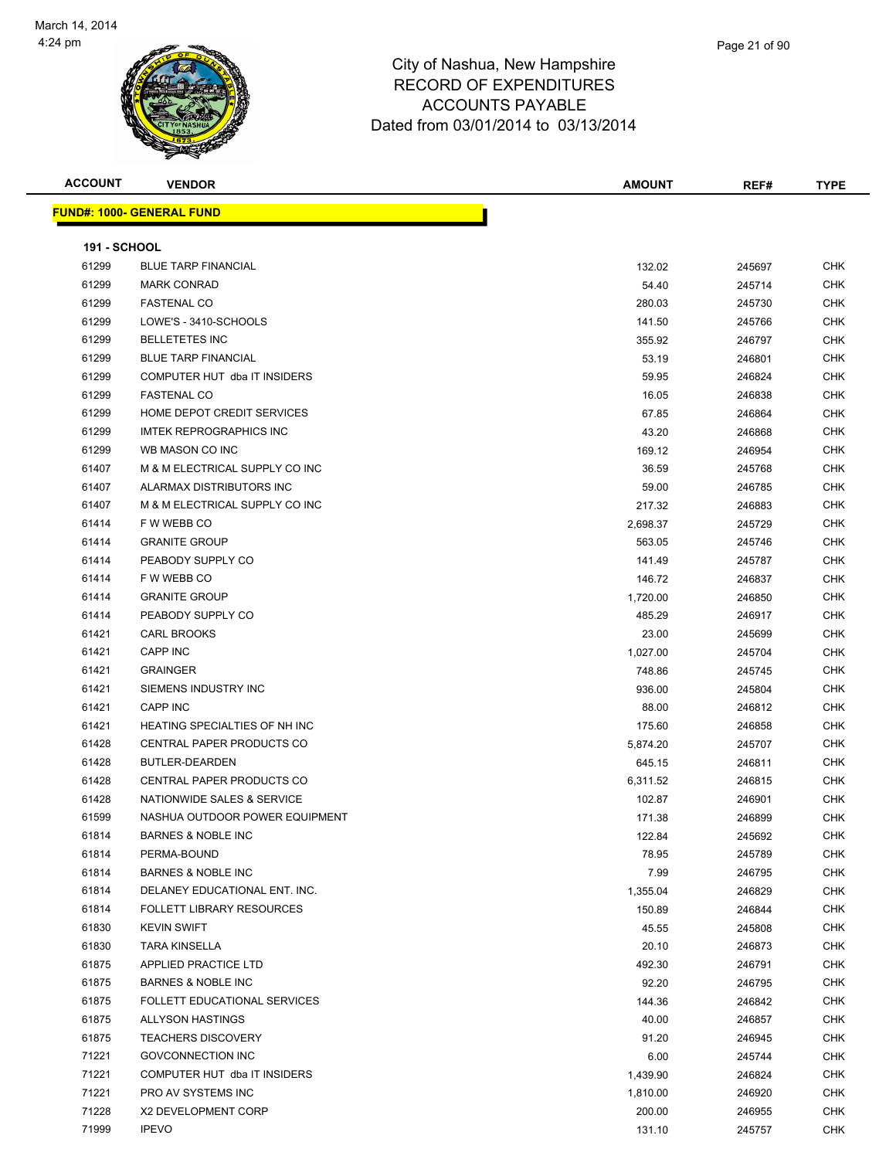

| <b>ACCOUNT</b>      | <b>VENDOR</b>                    | <b>AMOUNT</b> | REF#   | <b>TYPE</b> |
|---------------------|----------------------------------|---------------|--------|-------------|
|                     | <b>FUND#: 1000- GENERAL FUND</b> |               |        |             |
|                     |                                  |               |        |             |
| <b>191 - SCHOOL</b> |                                  |               |        |             |
| 61299               | <b>BLUE TARP FINANCIAL</b>       | 132.02        | 245697 | <b>CHK</b>  |
| 61299               | <b>MARK CONRAD</b>               | 54.40         | 245714 | CHK         |
| 61299               | <b>FASTENAL CO</b>               | 280.03        | 245730 | <b>CHK</b>  |
| 61299               | LOWE'S - 3410-SCHOOLS            | 141.50        | 245766 | CHK         |
| 61299               | <b>BELLETETES INC</b>            | 355.92        | 246797 | CHK         |
| 61299               | <b>BLUE TARP FINANCIAL</b>       | 53.19         | 246801 | CHK         |
| 61299               | COMPUTER HUT dba IT INSIDERS     | 59.95         | 246824 | <b>CHK</b>  |
| 61299               | <b>FASTENAL CO</b>               | 16.05         | 246838 | CHK         |
| 61299               | HOME DEPOT CREDIT SERVICES       | 67.85         | 246864 | CHK         |
| 61299               | <b>IMTEK REPROGRAPHICS INC</b>   | 43.20         | 246868 | CHK         |
| 61299               | WB MASON CO INC                  | 169.12        | 246954 | CHK         |
| 61407               | M & M ELECTRICAL SUPPLY CO INC   | 36.59         | 245768 | CHK         |
| 61407               | ALARMAX DISTRIBUTORS INC         | 59.00         | 246785 | <b>CHK</b>  |
| 61407               | M & M ELECTRICAL SUPPLY CO INC   | 217.32        | 246883 | CHK         |
| 61414               | F W WEBB CO                      | 2,698.37      | 245729 | CHK         |
| 61414               | <b>GRANITE GROUP</b>             | 563.05        | 245746 | CHK         |
| 61414               | PEABODY SUPPLY CO                | 141.49        | 245787 | CHK         |
| 61414               | F W WEBB CO                      | 146.72        | 246837 | CHK         |
| 61414               | <b>GRANITE GROUP</b>             | 1,720.00      | 246850 | CHK         |
| 61414               | PEABODY SUPPLY CO                | 485.29        | 246917 | CHK         |
| 61421               | CARL BROOKS                      | 23.00         | 245699 | CHK         |
| 61421               | <b>CAPP INC</b>                  | 1,027.00      | 245704 | <b>CHK</b>  |
| 61421               | <b>GRAINGER</b>                  | 748.86        | 245745 | CHK         |
| 61421               | SIEMENS INDUSTRY INC             | 936.00        | 245804 | CHK         |
| 61421               | <b>CAPP INC</b>                  | 88.00         | 246812 | CHK         |
| 61421               | HEATING SPECIALTIES OF NH INC    | 175.60        | 246858 | CHK         |
| 61428               | CENTRAL PAPER PRODUCTS CO        | 5,874.20      | 245707 | CHK         |
| 61428               | BUTLER-DEARDEN                   | 645.15        | 246811 | CHK         |
| 61428               | CENTRAL PAPER PRODUCTS CO        | 6,311.52      | 246815 | <b>CHK</b>  |
| 61428               | NATIONWIDE SALES & SERVICE       | 102.87        | 246901 | CHK         |
| 61599               | NASHUA OUTDOOR POWER EQUIPMENT   | 171.38        | 246899 | CHK         |
| 61814               | <b>BARNES &amp; NOBLE INC</b>    | 122.84        | 245692 | <b>CHK</b>  |
| 61814               | PERMA-BOUND                      | 78.95         | 245789 | <b>CHK</b>  |
| 61814               | <b>BARNES &amp; NOBLE INC</b>    | 7.99          | 246795 | <b>CHK</b>  |
| 61814               | DELANEY EDUCATIONAL ENT. INC.    | 1,355.04      | 246829 | <b>CHK</b>  |
| 61814               | <b>FOLLETT LIBRARY RESOURCES</b> | 150.89        | 246844 | CHK         |
| 61830               | <b>KEVIN SWIFT</b>               | 45.55         | 245808 | CHK         |
| 61830               | TARA KINSELLA                    | 20.10         | 246873 | CHK         |
| 61875               | APPLIED PRACTICE LTD             | 492.30        | 246791 | <b>CHK</b>  |
| 61875               | <b>BARNES &amp; NOBLE INC</b>    | 92.20         | 246795 | CHK         |
| 61875               | FOLLETT EDUCATIONAL SERVICES     | 144.36        | 246842 | CHK         |
| 61875               | <b>ALLYSON HASTINGS</b>          | 40.00         | 246857 | CHK         |
| 61875               | <b>TEACHERS DISCOVERY</b>        | 91.20         | 246945 | CHK         |
| 71221               | <b>GOVCONNECTION INC</b>         | 6.00          | 245744 | CHK         |
| 71221               | COMPUTER HUT dba IT INSIDERS     | 1,439.90      | 246824 | CHK         |
| 71221               | PRO AV SYSTEMS INC               | 1,810.00      | 246920 | CHK         |
| 71228               | X2 DEVELOPMENT CORP              | 200.00        | 246955 | CHK         |
| 71999               | <b>IPEVO</b>                     | 131.10        | 245757 | CHK         |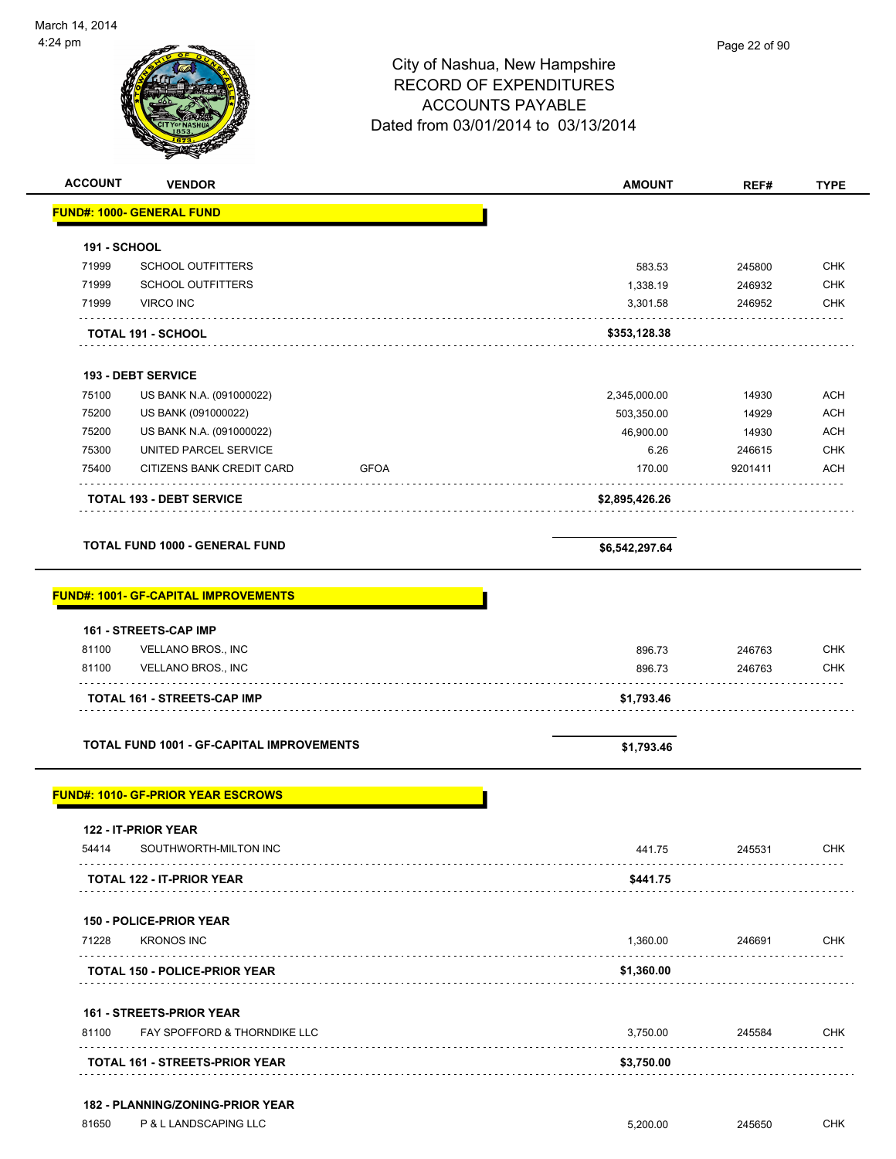| 44 pm               |                                                                     | City of Nashua, New Hampshire<br><b>RECORD OF EXPENDITURES</b><br><b>ACCOUNTS PAYABLE</b><br>Dated from 03/01/2014 to 03/13/2014 | Page 22 of 90 |                           |
|---------------------|---------------------------------------------------------------------|----------------------------------------------------------------------------------------------------------------------------------|---------------|---------------------------|
| <b>ACCOUNT</b>      | <b>VENDOR</b>                                                       | <b>AMOUNT</b>                                                                                                                    | REF#          | <b>TYPE</b>               |
|                     | <b>FUND#: 1000- GENERAL FUND</b>                                    |                                                                                                                                  |               |                           |
| <b>191 - SCHOOL</b> |                                                                     |                                                                                                                                  |               |                           |
| 71999               | <b>SCHOOL OUTFITTERS</b>                                            | 583.53                                                                                                                           | 245800        | <b>CHK</b>                |
| 71999               | <b>SCHOOL OUTFITTERS</b>                                            | 1,338.19                                                                                                                         | 246932        | <b>CHK</b>                |
| 71999               | <b>VIRCO INC</b>                                                    | 3,301.58                                                                                                                         | 246952        | <b>CHK</b>                |
|                     | <b>TOTAL 191 - SCHOOL</b>                                           | \$353,128.38                                                                                                                     |               |                           |
|                     | <b>193 - DEBT SERVICE</b><br><b>75400 LIC DANILAL A (004000000)</b> | 2.24E 000.00                                                                                                                     | 11000         | $\Lambda$ $\cap$ $\Gamma$ |

|       | <b>TOTAL 193 - DEBT SERVICE</b> |      | \$2,895,426.26 |         |            |
|-------|---------------------------------|------|----------------|---------|------------|
| 75400 | CITIZENS BANK CREDIT CARD       | GFOA | 170.00         | 9201411 | ACH        |
| 75300 | UNITED PARCEL SERVICE           |      | 6.26           | 246615  | <b>CHK</b> |
| 75200 | US BANK N.A. (091000022)        |      | 46.900.00      | 14930   | ACH        |
| 75200 | US BANK (091000022)             |      | 503.350.00     | 14929   | ACH        |
| 75100 | US BANK N.A. (091000022)        |      | 2,345,000.00   | 14930   | ACH        |

**TOTAL FUND 1000 - GENERAL FUND \$6,542,297.64** 

#### **FUND#: 1001- GF-CAPITAL IMPROVEMENTS**

|       | <b>161 - STREETS-CAP IMP</b>       |            |        |            |  |  |
|-------|------------------------------------|------------|--------|------------|--|--|
| 81100 | <b>VELLANO BROS., INC</b>          | 896.73     | 246763 | <b>CHK</b> |  |  |
| 81100 | <b>VELLANO BROS., INC</b>          | 896.73     | 246763 | <b>CHK</b> |  |  |
|       | <b>TOTAL 161 - STREETS-CAP IMP</b> | \$1.793.46 |        |            |  |  |
|       |                                    |            |        |            |  |  |

**TOTAL FUND 1001 - GF-CAPITAL IMPROVEMENTS \$1,793.46** 

#### **FUND#: 1010- GF-PRIOR YEAR ESCROWS**

| 122 - IT-PRIOR YEAR                     |            |        |            |
|-----------------------------------------|------------|--------|------------|
| SOUTHWORTH-MILTON INC<br>54414          | 441.75     | 245531 | <b>CHK</b> |
| <b>TOTAL 122 - IT-PRIOR YEAR</b>        | \$441.75   |        |            |
| <b>150 - POLICE-PRIOR YEAR</b>          |            |        |            |
| <b>KRONOS INC</b><br>71228              | 1,360.00   | 246691 | <b>CHK</b> |
| <b>TOTAL 150 - POLICE-PRIOR YEAR</b>    | \$1,360.00 |        |            |
| <b>161 - STREETS-PRIOR YEAR</b>         |            |        |            |
| FAY SPOFFORD & THORNDIKE LLC<br>81100   | 3,750.00   | 245584 | <b>CHK</b> |
| <b>TOTAL 161 - STREETS-PRIOR YEAR</b>   | \$3,750.00 |        |            |
|                                         |            |        |            |
| <b>182 - PLANNING/ZONING-PRIOR YEAR</b> |            |        |            |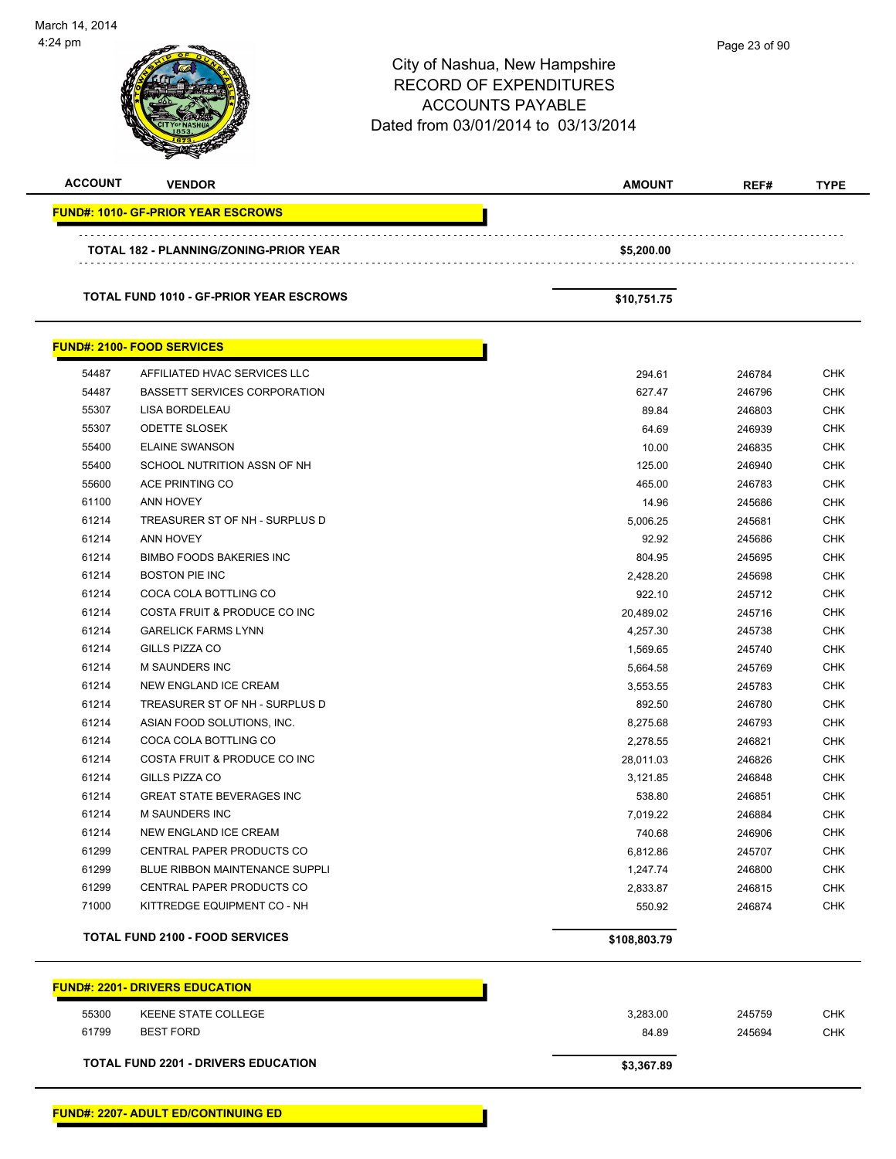| March 14, 2014<br>4:24 pm |                                                          |                                                                                                                                  | Page 23 of 90 |             |
|---------------------------|----------------------------------------------------------|----------------------------------------------------------------------------------------------------------------------------------|---------------|-------------|
|                           |                                                          | City of Nashua, New Hampshire<br><b>RECORD OF EXPENDITURES</b><br><b>ACCOUNTS PAYABLE</b><br>Dated from 03/01/2014 to 03/13/2014 |               |             |
| <b>ACCOUNT</b>            | <b>VENDOR</b>                                            | <b>AMOUNT</b>                                                                                                                    | REF#          | <b>TYPE</b> |
|                           |                                                          |                                                                                                                                  |               |             |
|                           | <b>FUND#: 1010- GF-PRIOR YEAR ESCROWS</b>                |                                                                                                                                  |               |             |
|                           | TOTAL 182 - PLANNING/ZONING-PRIOR YEAR                   | \$5,200.00                                                                                                                       |               |             |
|                           | <b>TOTAL FUND 1010 - GF-PRIOR YEAR ESCROWS</b>           | \$10,751.75                                                                                                                      |               |             |
|                           | <b>FUND#: 2100- FOOD SERVICES</b>                        |                                                                                                                                  |               |             |
| 54487                     | AFFILIATED HVAC SERVICES LLC                             | 294.61                                                                                                                           | 246784        | <b>CHK</b>  |
| 54487                     | <b>BASSETT SERVICES CORPORATION</b>                      | 627.47                                                                                                                           | 246796        | <b>CHK</b>  |
| 55307                     | <b>LISA BORDELEAU</b>                                    | 89.84                                                                                                                            | 246803        | <b>CHK</b>  |
| 55307                     | <b>ODETTE SLOSEK</b>                                     | 64.69                                                                                                                            | 246939        | <b>CHK</b>  |
| 55400                     | <b>ELAINE SWANSON</b>                                    | 10.00                                                                                                                            | 246835        | <b>CHK</b>  |
| 55400                     | SCHOOL NUTRITION ASSN OF NH                              | 125.00                                                                                                                           | 246940        | <b>CHK</b>  |
| 55600                     | <b>ACE PRINTING CO</b>                                   | 465.00                                                                                                                           | 246783        | <b>CHK</b>  |
| 61100                     | <b>ANN HOVEY</b>                                         | 14.96                                                                                                                            | 245686        | <b>CHK</b>  |
| 61214                     | TREASURER ST OF NH - SURPLUS D                           | 5,006.25                                                                                                                         | 245681        | <b>CHK</b>  |
| 61214                     | <b>ANN HOVEY</b>                                         | 92.92                                                                                                                            | 245686        | <b>CHK</b>  |
| 61214                     | <b>BIMBO FOODS BAKERIES INC</b>                          | 804.95                                                                                                                           | 245695        | <b>CHK</b>  |
| 61214                     | <b>BOSTON PIE INC</b>                                    | 2,428.20                                                                                                                         | 245698        | <b>CHK</b>  |
| 61214                     | COCA COLA BOTTLING CO                                    | 922.10                                                                                                                           | 245712        | <b>CHK</b>  |
| 61214                     | COSTA FRUIT & PRODUCE CO INC                             | 20,489.02                                                                                                                        | 245716        | <b>CHK</b>  |
| 61214                     | <b>GARELICK FARMS LYNN</b>                               | 4,257.30                                                                                                                         | 245738        | CHK         |
| 61214                     | <b>GILLS PIZZA CO</b>                                    | 1,569.65                                                                                                                         | 245740        | <b>CHK</b>  |
| 61214                     | <b>M SAUNDERS INC</b>                                    | 5,664.58                                                                                                                         | 245769        | <b>CHK</b>  |
| 61214                     | NEW ENGLAND ICE CREAM                                    | 3,553.55                                                                                                                         | 245783        | <b>CHK</b>  |
| 61214                     | TREASURER ST OF NH - SURPLUS D                           | 892.50                                                                                                                           | 246780        | <b>CHK</b>  |
| 61214                     | ASIAN FOOD SOLUTIONS, INC.                               | 8,275.68                                                                                                                         | 246793        | <b>CHK</b>  |
| 61214                     | COCA COLA BOTTLING CO                                    | 2,278.55                                                                                                                         | 246821        | <b>CHK</b>  |
| 61214                     | COSTA FRUIT & PRODUCE CO INC                             | 28,011.03                                                                                                                        | 246826        | <b>CHK</b>  |
| 61214                     | GILLS PIZZA CO                                           | 3,121.85                                                                                                                         | 246848        | <b>CHK</b>  |
| 61214                     | <b>GREAT STATE BEVERAGES INC</b>                         | 538.80                                                                                                                           | 246851        | <b>CHK</b>  |
| 61214                     | <b>M SAUNDERS INC</b>                                    | 7,019.22                                                                                                                         | 246884        | <b>CHK</b>  |
| 61214                     | NEW ENGLAND ICE CREAM                                    | 740.68                                                                                                                           | 246906        | <b>CHK</b>  |
| 61299                     | CENTRAL PAPER PRODUCTS CO                                | 6,812.86                                                                                                                         | 245707        | <b>CHK</b>  |
| 61299                     | <b>BLUE RIBBON MAINTENANCE SUPPLI</b>                    | 1,247.74                                                                                                                         | 246800        | <b>CHK</b>  |
| 61299<br>71000            | CENTRAL PAPER PRODUCTS CO<br>KITTREDGE EQUIPMENT CO - NH | 2,833.87                                                                                                                         | 246815        | <b>CHK</b>  |
|                           |                                                          | 550.92                                                                                                                           | 246874        | <b>CHK</b>  |
|                           | <b>TOTAL FUND 2100 - FOOD SERVICES</b>                   | \$108,803.79                                                                                                                     |               |             |
|                           | <b>FUND#: 2201- DRIVERS EDUCATION</b>                    |                                                                                                                                  |               |             |
| 55300                     | KEENE STATE COLLEGE                                      | 3,283.00                                                                                                                         | 245759        | <b>CHK</b>  |
| 61799                     | <b>BEST FORD</b>                                         | 84.89                                                                                                                            | 245694        | <b>CHK</b>  |
|                           | <b>TOTAL FUND 2201 - DRIVERS EDUCATION</b>               | \$3,367.89                                                                                                                       |               |             |
|                           |                                                          |                                                                                                                                  |               |             |

-

 $\overline{\phantom{0}}$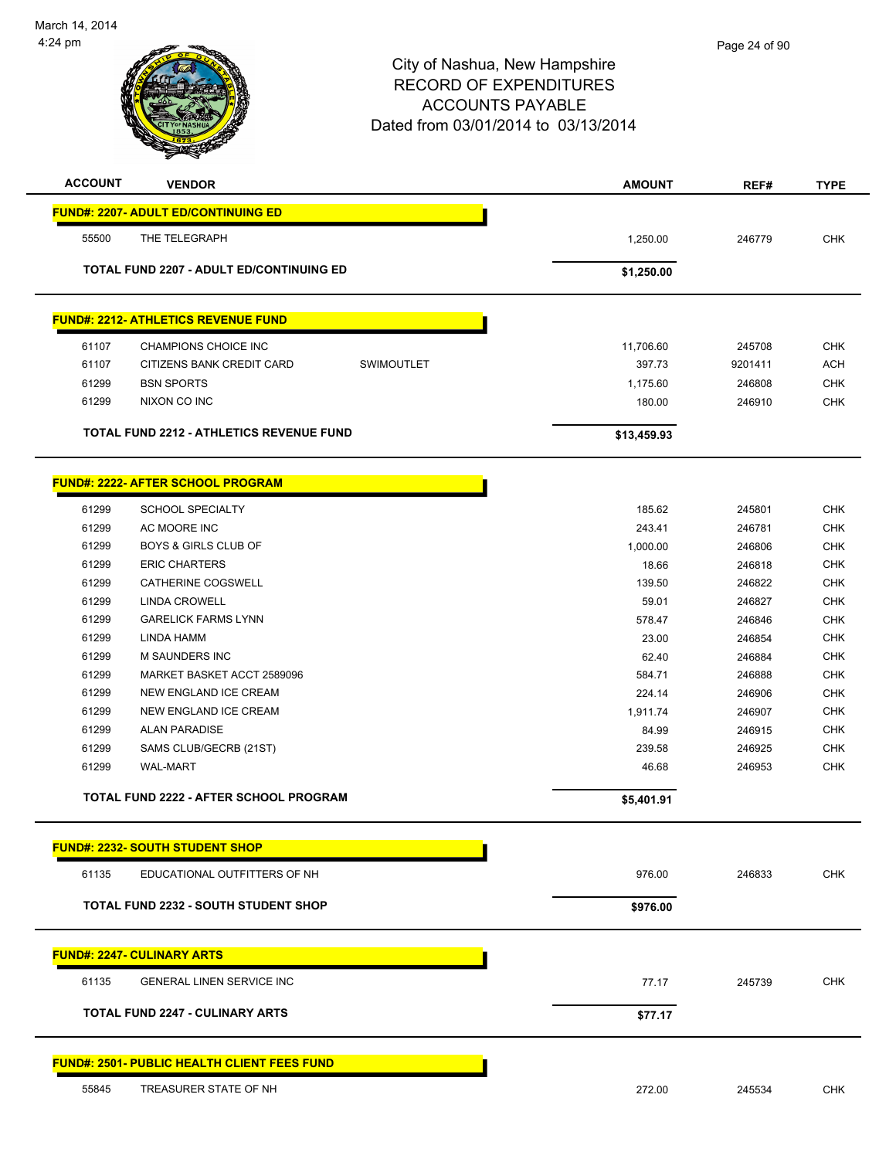

| <b>ACCOUNT</b> | <b>VENDOR</b>                                      | <b>AMOUNT</b>    | REF#             | <b>TYPE</b>              |
|----------------|----------------------------------------------------|------------------|------------------|--------------------------|
|                | <b>FUND#: 2207- ADULT ED/CONTINUING ED</b>         |                  |                  |                          |
| 55500          | THE TELEGRAPH                                      | 1,250.00         | 246779           | <b>CHK</b>               |
|                |                                                    |                  |                  |                          |
|                | TOTAL FUND 2207 - ADULT ED/CONTINUING ED           | \$1,250.00       |                  |                          |
|                | <b>FUND#: 2212- ATHLETICS REVENUE FUND</b>         |                  |                  |                          |
| 61107          | CHAMPIONS CHOICE INC                               | 11,706.60        | 245708           | <b>CHK</b>               |
| 61107          | CITIZENS BANK CREDIT CARD<br>SWIMOUTLET            | 397.73           | 9201411          | <b>ACH</b>               |
| 61299          | <b>BSN SPORTS</b>                                  | 1,175.60         | 246808           | <b>CHK</b>               |
| 61299          | NIXON CO INC                                       | 180.00           | 246910           | <b>CHK</b>               |
|                | TOTAL FUND 2212 - ATHLETICS REVENUE FUND           | \$13,459.93      |                  |                          |
|                | <b>FUND#: 2222- AFTER SCHOOL PROGRAM</b>           |                  |                  |                          |
|                | <b>SCHOOL SPECIALTY</b>                            |                  |                  |                          |
| 61299<br>61299 | AC MOORE INC                                       | 185.62<br>243.41 | 245801<br>246781 | <b>CHK</b><br><b>CHK</b> |
| 61299          | <b>BOYS &amp; GIRLS CLUB OF</b>                    | 1,000.00         | 246806           | <b>CHK</b>               |
| 61299          | <b>ERIC CHARTERS</b>                               | 18.66            | 246818           | <b>CHK</b>               |
| 61299          | CATHERINE COGSWELL                                 | 139.50           | 246822           | <b>CHK</b>               |
| 61299          | LINDA CROWELL                                      | 59.01            | 246827           | <b>CHK</b>               |
| 61299          | <b>GARELICK FARMS LYNN</b>                         | 578.47           | 246846           | <b>CHK</b>               |
| 61299          | LINDA HAMM                                         | 23.00            | 246854           | <b>CHK</b>               |
| 61299          | M SAUNDERS INC                                     | 62.40            | 246884           | <b>CHK</b>               |
| 61299          | MARKET BASKET ACCT 2589096                         | 584.71           | 246888           | <b>CHK</b>               |
| 61299          | NEW ENGLAND ICE CREAM                              | 224.14           | 246906           | <b>CHK</b>               |
| 61299          | NEW ENGLAND ICE CREAM                              | 1,911.74         | 246907           | <b>CHK</b>               |
| 61299          | <b>ALAN PARADISE</b>                               | 84.99            | 246915           | <b>CHK</b>               |
| 61299          | SAMS CLUB/GECRB (21ST)                             | 239.58           | 246925           | <b>CHK</b>               |
| 61299          | <b>WAL-MART</b>                                    | 46.68            | 246953           | <b>CHK</b>               |
|                | TOTAL FUND 2222 - AFTER SCHOOL PROGRAM             | \$5,401.91       |                  |                          |
|                |                                                    |                  |                  |                          |
|                | <b>FUND#: 2232- SOUTH STUDENT SHOP</b>             |                  |                  |                          |
| 61135          | EDUCATIONAL OUTFITTERS OF NH                       | 976.00           | 246833           | <b>CHK</b>               |
|                | <b>TOTAL FUND 2232 - SOUTH STUDENT SHOP</b>        | \$976.00         |                  |                          |
|                | <b>FUND#: 2247- CULINARY ARTS</b>                  |                  |                  |                          |
| 61135          | GENERAL LINEN SERVICE INC                          | 77.17            | 245739           | <b>CHK</b>               |
|                |                                                    |                  |                  |                          |
|                | <b>TOTAL FUND 2247 - CULINARY ARTS</b>             | \$77.17          |                  |                          |
|                | <b>FUND#: 2501- PUBLIC HEALTH CLIENT FEES FUND</b> |                  |                  |                          |
| 55845          | TREASURER STATE OF NH                              | 272.00           | 245534           | <b>CHK</b>               |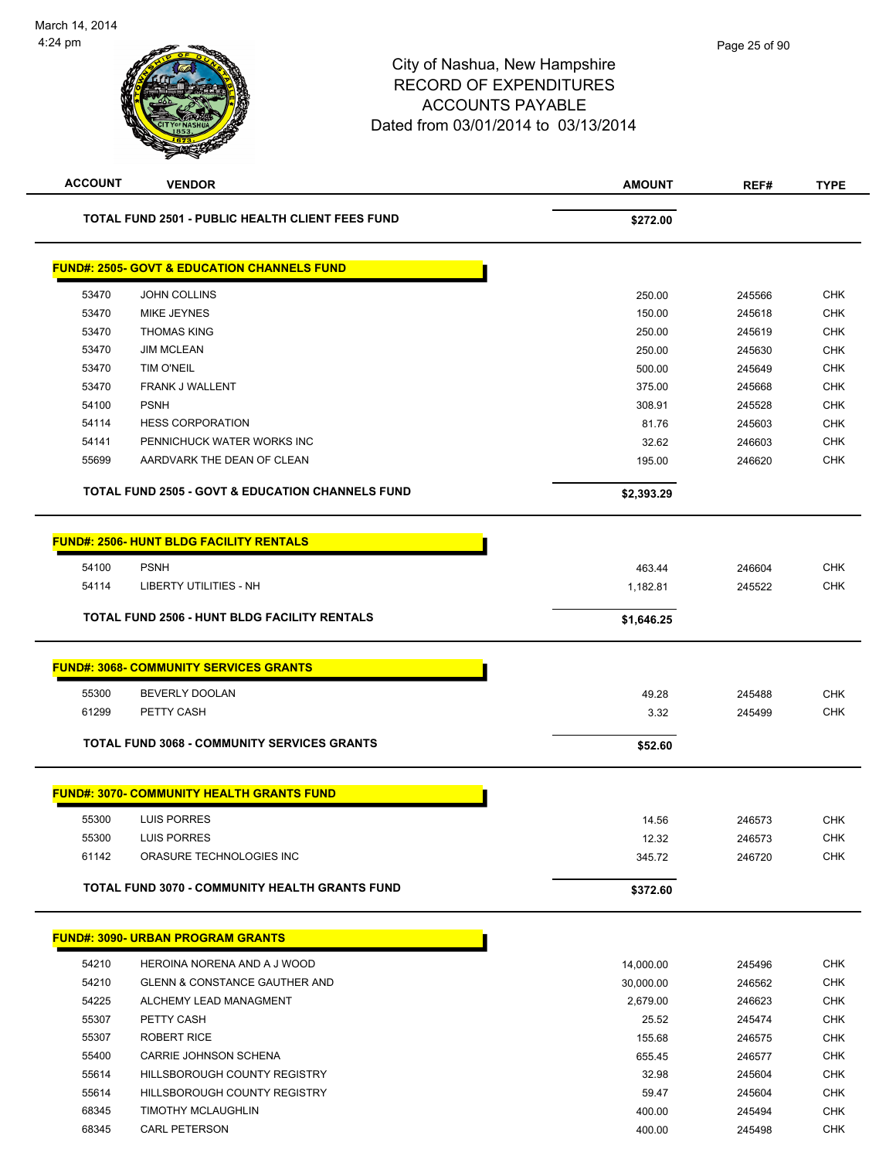# City of Nashua, New Hampshire RECORD OF EXPENDITURES ACCOUNTS PAYABLE Dated from 03/01/2014 to 03/13/2014 **ACCOUNT VENDOR AMOUNT REF# TYPE TOTAL FUND 2501 - PUBLIC HEALTH CLIENT FEES FUND**  $\frac{272.00}{8272.00}$

| 53470 | <b>JOHN COLLINS</b>        | 250.00 | 245566 | <b>CHK</b> |
|-------|----------------------------|--------|--------|------------|
| 53470 | MIKE JEYNES                | 150.00 | 245618 | <b>CHK</b> |
| 53470 | <b>THOMAS KING</b>         | 250.00 | 245619 | <b>CHK</b> |
| 53470 | <b>JIM MCLEAN</b>          | 250.00 | 245630 | <b>CHK</b> |
| 53470 | <b>TIM O'NEIL</b>          | 500.00 | 245649 | <b>CHK</b> |
| 53470 | <b>FRANK J WALLENT</b>     | 375.00 | 245668 | <b>CHK</b> |
| 54100 | <b>PSNH</b>                | 308.91 | 245528 | <b>CHK</b> |
| 54114 | <b>HESS CORPORATION</b>    | 81.76  | 245603 | <b>CHK</b> |
| 54141 | PENNICHUCK WATER WORKS INC | 32.62  | 246603 | <b>CHK</b> |
| 55699 | AARDVARK THE DEAN OF CLEAN | 195.00 | 246620 | <b>CHK</b> |

|       | <b>FUND#: 2506- HUNT BLDG FACILITY RENTALS</b>        |            |        |            |
|-------|-------------------------------------------------------|------------|--------|------------|
| 54100 | <b>PSNH</b>                                           | 463.44     | 246604 | <b>CHK</b> |
| 54114 | <b>LIBERTY UTILITIES - NH</b>                         | 1,182.81   | 245522 | <b>CHK</b> |
|       | <b>TOTAL FUND 2506 - HUNT BLDG FACILITY RENTALS</b>   | \$1,646.25 |        |            |
|       | <b>FUND#: 3068- COMMUNITY SERVICES GRANTS</b>         |            |        |            |
| 55300 | <b>BEVERLY DOOLAN</b>                                 | 49.28      | 245488 | <b>CHK</b> |
| 61299 | PETTY CASH                                            | 3.32       | 245499 | <b>CHK</b> |
|       | <b>TOTAL FUND 3068 - COMMUNITY SERVICES GRANTS</b>    | \$52.60    |        |            |
|       | <b>FUND#: 3070- COMMUNITY HEALTH GRANTS FUND</b>      |            |        |            |
| 55300 | <b>LUIS PORRES</b>                                    | 14.56      | 246573 | <b>CHK</b> |
| 55300 | <b>LUIS PORRES</b>                                    | 12.32      | 246573 | <b>CHK</b> |
| 61142 | ORASURE TECHNOLOGIES INC                              | 345.72     | 246720 | <b>CHK</b> |
|       | <b>TOTAL FUND 3070 - COMMUNITY HEALTH GRANTS FUND</b> | \$372.60   |        |            |
|       | <b>FUND#: 3090- URBAN PROGRAM GRANTS</b>              |            |        |            |
| 54210 | HEROINA NORENA AND A J WOOD                           | 14,000.00  | 245496 | <b>CHK</b> |
| 54210 | <b>GLENN &amp; CONSTANCE GAUTHER AND</b>              | 30,000.00  | 246562 | <b>CHK</b> |

|       |                                          | .         |        |            |
|-------|------------------------------------------|-----------|--------|------------|
| 54210 | <b>GLENN &amp; CONSTANCE GAUTHER AND</b> | 30.000.00 | 246562 | <b>CHK</b> |
| 54225 | ALCHEMY LEAD MANAGMENT                   | 2.679.00  | 246623 | <b>CHK</b> |
| 55307 | PETTY CASH                               | 25.52     | 245474 | <b>CHK</b> |
| 55307 | ROBERT RICE                              | 155.68    | 246575 | <b>CHK</b> |
| 55400 | CARRIE JOHNSON SCHENA                    | 655.45    | 246577 | <b>CHK</b> |
| 55614 | HILLSBOROUGH COUNTY REGISTRY             | 32.98     | 245604 | <b>CHK</b> |
| 55614 | HILLSBOROUGH COUNTY REGISTRY             | 59.47     | 245604 | <b>CHK</b> |
| 68345 | <b>TIMOTHY MCLAUGHLIN</b>                | 400.00    | 245494 | <b>CHK</b> |
| 68345 | <b>CARL PETERSON</b>                     | 400.00    | 245498 | <b>CHK</b> |
|       |                                          |           |        |            |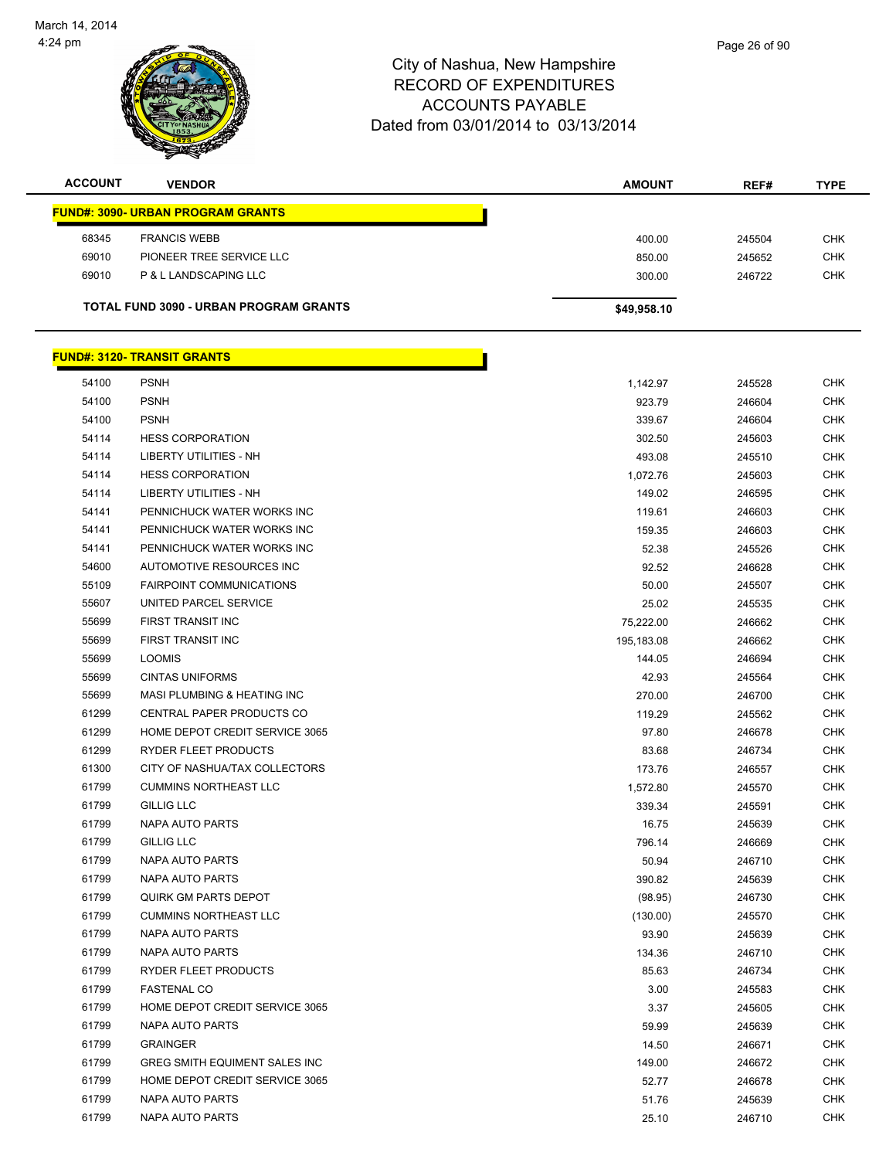| <b>ACCOUNT</b> | <b>VENDOR</b>                            | <b>AMOUNT</b> | REF#   | <b>TYPE</b> |
|----------------|------------------------------------------|---------------|--------|-------------|
|                | <b>FUND#: 3090- URBAN PROGRAM GRANTS</b> |               |        |             |
| 68345          | <b>FRANCIS WEBB</b>                      | 400.00        | 245504 | <b>CHK</b>  |
| 69010          | PIONEER TREE SERVICE LLC                 | 850.00        | 245652 | <b>CHK</b>  |
| 69010          | P & L LANDSCAPING LLC                    | 300.00        | 246722 | <b>CHK</b>  |
|                | TOTAL FUND 3090 - URBAN PROGRAM GRANTS   | \$49,958.10   |        |             |

|       | <u> FUND#: 3120- TRANSIT GRANTS</u> |            |        |            |
|-------|-------------------------------------|------------|--------|------------|
| 54100 | <b>PSNH</b>                         | 1,142.97   | 245528 | <b>CHK</b> |
| 54100 | <b>PSNH</b>                         | 923.79     | 246604 | <b>CHK</b> |
| 54100 | <b>PSNH</b>                         | 339.67     | 246604 | <b>CHK</b> |
| 54114 | <b>HESS CORPORATION</b>             | 302.50     | 245603 | <b>CHK</b> |
| 54114 | LIBERTY UTILITIES - NH              | 493.08     | 245510 | <b>CHK</b> |
| 54114 | <b>HESS CORPORATION</b>             | 1,072.76   | 245603 | <b>CHK</b> |
| 54114 | LIBERTY UTILITIES - NH              | 149.02     | 246595 | <b>CHK</b> |
| 54141 | PENNICHUCK WATER WORKS INC          | 119.61     | 246603 | <b>CHK</b> |
| 54141 | PENNICHUCK WATER WORKS INC          | 159.35     | 246603 | <b>CHK</b> |
| 54141 | PENNICHUCK WATER WORKS INC          | 52.38      | 245526 | <b>CHK</b> |
| 54600 | AUTOMOTIVE RESOURCES INC            | 92.52      | 246628 | <b>CHK</b> |
| 55109 | <b>FAIRPOINT COMMUNICATIONS</b>     | 50.00      | 245507 | <b>CHK</b> |
| 55607 | UNITED PARCEL SERVICE               | 25.02      | 245535 | <b>CHK</b> |
| 55699 | FIRST TRANSIT INC                   | 75,222.00  | 246662 | <b>CHK</b> |
| 55699 | FIRST TRANSIT INC                   | 195,183.08 | 246662 | <b>CHK</b> |
| 55699 | <b>LOOMIS</b>                       | 144.05     | 246694 | <b>CHK</b> |
| 55699 | <b>CINTAS UNIFORMS</b>              | 42.93      | 245564 | <b>CHK</b> |
| 55699 | MASI PLUMBING & HEATING INC         | 270.00     | 246700 | <b>CHK</b> |
| 61299 | CENTRAL PAPER PRODUCTS CO           | 119.29     | 245562 | <b>CHK</b> |
| 61299 | HOME DEPOT CREDIT SERVICE 3065      | 97.80      | 246678 | <b>CHK</b> |
| 61299 | RYDER FLEET PRODUCTS                | 83.68      | 246734 | <b>CHK</b> |
| 61300 | CITY OF NASHUA/TAX COLLECTORS       | 173.76     | 246557 | <b>CHK</b> |
| 61799 | <b>CUMMINS NORTHEAST LLC</b>        | 1,572.80   | 245570 | <b>CHK</b> |
| 61799 | <b>GILLIG LLC</b>                   | 339.34     | 245591 | <b>CHK</b> |
| 61799 | NAPA AUTO PARTS                     | 16.75      | 245639 | <b>CHK</b> |
| 61799 | <b>GILLIG LLC</b>                   | 796.14     | 246669 | <b>CHK</b> |
| 61799 | NAPA AUTO PARTS                     | 50.94      | 246710 | <b>CHK</b> |
| 61799 | NAPA AUTO PARTS                     | 390.82     | 245639 | <b>CHK</b> |
| 61799 | QUIRK GM PARTS DEPOT                | (98.95)    | 246730 | <b>CHK</b> |
| 61799 | <b>CUMMINS NORTHEAST LLC</b>        | (130.00)   | 245570 | <b>CHK</b> |
| 61799 | NAPA AUTO PARTS                     | 93.90      | 245639 | <b>CHK</b> |
| 61799 | NAPA AUTO PARTS                     | 134.36     | 246710 | <b>CHK</b> |
| 61799 | RYDER FLEET PRODUCTS                | 85.63      | 246734 | <b>CHK</b> |
| 61799 | <b>FASTENAL CO</b>                  | 3.00       | 245583 | <b>CHK</b> |
| 61799 | HOME DEPOT CREDIT SERVICE 3065      | 3.37       | 245605 | <b>CHK</b> |
| 61799 | NAPA AUTO PARTS                     | 59.99      | 245639 | CHK        |
| 61799 | <b>GRAINGER</b>                     | 14.50      | 246671 | <b>CHK</b> |
| 61799 | GREG SMITH EQUIMENT SALES INC       | 149.00     | 246672 | CHK        |
| 61799 | HOME DEPOT CREDIT SERVICE 3065      | 52.77      | 246678 | CHK        |
| 61799 | <b>NAPA AUTO PARTS</b>              | 51.76      | 245639 | <b>CHK</b> |
| 61799 | NAPA AUTO PARTS                     | 25.10      | 246710 | <b>CHK</b> |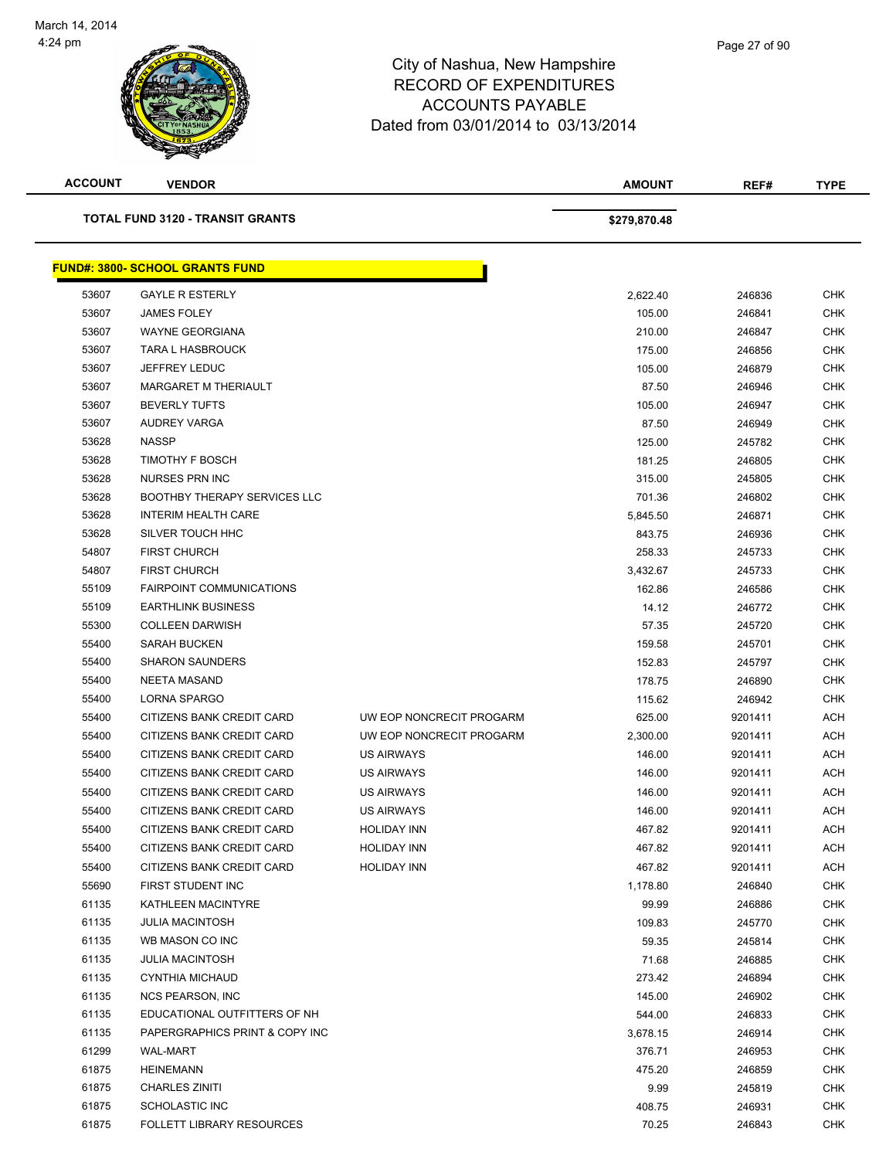

**ACCOUNT VENDOR AMOUNT REF# TYPE TOTAL FUND 3120 - TRANSIT GRANTS \$279,870.48 FUND#: 3800- SCHOOL GRANTS FUND** GAYLE R ESTERLY 2,622.40 246836 CHK JAMES FOLEY 105.00 246841 CHK WAYNE GEORGIANA 210.00 246847 CHK TARA L HASBROUCK 175.00 246856 CHK JEFFREY LEDUC 105.00 246879 CHK MARGARET M THERIAULT 87.50 246946 CHK BEVERLY TUFTS 105.00 246947 CHK AUDREY VARGA 87.50 246949 CHK NASSP 125.00 245782 CHK 53628 TIMOTHY F BOSCH 20 NORTH 2008 CHK 2012 181.25 246805 CHK NURSES PRN INC 315.00 245805 CHK 53628 BOOTHBY THERAPY SERVICES LLC **CHING A SERVICES AND REAL CHING A SERVICES CHING A** CHING A SAN A SERVICES LLC 53628 INTERIM HEALTH CARE 5,845.50 246871 CHK SILVER TOUCH HHC 843.75 246936 CHK FIRST CHURCH 258.33 245733 CHK FIRST CHURCH 3,432.67 245733 CHK FAIRPOINT COMMUNICATIONS 162.86 246586 CHK EARTHLINK BUSINESS 14.12 246772 CHK COLLEEN DARWISH 57.35 245720 CHK SARAH BUCKEN 159.58 245701 CHK SHARON SAUNDERS 152.83 245797 CHK NEETA MASAND 178.75 246890 CHK LORNA SPARGO 115.62 246942 CHK 55400 CITIZENS BANK CREDIT CARD UW EOP NONCRECIT PROGARM 625.00 9201411 ACH 55400 CITIZENS BANK CREDIT CARD UW EOP NONCRECIT PROGARM 2,300.00 9201411 ACH 55400 CITIZENS BANK CREDIT CARD US AIRWAYS 146.00 9201411 ACH 55400 CITIZENS BANK CREDIT CARD US AIRWAYS 146.00 9201411 ACH 55400 CITIZENS BANK CREDIT CARD US AIRWAYS 146.00 9201411 ACH 55400 CITIZENS BANK CREDIT CARD US AIRWAYS 146.00 9201411 ACH 55400 CITIZENS BANK CREDIT CARD HOLIDAY INN 467.82 9201411 ACH 55400 CITIZENS BANK CREDIT CARD HOLIDAY INN 467.82 9201411 ACH 55400 CITIZENS BANK CREDIT CARD HOLIDAY INN 467.82 9201411 ACH FIRST STUDENT INC 1,178.80 246840 CHK KATHLEEN MACINTYRE 99.99 246886 CHK JULIA MACINTOSH 109.83 245770 CHK WB MASON CO INC 59.35 245814 CHK JULIA MACINTOSH 71.68 246885 CHK CYNTHIA MICHAUD 273.42 246894 CHK NCS PEARSON, INC 145.00 246902 CHK 61135 EDUCATIONAL OUTFITTERS OF NH 544.00 EDUCATIONAL OUTFITTERS OF NH 61135 PAPERGRAPHICS PRINT & COPY INC 3678.15 246914 CHK WAL-MART 376.71 246953 CHK HEINEMANN 475.20 246859 CHK CHARLES ZINITI 9.99 245819 CHK

 61875 SCHOLASTIC INC 408.75 246931 CHK 61875 FOLLETT LIBRARY RESOURCES 70.25 246843 CHK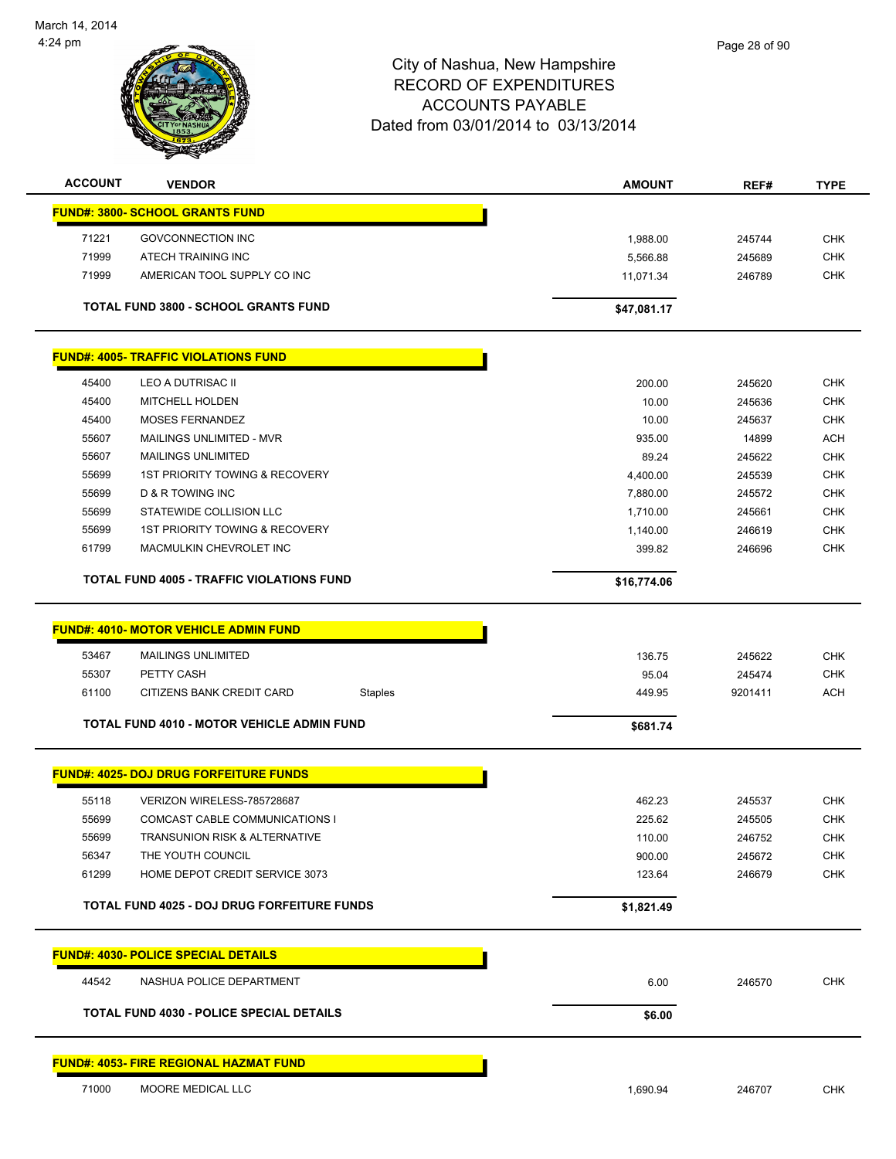

# City of Nashua, New Hampshire RECORD OF EXPENDITURES ACCOUNTS PAYABLE Dated from 03/01/2014 to 03/13/2014 **ACCOUNT VENDOR AMOUNT REF# TYPE**

| <b>AUUUUNI</b> | <b>VENDOR</b>                                      | <b>AMOUNI</b>     | REF#    | TYPE       |
|----------------|----------------------------------------------------|-------------------|---------|------------|
|                | <b>FUND#: 3800- SCHOOL GRANTS FUND</b>             |                   |         |            |
| 71221          | <b>GOVCONNECTION INC</b>                           | 1,988.00          | 245744  | <b>CHK</b> |
| 71999          | ATECH TRAINING INC                                 | 5,566.88          | 245689  | <b>CHK</b> |
| 71999          | AMERICAN TOOL SUPPLY CO INC                        | 11,071.34         | 246789  | <b>CHK</b> |
|                |                                                    |                   |         |            |
|                | TOTAL FUND 3800 - SCHOOL GRANTS FUND               | \$47,081.17       |         |            |
|                | <b>FUND#: 4005- TRAFFIC VIOLATIONS FUND</b>        |                   |         |            |
| 45400          | LEO A DUTRISAC II                                  | 200.00            | 245620  | <b>CHK</b> |
| 45400          | <b>MITCHELL HOLDEN</b>                             | 10.00             | 245636  | <b>CHK</b> |
| 45400          | <b>MOSES FERNANDEZ</b>                             | 10.00             | 245637  | <b>CHK</b> |
| 55607          | MAILINGS UNLIMITED - MVR                           | 935.00            | 14899   | <b>ACH</b> |
| 55607          | <b>MAILINGS UNLIMITED</b>                          | 89.24             | 245622  | <b>CHK</b> |
| 55699          | 1ST PRIORITY TOWING & RECOVERY                     | 4,400.00          | 245539  | <b>CHK</b> |
| 55699          | <b>D &amp; R TOWING INC</b>                        | 7,880.00          | 245572  | <b>CHK</b> |
| 55699          | STATEWIDE COLLISION LLC                            | 1,710.00          | 245661  | <b>CHK</b> |
| 55699          | <b>1ST PRIORITY TOWING &amp; RECOVERY</b>          | 1,140.00          | 246619  | <b>CHK</b> |
| 61799          | MACMULKIN CHEVROLET INC                            |                   | 246696  | <b>CHK</b> |
|                |                                                    |                   |         |            |
|                | <b>TOTAL FUND 4005 - TRAFFIC VIOLATIONS FUND</b>   | \$16,774.06       |         |            |
|                |                                                    |                   |         |            |
|                | <b>FUND#: 4010- MOTOR VEHICLE ADMIN FUND</b>       |                   |         |            |
| 53467          | <b>MAILINGS UNLIMITED</b>                          | 136.75            | 245622  | <b>CHK</b> |
| 55307          | PETTY CASH                                         | 95.04             | 245474  | <b>CHK</b> |
| 61100          | CITIZENS BANK CREDIT CARD                          | 449.95<br>Staples | 9201411 | <b>ACH</b> |
|                | <b>TOTAL FUND 4010 - MOTOR VEHICLE ADMIN FUND</b>  |                   |         |            |
|                |                                                    | \$681.74          |         |            |
|                |                                                    |                   |         |            |
|                | <b>FUND#: 4025- DOJ DRUG FORFEITURE FUNDS</b>      |                   |         |            |
| 55118          | VERIZON WIRELESS-785728687                         | 462.23            | 245537  | <b>CHK</b> |
| 55699          | COMCAST CABLE COMMUNICATIONS I                     | 225.62            | 245505  | <b>CHK</b> |
| 55699          | <b>TRANSUNION RISK &amp; ALTERNATIVE</b>           | 110.00            | 246752  | CHK        |
| 56347          | THE YOUTH COUNCIL                                  | 900.00            | 245672  | <b>CHK</b> |
| 61299          | HOME DEPOT CREDIT SERVICE 3073                     | 123.64            | 246679  | <b>CHK</b> |
|                |                                                    |                   |         |            |
|                | <b>TOTAL FUND 4025 - DOJ DRUG FORFEITURE FUNDS</b> | \$1,821.49        |         |            |
|                | <b>FUND#: 4030- POLICE SPECIAL DETAILS</b>         |                   |         |            |
| 44542          | NASHUA POLICE DEPARTMENT                           | 6.00              | 246570  | <b>CHK</b> |
|                | <b>TOTAL FUND 4030 - POLICE SPECIAL DETAILS</b>    | \$6.00            |         |            |

#### **FUND#: 4053- FIRE REGIONAL HAZMAT FUND**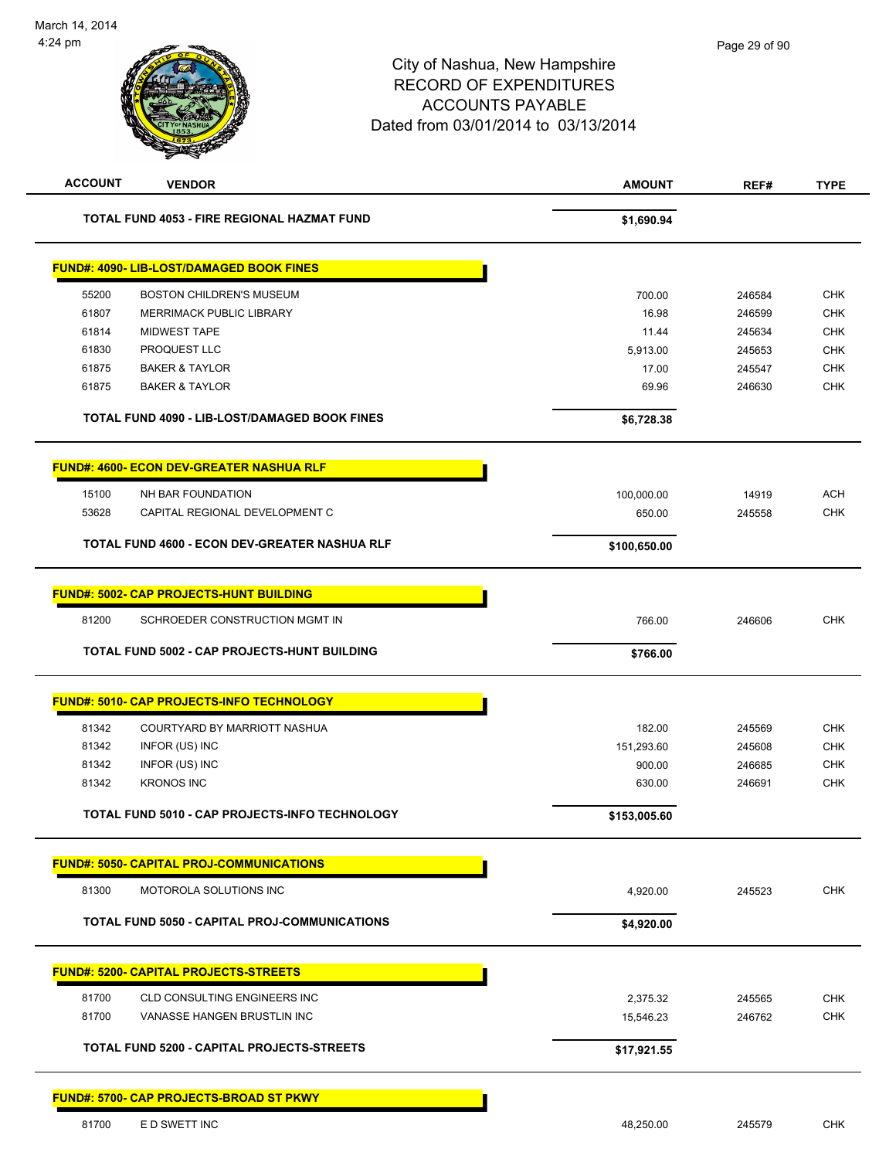# City of Nashua, New Hampshire RECORD OF EXPENDITURES ACCOUNTS PAYABLE Dated from 03/01/2014 to 03/13/2014 **ACCOUNT VENDOR AMOUNT REF# TYPE TOTAL FUND 4053 - FIRE REGIONAL HAZMAT FUND \$1,690.94 FUND#: 4090- LIB-LOST/DAMAGED BOOK FINES** 55200 BOSTON CHILDREN'S MUSEUM 700.00 246584 CHK er by the MERRIMACK PUBLIC LIBRARY CHANGE AND THE SERVICE STATES AND RESIDENCE ASSESSED A STATES OF CHK AND THE STATES AND RESIDENCE ASSESSED A STATES OF CHANGE AND RESIDENCE ASSESSED A STATES OF CHANGE AND RESIDENCE A STA 61814 MIDWEST TAPE 11.44 245634 CHK 61830 PROQUEST LLC 5,913.00 245653 CHK 61875 BAKER & TAYLOR 17.00 245547 CHK

| <b>TOTAL FUND 4090 - LIB-LOST/DAMAGED BOOK FINES</b> | \$6,728.38 |
|------------------------------------------------------|------------|
| <b>FUND#: 4600- ECON DEV-GREATER NASHUA RLF</b>      |            |

|       | TOTAL FUND 4600 - ECON DEV-GREATER NASHUA RLF | \$100,650.00 |        |     |
|-------|-----------------------------------------------|--------------|--------|-----|
| 53628 | CAPITAL REGIONAL DEVELOPMENT C                | 650.00       | 245558 | СНК |
| 15100 | NH BAR FOUNDATION                             | 100.000.00   | 14919  | ACH |
|       |                                               |              |        |     |

61875 BAKER & TAYLOR 69.96 246630 CHK

|       | <b>FUND#: 5002- CAP PROJECTS-HUNT BUILDING</b> |          |        |     |
|-------|------------------------------------------------|----------|--------|-----|
| 81200 | SCHROEDER CONSTRUCTION MGMT IN                 | 766.00   | 246606 | CHK |
|       | TOTAL FUND 5002 - CAP PROJECTS-HUNT BUILDING   | \$766.00 |        |     |

|       | <b>FUND#: 5010- CAP PROJECTS-INFO TECHNOLOGY</b> |            |        |     |
|-------|--------------------------------------------------|------------|--------|-----|
| 81342 | COURTYARD BY MARRIOTT NASHUA                     | 182.00     | 245569 | CHK |
| 81342 | INFOR (US) INC                                   | 151.293.60 | 245608 | CHK |
| 81342 | INFOR (US) INC                                   | 900.00     | 246685 | CHK |
| 81342 | <b>KRONOS INC</b>                                | 630.00     | 246691 | CHK |
|       |                                                  |            |        |     |

**TOTAL FUND 5010 - CAP PROJECTS-INFO TECHNOLOGY \$153,005.60** 

|       | <u> FUND#: 5050- CAPITAL PROJ-COMMUNICATIONS </u> |         |        |     |
|-------|---------------------------------------------------|---------|--------|-----|
| 81300 | MOTOROLA SOLUTIONS INC                            | .920.00 | 245523 | CHK |

# **TOTAL FUND 5050 - CAPITAL PROJ-COMMUNICATIONS \$4,920.00**

# **FUND#: 5200- CAPITAL PROJECTS-STREETS** 81700 CLD CONSULTING ENGINEERS INC 2.375.32 245565 CHK 81700 VANASSE HANGEN BRUSTLIN INC 15,546.23 246762 CHK **TOTAL FUND 5200 - CAPITAL PROJECTS-STREETS \$17,921.55**

#### **FUND#: 5700- CAP PROJECTS-BROAD ST PKWY**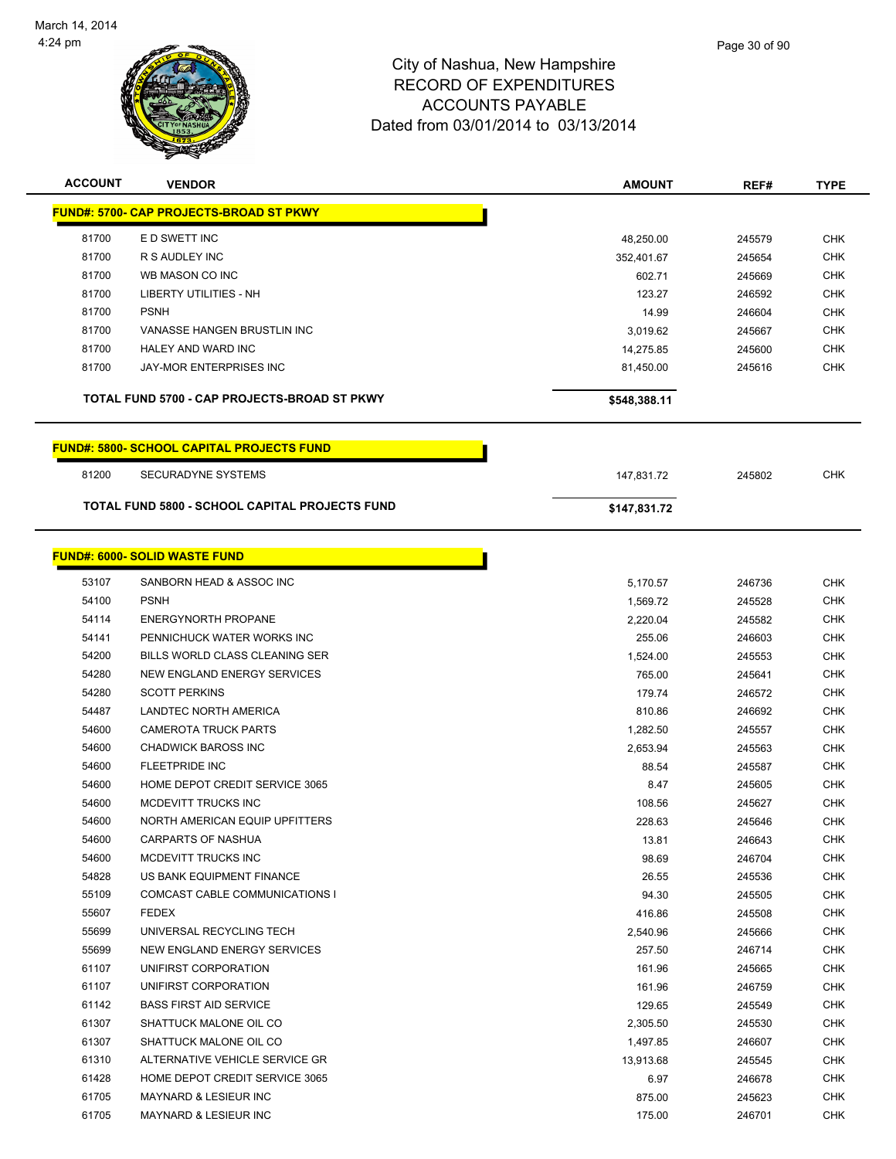

| <b>ACCOUNT</b> | <b>VENDOR</b>                                         | <b>AMOUNT</b> | REF#   | <b>TYPE</b> |
|----------------|-------------------------------------------------------|---------------|--------|-------------|
|                | <b>FUND#: 5700- CAP PROJECTS-BROAD ST PKWY</b>        |               |        |             |
| 81700          | E D SWETT INC                                         | 48,250.00     | 245579 | <b>CHK</b>  |
| 81700          | R S AUDLEY INC                                        | 352,401.67    | 245654 | CHK         |
| 81700          | WB MASON CO INC                                       | 602.71        | 245669 | <b>CHK</b>  |
| 81700          | <b>LIBERTY UTILITIES - NH</b>                         | 123.27        | 246592 | <b>CHK</b>  |
| 81700          | <b>PSNH</b>                                           | 14.99         | 246604 | <b>CHK</b>  |
| 81700          | VANASSE HANGEN BRUSTLIN INC                           | 3,019.62      | 245667 | <b>CHK</b>  |
| 81700          | <b>HALEY AND WARD INC</b>                             | 14,275.85     | 245600 | <b>CHK</b>  |
| 81700          | JAY-MOR ENTERPRISES INC                               | 81,450.00     | 245616 | <b>CHK</b>  |
|                | TOTAL FUND 5700 - CAP PROJECTS-BROAD ST PKWY          | \$548,388.11  |        |             |
|                | <b>FUND#: 5800- SCHOOL CAPITAL PROJECTS FUND</b>      |               |        |             |
| 81200          | <b>SECURADYNE SYSTEMS</b>                             | 147,831.72    | 245802 | <b>CHK</b>  |
|                | <b>TOTAL FUND 5800 - SCHOOL CAPITAL PROJECTS FUND</b> | \$147,831.72  |        |             |
|                |                                                       |               |        |             |
|                | <b>FUND#: 6000- SOLID WASTE FUND</b>                  |               |        |             |
| 53107          | SANBORN HEAD & ASSOC INC                              | 5,170.57      | 246736 | <b>CHK</b>  |
| 54100          | <b>PSNH</b>                                           | 1,569.72      | 245528 | <b>CHK</b>  |
| 54114          | <b>ENERGYNORTH PROPANE</b>                            | 2,220.04      | 245582 | <b>CHK</b>  |
| 54141          | PENNICHUCK WATER WORKS INC                            | 255.06        | 246603 | <b>CHK</b>  |
| 54200          | BILLS WORLD CLASS CLEANING SER                        | 1,524.00      | 245553 | <b>CHK</b>  |
| 54280          | NEW ENGLAND ENERGY SERVICES                           | 765.00        | 245641 | <b>CHK</b>  |
| 54280          | <b>SCOTT PERKINS</b>                                  | 179.74        | 246572 | <b>CHK</b>  |
| 54487          | LANDTEC NORTH AMERICA                                 | 810.86        | 246692 | <b>CHK</b>  |
| 54600          | <b>CAMEROTA TRUCK PARTS</b>                           | 1,282.50      | 245557 | <b>CHK</b>  |
| 54600          | <b>CHADWICK BAROSS INC</b>                            | 2,653.94      | 245563 | <b>CHK</b>  |
| 54600          | <b>FLEETPRIDE INC</b>                                 | 88.54         | 245587 | <b>CHK</b>  |
| 54600          | HOME DEPOT CREDIT SERVICE 3065                        | 8.47          | 245605 | <b>CHK</b>  |
| 54600          | MCDEVITT TRUCKS INC                                   | 108.56        | 245627 | <b>CHK</b>  |
| 54600          | NORTH AMERICAN EQUIP UPFITTERS                        | 228.63        | 245646 | <b>CHK</b>  |
| 54600          | CARPARTS OF NASHUA                                    | 13.81         | 246643 | <b>CHK</b>  |
| 54600          | MCDEVITT TRUCKS INC                                   | 98.69         | 246704 | <b>CHK</b>  |
| 54828          | US BANK EQUIPMENT FINANCE                             | 26.55         | 245536 | <b>CHK</b>  |
| 55109          | COMCAST CABLE COMMUNICATIONS I                        | 94.30         | 245505 | <b>CHK</b>  |
| 55607          | <b>FEDEX</b>                                          | 416.86        | 245508 | <b>CHK</b>  |
| 55699          | UNIVERSAL RECYCLING TECH                              | 2,540.96      | 245666 | CHK         |
| 55699          | NEW ENGLAND ENERGY SERVICES                           | 257.50        | 246714 | <b>CHK</b>  |
| 61107          | UNIFIRST CORPORATION                                  | 161.96        | 245665 | <b>CHK</b>  |
| 61107          | UNIFIRST CORPORATION                                  | 161.96        | 246759 | CHK         |
| 61142          | <b>BASS FIRST AID SERVICE</b>                         | 129.65        | 245549 | <b>CHK</b>  |
| 61307          | SHATTUCK MALONE OIL CO                                | 2,305.50      | 245530 | <b>CHK</b>  |
| 61307          | SHATTUCK MALONE OIL CO                                | 1,497.85      | 246607 | CHK         |
| 61310          | ALTERNATIVE VEHICLE SERVICE GR                        | 13,913.68     | 245545 | <b>CHK</b>  |
| 61428          | HOME DEPOT CREDIT SERVICE 3065                        | 6.97          | 246678 | CHK         |
| 61705          | <b>MAYNARD &amp; LESIEUR INC</b>                      | 875.00        | 245623 | <b>CHK</b>  |
| 61705          | MAYNARD & LESIEUR INC                                 | 175.00        | 246701 | <b>CHK</b>  |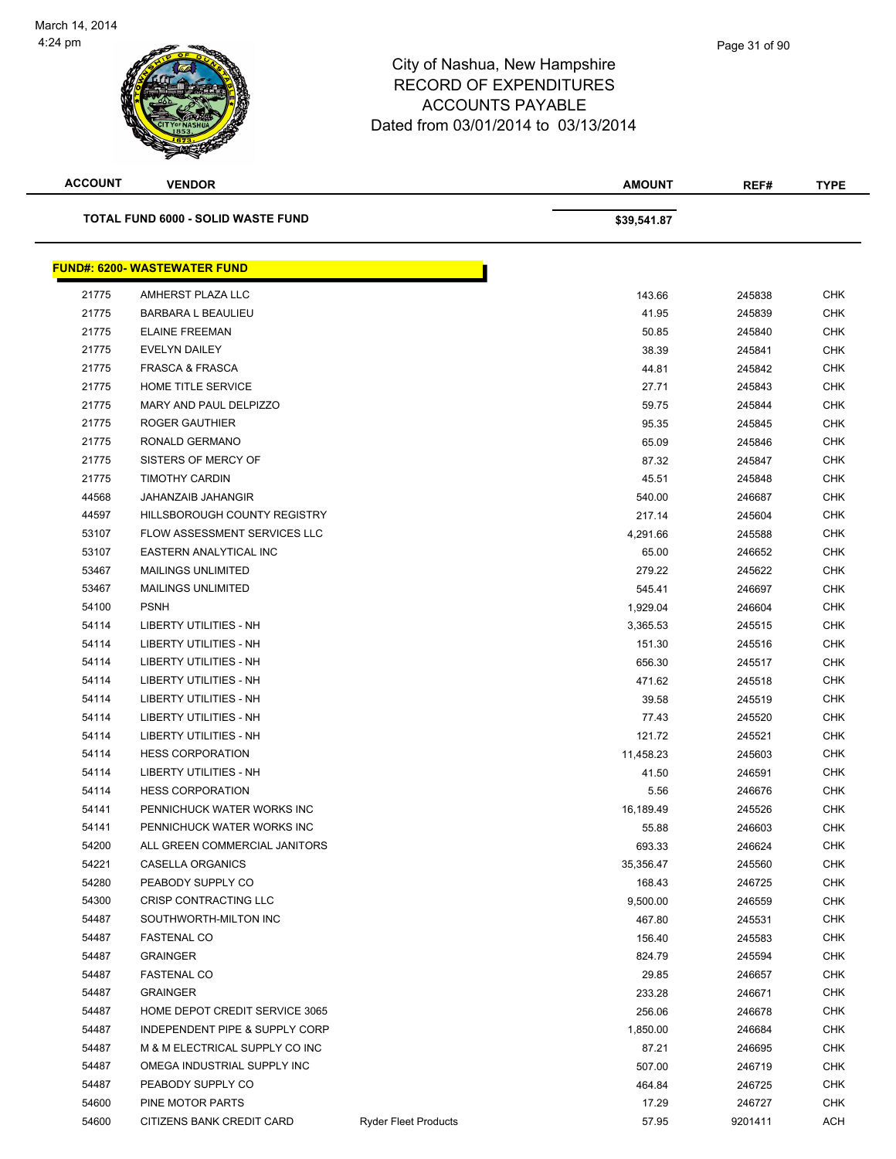

| <b>ACCOUNT</b> | <b>VENDOR</b>                             |                             | <b>AMOUNT</b> | REF#    | <b>TYPE</b> |
|----------------|-------------------------------------------|-----------------------------|---------------|---------|-------------|
|                | <b>TOTAL FUND 6000 - SOLID WASTE FUND</b> |                             | \$39,541.87   |         |             |
|                | <b>FUND#: 6200- WASTEWATER FUND</b>       |                             |               |         |             |
| 21775          | AMHERST PLAZA LLC                         |                             | 143.66        | 245838  | <b>CHK</b>  |
| 21775          | <b>BARBARA L BEAULIEU</b>                 |                             | 41.95         | 245839  | <b>CHK</b>  |
| 21775          | <b>ELAINE FREEMAN</b>                     |                             | 50.85         | 245840  | <b>CHK</b>  |
| 21775          | <b>EVELYN DAILEY</b>                      |                             | 38.39         | 245841  | CHK         |
| 21775          | <b>FRASCA &amp; FRASCA</b>                |                             | 44.81         | 245842  | CHK         |
| 21775          | HOME TITLE SERVICE                        |                             | 27.71         | 245843  | CHK         |
| 21775          | MARY AND PAUL DELPIZZO                    |                             | 59.75         | 245844  | CHK         |
| 21775          | ROGER GAUTHIER                            |                             | 95.35         | 245845  | <b>CHK</b>  |
| 21775          | RONALD GERMANO                            |                             | 65.09         | 245846  | <b>CHK</b>  |
| 21775          | SISTERS OF MERCY OF                       |                             | 87.32         | 245847  | CHK         |
| 21775          | <b>TIMOTHY CARDIN</b>                     |                             | 45.51         | 245848  | <b>CHK</b>  |
| 44568          | <b>JAHANZAIB JAHANGIR</b>                 |                             | 540.00        | 246687  | <b>CHK</b>  |
| 44597          | <b>HILLSBOROUGH COUNTY REGISTRY</b>       |                             | 217.14        | 245604  | <b>CHK</b>  |
| 53107          | FLOW ASSESSMENT SERVICES LLC              |                             | 4,291.66      | 245588  | CHK         |
| 53107          | EASTERN ANALYTICAL INC                    |                             | 65.00         | 246652  | <b>CHK</b>  |
| 53467          | <b>MAILINGS UNLIMITED</b>                 |                             | 279.22        | 245622  | CHK         |
| 53467          | <b>MAILINGS UNLIMITED</b>                 |                             | 545.41        | 246697  | CHK         |
| 54100          | <b>PSNH</b>                               |                             | 1,929.04      | 246604  | <b>CHK</b>  |
| 54114          | LIBERTY UTILITIES - NH                    |                             | 3,365.53      | 245515  | CHK         |
| 54114          | LIBERTY UTILITIES - NH                    |                             | 151.30        | 245516  | CHK         |
| 54114          | <b>LIBERTY UTILITIES - NH</b>             |                             | 656.30        | 245517  | <b>CHK</b>  |
| 54114          | <b>LIBERTY UTILITIES - NH</b>             |                             | 471.62        | 245518  | <b>CHK</b>  |
| 54114          | LIBERTY UTILITIES - NH                    |                             | 39.58         | 245519  | <b>CHK</b>  |
| 54114          | LIBERTY UTILITIES - NH                    |                             | 77.43         | 245520  | <b>CHK</b>  |
| 54114          | LIBERTY UTILITIES - NH                    |                             | 121.72        | 245521  | CHK         |
| 54114          | <b>HESS CORPORATION</b>                   |                             | 11,458.23     | 245603  | CHK         |
| 54114          | LIBERTY UTILITIES - NH                    |                             | 41.50         | 246591  | CHK         |
| 54114          | <b>HESS CORPORATION</b>                   |                             | 5.56          | 246676  | CHK         |
| 54141          | PENNICHUCK WATER WORKS INC                |                             | 16,189.49     | 245526  | <b>CHK</b>  |
| 54141          | PENNICHUCK WATER WORKS INC                |                             | 55.88         | 246603  | <b>CHK</b>  |
| 54200          | ALL GREEN COMMERCIAL JANITORS             |                             | 693.33        | 246624  | <b>CHK</b>  |
| 54221          | CASELLA ORGANICS                          |                             | 35,356.47     | 245560  | <b>CHK</b>  |
| 54280          | PEABODY SUPPLY CO                         |                             | 168.43        | 246725  | CHK         |
| 54300          | CRISP CONTRACTING LLC                     |                             | 9,500.00      | 246559  | <b>CHK</b>  |
| 54487          | SOUTHWORTH-MILTON INC                     |                             | 467.80        | 245531  | <b>CHK</b>  |
| 54487          | <b>FASTENAL CO</b>                        |                             | 156.40        | 245583  | <b>CHK</b>  |
| 54487          | <b>GRAINGER</b>                           |                             | 824.79        | 245594  | <b>CHK</b>  |
| 54487          | <b>FASTENAL CO</b>                        |                             | 29.85         | 246657  | CHK         |
| 54487          | <b>GRAINGER</b>                           |                             | 233.28        | 246671  | <b>CHK</b>  |
| 54487          | HOME DEPOT CREDIT SERVICE 3065            |                             | 256.06        | 246678  | <b>CHK</b>  |
| 54487          | INDEPENDENT PIPE & SUPPLY CORP            |                             | 1,850.00      | 246684  | CHK         |
| 54487          | M & M ELECTRICAL SUPPLY CO INC            |                             | 87.21         | 246695  | <b>CHK</b>  |
| 54487          | OMEGA INDUSTRIAL SUPPLY INC               |                             | 507.00        | 246719  | CHK         |
| 54487          | PEABODY SUPPLY CO                         |                             | 464.84        | 246725  | CHK         |
| 54600          | PINE MOTOR PARTS                          |                             | 17.29         | 246727  | <b>CHK</b>  |
| 54600          | CITIZENS BANK CREDIT CARD                 | <b>Ryder Fleet Products</b> | 57.95         | 9201411 | ACH         |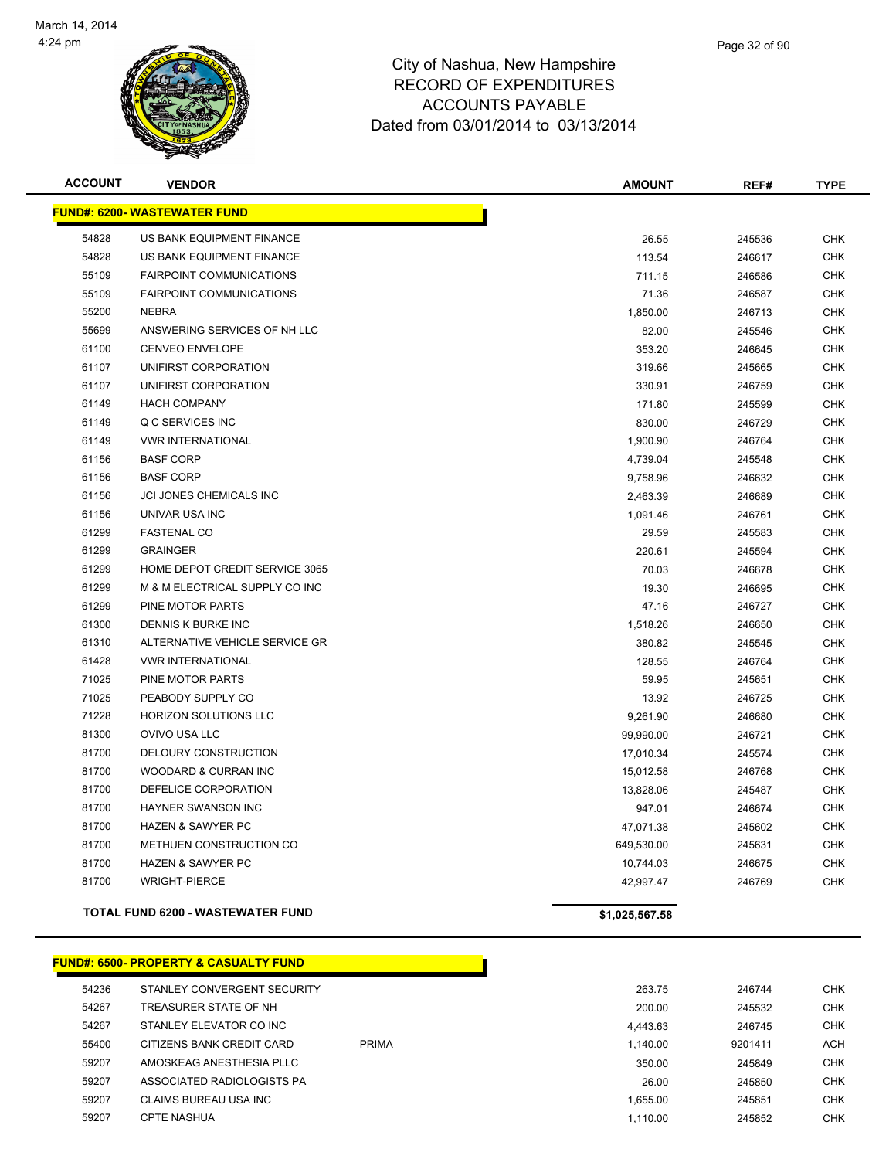

|    | Page 32 of 90 |
|----|---------------|
| re |               |

| <b>ACCOUNT</b> | <b>VENDOR</b>                            | <b>AMOUNT</b>  | REF#   | <b>TYPE</b> |
|----------------|------------------------------------------|----------------|--------|-------------|
|                | <b>FUND#: 6200- WASTEWATER FUND</b>      |                |        |             |
| 54828          | US BANK EQUIPMENT FINANCE                | 26.55          | 245536 | <b>CHK</b>  |
| 54828          | US BANK EQUIPMENT FINANCE                | 113.54         | 246617 | <b>CHK</b>  |
| 55109          | <b>FAIRPOINT COMMUNICATIONS</b>          | 711.15         | 246586 | <b>CHK</b>  |
| 55109          | <b>FAIRPOINT COMMUNICATIONS</b>          | 71.36          | 246587 | <b>CHK</b>  |
| 55200          | <b>NEBRA</b>                             | 1,850.00       | 246713 | <b>CHK</b>  |
| 55699          | ANSWERING SERVICES OF NH LLC             | 82.00          | 245546 | <b>CHK</b>  |
| 61100          | <b>CENVEO ENVELOPE</b>                   | 353.20         | 246645 | <b>CHK</b>  |
| 61107          | UNIFIRST CORPORATION                     | 319.66         | 245665 | <b>CHK</b>  |
| 61107          | UNIFIRST CORPORATION                     | 330.91         | 246759 | <b>CHK</b>  |
| 61149          | <b>HACH COMPANY</b>                      | 171.80         | 245599 | <b>CHK</b>  |
| 61149          | Q C SERVICES INC                         | 830.00         | 246729 | <b>CHK</b>  |
| 61149          | <b>VWR INTERNATIONAL</b>                 | 1,900.90       | 246764 | <b>CHK</b>  |
| 61156          | <b>BASF CORP</b>                         | 4,739.04       | 245548 | <b>CHK</b>  |
| 61156          | <b>BASF CORP</b>                         | 9,758.96       | 246632 | <b>CHK</b>  |
| 61156          | JCI JONES CHEMICALS INC                  | 2,463.39       | 246689 | <b>CHK</b>  |
| 61156          | UNIVAR USA INC                           | 1,091.46       | 246761 | <b>CHK</b>  |
| 61299          | <b>FASTENAL CO</b>                       | 29.59          | 245583 | <b>CHK</b>  |
| 61299          | <b>GRAINGER</b>                          | 220.61         | 245594 | <b>CHK</b>  |
| 61299          | HOME DEPOT CREDIT SERVICE 3065           | 70.03          | 246678 | <b>CHK</b>  |
| 61299          | M & M ELECTRICAL SUPPLY CO INC           | 19.30          | 246695 | <b>CHK</b>  |
| 61299          | PINE MOTOR PARTS                         | 47.16          | 246727 | <b>CHK</b>  |
| 61300          | DENNIS K BURKE INC                       | 1,518.26       | 246650 | <b>CHK</b>  |
| 61310          | ALTERNATIVE VEHICLE SERVICE GR           | 380.82         | 245545 | <b>CHK</b>  |
| 61428          | <b>VWR INTERNATIONAL</b>                 | 128.55         | 246764 | <b>CHK</b>  |
| 71025          | PINE MOTOR PARTS                         | 59.95          | 245651 | <b>CHK</b>  |
| 71025          | PEABODY SUPPLY CO                        | 13.92          | 246725 | <b>CHK</b>  |
| 71228          | <b>HORIZON SOLUTIONS LLC</b>             | 9,261.90       | 246680 | <b>CHK</b>  |
| 81300          | OVIVO USA LLC                            | 99,990.00      | 246721 | <b>CHK</b>  |
| 81700          | DELOURY CONSTRUCTION                     | 17,010.34      | 245574 | <b>CHK</b>  |
| 81700          | WOODARD & CURRAN INC                     | 15,012.58      | 246768 | <b>CHK</b>  |
| 81700          | DEFELICE CORPORATION                     | 13,828.06      | 245487 | <b>CHK</b>  |
| 81700          | <b>HAYNER SWANSON INC</b>                | 947.01         | 246674 | <b>CHK</b>  |
| 81700          | HAZEN & SAWYER PC                        | 47,071.38      | 245602 | <b>CHK</b>  |
| 81700          | METHUEN CONSTRUCTION CO                  | 649,530.00     | 245631 | <b>CHK</b>  |
| 81700          | <b>HAZEN &amp; SAWYER PC</b>             | 10,744.03      | 246675 | <b>CHK</b>  |
| 81700          | <b>WRIGHT-PIERCE</b>                     | 42,997.47      | 246769 | <b>CHK</b>  |
|                | <b>TOTAL FUND 6200 - WASTEWATER FUND</b> | \$1,025,567.58 |        |             |

| <u> FUND#: 6500- PROPERTY &amp; CASUALTY FUND</u> |
|---------------------------------------------------|
|---------------------------------------------------|

| 54236 | STANLEY CONVERGENT SECURITY |              | 263.75   | 246744  | <b>CHK</b> |
|-------|-----------------------------|--------------|----------|---------|------------|
| 54267 | TREASURER STATE OF NH       |              | 200.00   | 245532  | <b>CHK</b> |
| 54267 | STANLEY ELEVATOR CO INC     |              | 4,443.63 | 246745  | <b>CHK</b> |
| 55400 | CITIZENS BANK CREDIT CARD   | <b>PRIMA</b> | 1.140.00 | 9201411 | <b>ACH</b> |
| 59207 | AMOSKEAG ANESTHESIA PLLC    |              | 350.00   | 245849  | <b>CHK</b> |
| 59207 | ASSOCIATED RADIOLOGISTS PA  |              | 26.00    | 245850  | CHK.       |
| 59207 | CLAIMS BUREAU USA INC       |              | 1.655.00 | 245851  | <b>CHK</b> |
| 59207 | <b>CPTE NASHUA</b>          |              | 1.110.00 | 245852  | <b>CHK</b> |
|       |                             |              |          |         |            |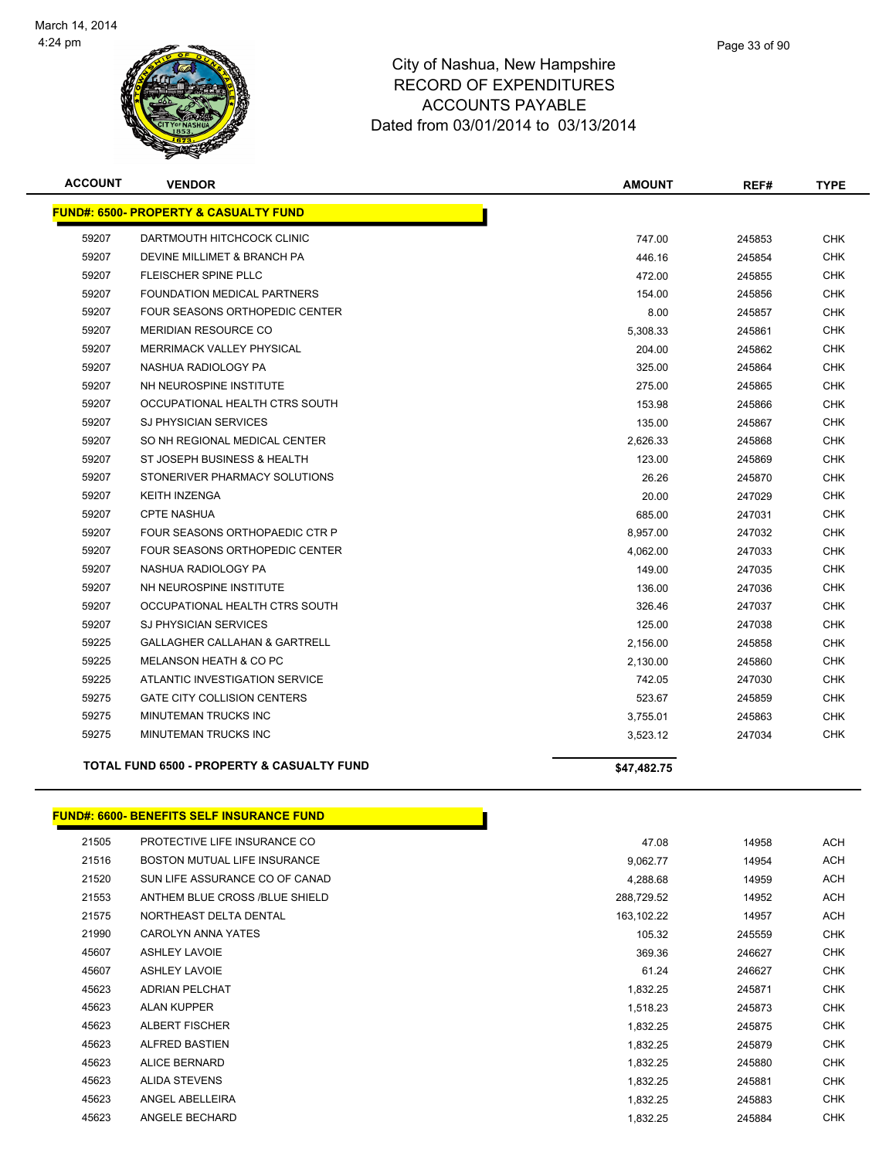

|        | Page 33 of 90 |
|--------|---------------|
| ∍<br>u |               |

| <b>ACCOUNT</b> | <b>VENDOR</b>                                         | <b>AMOUNT</b> | REF#   | <b>TYPE</b> |
|----------------|-------------------------------------------------------|---------------|--------|-------------|
|                | <b>FUND#: 6500- PROPERTY &amp; CASUALTY FUND</b>      |               |        |             |
| 59207          | DARTMOUTH HITCHCOCK CLINIC                            | 747.00        | 245853 | <b>CHK</b>  |
| 59207          | DEVINE MILLIMET & BRANCH PA                           | 446.16        | 245854 | <b>CHK</b>  |
| 59207          | <b>FLEISCHER SPINE PLLC</b>                           | 472.00        | 245855 | CHK         |
| 59207          | <b>FOUNDATION MEDICAL PARTNERS</b>                    | 154.00        | 245856 | <b>CHK</b>  |
| 59207          | FOUR SEASONS ORTHOPEDIC CENTER                        | 8.00          | 245857 | <b>CHK</b>  |
| 59207          | <b>MERIDIAN RESOURCE CO</b>                           | 5,308.33      | 245861 | <b>CHK</b>  |
| 59207          | MERRIMACK VALLEY PHYSICAL                             | 204.00        | 245862 | <b>CHK</b>  |
| 59207          | NASHUA RADIOLOGY PA                                   | 325.00        | 245864 | <b>CHK</b>  |
| 59207          | NH NEUROSPINE INSTITUTE                               | 275.00        | 245865 | <b>CHK</b>  |
| 59207          | OCCUPATIONAL HEALTH CTRS SOUTH                        | 153.98        | 245866 | <b>CHK</b>  |
| 59207          | <b>SJ PHYSICIAN SERVICES</b>                          | 135.00        | 245867 | <b>CHK</b>  |
| 59207          | SO NH REGIONAL MEDICAL CENTER                         | 2,626.33      | 245868 | <b>CHK</b>  |
| 59207          | ST JOSEPH BUSINESS & HEALTH                           | 123.00        | 245869 | <b>CHK</b>  |
| 59207          | STONERIVER PHARMACY SOLUTIONS                         | 26.26         | 245870 | <b>CHK</b>  |
| 59207          | <b>KEITH INZENGA</b>                                  | 20.00         | 247029 | <b>CHK</b>  |
| 59207          | <b>CPTE NASHUA</b>                                    | 685.00        | 247031 | CHK         |
| 59207          | FOUR SEASONS ORTHOPAEDIC CTR P                        | 8,957.00      | 247032 | <b>CHK</b>  |
| 59207          | FOUR SEASONS ORTHOPEDIC CENTER                        | 4,062.00      | 247033 | CHK         |
| 59207          | NASHUA RADIOLOGY PA                                   | 149.00        | 247035 | <b>CHK</b>  |
| 59207          | NH NEUROSPINE INSTITUTE                               | 136.00        | 247036 | CHK         |
| 59207          | OCCUPATIONAL HEALTH CTRS SOUTH                        | 326.46        | 247037 | <b>CHK</b>  |
| 59207          | <b>SJ PHYSICIAN SERVICES</b>                          | 125.00        | 247038 | CHK         |
| 59225          | GALLAGHER CALLAHAN & GARTRELL                         | 2,156.00      | 245858 | <b>CHK</b>  |
| 59225          | MELANSON HEATH & CO PC                                | 2,130.00      | 245860 | CHK         |
| 59225          | ATLANTIC INVESTIGATION SERVICE                        | 742.05        | 247030 | <b>CHK</b>  |
| 59275          | <b>GATE CITY COLLISION CENTERS</b>                    | 523.67        | 245859 | <b>CHK</b>  |
| 59275          | <b>MINUTEMAN TRUCKS INC</b>                           | 3,755.01      | 245863 | <b>CHK</b>  |
| 59275          | MINUTEMAN TRUCKS INC                                  | 3,523.12      | 247034 | CHK         |
|                | <b>TOTAL FUND 6500 - PROPERTY &amp; CASUALTY FUND</b> | \$47.482.75   |        |             |

#### **FUND#: 6600- BENEFITS SELF INSURANCE FUND**

| 21505 | PROTECTIVE LIFE INSURANCE CO        | 47.08      | 14958  | <b>ACH</b> |
|-------|-------------------------------------|------------|--------|------------|
| 21516 | <b>BOSTON MUTUAL LIFE INSURANCE</b> | 9,062.77   | 14954  | ACH        |
| 21520 | SUN LIFE ASSURANCE CO OF CANAD      | 4,288.68   | 14959  | ACH        |
| 21553 | ANTHEM BLUE CROSS /BLUE SHIELD      | 288,729.52 | 14952  | ACH        |
| 21575 | NORTHEAST DELTA DENTAL              | 163,102.22 | 14957  | ACH        |
| 21990 | <b>CAROLYN ANNA YATES</b>           | 105.32     | 245559 | <b>CHK</b> |
| 45607 | <b>ASHLEY LAVOIE</b>                | 369.36     | 246627 | <b>CHK</b> |
| 45607 | <b>ASHLEY LAVOIE</b>                | 61.24      | 246627 | <b>CHK</b> |
| 45623 | <b>ADRIAN PELCHAT</b>               | 1,832.25   | 245871 | <b>CHK</b> |
| 45623 | <b>ALAN KUPPER</b>                  | 1,518.23   | 245873 | <b>CHK</b> |
| 45623 | <b>ALBERT FISCHER</b>               | 1,832.25   | 245875 | <b>CHK</b> |
| 45623 | ALFRED BASTIEN                      | 1,832.25   | 245879 | <b>CHK</b> |
| 45623 | <b>ALICE BERNARD</b>                | 1,832.25   | 245880 | <b>CHK</b> |
| 45623 | ALIDA STEVENS                       | 1,832.25   | 245881 | <b>CHK</b> |
| 45623 | ANGEL ABELLEIRA                     | 1,832.25   | 245883 | <b>CHK</b> |
| 45623 | ANGELE BECHARD                      | 1,832.25   | 245884 | <b>CHK</b> |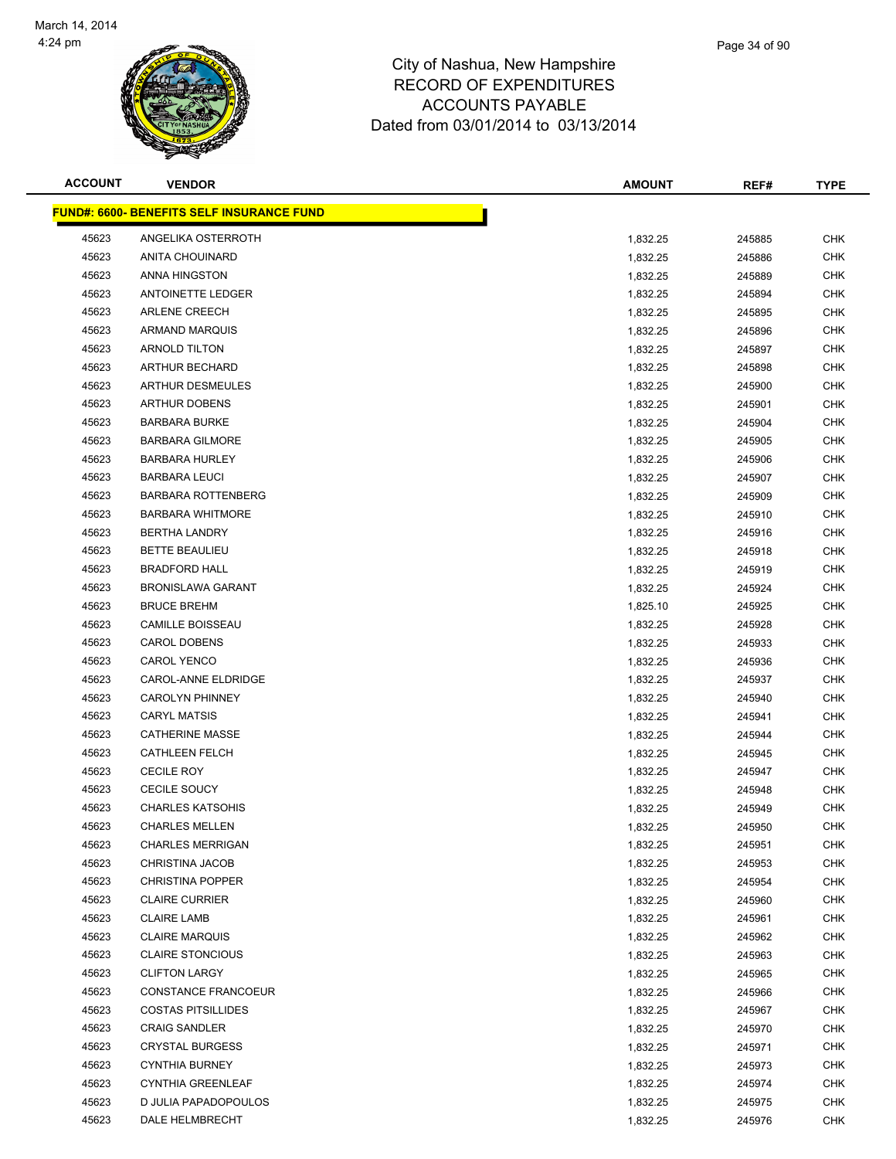

| <b>ACCOUNT</b> | <b>VENDOR</b>                                     | <b>AMOUNT</b> | REF#   | <b>TYPE</b> |
|----------------|---------------------------------------------------|---------------|--------|-------------|
|                | <u> FUND#: 6600- BENEFITS SELF INSURANCE FUND</u> |               |        |             |
| 45623          | ANGELIKA OSTERROTH                                | 1,832.25      | 245885 | <b>CHK</b>  |
| 45623          | ANITA CHOUINARD                                   | 1,832.25      | 245886 | <b>CHK</b>  |
| 45623          | ANNA HINGSTON                                     | 1,832.25      | 245889 | <b>CHK</b>  |
| 45623          | <b>ANTOINETTE LEDGER</b>                          | 1,832.25      | 245894 | <b>CHK</b>  |
| 45623          | <b>ARLENE CREECH</b>                              | 1,832.25      | 245895 | <b>CHK</b>  |
| 45623          | ARMAND MARQUIS                                    | 1,832.25      | 245896 | <b>CHK</b>  |
| 45623          | <b>ARNOLD TILTON</b>                              | 1,832.25      | 245897 | <b>CHK</b>  |
| 45623          | ARTHUR BECHARD                                    | 1,832.25      | 245898 | <b>CHK</b>  |
| 45623          | <b>ARTHUR DESMEULES</b>                           | 1,832.25      | 245900 | <b>CHK</b>  |
| 45623          | <b>ARTHUR DOBENS</b>                              | 1,832.25      | 245901 | CHK         |
| 45623          | <b>BARBARA BURKE</b>                              | 1,832.25      | 245904 | <b>CHK</b>  |
| 45623          | <b>BARBARA GILMORE</b>                            | 1,832.25      | 245905 | CHK         |
| 45623          | <b>BARBARA HURLEY</b>                             | 1,832.25      | 245906 | <b>CHK</b>  |
| 45623          | <b>BARBARA LEUCI</b>                              | 1,832.25      | 245907 | <b>CHK</b>  |
| 45623          | <b>BARBARA ROTTENBERG</b>                         | 1,832.25      | 245909 | <b>CHK</b>  |
| 45623          | <b>BARBARA WHITMORE</b>                           | 1,832.25      | 245910 | <b>CHK</b>  |
| 45623          | <b>BERTHA LANDRY</b>                              | 1,832.25      | 245916 | <b>CHK</b>  |
| 45623          | <b>BETTE BEAULIEU</b>                             | 1,832.25      | 245918 | <b>CHK</b>  |
| 45623          | <b>BRADFORD HALL</b>                              | 1,832.25      | 245919 | <b>CHK</b>  |
| 45623          | <b>BRONISLAWA GARANT</b>                          | 1,832.25      | 245924 | <b>CHK</b>  |
| 45623          | <b>BRUCE BREHM</b>                                | 1,825.10      | 245925 | <b>CHK</b>  |
| 45623          | <b>CAMILLE BOISSEAU</b>                           | 1,832.25      | 245928 | <b>CHK</b>  |
| 45623          | <b>CAROL DOBENS</b>                               | 1,832.25      | 245933 | <b>CHK</b>  |
| 45623          | <b>CAROL YENCO</b>                                | 1,832.25      | 245936 | <b>CHK</b>  |
| 45623          | CAROL-ANNE ELDRIDGE                               | 1,832.25      | 245937 | <b>CHK</b>  |
| 45623          | <b>CAROLYN PHINNEY</b>                            | 1,832.25      | 245940 | <b>CHK</b>  |
| 45623          | <b>CARYL MATSIS</b>                               | 1,832.25      | 245941 | <b>CHK</b>  |
| 45623          | <b>CATHERINE MASSE</b>                            | 1,832.25      | 245944 | <b>CHK</b>  |
| 45623          | <b>CATHLEEN FELCH</b>                             | 1,832.25      | 245945 | <b>CHK</b>  |
| 45623          | <b>CECILE ROY</b>                                 | 1,832.25      | 245947 | <b>CHK</b>  |
| 45623          | <b>CECILE SOUCY</b>                               | 1,832.25      | 245948 | CHK         |
| 45623          | <b>CHARLES KATSOHIS</b>                           | 1,832.25      | 245949 | CHK         |
| 45623          | <b>CHARLES MELLEN</b>                             | 1,832.25      | 245950 | <b>CHK</b>  |
| 45623          | <b>CHARLES MERRIGAN</b>                           | 1,832.25      | 245951 | <b>CHK</b>  |
| 45623          | CHRISTINA JACOB                                   | 1,832.25      | 245953 | <b>CHK</b>  |
| 45623          | <b>CHRISTINA POPPER</b>                           | 1,832.25      | 245954 | <b>CHK</b>  |
| 45623          | <b>CLAIRE CURRIER</b>                             | 1,832.25      | 245960 | <b>CHK</b>  |
| 45623          | <b>CLAIRE LAMB</b>                                | 1,832.25      | 245961 | <b>CHK</b>  |
| 45623          | <b>CLAIRE MARQUIS</b>                             | 1,832.25      | 245962 | <b>CHK</b>  |
| 45623          | <b>CLAIRE STONCIOUS</b>                           | 1,832.25      | 245963 | <b>CHK</b>  |
| 45623          | <b>CLIFTON LARGY</b>                              | 1,832.25      | 245965 | <b>CHK</b>  |
| 45623          | CONSTANCE FRANCOEUR                               | 1,832.25      | 245966 | <b>CHK</b>  |
| 45623          | <b>COSTAS PITSILLIDES</b>                         | 1,832.25      | 245967 | CHK         |
| 45623          | <b>CRAIG SANDLER</b>                              | 1,832.25      | 245970 | CHK         |
| 45623          | <b>CRYSTAL BURGESS</b>                            | 1,832.25      | 245971 | CHK         |
| 45623          | <b>CYNTHIA BURNEY</b>                             | 1,832.25      | 245973 | CHK         |
| 45623          | <b>CYNTHIA GREENLEAF</b>                          | 1,832.25      | 245974 | <b>CHK</b>  |
| 45623          | D JULIA PAPADOPOULOS                              | 1,832.25      | 245975 | <b>CHK</b>  |
| 45623          | DALE HELMBRECHT                                   | 1,832.25      | 245976 | <b>CHK</b>  |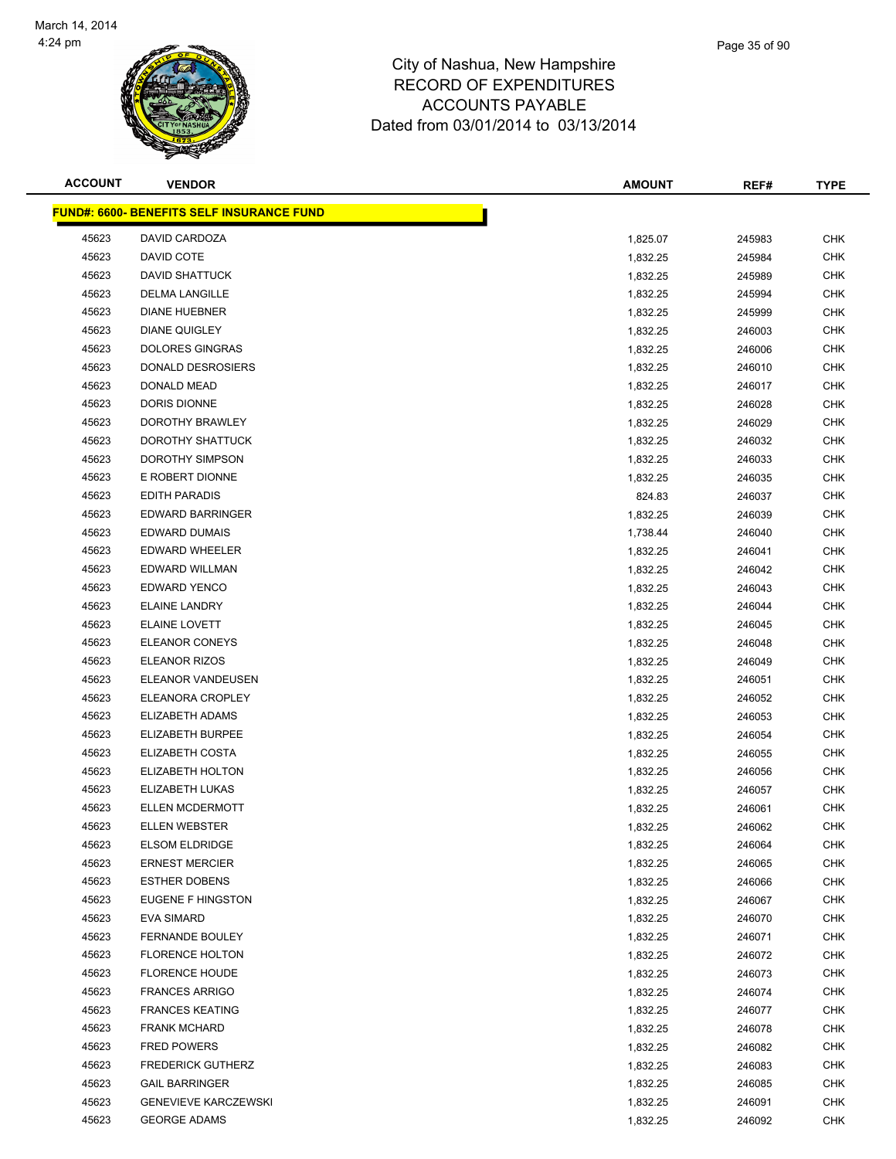

| <b>ACCOUNT</b> | <b>VENDOR</b>                                    | <b>AMOUNT</b> | REF#   | <b>TYPE</b> |
|----------------|--------------------------------------------------|---------------|--------|-------------|
|                | <b>FUND#: 6600- BENEFITS SELF INSURANCE FUND</b> |               |        |             |
| 45623          | DAVID CARDOZA                                    | 1,825.07      | 245983 | <b>CHK</b>  |
| 45623          | DAVID COTE                                       | 1,832.25      | 245984 | <b>CHK</b>  |
| 45623          | DAVID SHATTUCK                                   | 1,832.25      | 245989 | <b>CHK</b>  |
| 45623          | <b>DELMA LANGILLE</b>                            | 1,832.25      | 245994 | <b>CHK</b>  |
| 45623          | <b>DIANE HUEBNER</b>                             | 1,832.25      | 245999 | <b>CHK</b>  |
| 45623          | <b>DIANE QUIGLEY</b>                             | 1,832.25      | 246003 | <b>CHK</b>  |
| 45623          | <b>DOLORES GINGRAS</b>                           | 1,832.25      | 246006 | <b>CHK</b>  |
| 45623          | DONALD DESROSIERS                                | 1,832.25      | 246010 | <b>CHK</b>  |
| 45623          | DONALD MEAD                                      | 1,832.25      | 246017 | <b>CHK</b>  |
| 45623          | DORIS DIONNE                                     | 1,832.25      | 246028 | <b>CHK</b>  |
| 45623          | DOROTHY BRAWLEY                                  | 1,832.25      | 246029 | <b>CHK</b>  |
| 45623          | DOROTHY SHATTUCK                                 | 1,832.25      | 246032 | <b>CHK</b>  |
| 45623          | DOROTHY SIMPSON                                  | 1,832.25      | 246033 | <b>CHK</b>  |
| 45623          | E ROBERT DIONNE                                  | 1,832.25      | 246035 | <b>CHK</b>  |
| 45623          | <b>EDITH PARADIS</b>                             | 824.83        | 246037 | <b>CHK</b>  |
| 45623          | <b>EDWARD BARRINGER</b>                          | 1,832.25      | 246039 | <b>CHK</b>  |
| 45623          | <b>EDWARD DUMAIS</b>                             | 1,738.44      | 246040 | <b>CHK</b>  |
| 45623          | EDWARD WHEELER                                   | 1,832.25      | 246041 | <b>CHK</b>  |
| 45623          | <b>EDWARD WILLMAN</b>                            | 1,832.25      | 246042 | <b>CHK</b>  |
| 45623          | <b>EDWARD YENCO</b>                              | 1,832.25      | 246043 | <b>CHK</b>  |
| 45623          | <b>ELAINE LANDRY</b>                             | 1,832.25      | 246044 | <b>CHK</b>  |
| 45623          | <b>ELAINE LOVETT</b>                             | 1,832.25      | 246045 | <b>CHK</b>  |
| 45623          | <b>ELEANOR CONEYS</b>                            | 1,832.25      | 246048 | <b>CHK</b>  |
| 45623          | <b>ELEANOR RIZOS</b>                             | 1,832.25      | 246049 | <b>CHK</b>  |
| 45623          | ELEANOR VANDEUSEN                                | 1,832.25      | 246051 | <b>CHK</b>  |
| 45623          | ELEANORA CROPLEY                                 | 1,832.25      | 246052 | <b>CHK</b>  |
| 45623          | ELIZABETH ADAMS                                  | 1,832.25      | 246053 | <b>CHK</b>  |
| 45623          | ELIZABETH BURPEE                                 | 1,832.25      | 246054 | <b>CHK</b>  |
| 45623          | ELIZABETH COSTA                                  | 1,832.25      | 246055 | <b>CHK</b>  |
| 45623          | ELIZABETH HOLTON                                 | 1,832.25      | 246056 | <b>CHK</b>  |
| 45623          | ELIZABETH LUKAS                                  | 1,832.25      | 246057 | <b>CHK</b>  |
| 45623          | <b>ELLEN MCDERMOTT</b>                           | 1,832.25      | 246061 | <b>CHK</b>  |
| 45623          | <b>ELLEN WEBSTER</b>                             | 1,832.25      | 246062 | <b>CHK</b>  |
| 45623          | <b>ELSOM ELDRIDGE</b>                            | 1,832.25      | 246064 | <b>CHK</b>  |
| 45623          | <b>ERNEST MERCIER</b>                            | 1,832.25      | 246065 | <b>CHK</b>  |
| 45623          | <b>ESTHER DOBENS</b>                             | 1,832.25      | 246066 | <b>CHK</b>  |
| 45623          | EUGENE F HINGSTON                                | 1,832.25      | 246067 | <b>CHK</b>  |
| 45623          | <b>EVA SIMARD</b>                                | 1,832.25      | 246070 | <b>CHK</b>  |
| 45623          | <b>FERNANDE BOULEY</b>                           | 1,832.25      | 246071 | <b>CHK</b>  |
| 45623          | <b>FLORENCE HOLTON</b>                           | 1,832.25      | 246072 | <b>CHK</b>  |
| 45623          | <b>FLORENCE HOUDE</b>                            | 1,832.25      | 246073 | <b>CHK</b>  |
| 45623          | <b>FRANCES ARRIGO</b>                            | 1,832.25      | 246074 | <b>CHK</b>  |
| 45623          | <b>FRANCES KEATING</b>                           | 1,832.25      | 246077 | <b>CHK</b>  |
| 45623          | <b>FRANK MCHARD</b>                              | 1,832.25      | 246078 | <b>CHK</b>  |
| 45623          | <b>FRED POWERS</b>                               | 1,832.25      | 246082 | CHK         |
| 45623          | <b>FREDERICK GUTHERZ</b>                         | 1,832.25      | 246083 | CHK         |
| 45623          | <b>GAIL BARRINGER</b>                            | 1,832.25      | 246085 | <b>CHK</b>  |
| 45623          | <b>GENEVIEVE KARCZEWSKI</b>                      | 1,832.25      | 246091 | <b>CHK</b>  |
| 45623          | <b>GEORGE ADAMS</b>                              | 1,832.25      | 246092 | <b>CHK</b>  |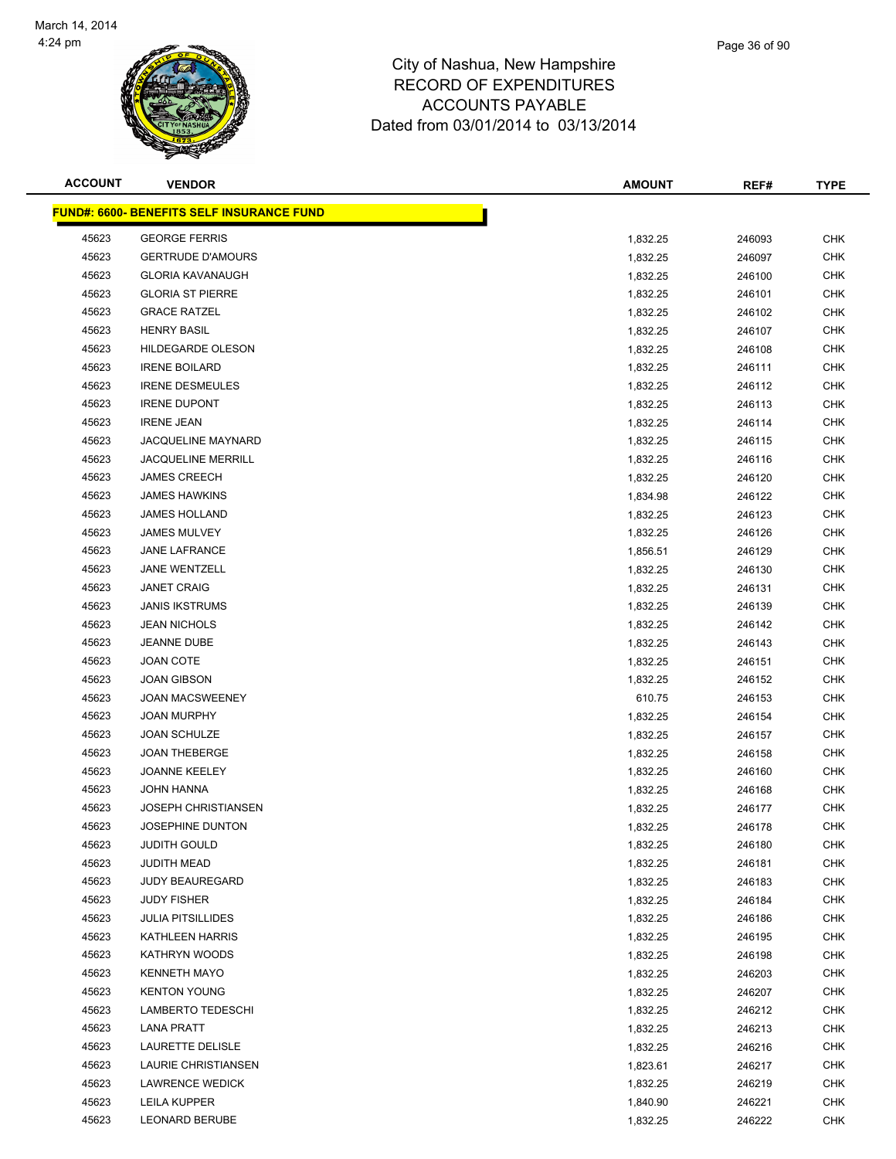

| <b>ACCOUNT</b> | <b>VENDOR</b>                                    | <b>AMOUNT</b> | REF#   | <b>TYPE</b>              |
|----------------|--------------------------------------------------|---------------|--------|--------------------------|
|                | <b>FUND#: 6600- BENEFITS SELF INSURANCE FUND</b> |               |        |                          |
| 45623          | <b>GEORGE FERRIS</b>                             | 1,832.25      | 246093 | <b>CHK</b>               |
| 45623          | <b>GERTRUDE D'AMOURS</b>                         | 1,832.25      | 246097 | <b>CHK</b>               |
| 45623          | <b>GLORIA KAVANAUGH</b>                          | 1,832.25      | 246100 | <b>CHK</b>               |
| 45623          | <b>GLORIA ST PIERRE</b>                          | 1,832.25      | 246101 | CHK                      |
| 45623          | <b>GRACE RATZEL</b>                              | 1,832.25      | 246102 | <b>CHK</b>               |
| 45623          | <b>HENRY BASIL</b>                               | 1,832.25      | 246107 | <b>CHK</b>               |
| 45623          | HILDEGARDE OLESON                                | 1,832.25      | 246108 | <b>CHK</b>               |
| 45623          | <b>IRENE BOILARD</b>                             | 1,832.25      | 246111 | <b>CHK</b>               |
| 45623          | <b>IRENE DESMEULES</b>                           | 1,832.25      | 246112 | <b>CHK</b>               |
| 45623          | <b>IRENE DUPONT</b>                              | 1,832.25      | 246113 | <b>CHK</b>               |
| 45623          | <b>IRENE JEAN</b>                                | 1,832.25      | 246114 | <b>CHK</b>               |
| 45623          | <b>JACQUELINE MAYNARD</b>                        | 1,832.25      | 246115 | <b>CHK</b>               |
| 45623          | <b>JACQUELINE MERRILL</b>                        | 1,832.25      | 246116 | <b>CHK</b>               |
| 45623          | <b>JAMES CREECH</b>                              | 1,832.25      | 246120 | <b>CHK</b>               |
| 45623          | <b>JAMES HAWKINS</b>                             | 1,834.98      | 246122 | <b>CHK</b>               |
| 45623          | <b>JAMES HOLLAND</b>                             |               | 246123 | <b>CHK</b>               |
| 45623          | <b>JAMES MULVEY</b>                              | 1,832.25      | 246126 | <b>CHK</b>               |
| 45623          | <b>JANE LAFRANCE</b>                             | 1,832.25      |        | <b>CHK</b>               |
| 45623          | <b>JANE WENTZELL</b>                             | 1,856.51      | 246129 |                          |
| 45623          | <b>JANET CRAIG</b>                               | 1,832.25      | 246130 | <b>CHK</b><br><b>CHK</b> |
|                | <b>JANIS IKSTRUMS</b>                            | 1,832.25      | 246131 |                          |
| 45623          |                                                  | 1,832.25      | 246139 | <b>CHK</b>               |
| 45623          | <b>JEAN NICHOLS</b>                              | 1,832.25      | 246142 | <b>CHK</b>               |
| 45623          | JEANNE DUBE                                      | 1,832.25      | 246143 | <b>CHK</b>               |
| 45623          | <b>JOAN COTE</b>                                 | 1,832.25      | 246151 | <b>CHK</b>               |
| 45623          | <b>JOAN GIBSON</b>                               | 1,832.25      | 246152 | <b>CHK</b>               |
| 45623          | <b>JOAN MACSWEENEY</b>                           | 610.75        | 246153 | <b>CHK</b>               |
| 45623          | <b>JOAN MURPHY</b>                               | 1,832.25      | 246154 | <b>CHK</b>               |
| 45623          | <b>JOAN SCHULZE</b>                              | 1,832.25      | 246157 | <b>CHK</b>               |
| 45623          | <b>JOAN THEBERGE</b>                             | 1,832.25      | 246158 | CHK                      |
| 45623          | <b>JOANNE KEELEY</b>                             | 1,832.25      | 246160 | <b>CHK</b>               |
| 45623          | <b>JOHN HANNA</b>                                | 1,832.25      | 246168 | <b>CHK</b>               |
| 45623          | JOSEPH CHRISTIANSEN                              | 1,832.25      | 246177 | <b>CHK</b>               |
| 45623          | JOSEPHINE DUNTON                                 | 1,832.25      | 246178 | <b>CHK</b>               |
| 45623          | JUDITH GOULD                                     | 1,832.25      | 246180 | <b>CHK</b>               |
| 45623          | <b>JUDITH MEAD</b>                               | 1,832.25      | 246181 | <b>CHK</b>               |
| 45623          | <b>JUDY BEAUREGARD</b>                           | 1,832.25      | 246183 | <b>CHK</b>               |
| 45623          | <b>JUDY FISHER</b>                               | 1,832.25      | 246184 | <b>CHK</b>               |
| 45623          | <b>JULIA PITSILLIDES</b>                         | 1,832.25      | 246186 | <b>CHK</b>               |
| 45623          | KATHLEEN HARRIS                                  | 1,832.25      | 246195 | <b>CHK</b>               |
| 45623          | KATHRYN WOODS                                    | 1,832.25      | 246198 | <b>CHK</b>               |
| 45623          | <b>KENNETH MAYO</b>                              | 1,832.25      | 246203 | <b>CHK</b>               |
| 45623          | <b>KENTON YOUNG</b>                              | 1,832.25      | 246207 | <b>CHK</b>               |
| 45623          | <b>LAMBERTO TEDESCHI</b>                         | 1,832.25      | 246212 | <b>CHK</b>               |
| 45623          | <b>LANA PRATT</b>                                | 1,832.25      | 246213 | <b>CHK</b>               |
| 45623          | LAURETTE DELISLE                                 | 1,832.25      | 246216 | CHK                      |
| 45623          | LAURIE CHRISTIANSEN                              | 1,823.61      | 246217 | <b>CHK</b>               |
| 45623          | <b>LAWRENCE WEDICK</b>                           | 1,832.25      | 246219 | <b>CHK</b>               |
| 45623          | LEILA KUPPER                                     | 1,840.90      | 246221 | <b>CHK</b>               |
| 45623          | <b>LEONARD BERUBE</b>                            | 1,832.25      | 246222 | <b>CHK</b>               |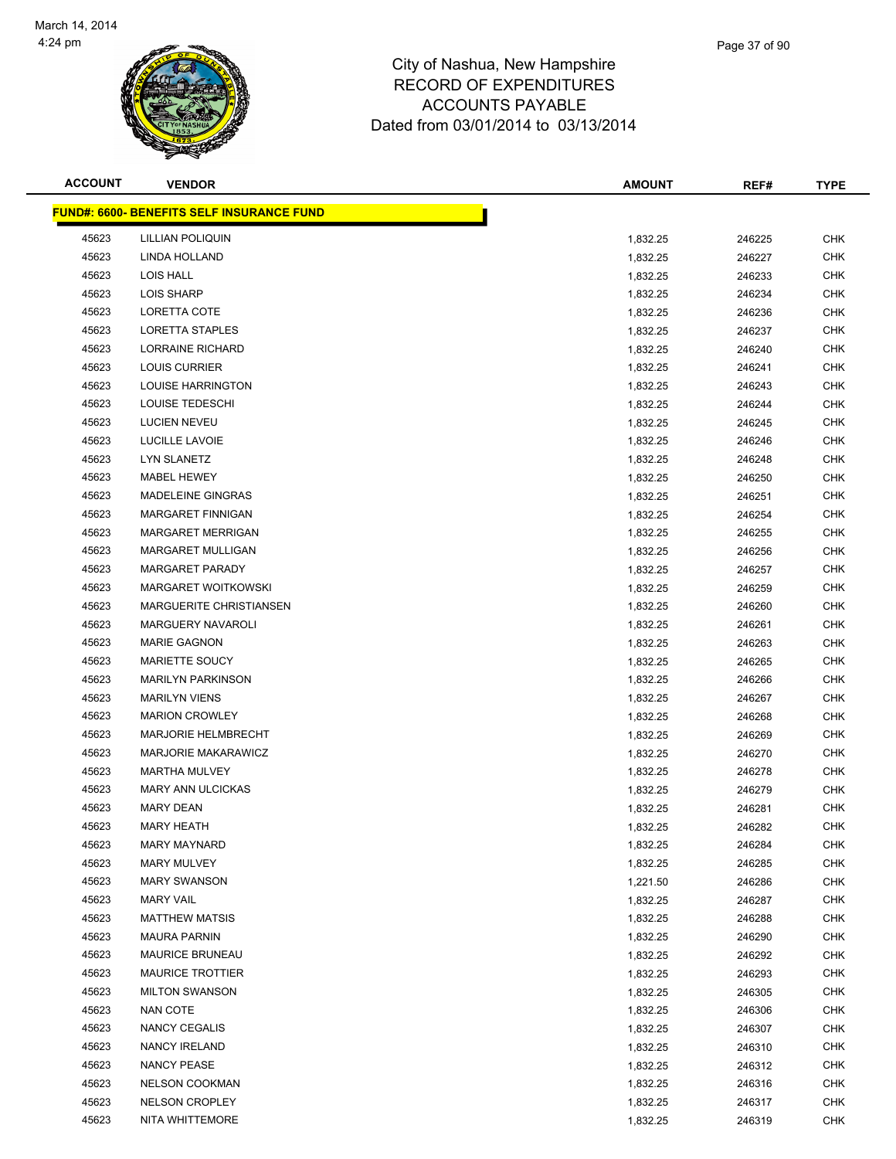

| <b>ACCOUNT</b> | <b>VENDOR</b>                                    | <b>AMOUNT</b> | REF#   | <b>TYPE</b> |
|----------------|--------------------------------------------------|---------------|--------|-------------|
|                | <b>FUND#: 6600- BENEFITS SELF INSURANCE FUND</b> |               |        |             |
| 45623          | <b>LILLIAN POLIQUIN</b>                          | 1,832.25      | 246225 | <b>CHK</b>  |
| 45623          | LINDA HOLLAND                                    | 1,832.25      | 246227 | <b>CHK</b>  |
| 45623          | LOIS HALL                                        | 1,832.25      | 246233 | <b>CHK</b>  |
| 45623          | <b>LOIS SHARP</b>                                | 1,832.25      | 246234 | <b>CHK</b>  |
| 45623          | LORETTA COTE                                     | 1,832.25      | 246236 | <b>CHK</b>  |
| 45623          | LORETTA STAPLES                                  | 1,832.25      | 246237 | <b>CHK</b>  |
| 45623          | LORRAINE RICHARD                                 | 1,832.25      | 246240 | <b>CHK</b>  |
| 45623          | LOUIS CURRIER                                    | 1,832.25      | 246241 | <b>CHK</b>  |
| 45623          | <b>LOUISE HARRINGTON</b>                         | 1,832.25      | 246243 | <b>CHK</b>  |
| 45623          | LOUISE TEDESCHI                                  | 1,832.25      | 246244 | <b>CHK</b>  |
| 45623          | <b>LUCIEN NEVEU</b>                              | 1,832.25      | 246245 | <b>CHK</b>  |
| 45623          | LUCILLE LAVOIE                                   | 1,832.25      | 246246 | <b>CHK</b>  |
| 45623          | LYN SLANETZ                                      | 1,832.25      | 246248 | <b>CHK</b>  |
| 45623          | MABEL HEWEY                                      | 1,832.25      | 246250 | <b>CHK</b>  |
| 45623          | MADELEINE GINGRAS                                | 1,832.25      | 246251 | CHK         |
| 45623          | MARGARET FINNIGAN                                | 1,832.25      | 246254 | <b>CHK</b>  |
| 45623          | <b>MARGARET MERRIGAN</b>                         | 1,832.25      | 246255 | <b>CHK</b>  |
| 45623          | MARGARET MULLIGAN                                | 1,832.25      | 246256 | CHK         |
| 45623          | <b>MARGARET PARADY</b>                           | 1,832.25      | 246257 | <b>CHK</b>  |
| 45623          | <b>MARGARET WOITKOWSKI</b>                       | 1,832.25      | 246259 | <b>CHK</b>  |
| 45623          | <b>MARGUERITE CHRISTIANSEN</b>                   | 1,832.25      | 246260 | <b>CHK</b>  |
| 45623          | <b>MARGUERY NAVAROLI</b>                         | 1,832.25      | 246261 | <b>CHK</b>  |
| 45623          | <b>MARIE GAGNON</b>                              | 1,832.25      | 246263 | <b>CHK</b>  |
| 45623          | <b>MARIETTE SOUCY</b>                            | 1,832.25      | 246265 | <b>CHK</b>  |
| 45623          | <b>MARILYN PARKINSON</b>                         | 1,832.25      | 246266 | <b>CHK</b>  |
| 45623          | <b>MARILYN VIENS</b>                             | 1,832.25      | 246267 | <b>CHK</b>  |
| 45623          | <b>MARION CROWLEY</b>                            | 1,832.25      | 246268 | <b>CHK</b>  |
| 45623          | <b>MARJORIE HELMBRECHT</b>                       | 1,832.25      | 246269 | <b>CHK</b>  |
| 45623          | <b>MARJORIE MAKARAWICZ</b>                       | 1,832.25      | 246270 | <b>CHK</b>  |
| 45623          | <b>MARTHA MULVEY</b>                             | 1,832.25      | 246278 | CHK         |
| 45623          | <b>MARY ANN ULCICKAS</b>                         | 1,832.25      | 246279 | <b>CHK</b>  |
| 45623          | MARY DEAN                                        | 1,832.25      | 246281 | <b>CHK</b>  |
| 45623          | <b>MARY HEATH</b>                                | 1,832.25      | 246282 | <b>CHK</b>  |
| 45623          | <b>MARY MAYNARD</b>                              | 1,832.25      | 246284 | <b>CHK</b>  |
| 45623          | <b>MARY MULVEY</b>                               | 1,832.25      | 246285 | <b>CHK</b>  |
| 45623          | <b>MARY SWANSON</b>                              | 1,221.50      | 246286 | <b>CHK</b>  |
| 45623          | <b>MARY VAIL</b>                                 | 1,832.25      | 246287 | <b>CHK</b>  |
| 45623          | <b>MATTHEW MATSIS</b>                            | 1,832.25      | 246288 | <b>CHK</b>  |
| 45623          | <b>MAURA PARNIN</b>                              | 1,832.25      | 246290 | <b>CHK</b>  |
| 45623          | <b>MAURICE BRUNEAU</b>                           | 1,832.25      | 246292 | CHK         |
| 45623          | <b>MAURICE TROTTIER</b>                          | 1,832.25      | 246293 | <b>CHK</b>  |
| 45623          | <b>MILTON SWANSON</b>                            | 1,832.25      | 246305 | <b>CHK</b>  |
| 45623          | <b>NAN COTE</b>                                  | 1,832.25      | 246306 | <b>CHK</b>  |
| 45623          | NANCY CEGALIS                                    | 1,832.25      | 246307 | CHK         |
| 45623          | <b>NANCY IRELAND</b>                             | 1,832.25      | 246310 | CHK         |
| 45623          | NANCY PEASE                                      | 1,832.25      | 246312 | CHK         |
| 45623          | <b>NELSON COOKMAN</b>                            | 1,832.25      | 246316 | <b>CHK</b>  |
| 45623          | <b>NELSON CROPLEY</b>                            | 1,832.25      | 246317 | <b>CHK</b>  |
| 45623          | NITA WHITTEMORE                                  | 1,832.25      | 246319 | <b>CHK</b>  |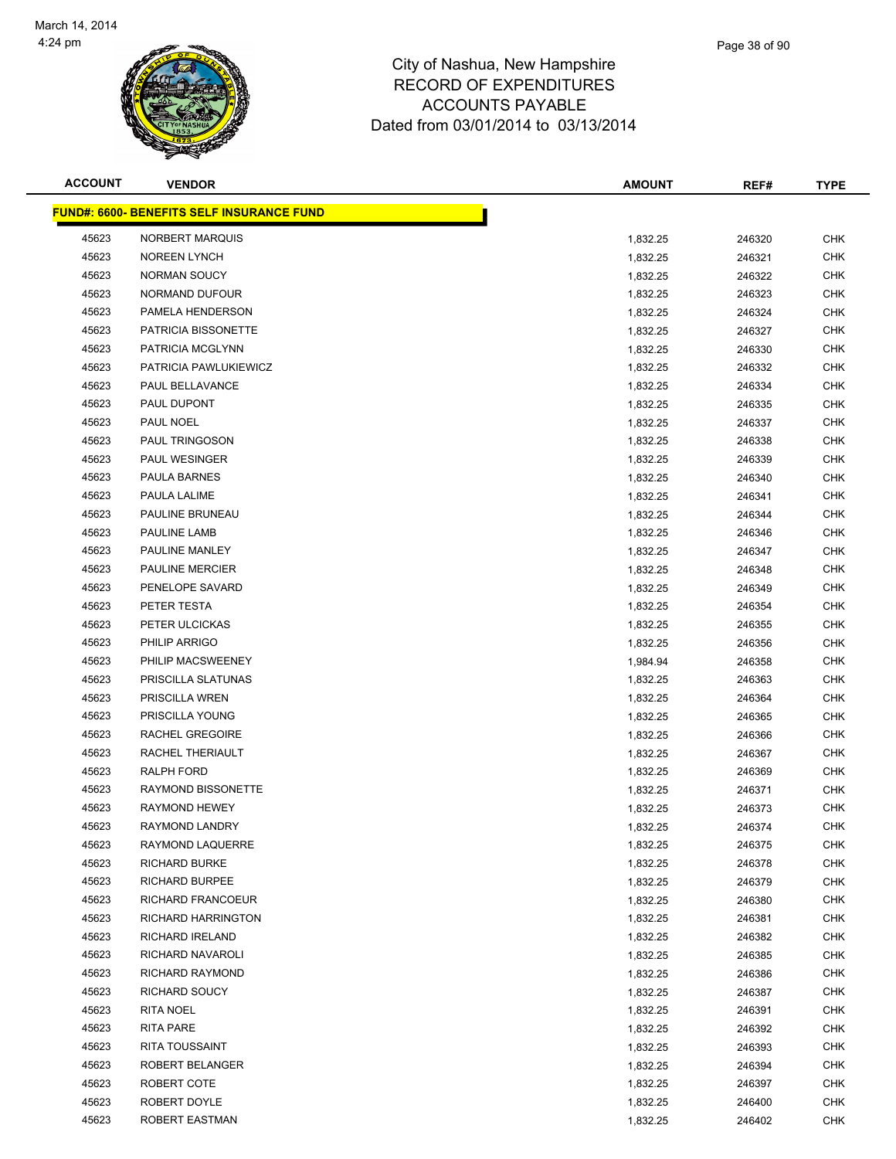

| <b>ACCOUNT</b> | <b>VENDOR</b>                             | <b>AMOUNT</b> | REF#   | <b>TYPE</b>              |
|----------------|-------------------------------------------|---------------|--------|--------------------------|
|                | FUND#: 6600- BENEFITS SELF INSURANCE FUND |               |        |                          |
| 45623          | NORBERT MARQUIS                           | 1,832.25      | 246320 | <b>CHK</b>               |
| 45623          | <b>NOREEN LYNCH</b>                       | 1,832.25      | 246321 | <b>CHK</b>               |
| 45623          | NORMAN SOUCY                              | 1,832.25      | 246322 | <b>CHK</b>               |
| 45623          | NORMAND DUFOUR                            | 1,832.25      | 246323 | <b>CHK</b>               |
| 45623          | PAMELA HENDERSON                          | 1,832.25      | 246324 | <b>CHK</b>               |
| 45623          | PATRICIA BISSONETTE                       | 1,832.25      | 246327 | <b>CHK</b>               |
| 45623          | PATRICIA MCGLYNN                          | 1,832.25      | 246330 | <b>CHK</b>               |
| 45623          | PATRICIA PAWLUKIEWICZ                     | 1,832.25      | 246332 | <b>CHK</b>               |
| 45623          | PAUL BELLAVANCE                           | 1,832.25      | 246334 | <b>CHK</b>               |
| 45623          | PAUL DUPONT                               | 1,832.25      | 246335 | CHK                      |
| 45623          | PAUL NOEL                                 | 1,832.25      | 246337 | <b>CHK</b>               |
| 45623          | <b>PAUL TRINGOSON</b>                     | 1,832.25      | 246338 | <b>CHK</b>               |
| 45623          | PAUL WESINGER                             | 1,832.25      | 246339 | <b>CHK</b>               |
| 45623          | PAULA BARNES                              | 1,832.25      | 246340 | <b>CHK</b>               |
| 45623          | PAULA LALIME                              | 1,832.25      | 246341 | <b>CHK</b>               |
| 45623          | PAULINE BRUNEAU                           | 1,832.25      | 246344 | <b>CHK</b>               |
| 45623          | PAULINE LAMB                              | 1,832.25      | 246346 | <b>CHK</b>               |
| 45623          | PAULINE MANLEY                            | 1,832.25      | 246347 | <b>CHK</b>               |
| 45623          | <b>PAULINE MERCIER</b>                    | 1,832.25      | 246348 | <b>CHK</b>               |
| 45623          | PENELOPE SAVARD                           | 1,832.25      | 246349 | <b>CHK</b>               |
| 45623          | PETER TESTA                               | 1,832.25      | 246354 | <b>CHK</b>               |
| 45623          | PETER ULCICKAS                            | 1,832.25      | 246355 | <b>CHK</b>               |
| 45623          | <b>PHILIP ARRIGO</b>                      | 1,832.25      | 246356 | <b>CHK</b>               |
| 45623          | PHILIP MACSWEENEY                         | 1,984.94      | 246358 | <b>CHK</b>               |
| 45623          | PRISCILLA SLATUNAS                        | 1,832.25      | 246363 | <b>CHK</b>               |
| 45623          | PRISCILLA WREN                            | 1,832.25      | 246364 | <b>CHK</b>               |
| 45623          | PRISCILLA YOUNG                           | 1,832.25      | 246365 | <b>CHK</b>               |
| 45623          | RACHEL GREGOIRE                           | 1,832.25      | 246366 | <b>CHK</b>               |
| 45623          | RACHEL THERIAULT                          | 1,832.25      | 246367 | <b>CHK</b>               |
| 45623          | RALPH FORD                                | 1,832.25      | 246369 | <b>CHK</b>               |
| 45623          | RAYMOND BISSONETTE                        | 1,832.25      | 246371 | <b>CHK</b>               |
| 45623          | RAYMOND HEWEY                             | 1,832.25      | 246373 | <b>CHK</b>               |
| 45623          | <b>RAYMOND LANDRY</b>                     | 1,832.25      | 246374 | <b>CHK</b>               |
| 45623          | RAYMOND LAQUERRE                          | 1,832.25      | 246375 | <b>CHK</b>               |
| 45623          | <b>RICHARD BURKE</b>                      | 1,832.25      | 246378 | <b>CHK</b>               |
| 45623          | <b>RICHARD BURPEE</b>                     | 1,832.25      | 246379 | <b>CHK</b>               |
| 45623          | RICHARD FRANCOEUR                         | 1,832.25      | 246380 | <b>CHK</b>               |
| 45623          | RICHARD HARRINGTON                        | 1,832.25      | 246381 | <b>CHK</b>               |
| 45623          | RICHARD IRELAND                           | 1,832.25      | 246382 | <b>CHK</b>               |
| 45623          | RICHARD NAVAROLI                          | 1,832.25      | 246385 | <b>CHK</b>               |
| 45623          | RICHARD RAYMOND                           | 1,832.25      | 246386 | <b>CHK</b>               |
| 45623          | RICHARD SOUCY                             | 1,832.25      | 246387 | <b>CHK</b>               |
| 45623          | RITA NOEL                                 | 1,832.25      | 246391 | <b>CHK</b>               |
| 45623          | RITA PARE                                 | 1,832.25      | 246392 | <b>CHK</b>               |
| 45623          | <b>RITA TOUSSAINT</b>                     | 1,832.25      | 246393 | <b>CHK</b>               |
| 45623          | ROBERT BELANGER                           | 1,832.25      | 246394 | <b>CHK</b>               |
| 45623<br>45623 | ROBERT COTE<br>ROBERT DOYLE               | 1,832.25      | 246397 | <b>CHK</b><br><b>CHK</b> |
| 45623          | ROBERT EASTMAN                            | 1,832.25      | 246400 |                          |
|                |                                           | 1,832.25      | 246402 | <b>CHK</b>               |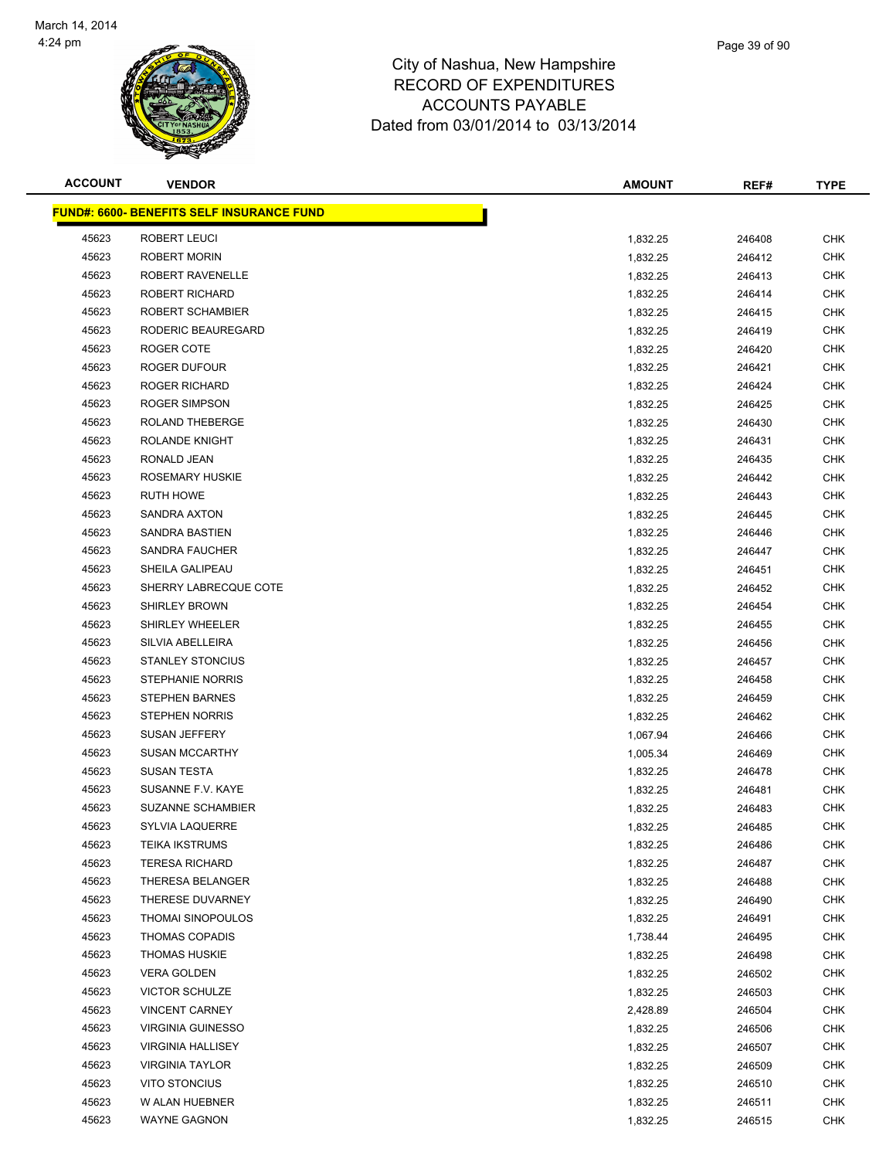

| <b>ACCOUNT</b> | <b>VENDOR</b>                                     | <b>AMOUNT</b> | REF#   | <b>TYPE</b> |
|----------------|---------------------------------------------------|---------------|--------|-------------|
|                | <u> FUND#: 6600- BENEFITS SELF INSURANCE FUND</u> |               |        |             |
| 45623          | ROBERT LEUCI                                      | 1,832.25      | 246408 | <b>CHK</b>  |
| 45623          | <b>ROBERT MORIN</b>                               | 1,832.25      | 246412 | <b>CHK</b>  |
| 45623          | ROBERT RAVENELLE                                  | 1,832.25      | 246413 | <b>CHK</b>  |
| 45623          | <b>ROBERT RICHARD</b>                             | 1,832.25      | 246414 | <b>CHK</b>  |
| 45623          | ROBERT SCHAMBIER                                  | 1,832.25      | 246415 | <b>CHK</b>  |
| 45623          | RODERIC BEAUREGARD                                | 1,832.25      | 246419 | <b>CHK</b>  |
| 45623          | ROGER COTE                                        | 1,832.25      | 246420 | <b>CHK</b>  |
| 45623          | ROGER DUFOUR                                      | 1,832.25      | 246421 | <b>CHK</b>  |
| 45623          | <b>ROGER RICHARD</b>                              | 1,832.25      | 246424 | <b>CHK</b>  |
| 45623          | ROGER SIMPSON                                     | 1,832.25      | 246425 | <b>CHK</b>  |
| 45623          | ROLAND THEBERGE                                   | 1,832.25      | 246430 | <b>CHK</b>  |
| 45623          | ROLANDE KNIGHT                                    | 1,832.25      | 246431 | <b>CHK</b>  |
| 45623          | RONALD JEAN                                       | 1,832.25      | 246435 | <b>CHK</b>  |
| 45623          | <b>ROSEMARY HUSKIE</b>                            | 1,832.25      | 246442 | <b>CHK</b>  |
| 45623          | RUTH HOWE                                         | 1,832.25      | 246443 | <b>CHK</b>  |
| 45623          | SANDRA AXTON                                      | 1,832.25      | 246445 | <b>CHK</b>  |
| 45623          | SANDRA BASTIEN                                    | 1,832.25      | 246446 | <b>CHK</b>  |
| 45623          | SANDRA FAUCHER                                    | 1,832.25      | 246447 | <b>CHK</b>  |
| 45623          | SHEILA GALIPEAU                                   | 1,832.25      | 246451 | <b>CHK</b>  |
| 45623          | SHERRY LABRECQUE COTE                             | 1,832.25      | 246452 | <b>CHK</b>  |
| 45623          | <b>SHIRLEY BROWN</b>                              | 1,832.25      | 246454 | <b>CHK</b>  |
| 45623          | SHIRLEY WHEELER                                   | 1,832.25      | 246455 | <b>CHK</b>  |
| 45623          | SILVIA ABELLEIRA                                  | 1,832.25      | 246456 | <b>CHK</b>  |
| 45623          | <b>STANLEY STONCIUS</b>                           | 1,832.25      | 246457 | <b>CHK</b>  |
| 45623          | <b>STEPHANIE NORRIS</b>                           | 1,832.25      | 246458 | <b>CHK</b>  |
| 45623          | <b>STEPHEN BARNES</b>                             | 1,832.25      | 246459 | <b>CHK</b>  |
| 45623          | <b>STEPHEN NORRIS</b>                             | 1,832.25      | 246462 | <b>CHK</b>  |
| 45623          | SUSAN JEFFERY                                     | 1,067.94      | 246466 | <b>CHK</b>  |
| 45623          | <b>SUSAN MCCARTHY</b>                             | 1,005.34      | 246469 | CHK         |
| 45623          | SUSAN TESTA                                       | 1,832.25      | 246478 | <b>CHK</b>  |
| 45623          | SUSANNE F.V. KAYE                                 | 1,832.25      | 246481 | <b>CHK</b>  |
| 45623          | <b>SUZANNE SCHAMBIER</b>                          | 1,832.25      | 246483 | <b>CHK</b>  |
| 45623          | <b>SYLVIA LAQUERRE</b>                            | 1,832.25      | 246485 | <b>CHK</b>  |
| 45623          | <b>TEIKA IKSTRUMS</b>                             | 1,832.25      | 246486 | <b>CHK</b>  |
| 45623          | <b>TERESA RICHARD</b>                             | 1,832.25      | 246487 | CHK         |
| 45623          | THERESA BELANGER                                  | 1,832.25      | 246488 | <b>CHK</b>  |
| 45623          | THERESE DUVARNEY                                  | 1,832.25      | 246490 | <b>CHK</b>  |
| 45623          | <b>THOMAI SINOPOULOS</b>                          | 1,832.25      | 246491 | <b>CHK</b>  |
| 45623          | <b>THOMAS COPADIS</b>                             | 1,738.44      | 246495 | <b>CHK</b>  |
| 45623          | <b>THOMAS HUSKIE</b>                              | 1,832.25      | 246498 | <b>CHK</b>  |
| 45623          | <b>VERA GOLDEN</b>                                | 1,832.25      | 246502 | <b>CHK</b>  |
| 45623          | <b>VICTOR SCHULZE</b>                             | 1,832.25      | 246503 | <b>CHK</b>  |
| 45623          | <b>VINCENT CARNEY</b>                             | 2,428.89      | 246504 | <b>CHK</b>  |
| 45623          | <b>VIRGINIA GUINESSO</b>                          | 1,832.25      | 246506 | <b>CHK</b>  |
| 45623          | <b>VIRGINIA HALLISEY</b>                          | 1,832.25      | 246507 | CHK         |
| 45623          | <b>VIRGINIA TAYLOR</b>                            | 1,832.25      | 246509 | CHK         |
| 45623          | VITO STONCIUS                                     | 1,832.25      | 246510 | <b>CHK</b>  |
| 45623          | W ALAN HUEBNER                                    | 1,832.25      | 246511 | <b>CHK</b>  |
| 45623          | <b>WAYNE GAGNON</b>                               | 1,832.25      | 246515 | <b>CHK</b>  |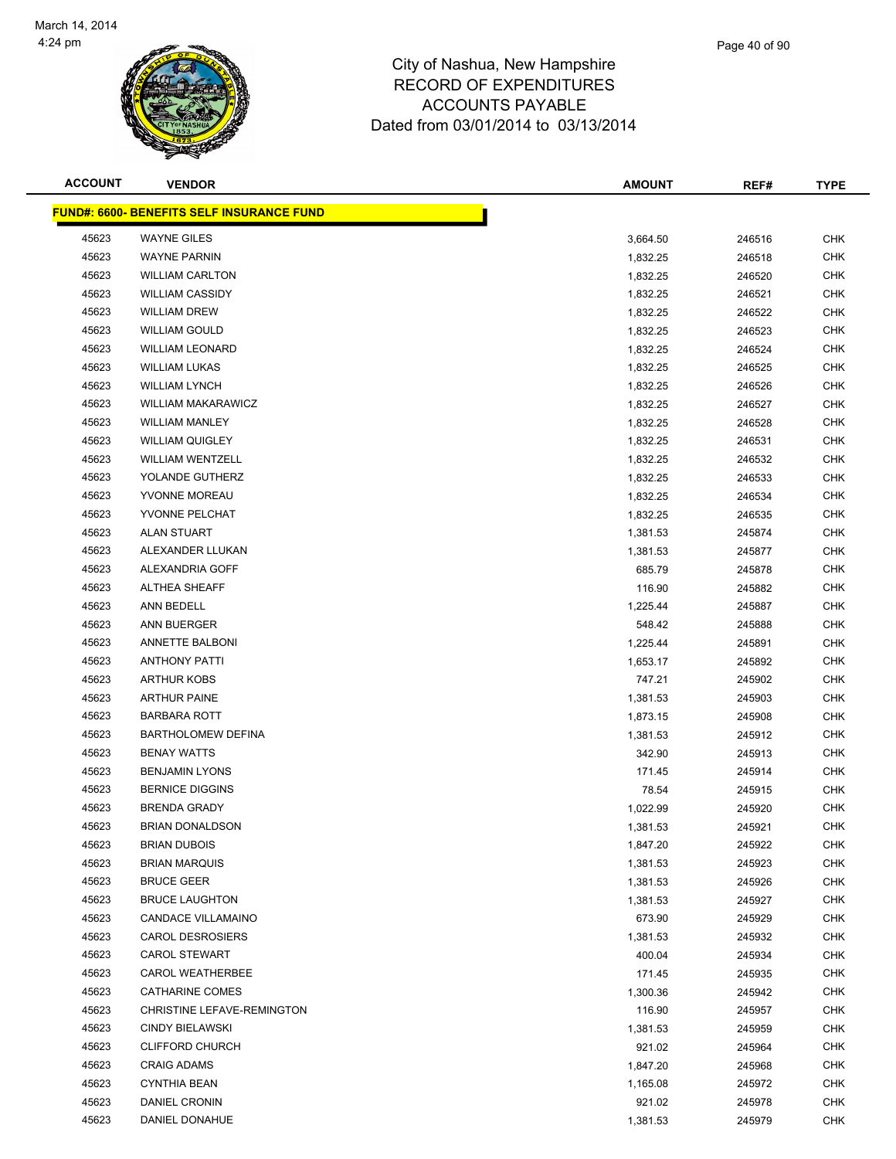

#### City of Nashua, New Hampshire RECORD OF EXPENDITURES ACCOUI Dated from 03/0

|                |                                                 | REUURD UF EAPENDITURES<br><b>ACCOUNTS PAYABLE</b><br>Dated from 03/01/2014 to 03/13/2014 |               |        |             |
|----------------|-------------------------------------------------|------------------------------------------------------------------------------------------|---------------|--------|-------------|
| <b>ACCOUNT</b> | <b>VENDOR</b>                                   |                                                                                          | <b>AMOUNT</b> | REF#   | <b>TYPE</b> |
|                | <b>IND#: 6600- BENEFITS SELF INSURANCE FUND</b> |                                                                                          |               |        |             |
| 45623          | <b>WAYNE GILES</b>                              |                                                                                          | 3,664.50      | 246516 | <b>CHK</b>  |
| 45623          | <b>WAYNE PARNIN</b>                             |                                                                                          | 1,832.25      | 246518 | <b>CHK</b>  |
| 45623          | <b>WILLIAM CARLTON</b>                          |                                                                                          | 1,832.25      | 246520 | <b>CHK</b>  |
| 45623          | <b>WILLIAM CASSIDY</b>                          |                                                                                          | 1,832.25      | 246521 | <b>CHK</b>  |
| 45623          | WILLIAM DREW                                    |                                                                                          | 183225        | 246522 | <b>CHK</b>  |

|       | <u> FUND#: 6600- BENEFITS SELF INSURANCE FUND</u> |          |        |            |
|-------|---------------------------------------------------|----------|--------|------------|
| 45623 | <b>WAYNE GILES</b>                                | 3,664.50 | 246516 | <b>CHK</b> |
| 45623 | <b>WAYNE PARNIN</b>                               | 1,832.25 | 246518 | <b>CHK</b> |
| 45623 | <b>WILLIAM CARLTON</b>                            | 1,832.25 | 246520 | CHK        |
| 45623 | <b>WILLIAM CASSIDY</b>                            | 1,832.25 | 246521 | <b>CHK</b> |
| 45623 | <b>WILLIAM DREW</b>                               | 1,832.25 | 246522 | CHK        |
| 45623 | <b>WILLIAM GOULD</b>                              | 1,832.25 | 246523 | <b>CHK</b> |
| 45623 | <b>WILLIAM LEONARD</b>                            | 1,832.25 | 246524 | <b>CHK</b> |
| 45623 | <b>WILLIAM LUKAS</b>                              | 1,832.25 | 246525 | CHK        |
| 45623 | <b>WILLIAM LYNCH</b>                              | 1,832.25 | 246526 | <b>CHK</b> |
| 45623 | <b>WILLIAM MAKARAWICZ</b>                         | 1,832.25 | 246527 | CHK        |
| 45623 | <b>WILLIAM MANLEY</b>                             | 1,832.25 | 246528 | CHK        |
| 45623 | <b>WILLIAM QUIGLEY</b>                            | 1,832.25 | 246531 | CHK        |
| 45623 | <b>WILLIAM WENTZELL</b>                           | 1,832.25 | 246532 | <b>CHK</b> |
| 45623 | YOLANDE GUTHERZ                                   | 1,832.25 | 246533 | CHK        |
| 45623 | YVONNE MOREAU                                     | 1,832.25 | 246534 | <b>CHK</b> |
| 45623 | YVONNE PELCHAT                                    | 1,832.25 | 246535 | CHK        |
| 45623 | <b>ALAN STUART</b>                                | 1,381.53 | 245874 | CHK        |
| 45623 | ALEXANDER LLUKAN                                  | 1,381.53 | 245877 | <b>CHK</b> |
| 45623 | ALEXANDRIA GOFF                                   | 685.79   | 245878 | CHK        |
| 45623 | <b>ALTHEA SHEAFF</b>                              | 116.90   | 245882 | CHK        |
| 45623 | ANN BEDELL                                        | 1,225.44 | 245887 | CHK        |
| 45623 | ANN BUERGER                                       | 548.42   | 245888 | CHK        |
| 45623 | ANNETTE BALBONI                                   | 1,225.44 | 245891 | <b>CHK</b> |
| 45623 | <b>ANTHONY PATTI</b>                              | 1,653.17 | 245892 | CHK        |
| 45623 | <b>ARTHUR KOBS</b>                                | 747.21   | 245902 | CHK        |
| 45623 | <b>ARTHUR PAINE</b>                               | 1,381.53 | 245903 | <b>CHK</b> |
| 45623 | <b>BARBARA ROTT</b>                               | 1,873.15 | 245908 | CHK        |
| 45623 | <b>BARTHOLOMEW DEFINA</b>                         | 1,381.53 | 245912 | <b>CHK</b> |
| 45623 | <b>BENAY WATTS</b>                                | 342.90   | 245913 | <b>CHK</b> |
| 45623 | <b>BENJAMIN LYONS</b>                             | 171.45   | 245914 | CHK        |
| 45623 | <b>BERNICE DIGGINS</b>                            | 78.54    | 245915 | CHK        |
| 45623 | <b>BRENDA GRADY</b>                               | 1,022.99 | 245920 | CHK        |
| 45623 | <b>BRIAN DONALDSON</b>                            | 1,381.53 | 245921 | CHK        |
| 45623 | <b>BRIAN DUBOIS</b>                               | 1,847.20 | 245922 | <b>CHK</b> |
| 45623 | <b>BRIAN MARQUIS</b>                              | 1,381.53 | 245923 | CHK        |
| 45623 | <b>BRUCE GEER</b>                                 | 1,381.53 | 245926 | CHK        |
| 45623 | <b>BRUCE LAUGHTON</b>                             | 1,381.53 | 245927 | <b>CHK</b> |
| 45623 | <b>CANDACE VILLAMAINO</b>                         | 673.90   | 245929 | <b>CHK</b> |
| 45623 | <b>CAROL DESROSIERS</b>                           | 1,381.53 | 245932 | <b>CHK</b> |
| 45623 | <b>CAROL STEWART</b>                              | 400.04   | 245934 | <b>CHK</b> |
| 45623 | <b>CAROL WEATHERBEE</b>                           | 171.45   | 245935 | <b>CHK</b> |
| 45623 | CATHARINE COMES                                   | 1,300.36 | 245942 | <b>CHK</b> |
| 45623 | CHRISTINE LEFAVE-REMINGTON                        | 116.90   | 245957 | <b>CHK</b> |
| 45623 | <b>CINDY BIELAWSKI</b>                            | 1,381.53 | 245959 | <b>CHK</b> |
| 45623 | <b>CLIFFORD CHURCH</b>                            | 921.02   | 245964 | <b>CHK</b> |
| 45623 | <b>CRAIG ADAMS</b>                                | 1,847.20 | 245968 | <b>CHK</b> |
| 45623 | <b>CYNTHIA BEAN</b>                               | 1,165.08 | 245972 | CHK        |
| 45623 | DANIEL CRONIN                                     | 921.02   | 245978 | <b>CHK</b> |
| 45623 | DANIEL DONAHUE                                    | 1,381.53 | 245979 | <b>CHK</b> |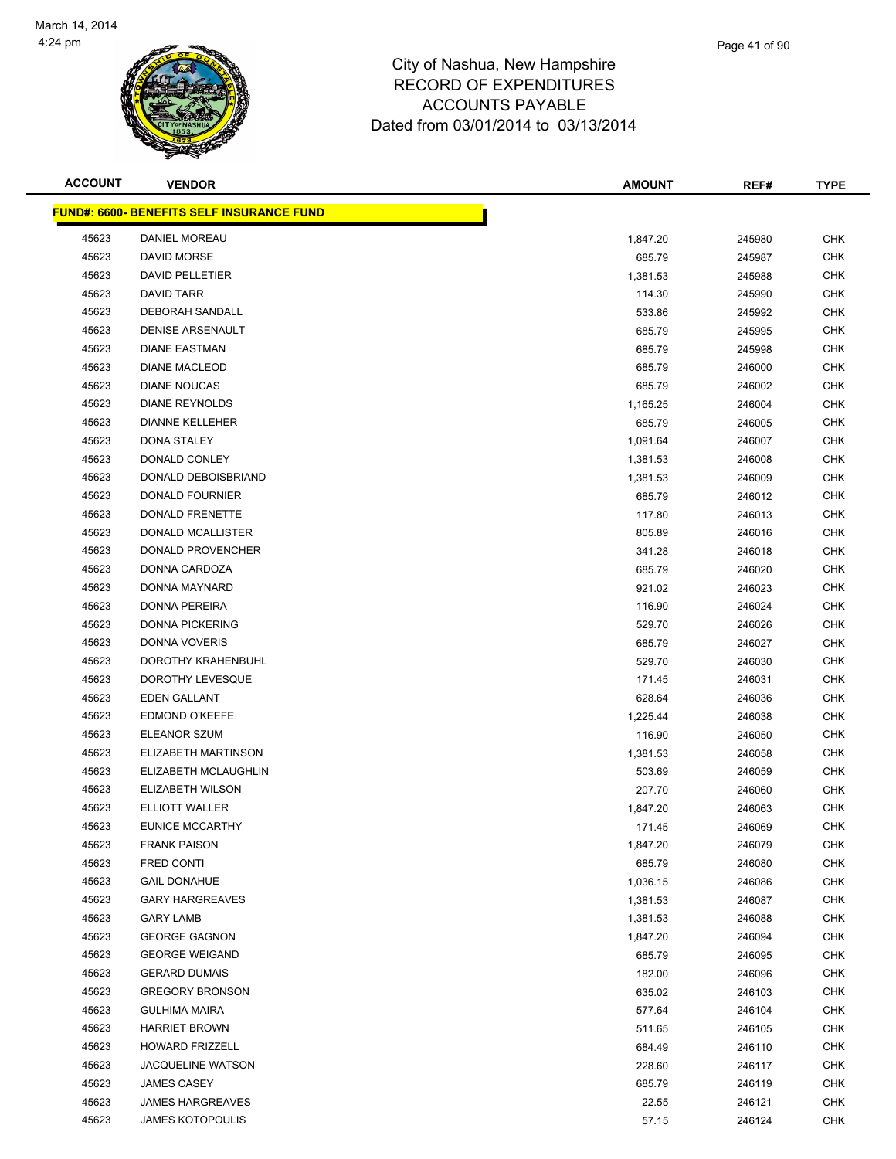**FUND#: 6600** 



| <b>ACCOUNT</b> | <b>VENDOR</b>                                    | <b>AMOUNT</b> | REF#   | <b>TYPE</b> |
|----------------|--------------------------------------------------|---------------|--------|-------------|
|                | <u> IND#: 6600- BENEFITS SELF INSURANCE FUND</u> |               |        |             |
| 45623          | DANIEL MOREAU                                    | 1,847.20      | 245980 | <b>CHK</b>  |
| 45623          | DAVID MORSE                                      | 685.79        | 245987 | <b>CHK</b>  |
| 45623          | <b>DAVID PELLETIER</b>                           | 1,381.53      | 245988 | <b>CHK</b>  |
| 45623          | <b>DAVID TARR</b>                                | 114.30        | 245990 | <b>CHK</b>  |
| 45623          | DEBORAH SANDALL                                  | 533.86        | 245992 | <b>CHK</b>  |
| 45623          | <b>DENISE ARSENAULT</b>                          | 685.79        | 245995 | <b>CHK</b>  |
| 45623          | <b>DIANE EASTMAN</b>                             | 685.79        | 245998 | <b>CHK</b>  |
| 45623          | <b>DIANE MACLEOD</b>                             | 685.79        | 246000 | <b>CHK</b>  |
| 45623          | <b>DIANE NOUCAS</b>                              | 685.79        | 246002 | <b>CHK</b>  |
| 45623          | <b>DIANE REYNOLDS</b>                            | 1,165.25      | 246004 | <b>CHK</b>  |
| 45623          | <b>DIANNE KELLEHER</b>                           | 685.79        | 246005 | <b>CHK</b>  |
| 45623          | DONA STALEY                                      | 1,091.64      | 246007 | <b>CHK</b>  |
| 45623          | DONALD CONLEY                                    | 1,381.53      | 246008 | <b>CHK</b>  |
| 45623          | DONALD DEBOISBRIAND                              | 1,381.53      | 246009 | <b>CHK</b>  |
| 45623          | <b>DONALD FOURNIER</b>                           | 685.79        | 246012 | <b>CHK</b>  |
| 45623          | DONALD FRENETTE                                  | 117.80        | 246013 | <b>CHK</b>  |
| 45623          | DONALD MCALLISTER                                | 805.89        | 246016 | <b>CHK</b>  |
| 45623          | DONALD PROVENCHER                                | 341.28        | 246018 | <b>CHK</b>  |
| 45623          | DONNA CARDOZA                                    | 685.79        | 246020 | <b>CHK</b>  |
| 45623          | <b>DONNA MAYNARD</b>                             | 921.02        | 246023 | <b>CHK</b>  |
| 45623          | <b>DONNA PEREIRA</b>                             |               |        | <b>CHK</b>  |
|                | <b>DONNA PICKERING</b>                           | 116.90        | 246024 | <b>CHK</b>  |
| 45623          | <b>DONNA VOVERIS</b>                             | 529.70        | 246026 |             |
| 45623          |                                                  | 685.79        | 246027 | <b>CHK</b>  |
| 45623          | DOROTHY KRAHENBUHL                               | 529.70        | 246030 | <b>CHK</b>  |
| 45623          | DOROTHY LEVESQUE                                 | 171.45        | 246031 | <b>CHK</b>  |
| 45623          | EDEN GALLANT                                     | 628.64        | 246036 | <b>CHK</b>  |
| 45623          | <b>EDMOND O'KEEFE</b>                            | 1,225.44      | 246038 | <b>CHK</b>  |
| 45623          | <b>ELEANOR SZUM</b>                              | 116.90        | 246050 | <b>CHK</b>  |
| 45623          | ELIZABETH MARTINSON                              | 1,381.53      | 246058 | <b>CHK</b>  |
| 45623          | ELIZABETH MCLAUGHLIN                             | 503.69        | 246059 | <b>CHK</b>  |
| 45623          | ELIZABETH WILSON                                 | 207.70        | 246060 | <b>CHK</b>  |
| 45623          | <b>ELLIOTT WALLER</b>                            | 1,847.20      | 246063 | <b>CHK</b>  |
| 45623          | <b>EUNICE MCCARTHY</b>                           | 171.45        | 246069 | <b>CHK</b>  |
| 45623          | <b>FRANK PAISON</b>                              | 1,847.20      | 246079 | <b>CHK</b>  |
| 45623          | FRED CONTI                                       | 685.79        | 246080 | <b>CHK</b>  |
| 45623          | <b>GAIL DONAHUE</b>                              | 1,036.15      | 246086 | <b>CHK</b>  |
| 45623          | <b>GARY HARGREAVES</b>                           | 1,381.53      | 246087 | <b>CHK</b>  |
| 45623          | <b>GARY LAMB</b>                                 | 1,381.53      | 246088 | <b>CHK</b>  |
| 45623          | <b>GEORGE GAGNON</b>                             | 1,847.20      | 246094 | <b>CHK</b>  |
| 45623          | <b>GEORGE WEIGAND</b>                            | 685.79        | 246095 | <b>CHK</b>  |
| 45623          | <b>GERARD DUMAIS</b>                             | 182.00        | 246096 | <b>CHK</b>  |
| 45623          | <b>GREGORY BRONSON</b>                           | 635.02        | 246103 | <b>CHK</b>  |
| 45623          | <b>GULHIMA MAIRA</b>                             | 577.64        | 246104 | <b>CHK</b>  |
| 45623          | <b>HARRIET BROWN</b>                             | 511.65        | 246105 | <b>CHK</b>  |
| 45623          | <b>HOWARD FRIZZELL</b>                           | 684.49        | 246110 | <b>CHK</b>  |
| 45623          | <b>JACQUELINE WATSON</b>                         | 228.60        | 246117 | CHK         |
| 45623          | JAMES CASEY                                      | 685.79        | 246119 | <b>CHK</b>  |
| 45623          | <b>JAMES HARGREAVES</b>                          | 22.55         | 246121 | <b>CHK</b>  |
| 45623          | <b>JAMES KOTOPOULIS</b>                          | 57.15         | 246124 | <b>CHK</b>  |
|                |                                                  |               |        |             |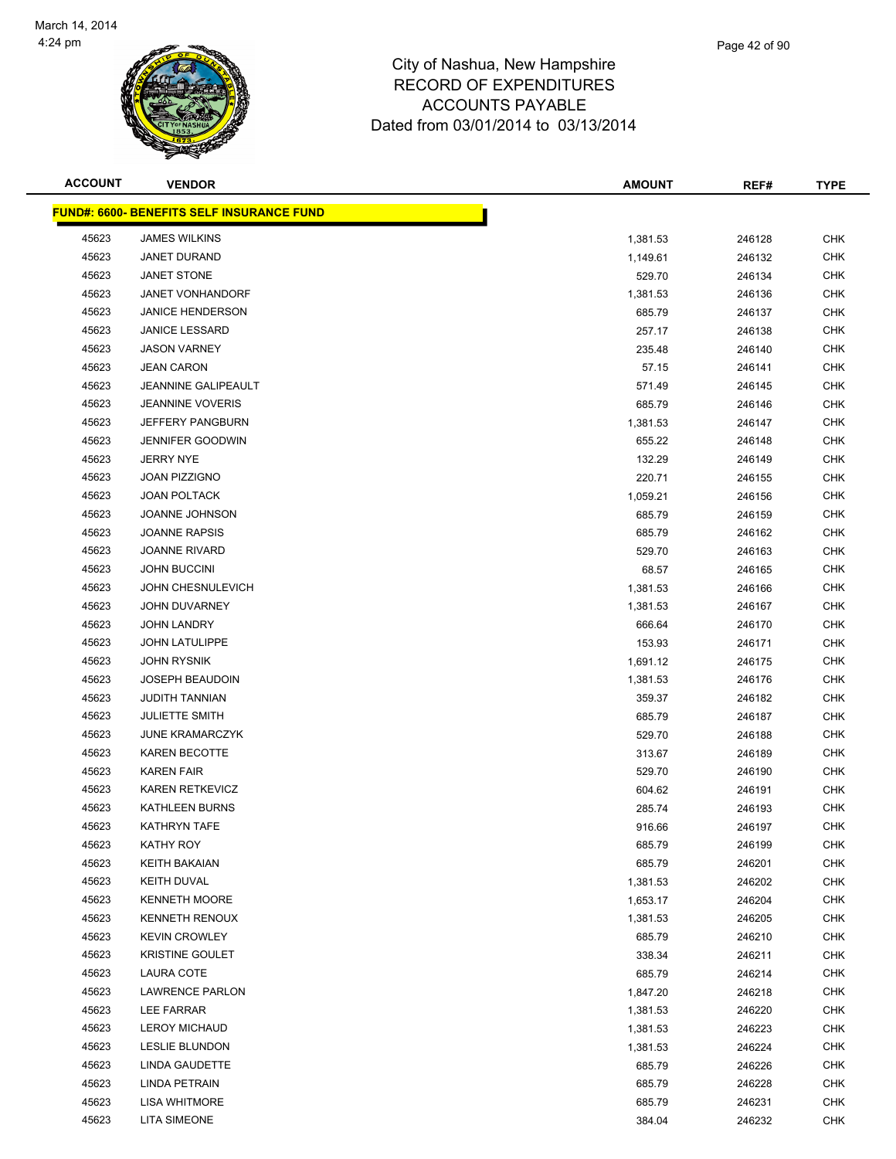

|                |                                                   | Dated from 03/01/2014 to 03/13/2014                                                                   |             |  |
|----------------|---------------------------------------------------|-------------------------------------------------------------------------------------------------------|-------------|--|
| <b>ACCOUNT</b> | <b>VENDOR</b>                                     | <b>AMOUNT</b><br>REF#                                                                                 | <b>TYPE</b> |  |
|                | <u> FUND#: 6600- BENEFITS SELF INSURANCE FUND</u> |                                                                                                       |             |  |
| 45623          | <b>JAMES WILKINS</b>                              | 1,381.53<br>246128                                                                                    | <b>CHK</b>  |  |
| 45623          | JANET DURAND                                      | 1,149.61<br>246132                                                                                    | <b>CHK</b>  |  |
| 45623          | JANET STONE                                       | 246134<br>529.70                                                                                      | <b>CHK</b>  |  |
| 45623          | JANET VONHANDORF                                  | 1,381.53<br>246136                                                                                    | <b>CHK</b>  |  |
| 45623          | <b>JANICE HENDERSON</b>                           | 685.79<br>246137                                                                                      | <b>CHK</b>  |  |
| 45623          | <b>JANICE LESSARD</b>                             | 257.17<br>246138                                                                                      | <b>CHK</b>  |  |
| 45623          | <b>JASON VARNEY</b>                               | 235.48<br>246140                                                                                      | <b>CHK</b>  |  |
| 45623          | <b>JEAN CARON</b>                                 | 57.15<br>246141                                                                                       | <b>CHK</b>  |  |
| 45623          | JEANNINE GALIPEAULT                               | 571.49<br>246145                                                                                      | <b>CHK</b>  |  |
| 45623          | <b>JEANNINE VOVERIS</b>                           | 685.79<br>246146                                                                                      | <b>CHK</b>  |  |
| 45623          | <b>JEFFERY PANGBURN</b>                           | 1,381.53<br>246147                                                                                    | <b>CHK</b>  |  |
| 45623          | JENNIFER GOODWIN                                  | 655.22<br>246148                                                                                      | <b>CHK</b>  |  |
| 45623          | <b>JERRY NYE</b>                                  | 132.29<br>246149                                                                                      | <b>CHK</b>  |  |
| 45623          | <b>JOAN PIZZIGNO</b>                              | 220.71<br>246155                                                                                      | <b>CHK</b>  |  |
| 45623          | <b>JOAN POLTACK</b>                               | 246156<br>1,059.21                                                                                    | <b>CHK</b>  |  |
| 45623          | JOANNE JOHNSON                                    | 246159<br>685.79                                                                                      | <b>CHK</b>  |  |
| 45623          | <b>JOANNE RAPSIS</b>                              | 685.79<br>246162                                                                                      | <b>CHK</b>  |  |
| 45623          | <b>JOANNE RIVARD</b>                              | 529.70<br>246163                                                                                      | CHK         |  |
| 45623          | <b>JOHN BUCCINI</b>                               | 68.57<br>246165                                                                                       | <b>CHK</b>  |  |
| 45623          | <b>JOHN CHESNULEVICH</b>                          | 246166<br>1,381.53                                                                                    | <b>CHK</b>  |  |
| 45623          | JOHN DUVARNEY                                     | 1,381.53<br>246167                                                                                    | <b>CHK</b>  |  |
| 45623          | <b>JOHN LANDRY</b>                                | 666.64<br>246170                                                                                      | <b>CHK</b>  |  |
| 45623          | <b>JOHN LATULIPPE</b>                             | 153.93<br>246171                                                                                      | CHK         |  |
| 45623          | <b>JOHN RYSNIK</b>                                | 1,691.12<br>246175                                                                                    | <b>CHK</b>  |  |
| 45623          | <b>JOSEPH BEAUDOIN</b>                            | 1,381.53<br>246176                                                                                    | <b>CHK</b>  |  |
| 45623          | <b>JUDITH TANNIAN</b>                             | 359.37<br>246182                                                                                      | <b>CHK</b>  |  |
| 45623          | <b>JULIETTE SMITH</b>                             | 685.79<br>246187                                                                                      | <b>CHK</b>  |  |
| 45623          | <b>JUNE KRAMARCZYK</b>                            | 529.70<br>246188                                                                                      | <b>CHK</b>  |  |
| 45623          | <b>KAREN BECOTTE</b>                              | 313.67<br>246189                                                                                      | <b>CHK</b>  |  |
| 45623          | <b>KAREN FAIR</b>                                 | 529.70<br>246190                                                                                      | <b>CHK</b>  |  |
| 1000           | KADEN DETKEVIOT                                   | $\begin{array}{ccc}\n\bullet & \bullet & \bullet & \bullet & \bullet & \bullet\n\end{array}$<br>0.100 | $\sim$ 11/  |  |

| 45623 | JEFFERY PANGBURN       | 1,381.53 | 246147 | CHK        |
|-------|------------------------|----------|--------|------------|
| 45623 | JENNIFER GOODWIN       | 655.22   | 246148 | <b>CHK</b> |
| 45623 | <b>JERRY NYE</b>       | 132.29   | 246149 | CHK        |
| 45623 | JOAN PIZZIGNO          | 220.71   | 246155 | <b>CHK</b> |
| 45623 | <b>JOAN POLTACK</b>    | 1,059.21 | 246156 | <b>CHK</b> |
| 45623 | JOANNE JOHNSON         | 685.79   | 246159 | CHK        |
| 45623 | <b>JOANNE RAPSIS</b>   | 685.79   | 246162 | CHK        |
| 45623 | <b>JOANNE RIVARD</b>   | 529.70   | 246163 | CHK        |
| 45623 | <b>JOHN BUCCINI</b>    | 68.57    | 246165 | <b>CHK</b> |
| 45623 | JOHN CHESNULEVICH      | 1,381.53 | 246166 | CHK        |
| 45623 | JOHN DUVARNEY          | 1,381.53 | 246167 | CHK        |
| 45623 | <b>JOHN LANDRY</b>     | 666.64   | 246170 | CHK        |
| 45623 | <b>JOHN LATULIPPE</b>  | 153.93   | 246171 | <b>CHK</b> |
| 45623 | <b>JOHN RYSNIK</b>     | 1,691.12 | 246175 | CHK        |
| 45623 | <b>JOSEPH BEAUDOIN</b> | 1,381.53 | 246176 | <b>CHK</b> |
| 45623 | <b>JUDITH TANNIAN</b>  | 359.37   | 246182 | <b>CHK</b> |
| 45623 | <b>JULIETTE SMITH</b>  | 685.79   | 246187 | CHK        |
| 45623 | <b>JUNE KRAMARCZYK</b> | 529.70   | 246188 | <b>CHK</b> |
| 45623 | <b>KAREN BECOTTE</b>   | 313.67   | 246189 | CHK        |
| 45623 | <b>KAREN FAIR</b>      | 529.70   | 246190 | CHK        |
| 45623 | KAREN RETKEVICZ        | 604.62   | 246191 | CHK        |
| 45623 | KATHLEEN BURNS         | 285.74   | 246193 | CHK        |
| 45623 | KATHRYN TAFE           | 916.66   | 246197 | CHK        |
| 45623 | <b>KATHY ROY</b>       | 685.79   | 246199 | <b>CHK</b> |
| 45623 | <b>KEITH BAKAIAN</b>   | 685.79   | 246201 | <b>CHK</b> |
| 45623 | KEITH DUVAL            | 1,381.53 | 246202 | <b>CHK</b> |
| 45623 | <b>KENNETH MOORE</b>   | 1,653.17 | 246204 | <b>CHK</b> |
| 45623 | <b>KENNETH RENOUX</b>  | 1,381.53 | 246205 | <b>CHK</b> |
| 45623 | <b>KEVIN CROWLEY</b>   | 685.79   | 246210 | <b>CHK</b> |
| 45623 | <b>KRISTINE GOULET</b> | 338.34   | 246211 | CHK        |
| 45623 | LAURA COTE             | 685.79   | 246214 | <b>CHK</b> |
| 45623 | <b>LAWRENCE PARLON</b> | 1,847.20 | 246218 | CHK        |
| 45623 | LEE FARRAR             | 1,381.53 | 246220 | <b>CHK</b> |
| 45623 | <b>LEROY MICHAUD</b>   | 1,381.53 | 246223 | CHK        |
| 45623 | <b>LESLIE BLUNDON</b>  | 1,381.53 | 246224 | <b>CHK</b> |
| 45623 | <b>LINDA GAUDETTE</b>  | 685.79   | 246226 | <b>CHK</b> |
| 45623 | <b>LINDA PETRAIN</b>   | 685.79   | 246228 | <b>CHK</b> |
| 45623 | <b>LISA WHITMORE</b>   | 685.79   | 246231 | <b>CHK</b> |
| 45623 | <b>LITA SIMEONE</b>    | 384.04   | 246232 | CHK        |
|       |                        |          |        |            |
|       |                        |          |        |            |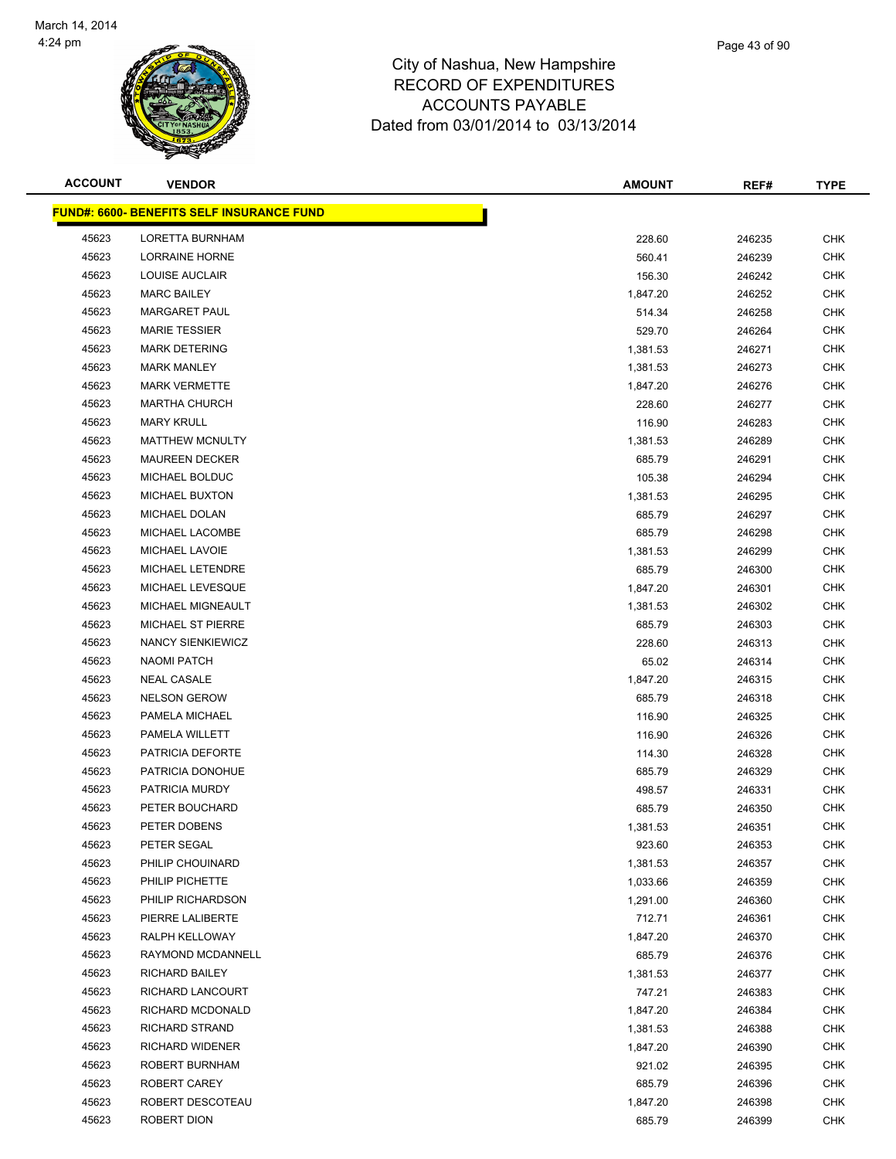

| <b>ACCOUNT</b> | <b>VENDOR</b>                                    | <b>AMOUNT</b> | REF#   | <b>TYPE</b> |
|----------------|--------------------------------------------------|---------------|--------|-------------|
|                | <b>FUND#: 6600- BENEFITS SELF INSURANCE FUND</b> |               |        |             |
| 45623          | <b>LORETTA BURNHAM</b>                           | 228.60        | 246235 | <b>CHK</b>  |
| 45623          | LORRAINE HORNE                                   | 560.41        | 246239 | <b>CHK</b>  |
| 45623          | LOUISE AUCLAIR                                   | 156.30        | 246242 | <b>CHK</b>  |
| 45623          | <b>MARC BAILEY</b>                               | 1,847.20      | 246252 | <b>CHK</b>  |
| 45623          | <b>MARGARET PAUL</b>                             | 514.34        | 246258 | <b>CHK</b>  |
| 45623          | <b>MARIE TESSIER</b>                             | 529.70        | 246264 | <b>CHK</b>  |
| 45623          | <b>MARK DETERING</b>                             | 1,381.53      | 246271 | <b>CHK</b>  |
| 45623          | <b>MARK MANLEY</b>                               | 1,381.53      | 246273 | <b>CHK</b>  |
| 45623          | <b>MARK VERMETTE</b>                             | 1,847.20      | 246276 | <b>CHK</b>  |
| 45623          | <b>MARTHA CHURCH</b>                             | 228.60        | 246277 | <b>CHK</b>  |
| 45623          | <b>MARY KRULL</b>                                | 116.90        | 246283 | <b>CHK</b>  |
| 45623          | <b>MATTHEW MCNULTY</b>                           | 1,381.53      | 246289 | <b>CHK</b>  |
| 45623          | <b>MAUREEN DECKER</b>                            | 685.79        | 246291 | <b>CHK</b>  |
| 45623          | MICHAEL BOLDUC                                   | 105.38        | 246294 | <b>CHK</b>  |
| 45623          | <b>MICHAEL BUXTON</b>                            | 1,381.53      | 246295 | <b>CHK</b>  |
| 45623          | MICHAEL DOLAN                                    | 685.79        | 246297 | <b>CHK</b>  |
| 45623          | MICHAEL LACOMBE                                  | 685.79        | 246298 | <b>CHK</b>  |
| 45623          | MICHAEL LAVOIE                                   | 1,381.53      | 246299 | <b>CHK</b>  |
| 45623          | <b>MICHAEL LETENDRE</b>                          | 685.79        | 246300 | <b>CHK</b>  |
| 45623          | MICHAEL LEVESQUE                                 | 1,847.20      | 246301 | <b>CHK</b>  |
| 45623          | MICHAEL MIGNEAULT                                | 1,381.53      | 246302 | <b>CHK</b>  |
| 45623          | MICHAEL ST PIERRE                                | 685.79        | 246303 | <b>CHK</b>  |
| 45623          | NANCY SIENKIEWICZ                                | 228.60        | 246313 | <b>CHK</b>  |
| 45623          | <b>NAOMI PATCH</b>                               | 65.02         | 246314 | <b>CHK</b>  |
| 45623          | <b>NEAL CASALE</b>                               | 1,847.20      | 246315 | <b>CHK</b>  |
| 45623          | <b>NELSON GEROW</b>                              | 685.79        | 246318 | <b>CHK</b>  |
| 45623          | PAMELA MICHAEL                                   | 116.90        | 246325 | <b>CHK</b>  |
| 45623          | PAMELA WILLETT                                   | 116.90        | 246326 | <b>CHK</b>  |
| 45623          | PATRICIA DEFORTE                                 | 114.30        | 246328 | <b>CHK</b>  |
| 45623          | PATRICIA DONOHUE                                 | 685.79        | 246329 | <b>CHK</b>  |
| 45623          | PATRICIA MURDY                                   | 498.57        | 246331 | <b>CHK</b>  |
| 45623          | PETER BOUCHARD                                   | 685.79        | 246350 | <b>CHK</b>  |
| 45623          | PETER DOBENS                                     | 1,381.53      | 246351 | <b>CHK</b>  |
| 45623          | PETER SEGAL                                      | 923.60        | 246353 | <b>CHK</b>  |
| 45623          | PHILIP CHOUINARD                                 | 1,381.53      | 246357 | CHK         |
| 45623          | PHILIP PICHETTE                                  | 1,033.66      | 246359 | <b>CHK</b>  |
| 45623          | PHILIP RICHARDSON                                | 1,291.00      | 246360 | <b>CHK</b>  |
| 45623          | PIERRE LALIBERTE                                 | 712.71        | 246361 | <b>CHK</b>  |
| 45623          | RALPH KELLOWAY                                   | 1,847.20      | 246370 | <b>CHK</b>  |
| 45623          | RAYMOND MCDANNELL                                | 685.79        | 246376 | CHK         |
| 45623          | <b>RICHARD BAILEY</b>                            | 1,381.53      | 246377 | <b>CHK</b>  |
| 45623          | RICHARD LANCOURT                                 | 747.21        | 246383 | <b>CHK</b>  |
| 45623          | RICHARD MCDONALD                                 | 1,847.20      | 246384 | <b>CHK</b>  |
| 45623          | <b>RICHARD STRAND</b>                            | 1,381.53      | 246388 | <b>CHK</b>  |
| 45623          | <b>RICHARD WIDENER</b>                           | 1,847.20      | 246390 | CHK         |
| 45623          | ROBERT BURNHAM                                   | 921.02        | 246395 | CHK         |
| 45623          | ROBERT CAREY                                     | 685.79        | 246396 | CHK         |
| 45623          | ROBERT DESCOTEAU                                 | 1,847.20      | 246398 | <b>CHK</b>  |
| 45623          | ROBERT DION                                      | 685.79        | 246399 | <b>CHK</b>  |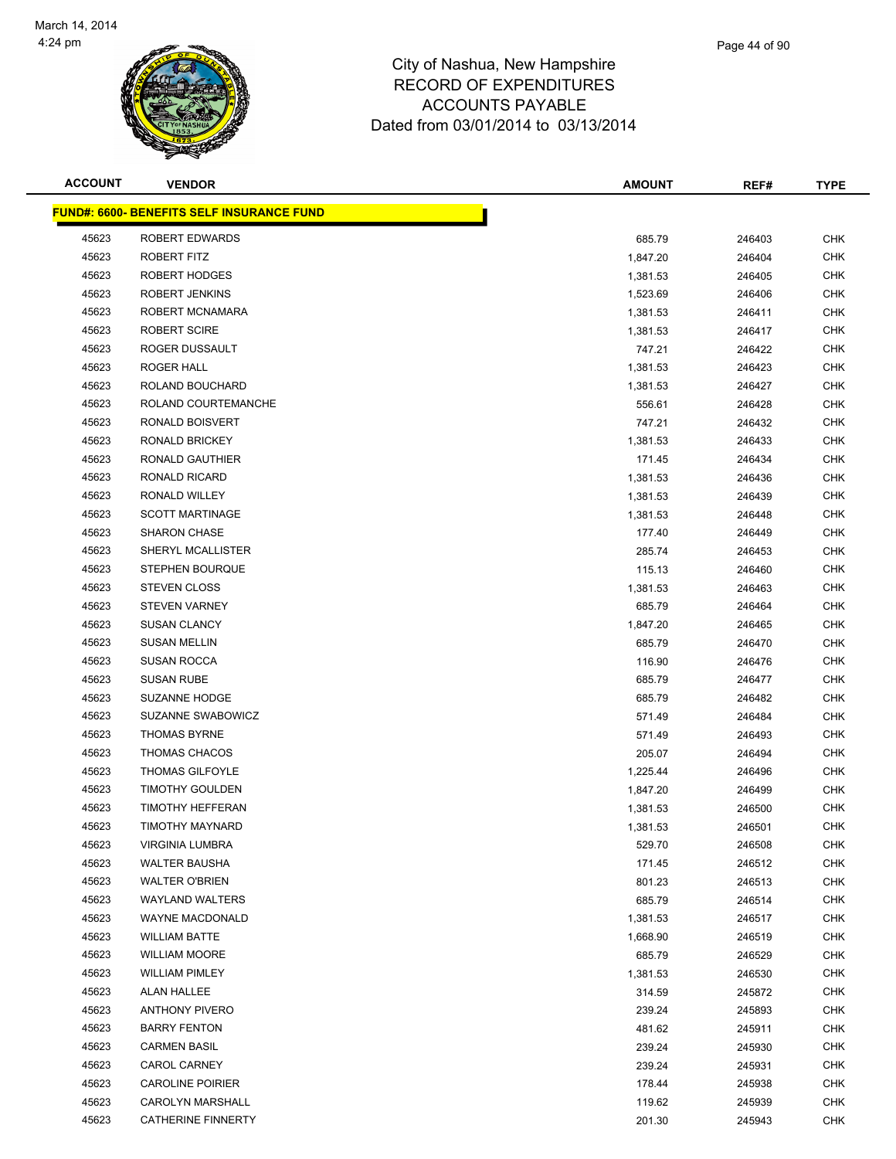

| <b>ACCOUNT</b> | <b>VENDOR</b>                                     | <b>AMOUNT</b> | REF#   | <b>TYPE</b> |
|----------------|---------------------------------------------------|---------------|--------|-------------|
|                | <u> FUND#: 6600- BENEFITS SELF INSURANCE FUND</u> |               |        |             |
| 45623          | ROBERT EDWARDS                                    | 685.79        | 246403 | <b>CHK</b>  |
| 45623          | ROBERT FITZ                                       | 1,847.20      | 246404 | <b>CHK</b>  |
| 45623          | ROBERT HODGES                                     | 1,381.53      | 246405 | <b>CHK</b>  |
| 45623          | <b>ROBERT JENKINS</b>                             | 1,523.69      | 246406 | <b>CHK</b>  |
| 45623          | ROBERT MCNAMARA                                   | 1,381.53      | 246411 | <b>CHK</b>  |
| 45623          | <b>ROBERT SCIRE</b>                               | 1,381.53      | 246417 | <b>CHK</b>  |
| 45623          | ROGER DUSSAULT                                    | 747.21        | 246422 | <b>CHK</b>  |
| 45623          | ROGER HALL                                        | 1,381.53      | 246423 | <b>CHK</b>  |
| 45623          | ROLAND BOUCHARD                                   | 1,381.53      | 246427 | <b>CHK</b>  |
| 45623          | ROLAND COURTEMANCHE                               | 556.61        | 246428 | CHK         |
| 45623          | RONALD BOISVERT                                   | 747.21        | 246432 | <b>CHK</b>  |
| 45623          | RONALD BRICKEY                                    | 1,381.53      | 246433 | <b>CHK</b>  |
| 45623          | RONALD GAUTHIER                                   | 171.45        | 246434 | <b>CHK</b>  |
| 45623          | RONALD RICARD                                     | 1,381.53      | 246436 | <b>CHK</b>  |
| 45623          | RONALD WILLEY                                     | 1,381.53      | 246439 | <b>CHK</b>  |
| 45623          | <b>SCOTT MARTINAGE</b>                            | 1,381.53      | 246448 | <b>CHK</b>  |
| 45623          | <b>SHARON CHASE</b>                               | 177.40        | 246449 | <b>CHK</b>  |
| 45623          | SHERYL MCALLISTER                                 | 285.74        | 246453 | <b>CHK</b>  |
| 45623          | <b>STEPHEN BOURQUE</b>                            | 115.13        | 246460 | <b>CHK</b>  |
| 45623          | <b>STEVEN CLOSS</b>                               | 1,381.53      | 246463 | <b>CHK</b>  |
| 45623          | <b>STEVEN VARNEY</b>                              | 685.79        | 246464 | <b>CHK</b>  |
| 45623          | <b>SUSAN CLANCY</b>                               | 1,847.20      | 246465 | <b>CHK</b>  |
| 45623          | <b>SUSAN MELLIN</b>                               | 685.79        | 246470 | <b>CHK</b>  |
| 45623          | <b>SUSAN ROCCA</b>                                | 116.90        | 246476 | <b>CHK</b>  |
| 45623          | <b>SUSAN RUBE</b>                                 | 685.79        | 246477 | <b>CHK</b>  |
| 45623          | <b>SUZANNE HODGE</b>                              | 685.79        | 246482 | <b>CHK</b>  |
| 45623          | SUZANNE SWABOWICZ                                 | 571.49        | 246484 | CHK         |
| 45623          | <b>THOMAS BYRNE</b>                               | 571.49        | 246493 | <b>CHK</b>  |
| 45623          | THOMAS CHACOS                                     | 205.07        | 246494 | <b>CHK</b>  |
| 45623          | <b>THOMAS GILFOYLE</b>                            | 1,225.44      | 246496 | <b>CHK</b>  |
| 45623          | <b>TIMOTHY GOULDEN</b>                            | 1,847.20      | 246499 | <b>CHK</b>  |
| 45623          | <b>TIMOTHY HEFFERAN</b>                           | 1,381.53      | 246500 | <b>CHK</b>  |
| 45623          | <b>TIMOTHY MAYNARD</b>                            | 1,381.53      | 246501 | <b>CHK</b>  |
| 45623          | <b>VIRGINIA LUMBRA</b>                            | 529.70        | 246508 | <b>CHK</b>  |
| 45623          | <b>WALTER BAUSHA</b>                              | 171.45        | 246512 | <b>CHK</b>  |
| 45623          | <b>WALTER O'BRIEN</b>                             | 801.23        | 246513 | <b>CHK</b>  |
| 45623          | <b>WAYLAND WALTERS</b>                            | 685.79        | 246514 | <b>CHK</b>  |
| 45623          | WAYNE MACDONALD                                   | 1,381.53      | 246517 | <b>CHK</b>  |
| 45623          | <b>WILLIAM BATTE</b>                              | 1,668.90      | 246519 | <b>CHK</b>  |
| 45623          | <b>WILLIAM MOORE</b>                              | 685.79        | 246529 | <b>CHK</b>  |
| 45623          | <b>WILLIAM PIMLEY</b>                             | 1,381.53      | 246530 | <b>CHK</b>  |
| 45623          | ALAN HALLEE                                       | 314.59        | 245872 | <b>CHK</b>  |
| 45623          | <b>ANTHONY PIVERO</b>                             | 239.24        | 245893 | CHK         |
| 45623          | <b>BARRY FENTON</b>                               | 481.62        | 245911 | <b>CHK</b>  |
| 45623          | <b>CARMEN BASIL</b>                               | 239.24        | 245930 | CHK         |
| 45623          | CAROL CARNEY                                      | 239.24        | 245931 | CHK         |
| 45623          | <b>CAROLINE POIRIER</b>                           | 178.44        | 245938 | <b>CHK</b>  |
| 45623          | <b>CAROLYN MARSHALL</b>                           | 119.62        | 245939 | <b>CHK</b>  |
| 45623          | <b>CATHERINE FINNERTY</b>                         | 201.30        | 245943 | <b>CHK</b>  |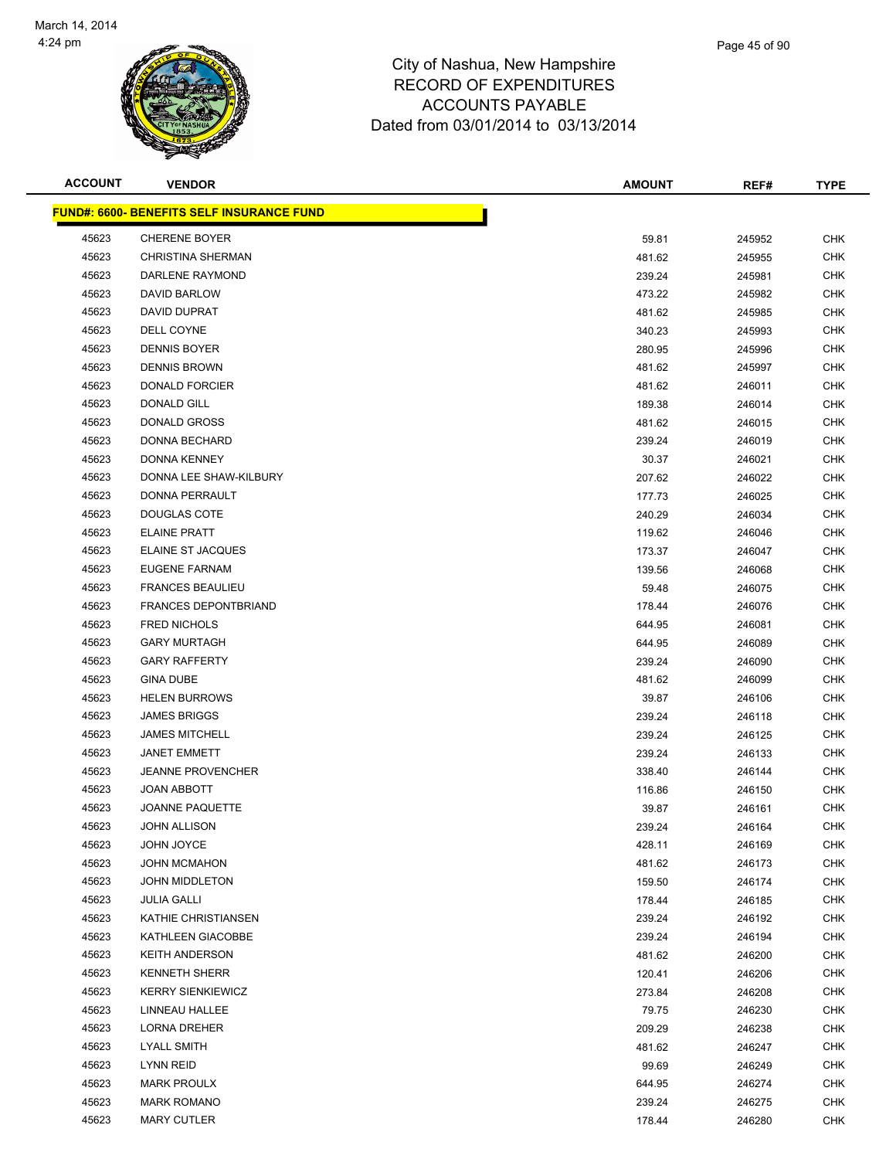

| <b>ACCOUNT</b> | <b>VENDOR</b>                                     | <b>AMOUNT</b> | REF#   | <b>TYPE</b> |
|----------------|---------------------------------------------------|---------------|--------|-------------|
|                | <u> FUND#: 6600- BENEFITS SELF INSURANCE FUND</u> |               |        |             |
| 45623          | <b>CHERENE BOYER</b>                              | 59.81         | 245952 | <b>CHK</b>  |
| 45623          | <b>CHRISTINA SHERMAN</b>                          | 481.62        | 245955 | <b>CHK</b>  |
| 45623          | DARLENE RAYMOND                                   | 239.24        | 245981 | <b>CHK</b>  |
| 45623          | DAVID BARLOW                                      | 473.22        | 245982 | <b>CHK</b>  |
| 45623          | DAVID DUPRAT                                      | 481.62        | 245985 | <b>CHK</b>  |
| 45623          | DELL COYNE                                        | 340.23        | 245993 | <b>CHK</b>  |
| 45623          | DENNIS BOYER                                      | 280.95        | 245996 | <b>CHK</b>  |
| 45623          | <b>DENNIS BROWN</b>                               | 481.62        | 245997 | <b>CHK</b>  |
| 45623          | <b>DONALD FORCIER</b>                             | 481.62        | 246011 | <b>CHK</b>  |
| 45623          | DONALD GILL                                       | 189.38        | 246014 | <b>CHK</b>  |
| 45623          | DONALD GROSS                                      | 481.62        | 246015 | <b>CHK</b>  |
| 45623          | DONNA BECHARD                                     | 239.24        | 246019 | <b>CHK</b>  |
| 45623          | <b>DONNA KENNEY</b>                               | 30.37         | 246021 | CHK         |
| 45623          | DONNA LEE SHAW-KILBURY                            | 207.62        | 246022 | <b>CHK</b>  |
| 45623          | DONNA PERRAULT                                    | 177.73        | 246025 | <b>CHK</b>  |
| 45623          | <b>DOUGLAS COTE</b>                               | 240.29        | 246034 | <b>CHK</b>  |
| 45623          | <b>ELAINE PRATT</b>                               | 119.62        | 246046 | <b>CHK</b>  |
| 45623          | ELAINE ST JACQUES                                 | 173.37        | 246047 | <b>CHK</b>  |
| 45623          | EUGENE FARNAM                                     | 139.56        | 246068 | <b>CHK</b>  |
| 45623          | <b>FRANCES BEAULIEU</b>                           | 59.48         | 246075 | <b>CHK</b>  |
| 45623          | <b>FRANCES DEPONTBRIAND</b>                       | 178.44        | 246076 | <b>CHK</b>  |
| 45623          | <b>FRED NICHOLS</b>                               | 644.95        | 246081 | <b>CHK</b>  |
| 45623          | <b>GARY MURTAGH</b>                               | 644.95        | 246089 | <b>CHK</b>  |
| 45623          | <b>GARY RAFFERTY</b>                              | 239.24        | 246090 | <b>CHK</b>  |
| 45623          | <b>GINA DUBE</b>                                  | 481.62        | 246099 | <b>CHK</b>  |
| 45623          | <b>HELEN BURROWS</b>                              | 39.87         | 246106 | <b>CHK</b>  |
| 45623          | <b>JAMES BRIGGS</b>                               | 239.24        | 246118 | <b>CHK</b>  |
| 45623          | <b>JAMES MITCHELL</b>                             | 239.24        | 246125 | <b>CHK</b>  |
| 45623          | <b>JANET EMMETT</b>                               | 239.24        | 246133 | CHK         |
| 45623          | <b>JEANNE PROVENCHER</b>                          | 338.40        | 246144 | <b>CHK</b>  |
| 45623          | JOAN ABBOTT                                       | 116.86        | 246150 | <b>CHK</b>  |
| 45623          | <b>JOANNE PAQUETTE</b>                            | 39.87         | 246161 | CHK         |
| 45623          | JOHN ALLISON                                      | 239.24        | 246164 | <b>CHK</b>  |
| 45623          | JOHN JOYCE                                        | 428.11        | 246169 | <b>CHK</b>  |
| 45623          | <b>JOHN MCMAHON</b>                               | 481.62        | 246173 | <b>CHK</b>  |
| 45623          | <b>JOHN MIDDLETON</b>                             | 159.50        | 246174 | <b>CHK</b>  |
| 45623          | <b>JULIA GALLI</b>                                | 178.44        | 246185 | <b>CHK</b>  |
| 45623          | KATHIE CHRISTIANSEN                               | 239.24        | 246192 | <b>CHK</b>  |
| 45623          | KATHLEEN GIACOBBE                                 | 239.24        | 246194 | <b>CHK</b>  |
| 45623          | <b>KEITH ANDERSON</b>                             | 481.62        | 246200 | <b>CHK</b>  |
| 45623          | <b>KENNETH SHERR</b>                              | 120.41        | 246206 | <b>CHK</b>  |
| 45623          | <b>KERRY SIENKIEWICZ</b>                          | 273.84        | 246208 | <b>CHK</b>  |
| 45623          | LINNEAU HALLEE                                    | 79.75         | 246230 | <b>CHK</b>  |
| 45623          | LORNA DREHER                                      | 209.29        | 246238 | <b>CHK</b>  |
| 45623          | LYALL SMITH                                       | 481.62        | 246247 | CHK         |
| 45623          | LYNN REID                                         | 99.69         | 246249 | <b>CHK</b>  |
| 45623          | <b>MARK PROULX</b>                                | 644.95        | 246274 | <b>CHK</b>  |
| 45623          | <b>MARK ROMANO</b>                                | 239.24        | 246275 | <b>CHK</b>  |
|                |                                                   |               |        |             |

MARY CUTLER 178.44 246280 CHK

Page 45 of 90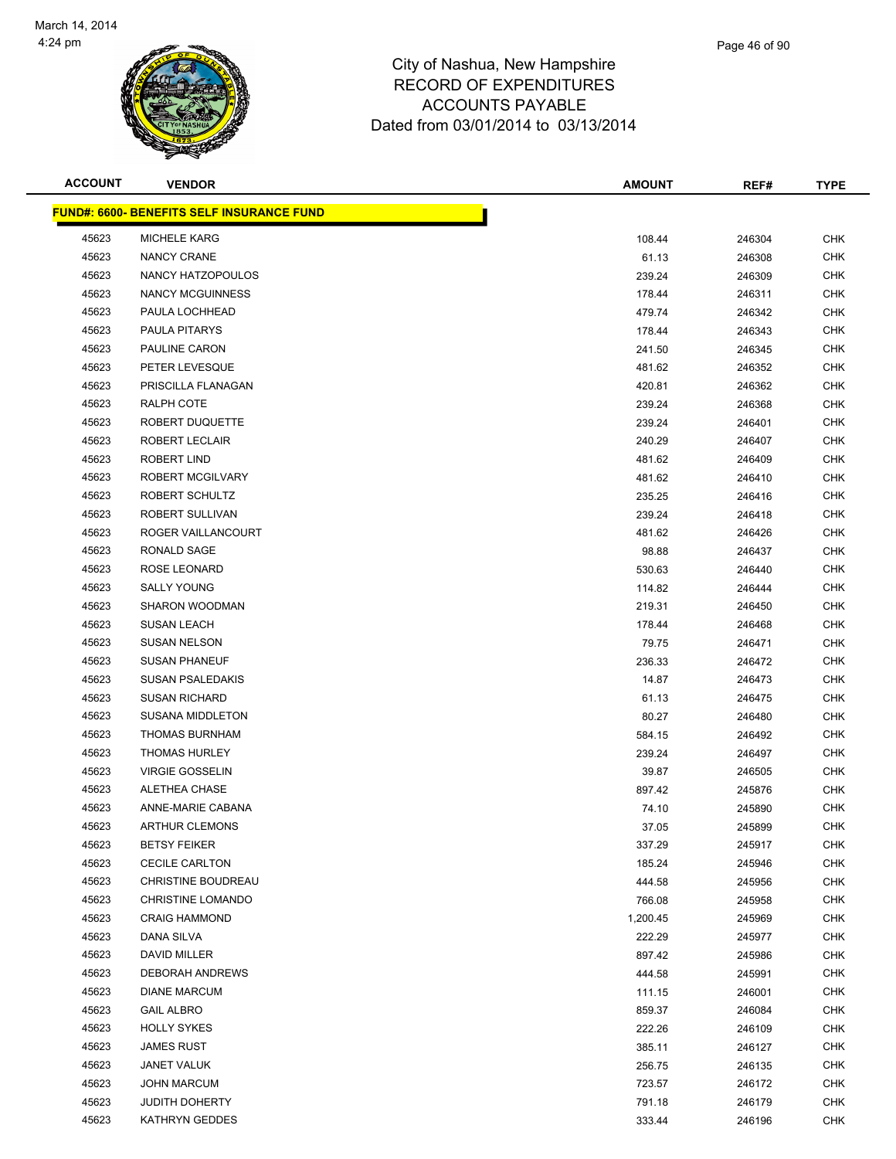

| <b>ACCOUNT</b> | <b>VENDOR</b>                                    | <b>AMOUNT</b> | REF#   | <b>TYPE</b> |
|----------------|--------------------------------------------------|---------------|--------|-------------|
|                | <b>FUND#: 6600- BENEFITS SELF INSURANCE FUND</b> |               |        |             |
| 45623          | <b>MICHELE KARG</b>                              | 108.44        | 246304 | <b>CHK</b>  |
| 45623          | NANCY CRANE                                      | 61.13         | 246308 | <b>CHK</b>  |
| 45623          | NANCY HATZOPOULOS                                | 239.24        | 246309 | <b>CHK</b>  |
| 45623          | <b>NANCY MCGUINNESS</b>                          | 178.44        | 246311 | <b>CHK</b>  |
| 45623          | PAULA LOCHHEAD                                   | 479.74        | 246342 | <b>CHK</b>  |
| 45623          | PAULA PITARYS                                    | 178.44        | 246343 | <b>CHK</b>  |
| 45623          | PAULINE CARON                                    | 241.50        | 246345 | <b>CHK</b>  |
| 45623          | PETER LEVESQUE                                   | 481.62        | 246352 | <b>CHK</b>  |
| 45623          | PRISCILLA FLANAGAN                               | 420.81        | 246362 | <b>CHK</b>  |
| 45623          | RALPH COTE                                       | 239.24        | 246368 | <b>CHK</b>  |
| 45623          | ROBERT DUQUETTE                                  | 239.24        | 246401 | <b>CHK</b>  |
| 45623          | ROBERT LECLAIR                                   | 240.29        | 246407 | <b>CHK</b>  |
| 45623          | ROBERT LIND                                      | 481.62        | 246409 | <b>CHK</b>  |
| 45623          | ROBERT MCGILVARY                                 | 481.62        | 246410 | <b>CHK</b>  |
| 45623          | ROBERT SCHULTZ                                   | 235.25        | 246416 | <b>CHK</b>  |
| 45623          | ROBERT SULLIVAN                                  | 239.24        | 246418 | <b>CHK</b>  |
| 45623          | ROGER VAILLANCOURT                               | 481.62        | 246426 | <b>CHK</b>  |
| 45623          | RONALD SAGE                                      | 98.88         | 246437 | <b>CHK</b>  |
| 45623          | ROSE LEONARD                                     | 530.63        | 246440 | <b>CHK</b>  |
| 45623          | <b>SALLY YOUNG</b>                               | 114.82        | 246444 | <b>CHK</b>  |
| 45623          | SHARON WOODMAN                                   | 219.31        | 246450 | <b>CHK</b>  |
| 45623          | <b>SUSAN LEACH</b>                               | 178.44        | 246468 | <b>CHK</b>  |
| 45623          | <b>SUSAN NELSON</b>                              | 79.75         | 246471 | <b>CHK</b>  |
| 45623          | <b>SUSAN PHANEUF</b>                             | 236.33        | 246472 | <b>CHK</b>  |
| 45623          | <b>SUSAN PSALEDAKIS</b>                          | 14.87         | 246473 | <b>CHK</b>  |
| 45623          | <b>SUSAN RICHARD</b>                             | 61.13         | 246475 | <b>CHK</b>  |
| 45623          | SUSANA MIDDLETON                                 | 80.27         | 246480 | <b>CHK</b>  |
| 45623          | <b>THOMAS BURNHAM</b>                            | 584.15        | 246492 | <b>CHK</b>  |
| 45623          | <b>THOMAS HURLEY</b>                             | 239.24        | 246497 | <b>CHK</b>  |
| 45623          | <b>VIRGIE GOSSELIN</b>                           | 39.87         | 246505 | <b>CHK</b>  |
| 45623          | ALETHEA CHASE                                    | 897.42        | 245876 | <b>CHK</b>  |
| 45623          | ANNE-MARIE CABANA                                | 74.10         | 245890 | <b>CHK</b>  |
| 45623          | <b>ARTHUR CLEMONS</b>                            | 37.05         | 245899 | <b>CHK</b>  |
| 45623          | <b>BETSY FEIKER</b>                              | 337.29        | 245917 | <b>CHK</b>  |
| 45623          | <b>CECILE CARLTON</b>                            | 185.24        | 245946 | <b>CHK</b>  |
| 45623          | CHRISTINE BOUDREAU                               | 444.58        | 245956 | <b>CHK</b>  |
| 45623          | <b>CHRISTINE LOMANDO</b>                         | 766.08        | 245958 | <b>CHK</b>  |
| 45623          | <b>CRAIG HAMMOND</b>                             | 1,200.45      | 245969 | <b>CHK</b>  |
| 45623          | DANA SILVA                                       | 222.29        | 245977 | <b>CHK</b>  |
| 45623          | DAVID MILLER                                     | 897.42        | 245986 | <b>CHK</b>  |
| 45623          | <b>DEBORAH ANDREWS</b>                           | 444.58        | 245991 | <b>CHK</b>  |
| 45623          | <b>DIANE MARCUM</b>                              | 111.15        | 246001 | <b>CHK</b>  |
| 45623          | <b>GAIL ALBRO</b>                                | 859.37        | 246084 | <b>CHK</b>  |
| 45623          | <b>HOLLY SYKES</b>                               | 222.26        | 246109 | CHK         |
| 45623          | <b>JAMES RUST</b>                                | 385.11        | 246127 | CHK         |
| 45623          | <b>JANET VALUK</b>                               | 256.75        | 246135 | <b>CHK</b>  |
| 45623          | <b>JOHN MARCUM</b>                               | 723.57        | 246172 | <b>CHK</b>  |
| 45623          | <b>JUDITH DOHERTY</b>                            | 791.18        | 246179 | <b>CHK</b>  |
| 45623          | KATHRYN GEDDES                                   | 333.44        | 246196 | <b>CHK</b>  |
|                |                                                  |               |        |             |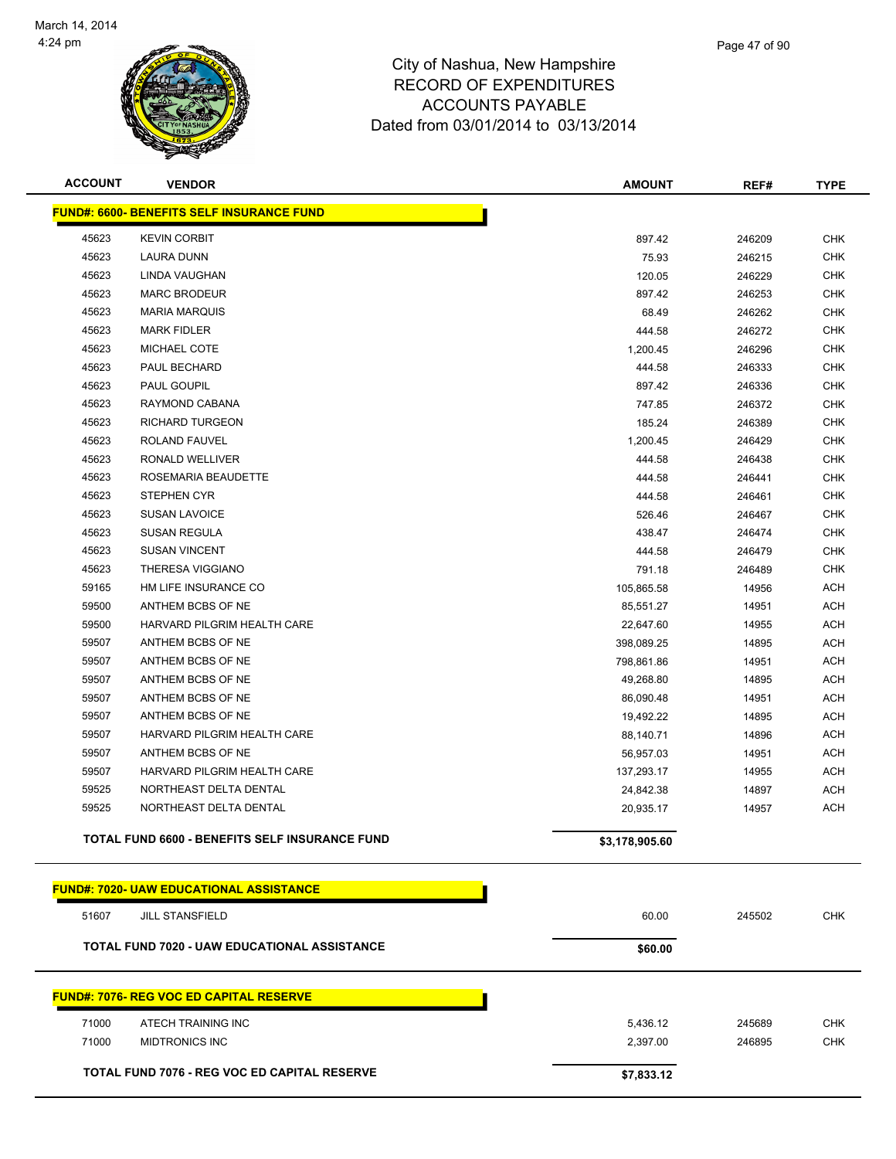

| <b>ACCOUNT</b> | <b>VENDOR</b>                                       | <b>AMOUNT</b>  | REF#   | <b>TYPE</b> |
|----------------|-----------------------------------------------------|----------------|--------|-------------|
|                | <b>FUND#: 6600- BENEFITS SELF INSURANCE FUND</b>    |                |        |             |
| 45623          | <b>KEVIN CORBIT</b>                                 | 897.42         | 246209 | <b>CHK</b>  |
| 45623          | <b>LAURA DUNN</b>                                   | 75.93          | 246215 | <b>CHK</b>  |
| 45623          | LINDA VAUGHAN                                       | 120.05         | 246229 | <b>CHK</b>  |
| 45623          | <b>MARC BRODEUR</b>                                 | 897.42         | 246253 | <b>CHK</b>  |
| 45623          | <b>MARIA MARQUIS</b>                                | 68.49          | 246262 | <b>CHK</b>  |
| 45623          | <b>MARK FIDLER</b>                                  | 444.58         | 246272 | <b>CHK</b>  |
| 45623          | MICHAEL COTE                                        | 1,200.45       | 246296 | <b>CHK</b>  |
| 45623          | PAUL BECHARD                                        | 444.58         | 246333 | <b>CHK</b>  |
| 45623          | PAUL GOUPIL                                         | 897.42         | 246336 | <b>CHK</b>  |
| 45623          | RAYMOND CABANA                                      | 747.85         | 246372 | <b>CHK</b>  |
| 45623          | <b>RICHARD TURGEON</b>                              | 185.24         | 246389 | <b>CHK</b>  |
| 45623          | ROLAND FAUVEL                                       | 1,200.45       | 246429 | <b>CHK</b>  |
| 45623          | RONALD WELLIVER                                     | 444.58         | 246438 | <b>CHK</b>  |
| 45623          | ROSEMARIA BEAUDETTE                                 | 444.58         | 246441 | <b>CHK</b>  |
| 45623          | STEPHEN CYR                                         | 444.58         | 246461 | <b>CHK</b>  |
| 45623          | <b>SUSAN LAVOICE</b>                                | 526.46         | 246467 | <b>CHK</b>  |
| 45623          | <b>SUSAN REGULA</b>                                 | 438.47         | 246474 | <b>CHK</b>  |
| 45623          | <b>SUSAN VINCENT</b>                                | 444.58         | 246479 | <b>CHK</b>  |
| 45623          | THERESA VIGGIANO                                    | 791.18         | 246489 | <b>CHK</b>  |
| 59165          | HM LIFE INSURANCE CO                                | 105,865.58     | 14956  | ACH         |
| 59500          | ANTHEM BCBS OF NE                                   | 85,551.27      | 14951  | ACH         |
| 59500          | HARVARD PILGRIM HEALTH CARE                         | 22,647.60      | 14955  | ACH         |
| 59507          | ANTHEM BCBS OF NE                                   | 398,089.25     | 14895  | <b>ACH</b>  |
| 59507          | ANTHEM BCBS OF NE                                   | 798,861.86     | 14951  | ACH         |
| 59507          | ANTHEM BCBS OF NE                                   | 49,268.80      | 14895  | ACH         |
| 59507          | ANTHEM BCBS OF NE                                   | 86,090.48      | 14951  | <b>ACH</b>  |
| 59507          | ANTHEM BCBS OF NE                                   | 19,492.22      | 14895  | <b>ACH</b>  |
| 59507          | HARVARD PILGRIM HEALTH CARE                         | 88,140.71      | 14896  | <b>ACH</b>  |
| 59507          | ANTHEM BCBS OF NE                                   | 56,957.03      | 14951  | <b>ACH</b>  |
| 59507          | HARVARD PILGRIM HEALTH CARE                         | 137,293.17     | 14955  | ACH         |
| 59525          | NORTHEAST DELTA DENTAL                              | 24,842.38      | 14897  | ACH         |
| 59525          | NORTHEAST DELTA DENTAL                              | 20,935.17      | 14957  | ACH         |
|                | TOTAL FUND 6600 - BENEFITS SELF INSURANCE FUND      | \$3,178,905.60 |        |             |
|                | <b>FUND#: 7020- UAW EDUCATIONAL ASSISTANCE</b>      |                |        |             |
| 51607          | <b>JILL STANSFIELD</b>                              | 60.00          | 245502 | <b>CHK</b>  |
|                | <b>TOTAL FUND 7020 - UAW EDUCATIONAL ASSISTANCE</b> | \$60.00        |        |             |
|                |                                                     |                |        |             |
|                | <b>FUND#: 7076- REG VOC ED CAPITAL RESERVE</b>      |                |        |             |
| 71000          | ATECH TRAINING INC                                  | 5,436.12       | 245689 | <b>CHK</b>  |
| 71000          | <b>MIDTRONICS INC</b>                               | 2,397.00       | 246895 | <b>CHK</b>  |
|                | TOTAL FUND 7076 - REG VOC ED CAPITAL RESERVE        | \$7,833.12     |        |             |
|                |                                                     |                |        |             |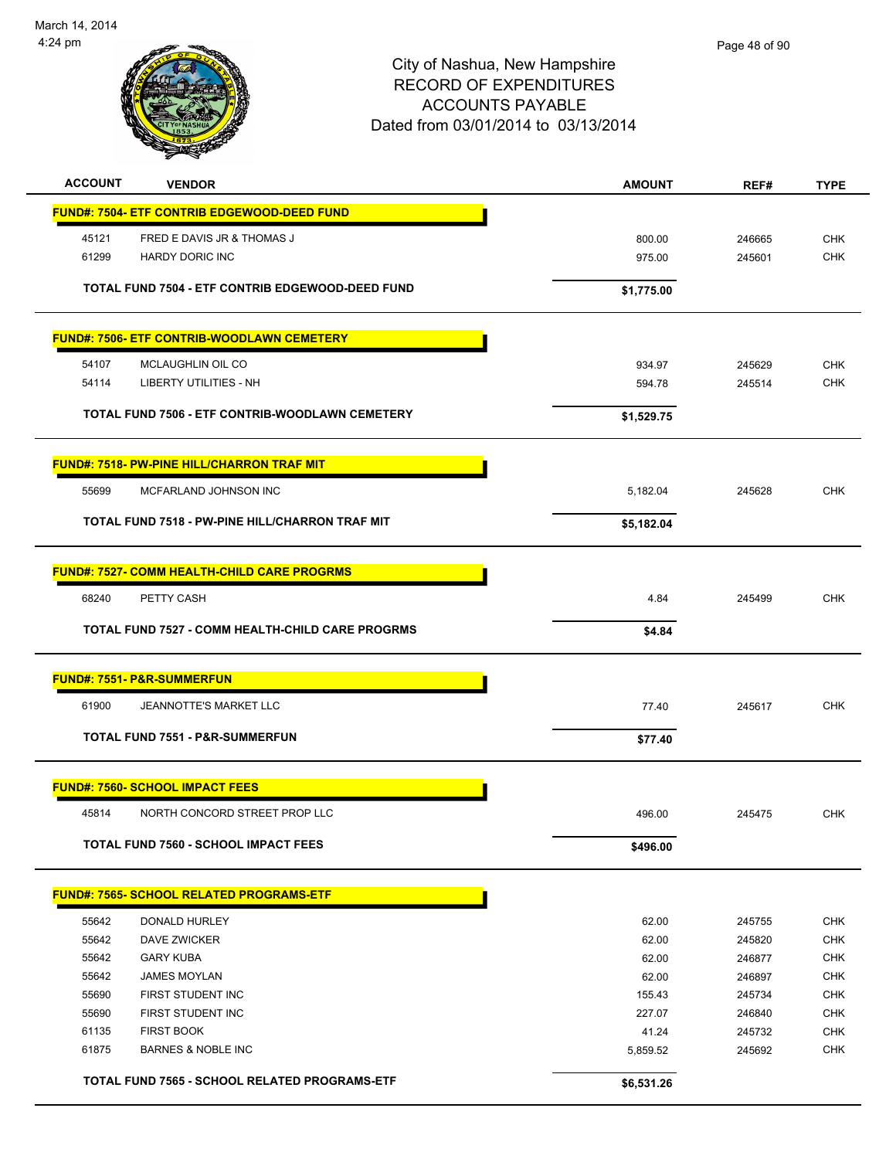

| <b>ACCOUNT</b> | <b>VENDOR</b>                                           | <b>AMOUNT</b> | REF#   | <b>TYPE</b> |
|----------------|---------------------------------------------------------|---------------|--------|-------------|
|                | <b>FUND#: 7504- ETF CONTRIB EDGEWOOD-DEED FUND</b>      |               |        |             |
| 45121          | FRED E DAVIS JR & THOMAS J                              | 800.00        | 246665 | <b>CHK</b>  |
| 61299          | <b>HARDY DORIC INC</b>                                  | 975.00        | 245601 | <b>CHK</b>  |
|                |                                                         |               |        |             |
|                | TOTAL FUND 7504 - ETF CONTRIB EDGEWOOD-DEED FUND        | \$1,775.00    |        |             |
|                | <b>FUND#: 7506- ETF CONTRIB-WOODLAWN CEMETERY</b>       |               |        |             |
| 54107          | MCLAUGHLIN OIL CO                                       | 934.97        | 245629 | <b>CHK</b>  |
| 54114          | <b>LIBERTY UTILITIES - NH</b>                           | 594.78        | 245514 | <b>CHK</b>  |
|                | TOTAL FUND 7506 - ETF CONTRIB-WOODLAWN CEMETERY         | \$1,529.75    |        |             |
|                |                                                         |               |        |             |
|                | <b>FUND#: 7518- PW-PINE HILL/CHARRON TRAF MIT</b>       |               |        |             |
| 55699          | MCFARLAND JOHNSON INC                                   | 5,182.04      | 245628 | <b>CHK</b>  |
|                | TOTAL FUND 7518 - PW-PINE HILL/CHARRON TRAF MIT         | \$5,182.04    |        |             |
|                | <b>FUND#: 7527- COMM HEALTH-CHILD CARE PROGRMS</b>      |               |        |             |
| 68240          | PETTY CASH                                              | 4.84          | 245499 | <b>CHK</b>  |
|                | <b>TOTAL FUND 7527 - COMM HEALTH-CHILD CARE PROGRMS</b> |               |        |             |
|                |                                                         | \$4.84        |        |             |
|                | <b>FUND#: 7551- P&amp;R-SUMMERFUN</b>                   |               |        |             |
| 61900          | <b>JEANNOTTE'S MARKET LLC</b>                           | 77.40         | 245617 | <b>CHK</b>  |
|                | <b>TOTAL FUND 7551 - P&amp;R-SUMMERFUN</b>              | \$77.40       |        |             |
|                | <b>FUND#: 7560- SCHOOL IMPACT FEES</b>                  |               |        |             |
| 45814          | NORTH CONCORD STREET PROP LLC                           | 496.00        | 245475 | <b>CHK</b>  |
|                | <b>TOTAL FUND 7560 - SCHOOL IMPACT FEES</b>             | \$496.00      |        |             |
|                |                                                         |               |        |             |
|                | <b>FUND#: 7565- SCHOOL RELATED PROGRAMS-ETF</b>         |               |        |             |
| 55642          | DONALD HURLEY                                           | 62.00         | 245755 | <b>CHK</b>  |
| 55642          | DAVE ZWICKER                                            | 62.00         | 245820 | <b>CHK</b>  |
| 55642          | <b>GARY KUBA</b>                                        | 62.00         | 246877 | <b>CHK</b>  |
| 55642          | <b>JAMES MOYLAN</b>                                     | 62.00         | 246897 | <b>CHK</b>  |
| 55690          | FIRST STUDENT INC                                       | 155.43        | 245734 | CHK         |
| 55690          | FIRST STUDENT INC                                       | 227.07        | 246840 | <b>CHK</b>  |
| 61135          | <b>FIRST BOOK</b>                                       | 41.24         | 245732 | <b>CHK</b>  |
| 61875          | <b>BARNES &amp; NOBLE INC</b>                           | 5,859.52      | 245692 | <b>CHK</b>  |
|                | TOTAL FUND 7565 - SCHOOL RELATED PROGRAMS-ETF           | \$6,531.26    |        |             |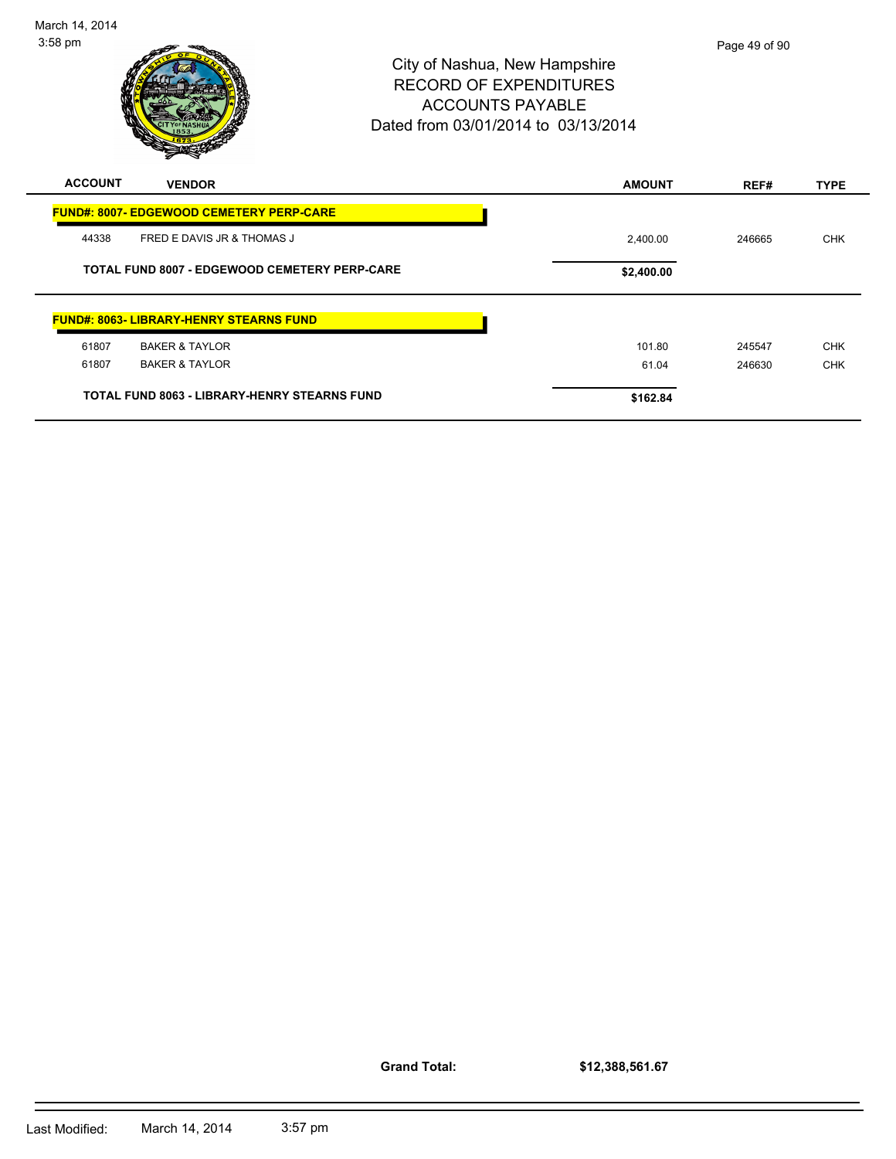| <b>ACCOUNT</b> | <b>VENDOR</b>                                        | <b>AMOUNT</b> | REF#   | <b>TYPE</b> |
|----------------|------------------------------------------------------|---------------|--------|-------------|
|                | <b>FUND#: 8007- EDGEWOOD CEMETERY PERP-CARE</b>      |               |        |             |
| 44338          | FRED E DAVIS JR & THOMAS J                           | 2,400.00      | 246665 | <b>CHK</b>  |
|                | <b>TOTAL FUND 8007 - EDGEWOOD CEMETERY PERP-CARE</b> | \$2,400.00    |        |             |
|                | <b>FUND#: 8063- LIBRARY-HENRY STEARNS FUND</b>       |               |        |             |
| 61807          | <b>BAKER &amp; TAYLOR</b>                            | 101.80        | 245547 | <b>CHK</b>  |
| 61807          | <b>BAKER &amp; TAYLOR</b>                            | 61.04         | 246630 | <b>CHK</b>  |
|                | <b>TOTAL FUND 8063 - LIBRARY-HENRY STEARNS FUND</b>  | \$162.84      |        |             |

**Grand Total:**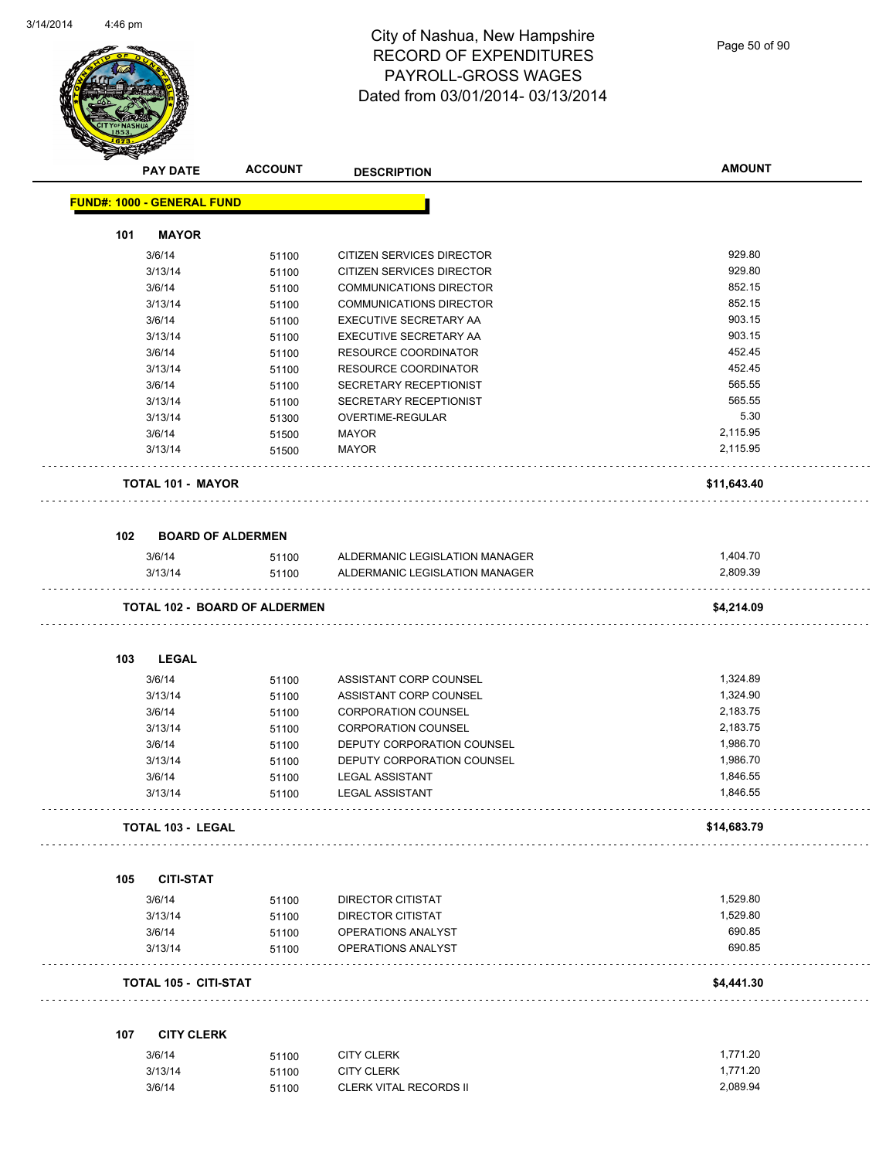

Page 50 of 90

|     | <b>PAY DATE</b>                   | <b>ACCOUNT</b>                       | <b>DESCRIPTION</b>             | <b>AMOUNT</b> |
|-----|-----------------------------------|--------------------------------------|--------------------------------|---------------|
|     | <b>FUND#: 1000 - GENERAL FUND</b> |                                      |                                |               |
| 101 | <b>MAYOR</b>                      |                                      |                                |               |
|     | 3/6/14                            | 51100                                | CITIZEN SERVICES DIRECTOR      | 929.80        |
|     | 3/13/14                           | 51100                                | CITIZEN SERVICES DIRECTOR      | 929.80        |
|     | 3/6/14                            | 51100                                | COMMUNICATIONS DIRECTOR        | 852.15        |
|     | 3/13/14                           | 51100                                | <b>COMMUNICATIONS DIRECTOR</b> | 852.15        |
|     | 3/6/14                            | 51100                                | <b>EXECUTIVE SECRETARY AA</b>  | 903.15        |
|     | 3/13/14                           | 51100                                | EXECUTIVE SECRETARY AA         | 903.15        |
|     | 3/6/14                            | 51100                                | <b>RESOURCE COORDINATOR</b>    | 452.45        |
|     | 3/13/14                           | 51100                                | <b>RESOURCE COORDINATOR</b>    | 452.45        |
|     | 3/6/14                            | 51100                                | SECRETARY RECEPTIONIST         | 565.55        |
|     | 3/13/14                           | 51100                                | SECRETARY RECEPTIONIST         | 565.55        |
|     | 3/13/14                           | 51300                                | OVERTIME-REGULAR               | 5.30          |
|     | 3/6/14                            | 51500                                | <b>MAYOR</b>                   | 2,115.95      |
|     | 3/13/14                           | 51500                                | <b>MAYOR</b>                   | 2,115.95      |
|     | <b>TOTAL 101 - MAYOR</b>          |                                      |                                | \$11,643.40   |
| 102 |                                   | <b>BOARD OF ALDERMEN</b>             |                                |               |
|     | 3/6/14                            | 51100                                | ALDERMANIC LEGISLATION MANAGER | 1,404.70      |
|     | 3/13/14                           | 51100                                | ALDERMANIC LEGISLATION MANAGER | 2,809.39      |
|     |                                   | <b>TOTAL 102 - BOARD OF ALDERMEN</b> |                                | \$4,214.09    |
| 103 | <b>LEGAL</b>                      |                                      |                                |               |
|     | 3/6/14                            | 51100                                | ASSISTANT CORP COUNSEL         | 1,324.89      |
|     | 3/13/14                           | 51100                                | ASSISTANT CORP COUNSEL         | 1,324.90      |
|     | 3/6/14                            | 51100                                | <b>CORPORATION COUNSEL</b>     | 2,183.75      |
|     | 3/13/14                           | 51100                                | <b>CORPORATION COUNSEL</b>     | 2,183.75      |
|     |                                   |                                      |                                |               |
|     | 3/6/14                            | 51100                                | DEPUTY CORPORATION COUNSEL     | 1,986.70      |
|     | 3/13/14                           | 51100                                | DEPUTY CORPORATION COUNSEL     | 1,986.70      |
|     | 3/6/14                            | 51100                                | <b>LEGAL ASSISTANT</b>         | 1,846.55      |
|     | 3/13/14                           | 51100                                | <b>LEGAL ASSISTANT</b>         | 1,846.55      |
|     | <b>TOTAL 103 - LEGAL</b>          |                                      |                                | \$14,683.79   |
| 105 | <b>CITI-STAT</b>                  |                                      |                                |               |
|     | 3/6/14                            | 51100                                | DIRECTOR CITISTAT              | 1,529.80      |
|     | 3/13/14                           | 51100                                | <b>DIRECTOR CITISTAT</b>       | 1,529.80      |
|     | 3/6/14                            | 51100                                | OPERATIONS ANALYST             | 690.85        |
|     | 3/13/14                           | 51100                                | <b>OPERATIONS ANALYST</b>      | 690.85        |
|     | TOTAL 105 - CITI-STAT             |                                      |                                | \$4,441.30    |
| 107 | <b>CITY CLERK</b>                 |                                      |                                |               |
|     | 3/6/14                            | 51100                                | <b>CITY CLERK</b>              | 1,771.20      |
|     | 3/13/14                           | 51100                                | <b>CITY CLERK</b>              | 1,771.20      |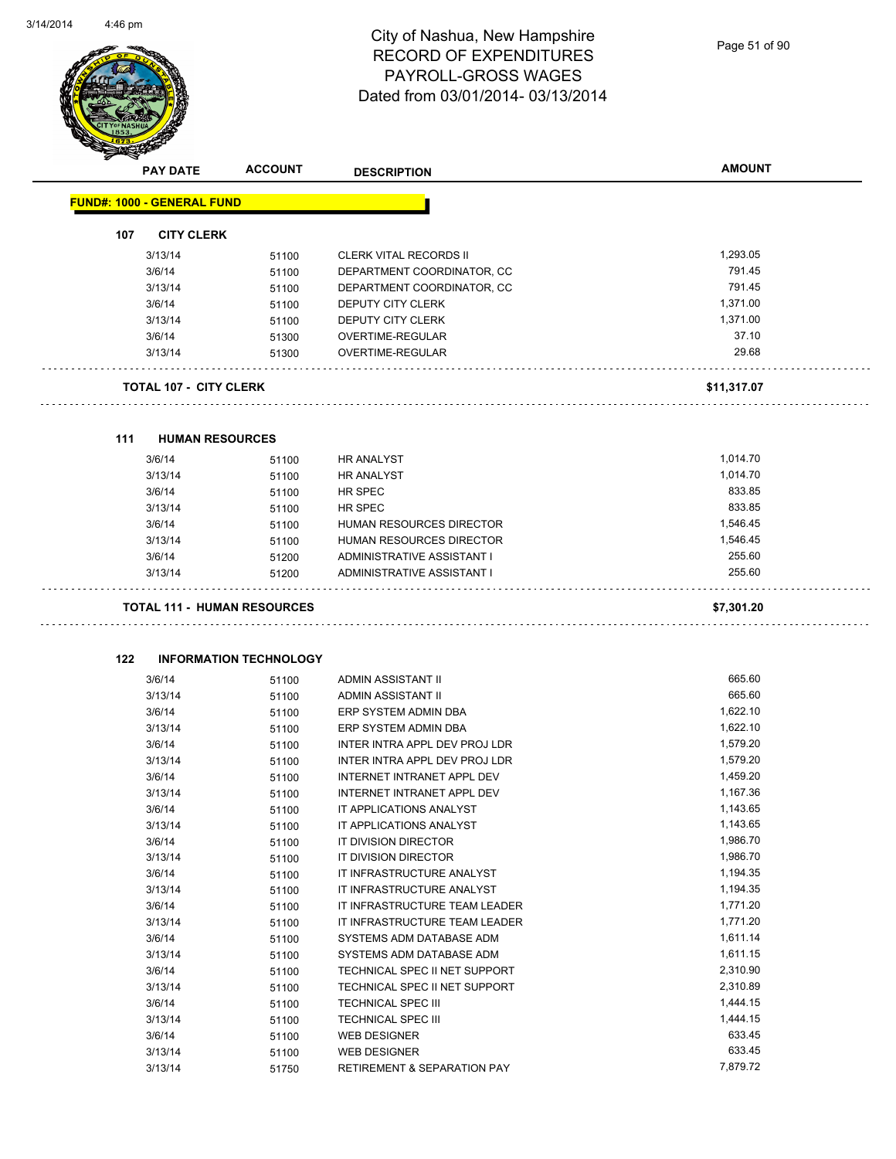

Page 51 of 90

|     |                                    |                               | <b>DESCRIPTION</b>                              |                      |
|-----|------------------------------------|-------------------------------|-------------------------------------------------|----------------------|
|     | <b>FUND#: 1000 - GENERAL FUND</b>  |                               |                                                 |                      |
| 107 | <b>CITY CLERK</b>                  |                               |                                                 |                      |
|     | 3/13/14                            | 51100                         | <b>CLERK VITAL RECORDS II</b>                   | 1,293.05             |
|     | 3/6/14                             | 51100                         | DEPARTMENT COORDINATOR, CC                      | 791.45               |
|     | 3/13/14                            | 51100                         | DEPARTMENT COORDINATOR, CC                      | 791.45               |
|     | 3/6/14                             | 51100                         | DEPUTY CITY CLERK                               | 1,371.00             |
|     | 3/13/14                            | 51100                         | DEPUTY CITY CLERK                               | 1,371.00             |
|     | 3/6/14                             | 51300                         | OVERTIME-REGULAR                                | 37.10                |
|     | 3/13/14                            | 51300                         | OVERTIME-REGULAR                                | 29.68                |
|     | <b>TOTAL 107 - CITY CLERK</b>      |                               |                                                 | \$11,317.07          |
| 111 | <b>HUMAN RESOURCES</b>             |                               |                                                 |                      |
|     | 3/6/14                             | 51100                         | <b>HR ANALYST</b>                               | 1,014.70             |
|     | 3/13/14                            | 51100                         | <b>HR ANALYST</b>                               | 1,014.70             |
|     | 3/6/14                             | 51100                         | HR SPEC                                         | 833.85               |
|     | 3/13/14                            | 51100                         | HR SPEC                                         | 833.85               |
|     | 3/6/14                             | 51100                         | HUMAN RESOURCES DIRECTOR                        | 1,546.45             |
|     | 3/13/14                            | 51100                         | HUMAN RESOURCES DIRECTOR                        | 1,546.45             |
|     | 3/6/14                             | 51200                         | ADMINISTRATIVE ASSISTANT I                      | 255.60               |
|     | 3/13/14                            | 51200                         | ADMINISTRATIVE ASSISTANT I                      | 255.60               |
|     | <b>TOTAL 111 - HUMAN RESOURCES</b> |                               |                                                 | \$7,301.20           |
|     |                                    |                               |                                                 |                      |
| 122 |                                    | <b>INFORMATION TECHNOLOGY</b> |                                                 |                      |
|     | 3/6/14                             | 51100                         | ADMIN ASSISTANT II                              | 665.60               |
|     | 3/13/14                            | 51100                         | ADMIN ASSISTANT II                              | 665.60               |
|     | 3/6/14                             | 51100                         | ERP SYSTEM ADMIN DBA                            | 1,622.10             |
|     | 3/13/14                            | 51100                         | ERP SYSTEM ADMIN DBA                            | 1,622.10             |
|     | 3/6/14                             | 51100                         | INTER INTRA APPL DEV PROJ LDR                   | 1,579.20             |
|     | 3/13/14                            | 51100                         | INTER INTRA APPL DEV PROJ LDR                   | 1,579.20             |
|     | 3/6/14                             | 51100                         | INTERNET INTRANET APPL DEV                      | 1,459.20             |
|     | 3/13/14                            | 51100                         | INTERNET INTRANET APPL DEV                      | 1,167.36             |
|     | 3/6/14                             | 51100                         | IT APPLICATIONS ANALYST                         | 1,143.65             |
|     | 3/13/14                            | 51100                         | IT APPLICATIONS ANALYST                         | 1,143.65             |
|     | 3/6/14                             | 51100                         | IT DIVISION DIRECTOR                            | 1,986.70             |
|     | 3/13/14                            | 51100                         | IT DIVISION DIRECTOR                            | 1,986.70             |
|     | 3/6/14                             | 51100                         | IT INFRASTRUCTURE ANALYST                       | 1,194.35             |
|     | 3/13/14                            | 51100                         | IT INFRASTRUCTURE ANALYST                       | 1,194.35             |
|     | 3/6/14                             | 51100                         | IT INFRASTRUCTURE TEAM LEADER                   | 1,771.20             |
|     | 3/13/14                            | 51100                         | IT INFRASTRUCTURE TEAM LEADER                   | 1,771.20             |
|     | 3/6/14                             | 51100                         | SYSTEMS ADM DATABASE ADM                        | 1,611.14             |
|     | 3/13/14                            | 51100                         | SYSTEMS ADM DATABASE ADM                        | 1,611.15             |
|     | 3/6/14                             | 51100                         | TECHNICAL SPEC II NET SUPPORT                   | 2,310.90             |
|     | 3/13/14                            | 51100                         | TECHNICAL SPEC II NET SUPPORT                   | 2,310.89             |
|     | 3/6/14<br>3/13/14                  | 51100<br>51100                | TECHNICAL SPEC III<br><b>TECHNICAL SPEC III</b> | 1,444.15<br>1,444.15 |

3/6/14 51100 WEB DESIGNER 633.45 3/13/14 51100 WEB DESIGNER 633.45 3/13/14 51750 RETIREMENT & SEPARATION PAY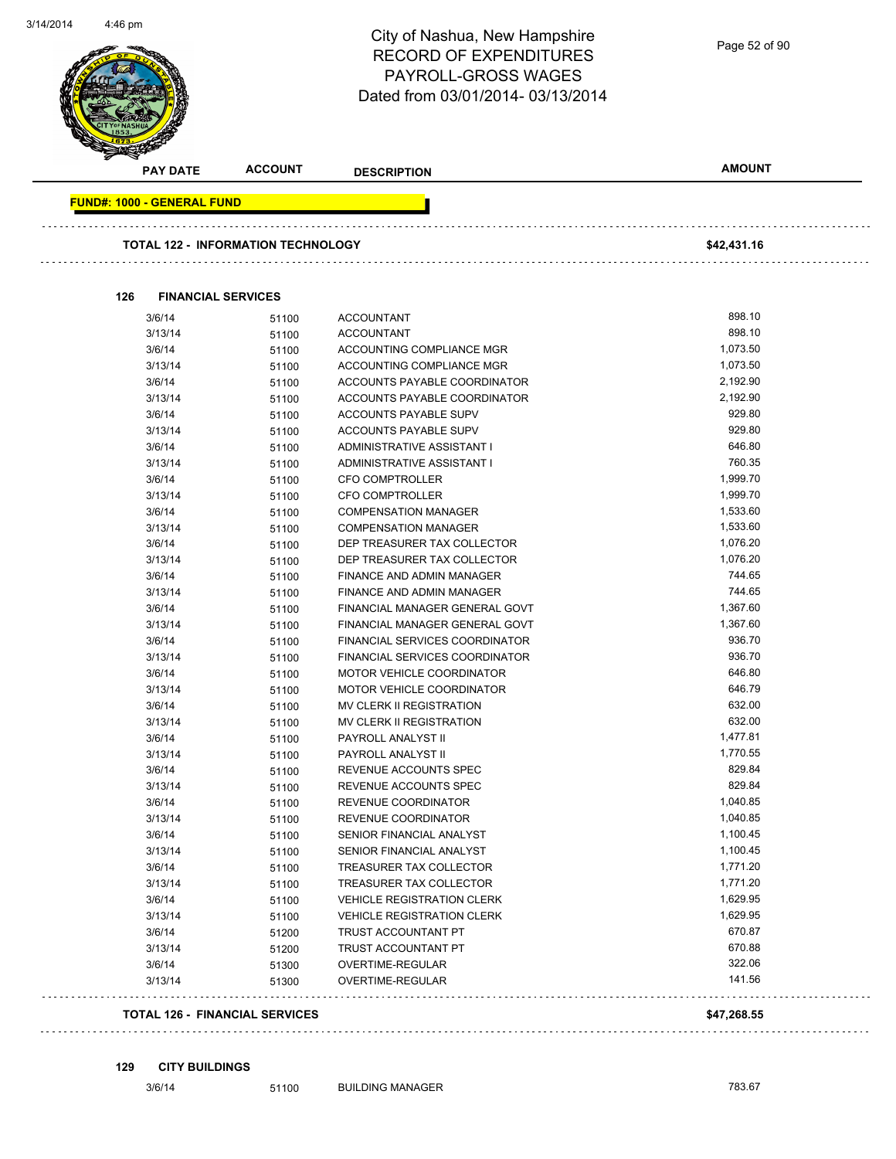| <b>PAY DATE</b>                   | <b>ACCOUNT</b>                            | <b>DESCRIPTION</b>                | <b>AMOUNT</b> |
|-----------------------------------|-------------------------------------------|-----------------------------------|---------------|
| <b>FUND#: 1000 - GENERAL FUND</b> |                                           |                                   |               |
|                                   | <b>TOTAL 122 - INFORMATION TECHNOLOGY</b> |                                   | \$42,431.16   |
|                                   |                                           |                                   |               |
| 126                               | <b>FINANCIAL SERVICES</b>                 |                                   |               |
| 3/6/14                            | 51100                                     | <b>ACCOUNTANT</b>                 | 898.10        |
| 3/13/14                           | 51100                                     | <b>ACCOUNTANT</b>                 | 898.10        |
| 3/6/14                            | 51100                                     | ACCOUNTING COMPLIANCE MGR         | 1,073.50      |
| 3/13/14                           | 51100                                     | ACCOUNTING COMPLIANCE MGR         | 1,073.50      |
| 3/6/14                            | 51100                                     | ACCOUNTS PAYABLE COORDINATOR      | 2,192.90      |
| 3/13/14                           | 51100                                     | ACCOUNTS PAYABLE COORDINATOR      | 2,192.90      |
| 3/6/14                            | 51100                                     | ACCOUNTS PAYABLE SUPV             | 929.80        |
| 3/13/14                           | 51100                                     | ACCOUNTS PAYABLE SUPV             | 929.80        |
| 3/6/14                            | 51100                                     | ADMINISTRATIVE ASSISTANT I        | 646.80        |
| 3/13/14                           | 51100                                     | ADMINISTRATIVE ASSISTANT I        | 760.35        |
| 3/6/14                            | 51100                                     | <b>CFO COMPTROLLER</b>            | 1,999.70      |
| 3/13/14                           | 51100                                     | <b>CFO COMPTROLLER</b>            | 1,999.70      |
| 3/6/14                            | 51100                                     | <b>COMPENSATION MANAGER</b>       | 1,533.60      |
| 3/13/14                           | 51100                                     | <b>COMPENSATION MANAGER</b>       | 1,533.60      |
| 3/6/14                            | 51100                                     | DEP TREASURER TAX COLLECTOR       | 1,076.20      |
| 3/13/14                           | 51100                                     | DEP TREASURER TAX COLLECTOR       | 1,076.20      |
| 3/6/14                            | 51100                                     | FINANCE AND ADMIN MANAGER         | 744.65        |
| 3/13/14                           | 51100                                     | <b>FINANCE AND ADMIN MANAGER</b>  | 744.65        |
| 3/6/14                            | 51100                                     | FINANCIAL MANAGER GENERAL GOVT    | 1,367.60      |
| 3/13/14                           | 51100                                     | FINANCIAL MANAGER GENERAL GOVT    | 1,367.60      |
| 3/6/14                            | 51100                                     | FINANCIAL SERVICES COORDINATOR    | 936.70        |
| 3/13/14                           | 51100                                     | FINANCIAL SERVICES COORDINATOR    | 936.70        |
| 3/6/14                            | 51100                                     | MOTOR VEHICLE COORDINATOR         | 646.80        |
| 3/13/14                           | 51100                                     | MOTOR VEHICLE COORDINATOR         | 646.79        |
| 3/6/14                            | 51100                                     | MV CLERK II REGISTRATION          | 632.00        |
| 3/13/14                           | 51100                                     | MV CLERK II REGISTRATION          | 632.00        |
| 3/6/14                            | 51100                                     | PAYROLL ANALYST II                | 1,477.81      |
| 3/13/14                           | 51100                                     | PAYROLL ANALYST II                | 1,770.55      |
| 3/6/14                            | 51100                                     | REVENUE ACCOUNTS SPEC             | 829.84        |
| 3/13/14                           | 51100                                     | REVENUE ACCOUNTS SPEC             | 829.84        |
| 3/6/14                            | 51100                                     | REVENUE COORDINATOR               | 1,040.85      |
| 3/13/14                           | 51100                                     | REVENUE COORDINATOR               | 1,040.85      |
| 3/6/14                            | 51100                                     | SENIOR FINANCIAL ANALYST          | 1,100.45      |
| 3/13/14                           | 51100                                     | SENIOR FINANCIAL ANALYST          | 1,100.45      |
| 3/6/14                            | 51100                                     | TREASURER TAX COLLECTOR           | 1,771.20      |
| 3/13/14                           | 51100                                     | TREASURER TAX COLLECTOR           | 1,771.20      |
| 3/6/14                            | 51100                                     | <b>VEHICLE REGISTRATION CLERK</b> | 1,629.95      |
| 3/13/14                           | 51100                                     | <b>VEHICLE REGISTRATION CLERK</b> | 1,629.95      |
| 3/6/14                            | 51200                                     | TRUST ACCOUNTANT PT               | 670.87        |
| 3/13/14                           | 51200                                     | TRUST ACCOUNTANT PT               | 670.88        |
| 3/6/14                            | 51300                                     | OVERTIME-REGULAR                  | 322.06        |
| 3/13/14                           | 51300                                     | OVERTIME-REGULAR                  | 141.56        |

#### **129 CITY BUILDINGS**

| 3/6/14 |  |
|--------|--|
|        |  |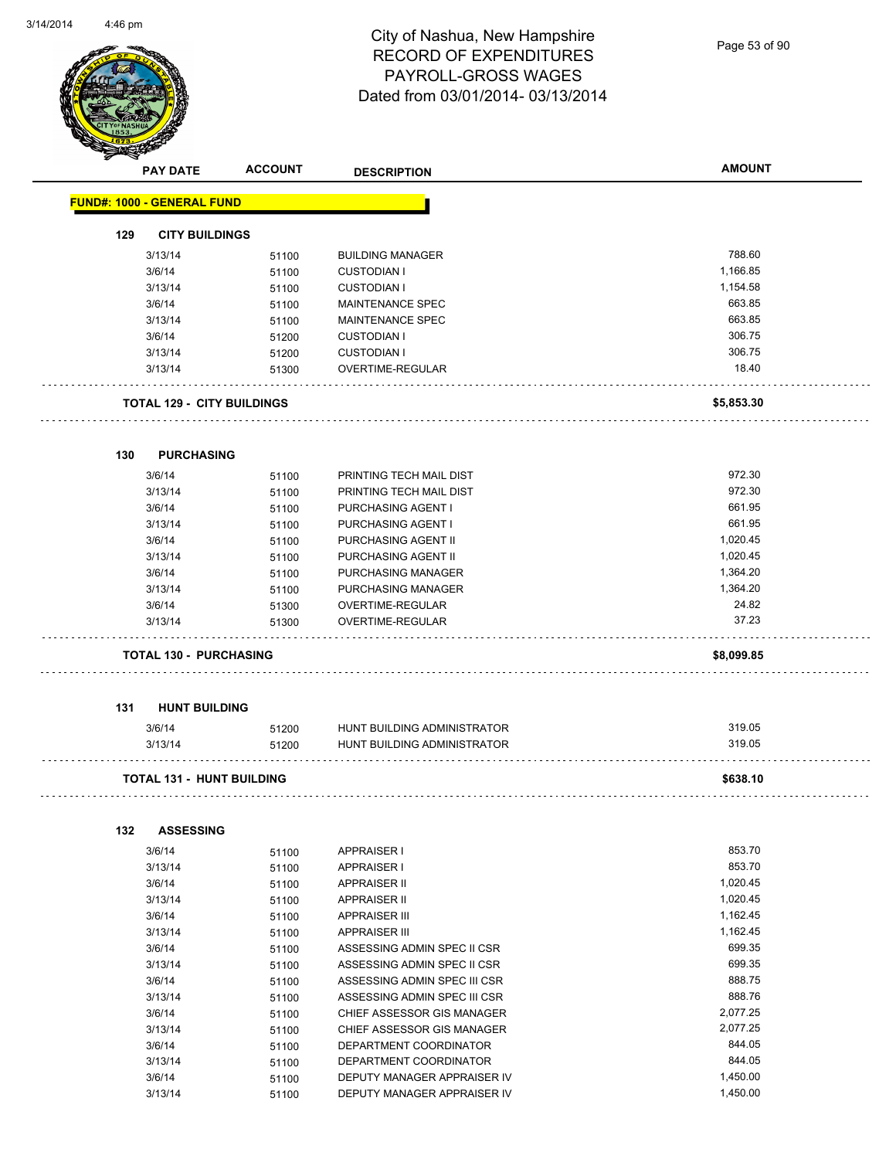Page 53 of 90

|     | <b>PAY DATE</b>                   | <b>ACCOUNT</b>                    | <b>DESCRIPTION</b>           | <b>AMOUNT</b> |
|-----|-----------------------------------|-----------------------------------|------------------------------|---------------|
|     | <b>FUND#: 1000 - GENERAL FUND</b> |                                   |                              |               |
|     |                                   |                                   |                              |               |
| 129 | <b>CITY BUILDINGS</b>             |                                   |                              |               |
|     | 3/13/14                           | 51100                             | <b>BUILDING MANAGER</b>      | 788.60        |
|     | 3/6/14                            | 51100                             | <b>CUSTODIAN I</b>           | 1,166.85      |
|     | 3/13/14                           | 51100                             | <b>CUSTODIAN I</b>           | 1,154.58      |
|     | 3/6/14                            | 51100                             | MAINTENANCE SPEC             | 663.85        |
|     | 3/13/14                           | 51100                             | MAINTENANCE SPEC             | 663.85        |
|     | 3/6/14                            | 51200                             | <b>CUSTODIAN I</b>           | 306.75        |
|     | 3/13/14                           | 51200                             | <b>CUSTODIAN I</b>           | 306.75        |
|     | 3/13/14                           | 51300                             | OVERTIME-REGULAR             | 18.40         |
|     |                                   | <b>TOTAL 129 - CITY BUILDINGS</b> |                              | \$5,853.30    |
| 130 | <b>PURCHASING</b>                 |                                   |                              |               |
|     | 3/6/14                            | 51100                             | PRINTING TECH MAIL DIST      | 972.30        |
|     | 3/13/14                           | 51100                             | PRINTING TECH MAIL DIST      | 972.30        |
|     | 3/6/14                            | 51100                             | PURCHASING AGENT I           | 661.95        |
|     | 3/13/14                           | 51100                             | PURCHASING AGENT I           | 661.95        |
|     | 3/6/14                            | 51100                             | PURCHASING AGENT II          | 1,020.45      |
|     | 3/13/14                           | 51100                             | PURCHASING AGENT II          | 1,020.45      |
|     | 3/6/14                            | 51100                             | PURCHASING MANAGER           | 1,364.20      |
|     | 3/13/14                           | 51100                             | PURCHASING MANAGER           | 1,364.20      |
|     | 3/6/14                            | 51300                             | OVERTIME-REGULAR             | 24.82         |
|     | 3/13/14                           | 51300                             | OVERTIME-REGULAR             | 37.23         |
|     | <b>TOTAL 130 - PURCHASING</b>     |                                   |                              | \$8,099.85    |
|     |                                   |                                   |                              |               |
| 131 | <b>HUNT BUILDING</b>              |                                   |                              |               |
|     | 3/6/14                            | 51200                             | HUNT BUILDING ADMINISTRATOR  | 319.05        |
|     | 3/13/14                           | 51200                             | HUNT BUILDING ADMINISTRATOR  | 319.05        |
|     |                                   | <b>TOTAL 131 - HUNT BUILDING</b>  |                              | \$638.10      |
| 132 | <b>ASSESSING</b>                  |                                   |                              |               |
|     | 3/6/14                            | 51100                             | <b>APPRAISER I</b>           | 853.70        |
|     | 3/13/14                           | 51100                             | <b>APPRAISER I</b>           | 853.70        |
|     | 3/6/14                            | 51100                             | <b>APPRAISER II</b>          | 1,020.45      |
|     | 3/13/14                           | 51100                             | <b>APPRAISER II</b>          | 1,020.45      |
|     | 3/6/14                            | 51100                             | <b>APPRAISER III</b>         | 1,162.45      |
|     | 3/13/14                           | 51100                             | <b>APPRAISER III</b>         | 1,162.45      |
|     | 3/6/14                            | 51100                             | ASSESSING ADMIN SPEC II CSR  | 699.35        |
|     | 3/13/14                           | 51100                             | ASSESSING ADMIN SPEC II CSR  | 699.35        |
|     | 3/6/14                            | 51100                             | ASSESSING ADMIN SPEC III CSR | 888.75        |
|     | 3/13/14                           | 51100                             | ASSESSING ADMIN SPEC III CSR | 888.76        |
|     | 3/6/14                            | 51100                             | CHIEF ASSESSOR GIS MANAGER   | 2,077.25      |
|     | 3/13/14                           | 51100                             | CHIEF ASSESSOR GIS MANAGER   | 2,077.25      |
|     | 3/6/14                            | 51100                             | DEPARTMENT COORDINATOR       | 844.05        |
|     | 3/13/14                           | 51100                             | DEPARTMENT COORDINATOR       | 844.05        |
|     | 3/6/14                            | 51100                             | DEPUTY MANAGER APPRAISER IV  | 1,450.00      |
|     | 3/13/14                           | 51100                             | DEPUTY MANAGER APPRAISER IV  | 1,450.00      |
|     |                                   |                                   |                              |               |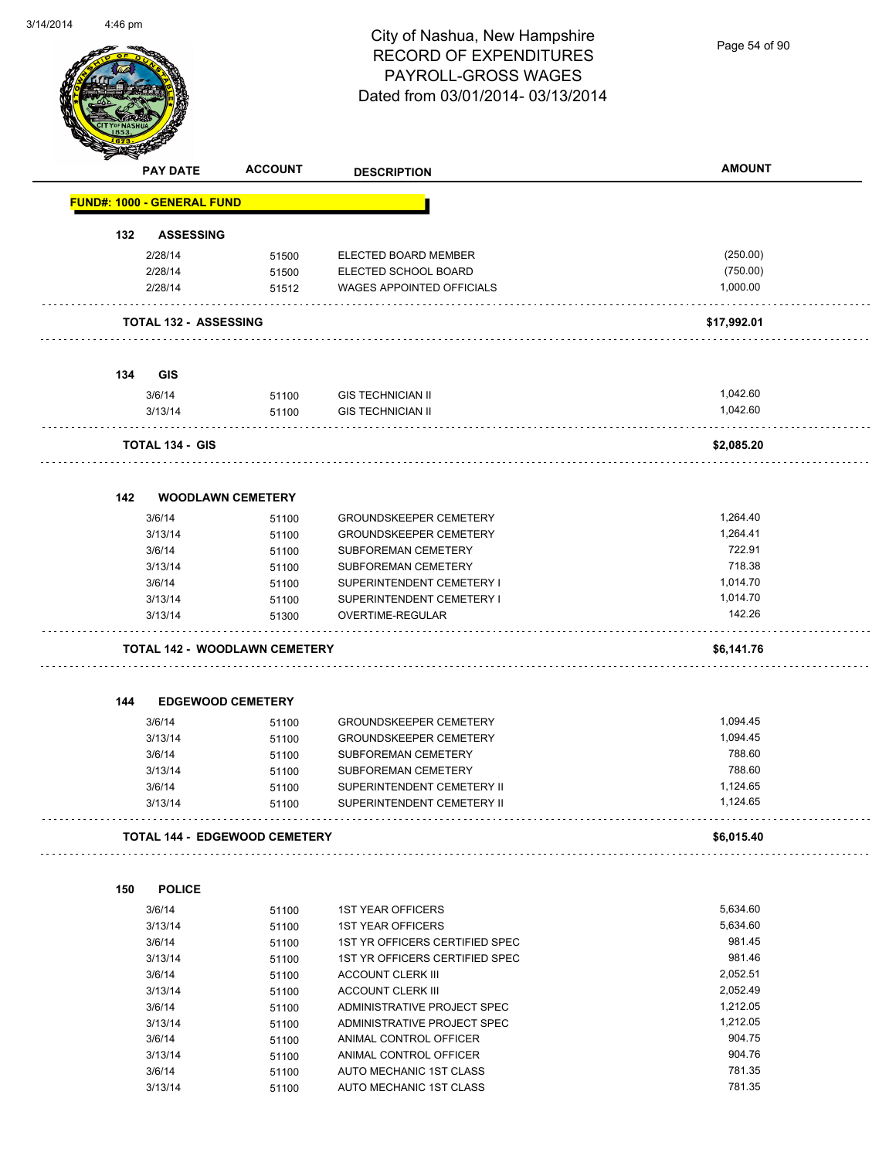Page 54 of 90

|     | <b>PAY DATE</b>                   | <b>ACCOUNT</b>                       | <b>DESCRIPTION</b>                                 | <b>AMOUNT</b>        |
|-----|-----------------------------------|--------------------------------------|----------------------------------------------------|----------------------|
|     | <b>FUND#: 1000 - GENERAL FUND</b> |                                      |                                                    |                      |
|     |                                   |                                      |                                                    |                      |
| 132 | <b>ASSESSING</b>                  |                                      |                                                    |                      |
|     | 2/28/14<br>2/28/14                | 51500                                | ELECTED BOARD MEMBER<br>ELECTED SCHOOL BOARD       | (250.00)<br>(750.00) |
|     | 2/28/14                           | 51500<br>51512                       | WAGES APPOINTED OFFICIALS                          | 1,000.00             |
|     |                                   |                                      |                                                    |                      |
|     | <b>TOTAL 132 - ASSESSING</b>      |                                      |                                                    | \$17,992.01          |
| 134 | <b>GIS</b>                        |                                      |                                                    |                      |
|     | 3/6/14                            | 51100                                | <b>GIS TECHNICIAN II</b>                           | 1,042.60             |
|     | 3/13/14                           | 51100                                | <b>GIS TECHNICIAN II</b>                           | 1,042.60             |
|     |                                   |                                      |                                                    |                      |
|     | <b>TOTAL 134 - GIS</b>            |                                      |                                                    | \$2,085.20           |
|     |                                   |                                      |                                                    |                      |
| 142 |                                   | <b>WOODLAWN CEMETERY</b>             |                                                    |                      |
|     | 3/6/14                            | 51100                                | <b>GROUNDSKEEPER CEMETERY</b>                      | 1,264.40             |
|     | 3/13/14                           | 51100                                | <b>GROUNDSKEEPER CEMETERY</b>                      | 1,264.41<br>722.91   |
|     | 3/6/14                            | 51100                                | SUBFOREMAN CEMETERY                                |                      |
|     | 3/13/14                           | 51100                                | SUBFOREMAN CEMETERY                                | 718.38               |
|     | 3/6/14                            | 51100                                | SUPERINTENDENT CEMETERY I                          | 1,014.70             |
|     | 3/13/14                           | 51100                                | SUPERINTENDENT CEMETERY I                          | 1,014.70             |
|     | 3/13/14                           | 51300                                | OVERTIME-REGULAR                                   | 142.26               |
|     |                                   | <b>TOTAL 142 - WOODLAWN CEMETERY</b> |                                                    | \$6,141.76           |
|     |                                   |                                      |                                                    |                      |
| 144 |                                   | <b>EDGEWOOD CEMETERY</b>             |                                                    |                      |
|     | 3/6/14                            | 51100                                | <b>GROUNDSKEEPER CEMETERY</b>                      | 1,094.45             |
|     | 3/13/14                           | 51100                                | <b>GROUNDSKEEPER CEMETERY</b>                      | 1,094.45             |
|     | 3/6/14                            | 51100                                | SUBFOREMAN CEMETERY                                | 788.60               |
|     | 3/13/14                           | 51100                                | SUBFOREMAN CEMETERY                                | 788.60               |
|     | 3/6/14                            | 51100                                | SUPERINTENDENT CEMETERY II                         | 1,124.65             |
|     | 3/13/14                           | 51100                                | SUPERINTENDENT CEMETERY II                         | 1,124.65             |
|     |                                   | <b>TOTAL 144 - EDGEWOOD CEMETERY</b> |                                                    | \$6,015.40           |
|     |                                   |                                      |                                                    |                      |
| 150 | <b>POLICE</b>                     |                                      |                                                    |                      |
|     | 3/6/14                            | 51100                                | <b>1ST YEAR OFFICERS</b>                           | 5,634.60             |
|     | 3/13/14                           | 51100                                | <b>1ST YEAR OFFICERS</b>                           | 5,634.60             |
|     | 3/6/14                            | 51100                                | 1ST YR OFFICERS CERTIFIED SPEC                     | 981.45               |
|     | 3/13/14                           | 51100                                | 1ST YR OFFICERS CERTIFIED SPEC                     | 981.46               |
|     | 3/6/14                            | 51100                                | <b>ACCOUNT CLERK III</b>                           | 2,052.51             |
|     | 3/13/14                           | 51100                                | <b>ACCOUNT CLERK III</b>                           | 2,052.49             |
|     | 3/6/14                            | 51100                                | ADMINISTRATIVE PROJECT SPEC                        | 1,212.05             |
|     | 3/13/14                           | 51100                                | ADMINISTRATIVE PROJECT SPEC                        | 1,212.05             |
|     |                                   | 51100                                |                                                    | 904.75               |
|     |                                   |                                      | ANIMAL CONTROL OFFICER                             |                      |
|     | 3/6/14                            |                                      |                                                    |                      |
|     | 3/13/14                           | 51100                                | ANIMAL CONTROL OFFICER                             | 904.76               |
|     | 3/6/14<br>3/13/14                 | 51100<br>51100                       | AUTO MECHANIC 1ST CLASS<br>AUTO MECHANIC 1ST CLASS | 781.35<br>781.35     |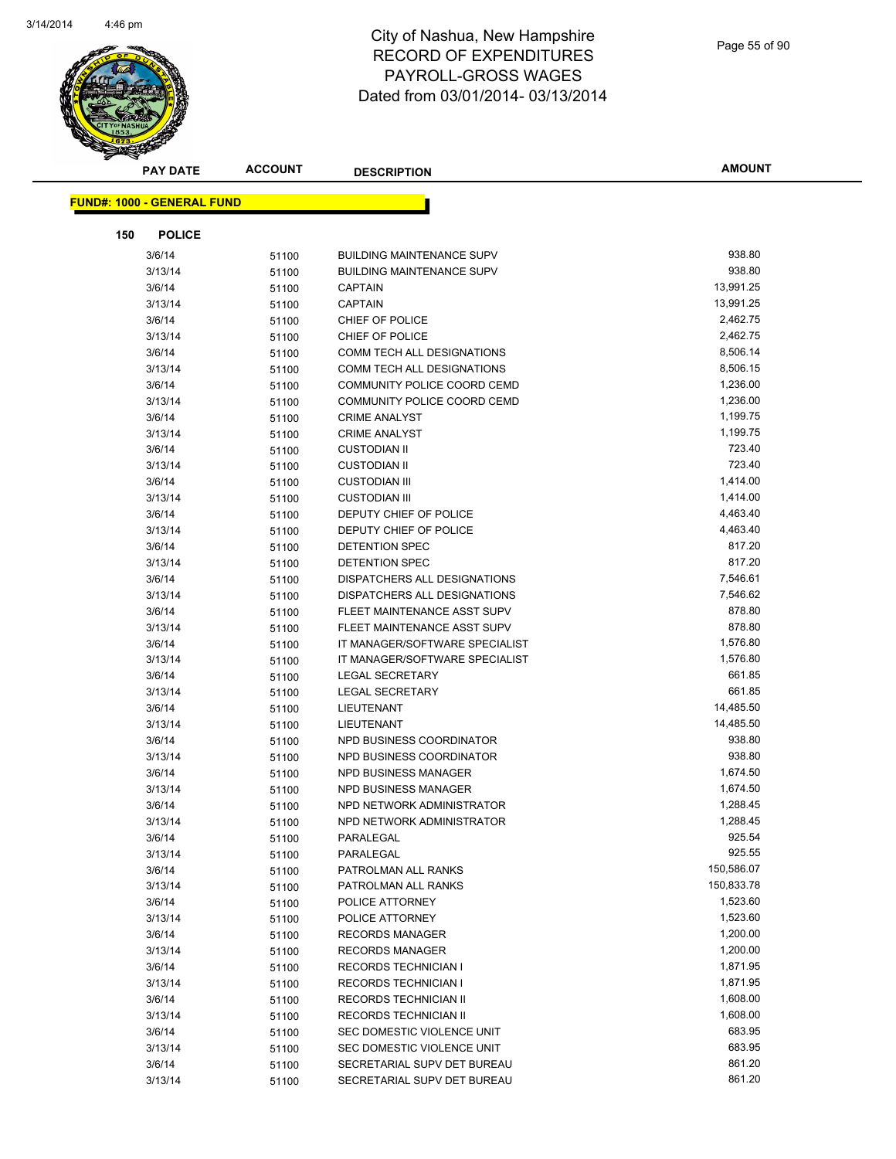$\overline{a}$ 



| Page 55 of 90 |  |  |
|---------------|--|--|
|---------------|--|--|

| s<br><b>PAY DATE</b>              | <b>ACCOUNT</b> | <b>DESCRIPTION</b>                                   | <b>AMOUNT</b>       |
|-----------------------------------|----------------|------------------------------------------------------|---------------------|
| <b>FUND#: 1000 - GENERAL FUND</b> |                |                                                      |                     |
|                                   |                |                                                      |                     |
| 150<br><b>POLICE</b>              |                |                                                      |                     |
| 3/6/14                            | 51100          | <b>BUILDING MAINTENANCE SUPV</b>                     | 938.80              |
| 3/13/14                           | 51100          | <b>BUILDING MAINTENANCE SUPV</b>                     | 938.80              |
| 3/6/14                            | 51100          | <b>CAPTAIN</b>                                       | 13,991.25           |
| 3/13/14                           | 51100          | <b>CAPTAIN</b>                                       | 13,991.25           |
| 3/6/14                            | 51100          | CHIEF OF POLICE                                      | 2,462.75            |
| 3/13/14                           | 51100          | CHIEF OF POLICE                                      | 2,462.75            |
| 3/6/14                            | 51100          | COMM TECH ALL DESIGNATIONS                           | 8,506.14            |
| 3/13/14                           | 51100          | COMM TECH ALL DESIGNATIONS                           | 8,506.15            |
| 3/6/14                            | 51100          | COMMUNITY POLICE COORD CEMD                          | 1,236.00            |
| 3/13/14                           | 51100          | COMMUNITY POLICE COORD CEMD                          | 1,236.00            |
| 3/6/14                            | 51100          | <b>CRIME ANALYST</b>                                 | 1,199.75            |
| 3/13/14                           | 51100          | <b>CRIME ANALYST</b>                                 | 1,199.75            |
| 3/6/14                            | 51100          | <b>CUSTODIAN II</b>                                  | 723.40              |
| 3/13/14                           | 51100          | <b>CUSTODIAN II</b>                                  | 723.40              |
| 3/6/14                            | 51100          | <b>CUSTODIAN III</b>                                 | 1,414.00            |
| 3/13/14                           | 51100          | <b>CUSTODIAN III</b>                                 | 1,414.00            |
| 3/6/14                            | 51100          | DEPUTY CHIEF OF POLICE                               | 4,463.40            |
| 3/13/14                           | 51100          | DEPUTY CHIEF OF POLICE                               | 4,463.40            |
| 3/6/14                            | 51100          | DETENTION SPEC                                       | 817.20              |
| 3/13/14                           | 51100          | DETENTION SPEC                                       | 817.20              |
| 3/6/14                            | 51100          | DISPATCHERS ALL DESIGNATIONS                         | 7,546.61            |
| 3/13/14                           | 51100          | DISPATCHERS ALL DESIGNATIONS                         | 7,546.62            |
| 3/6/14                            | 51100          | FLEET MAINTENANCE ASST SUPV                          | 878.80              |
| 3/13/14                           | 51100          | FLEET MAINTENANCE ASST SUPV                          | 878.80              |
| 3/6/14                            | 51100          | IT MANAGER/SOFTWARE SPECIALIST                       | 1,576.80            |
| 3/13/14                           | 51100          | IT MANAGER/SOFTWARE SPECIALIST                       | 1,576.80            |
| 3/6/14                            | 51100          | <b>LEGAL SECRETARY</b>                               | 661.85              |
| 3/13/14                           | 51100          | <b>LEGAL SECRETARY</b>                               | 661.85              |
| 3/6/14                            | 51100          | LIEUTENANT                                           | 14,485.50           |
| 3/13/14                           | 51100          | LIEUTENANT                                           | 14,485.50<br>938.80 |
| 3/6/14<br>3/13/14                 | 51100          | NPD BUSINESS COORDINATOR<br>NPD BUSINESS COORDINATOR | 938.80              |
| 3/6/14                            | 51100          | NPD BUSINESS MANAGER                                 | 1,674.50            |
| 3/13/14                           | 51100<br>51100 | NPD BUSINESS MANAGER                                 | 1,674.50            |
| 3/6/14                            | 51100          | NPD NETWORK ADMINISTRATOR                            | 1,288.45            |
| 3/13/14                           | 51100          | NPD NETWORK ADMINISTRATOR                            | 1,288.45            |
| 3/6/14                            | 51100          | PARALEGAL                                            | 925.54              |
| 3/13/14                           | 51100          | PARALEGAL                                            | 925.55              |
| 3/6/14                            | 51100          | PATROLMAN ALL RANKS                                  | 150,586.07          |
| 3/13/14                           | 51100          | PATROLMAN ALL RANKS                                  | 150,833.78          |
| 3/6/14                            | 51100          | POLICE ATTORNEY                                      | 1,523.60            |
| 3/13/14                           | 51100          | POLICE ATTORNEY                                      | 1,523.60            |
| 3/6/14                            | 51100          | <b>RECORDS MANAGER</b>                               | 1,200.00            |
| 3/13/14                           | 51100          | <b>RECORDS MANAGER</b>                               | 1,200.00            |
| 3/6/14                            | 51100          | <b>RECORDS TECHNICIAN I</b>                          | 1,871.95            |
| 3/13/14                           | 51100          | <b>RECORDS TECHNICIAN I</b>                          | 1,871.95            |
| 3/6/14                            | 51100          | RECORDS TECHNICIAN II                                | 1,608.00            |
| 3/13/14                           | 51100          | RECORDS TECHNICIAN II                                | 1,608.00            |
| 3/6/14                            | 51100          | SEC DOMESTIC VIOLENCE UNIT                           | 683.95              |
| 3/13/14                           | 51100          | SEC DOMESTIC VIOLENCE UNIT                           | 683.95              |
| 3/6/14                            | 51100          | SECRETARIAL SUPV DET BUREAU                          | 861.20              |
| 3/13/14                           | 51100          | SECRETARIAL SUPV DET BUREAU                          | 861.20              |
|                                   |                |                                                      |                     |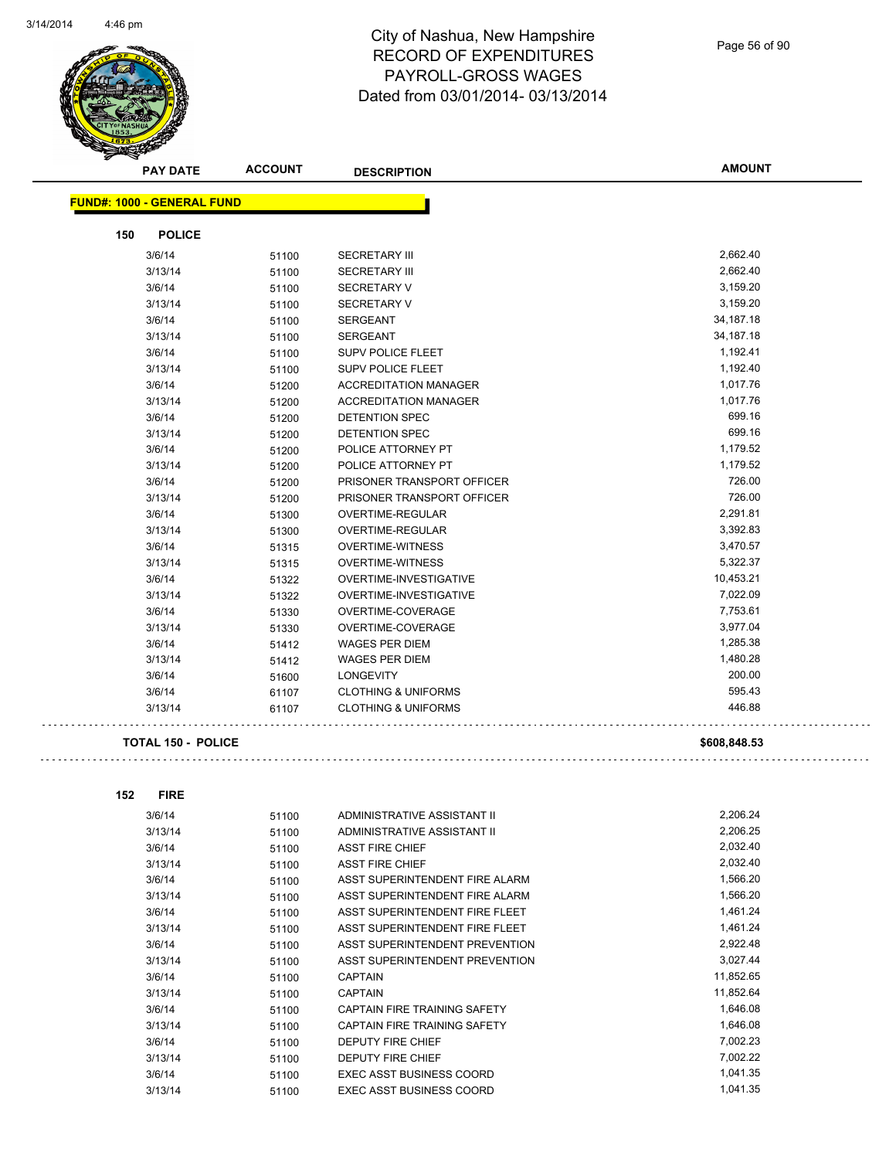

Page 56 of 90

|     | <b>PAY DATE</b>                   | <b>ACCOUNT</b> | <b>DESCRIPTION</b>             | <b>AMOUNT</b> |
|-----|-----------------------------------|----------------|--------------------------------|---------------|
|     | <b>FUND#: 1000 - GENERAL FUND</b> |                |                                |               |
|     |                                   |                |                                |               |
| 150 | <b>POLICE</b>                     |                |                                |               |
|     | 3/6/14                            | 51100          | <b>SECRETARY III</b>           | 2,662.40      |
|     | 3/13/14                           | 51100          | <b>SECRETARY III</b>           | 2,662.40      |
|     | 3/6/14                            | 51100          | <b>SECRETARY V</b>             | 3,159.20      |
|     | 3/13/14                           | 51100          | <b>SECRETARY V</b>             | 3,159.20      |
|     | 3/6/14                            | 51100          | <b>SERGEANT</b>                | 34, 187. 18   |
|     | 3/13/14                           | 51100          | <b>SERGEANT</b>                | 34, 187. 18   |
|     | 3/6/14                            | 51100          | <b>SUPV POLICE FLEET</b>       | 1,192.41      |
|     | 3/13/14                           | 51100          | SUPV POLICE FLEET              | 1,192.40      |
|     | 3/6/14                            | 51200          | <b>ACCREDITATION MANAGER</b>   | 1,017.76      |
|     | 3/13/14                           | 51200          | <b>ACCREDITATION MANAGER</b>   | 1,017.76      |
|     | 3/6/14                            | 51200          | DETENTION SPEC                 | 699.16        |
|     | 3/13/14                           | 51200          | <b>DETENTION SPEC</b>          | 699.16        |
|     | 3/6/14                            | 51200          | POLICE ATTORNEY PT             | 1,179.52      |
|     | 3/13/14                           | 51200          | POLICE ATTORNEY PT             | 1,179.52      |
|     | 3/6/14                            | 51200          | PRISONER TRANSPORT OFFICER     | 726.00        |
|     | 3/13/14                           | 51200          | PRISONER TRANSPORT OFFICER     | 726.00        |
|     | 3/6/14                            | 51300          | <b>OVERTIME-REGULAR</b>        | 2,291.81      |
|     | 3/13/14                           | 51300          | OVERTIME-REGULAR               | 3,392.83      |
|     | 3/6/14                            | 51315          | <b>OVERTIME-WITNESS</b>        | 3,470.57      |
|     | 3/13/14                           | 51315          | <b>OVERTIME-WITNESS</b>        | 5,322.37      |
|     | 3/6/14                            | 51322          | OVERTIME-INVESTIGATIVE         | 10,453.21     |
|     | 3/13/14                           | 51322          | OVERTIME-INVESTIGATIVE         | 7,022.09      |
|     | 3/6/14                            | 51330          | OVERTIME-COVERAGE              | 7,753.61      |
|     | 3/13/14                           | 51330          | OVERTIME-COVERAGE              | 3,977.04      |
|     | 3/6/14                            | 51412          | <b>WAGES PER DIEM</b>          | 1,285.38      |
|     | 3/13/14                           | 51412          | <b>WAGES PER DIEM</b>          | 1,480.28      |
|     | 3/6/14                            | 51600          | <b>LONGEVITY</b>               | 200.00        |
|     | 3/6/14                            | 61107          | <b>CLOTHING &amp; UNIFORMS</b> | 595.43        |
|     | 3/13/14                           | 61107          | <b>CLOTHING &amp; UNIFORMS</b> | 446.88        |
|     | <b>TOTAL 150 - POLICE</b>         |                |                                | \$608,848.53  |
| 152 | <b>FIRE</b>                       |                |                                |               |
|     | 3/6/14                            | 51100          | ADMINISTRATIVE ASSISTANT II    | 2,206.24      |
|     |                                   |                |                                | 0.0000        |

| דוישוט  | <u>JI IUU</u> |                                     |           |
|---------|---------------|-------------------------------------|-----------|
| 3/13/14 | 51100         | ADMINISTRATIVE ASSISTANT II         | 2,206.25  |
| 3/6/14  | 51100         | <b>ASST FIRE CHIEF</b>              | 2,032.40  |
| 3/13/14 | 51100         | <b>ASST FIRE CHIEF</b>              | 2,032.40  |
| 3/6/14  | 51100         | ASST SUPERINTENDENT FIRE ALARM      | 1,566.20  |
| 3/13/14 | 51100         | ASST SUPERINTENDENT FIRE ALARM      | 1,566.20  |
| 3/6/14  | 51100         | ASST SUPERINTENDENT FIRE FLEET      | 1,461.24  |
| 3/13/14 | 51100         | ASST SUPERINTENDENT FIRE FLEET      | 1,461.24  |
| 3/6/14  | 51100         | ASST SUPERINTENDENT PREVENTION      | 2,922.48  |
| 3/13/14 | 51100         | ASST SUPERINTENDENT PREVENTION      | 3,027.44  |
| 3/6/14  | 51100         | <b>CAPTAIN</b>                      | 11,852.65 |
| 3/13/14 | 51100         | <b>CAPTAIN</b>                      | 11,852.64 |
| 3/6/14  | 51100         | <b>CAPTAIN FIRE TRAINING SAFETY</b> | 1,646.08  |
| 3/13/14 | 51100         | CAPTAIN FIRE TRAINING SAFETY        | 1,646.08  |
| 3/6/14  | 51100         | <b>DEPUTY FIRE CHIEF</b>            | 7,002.23  |
| 3/13/14 | 51100         | <b>DEPUTY FIRE CHIEF</b>            | 7,002.22  |
| 3/6/14  | 51100         | EXEC ASST BUSINESS COORD            | 1,041.35  |
| 3/13/14 | 51100         | <b>EXEC ASST BUSINESS COORD</b>     | 1,041.35  |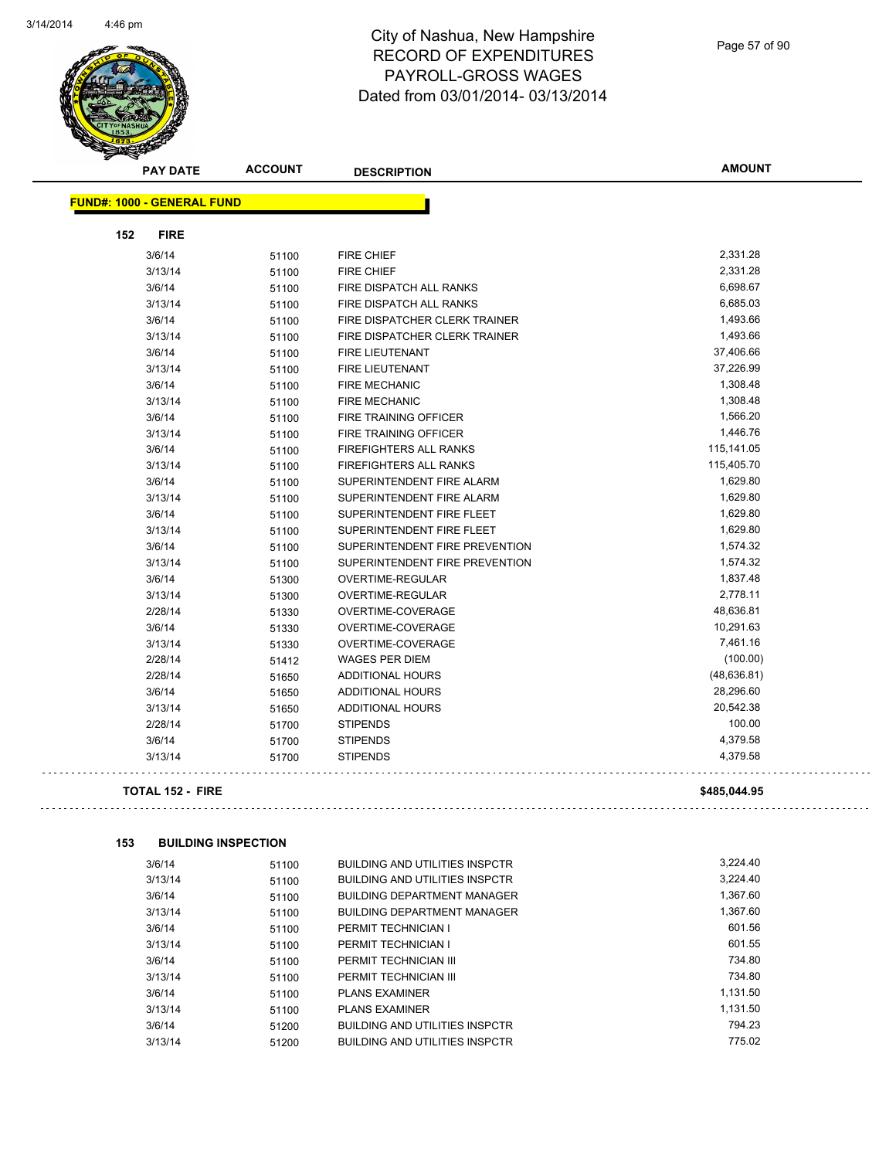

Page 57 of 90

| <b>FUND#: 1000 - GENERAL FUND</b><br>152<br><b>FIRE</b><br>3/6/14<br><b>FIRE CHIEF</b><br>51100<br>3/13/14<br>FIRE CHIEF<br>51100<br>3/6/14<br>51100<br>FIRE DISPATCH ALL RANKS<br>3/13/14<br>FIRE DISPATCH ALL RANKS<br>51100<br>3/6/14<br>51100<br>FIRE DISPATCHER CLERK TRAINER<br>3/13/14<br>FIRE DISPATCHER CLERK TRAINER<br>51100<br>3/6/14<br>51100<br><b>FIRE LIEUTENANT</b><br>3/13/14<br>FIRE LIEUTENANT<br>51100<br>3/6/14<br><b>FIRE MECHANIC</b><br>51100<br>3/13/14<br><b>FIRE MECHANIC</b><br>51100<br>3/6/14<br>FIRE TRAINING OFFICER<br>51100 | <b>AMOUNT</b>      |
|----------------------------------------------------------------------------------------------------------------------------------------------------------------------------------------------------------------------------------------------------------------------------------------------------------------------------------------------------------------------------------------------------------------------------------------------------------------------------------------------------------------------------------------------------------------|--------------------|
|                                                                                                                                                                                                                                                                                                                                                                                                                                                                                                                                                                |                    |
|                                                                                                                                                                                                                                                                                                                                                                                                                                                                                                                                                                |                    |
|                                                                                                                                                                                                                                                                                                                                                                                                                                                                                                                                                                | 2,331.28           |
|                                                                                                                                                                                                                                                                                                                                                                                                                                                                                                                                                                | 2,331.28           |
|                                                                                                                                                                                                                                                                                                                                                                                                                                                                                                                                                                | 6,698.67           |
|                                                                                                                                                                                                                                                                                                                                                                                                                                                                                                                                                                | 6,685.03           |
|                                                                                                                                                                                                                                                                                                                                                                                                                                                                                                                                                                | 1,493.66           |
|                                                                                                                                                                                                                                                                                                                                                                                                                                                                                                                                                                | 1,493.66           |
|                                                                                                                                                                                                                                                                                                                                                                                                                                                                                                                                                                | 37,406.66          |
|                                                                                                                                                                                                                                                                                                                                                                                                                                                                                                                                                                | 37,226.99          |
|                                                                                                                                                                                                                                                                                                                                                                                                                                                                                                                                                                | 1,308.48           |
|                                                                                                                                                                                                                                                                                                                                                                                                                                                                                                                                                                | 1,308.48           |
|                                                                                                                                                                                                                                                                                                                                                                                                                                                                                                                                                                | 1,566.20           |
| 3/13/14<br>FIRE TRAINING OFFICER<br>51100                                                                                                                                                                                                                                                                                                                                                                                                                                                                                                                      | 1,446.76           |
| 3/6/14<br><b>FIREFIGHTERS ALL RANKS</b><br>51100                                                                                                                                                                                                                                                                                                                                                                                                                                                                                                               | 115,141.05         |
| 3/13/14<br>51100<br><b>FIREFIGHTERS ALL RANKS</b>                                                                                                                                                                                                                                                                                                                                                                                                                                                                                                              | 115,405.70         |
| 3/6/14<br>SUPERINTENDENT FIRE ALARM<br>51100                                                                                                                                                                                                                                                                                                                                                                                                                                                                                                                   | 1,629.80           |
| 3/13/14<br>51100<br>SUPERINTENDENT FIRE ALARM                                                                                                                                                                                                                                                                                                                                                                                                                                                                                                                  | 1,629.80           |
| 3/6/14<br>SUPERINTENDENT FIRE FLEET<br>51100                                                                                                                                                                                                                                                                                                                                                                                                                                                                                                                   | 1,629.80           |
| 3/13/14<br>51100<br>SUPERINTENDENT FIRE FLEET                                                                                                                                                                                                                                                                                                                                                                                                                                                                                                                  | 1,629.80           |
| 3/6/14<br>SUPERINTENDENT FIRE PREVENTION<br>51100                                                                                                                                                                                                                                                                                                                                                                                                                                                                                                              | 1,574.32           |
| 3/13/14<br>SUPERINTENDENT FIRE PREVENTION<br>51100                                                                                                                                                                                                                                                                                                                                                                                                                                                                                                             | 1,574.32           |
| 3/6/14<br>OVERTIME-REGULAR<br>51300                                                                                                                                                                                                                                                                                                                                                                                                                                                                                                                            | 1,837.48           |
| 3/13/14<br>OVERTIME-REGULAR<br>51300                                                                                                                                                                                                                                                                                                                                                                                                                                                                                                                           | 2,778.11           |
| 2/28/14<br>OVERTIME-COVERAGE<br>51330                                                                                                                                                                                                                                                                                                                                                                                                                                                                                                                          | 48,636.81          |
| 3/6/14<br>51330<br>OVERTIME-COVERAGE                                                                                                                                                                                                                                                                                                                                                                                                                                                                                                                           | 10,291.63          |
| 3/13/14<br>OVERTIME-COVERAGE<br>51330                                                                                                                                                                                                                                                                                                                                                                                                                                                                                                                          | 7,461.16           |
| 2/28/14<br><b>WAGES PER DIEM</b><br>51412                                                                                                                                                                                                                                                                                                                                                                                                                                                                                                                      | (100.00)           |
| 2/28/14<br><b>ADDITIONAL HOURS</b><br>51650                                                                                                                                                                                                                                                                                                                                                                                                                                                                                                                    | (48, 636.81)       |
| 3/6/14<br><b>ADDITIONAL HOURS</b><br>51650                                                                                                                                                                                                                                                                                                                                                                                                                                                                                                                     | 28,296.60          |
| 3/13/14<br>51650<br>ADDITIONAL HOURS                                                                                                                                                                                                                                                                                                                                                                                                                                                                                                                           | 20,542.38          |
| 2/28/14<br><b>STIPENDS</b><br>51700                                                                                                                                                                                                                                                                                                                                                                                                                                                                                                                            | 100.00             |
| 3/6/14<br>51700<br><b>STIPENDS</b>                                                                                                                                                                                                                                                                                                                                                                                                                                                                                                                             | 4,379.58           |
| 3/13/14<br><b>STIPENDS</b><br>51700                                                                                                                                                                                                                                                                                                                                                                                                                                                                                                                            | 4,379.58           |
| <b>TOTAL 152 - FIRE</b>                                                                                                                                                                                                                                                                                                                                                                                                                                                                                                                                        | \$485,044.95       |
| 153<br><b>BUILDING INSPECTION</b>                                                                                                                                                                                                                                                                                                                                                                                                                                                                                                                              |                    |
| 3/6/14<br><b>BUILDING AND UTILITIES INSPCTR</b><br>51100                                                                                                                                                                                                                                                                                                                                                                                                                                                                                                       | 3,224.40           |
| 3/13/14<br>51100<br><b>BUILDING AND UTILITIES INSPCTR</b>                                                                                                                                                                                                                                                                                                                                                                                                                                                                                                      | 3,224.40           |
| 3/6/14<br><b>BUILDING DEPARTMENT MANAGER</b><br>51100                                                                                                                                                                                                                                                                                                                                                                                                                                                                                                          | 1,367.60           |
| 3/13/14<br>51100<br><b>BUILDING DEPARTMENT MANAGER</b>                                                                                                                                                                                                                                                                                                                                                                                                                                                                                                         | 1,367.60           |
| 3/6/14<br>PERMIT TECHNICIAN I                                                                                                                                                                                                                                                                                                                                                                                                                                                                                                                                  | 601.56             |
| 51100<br>3/13/14<br>PERMIT TECHNICIAN I<br>51100                                                                                                                                                                                                                                                                                                                                                                                                                                                                                                               | 601.55             |
| 3/6/14<br>PERMIT TECHNICIAN III                                                                                                                                                                                                                                                                                                                                                                                                                                                                                                                                | 734.80             |
| 51100<br>3/13/14<br>PERMIT TECHNICIAN III                                                                                                                                                                                                                                                                                                                                                                                                                                                                                                                      |                    |
| 51100<br>3/6/14<br><b>PLANS EXAMINER</b>                                                                                                                                                                                                                                                                                                                                                                                                                                                                                                                       |                    |
| 51100<br>3/13/14<br>PLANS EXAMINER<br>1,131.50<br>51100                                                                                                                                                                                                                                                                                                                                                                                                                                                                                                        | 734.80<br>1,131.50 |

3/6/14 51200 BUILDING AND UTILITIES INSPCTR 794.23

3/13/14 51200 BUILDING AND UTILITIES INSPCTR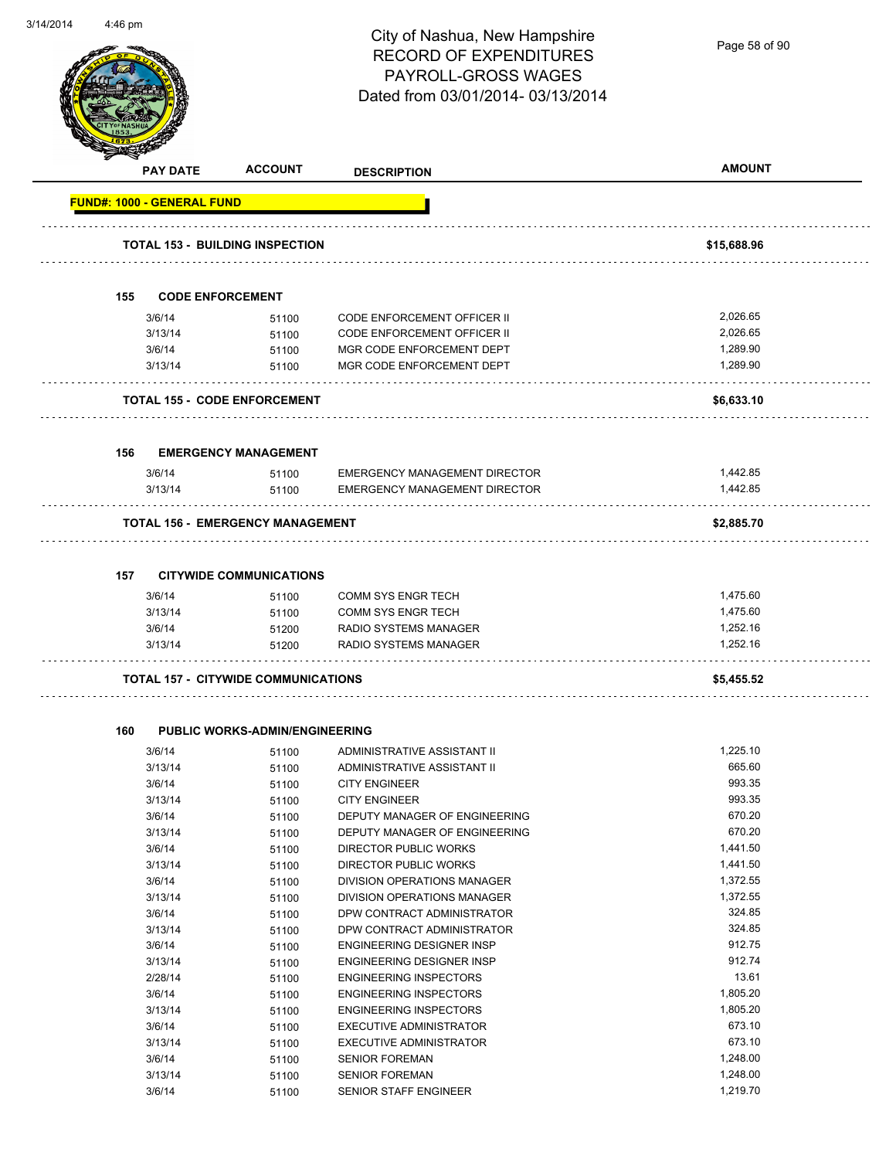Page 58 of 90

| <b>PAY DATE</b>                   | <b>ACCOUNT</b>                             | <b>DESCRIPTION</b>                   | <b>AMOUNT</b> |
|-----------------------------------|--------------------------------------------|--------------------------------------|---------------|
| <b>FUND#: 1000 - GENERAL FUND</b> |                                            |                                      |               |
|                                   | TOTAL 153 - BUILDING INSPECTION            |                                      | \$15,688.96   |
|                                   |                                            |                                      |               |
| 155                               | <b>CODE ENFORCEMENT</b>                    |                                      |               |
| 3/6/14                            | 51100                                      | <b>CODE ENFORCEMENT OFFICER II</b>   | 2,026.65      |
| 3/13/14                           | 51100                                      | CODE ENFORCEMENT OFFICER II          | 2,026.65      |
| 3/6/14                            | 51100                                      | MGR CODE ENFORCEMENT DEPT            | 1,289.90      |
| 3/13/14                           | 51100                                      | MGR CODE ENFORCEMENT DEPT            | 1,289.90      |
|                                   | TOTAL 155 - CODE ENFORCEMENT               |                                      | \$6,633.10    |
| 156                               | <b>EMERGENCY MANAGEMENT</b>                |                                      |               |
| 3/6/14                            | 51100                                      | <b>EMERGENCY MANAGEMENT DIRECTOR</b> | 1,442.85      |
| 3/13/14                           | 51100                                      | <b>EMERGENCY MANAGEMENT DIRECTOR</b> | 1,442.85      |
|                                   | <b>TOTAL 156 - EMERGENCY MANAGEMENT</b>    |                                      | \$2,885.70    |
|                                   |                                            |                                      |               |
| 157                               | <b>CITYWIDE COMMUNICATIONS</b>             |                                      |               |
| 3/6/14                            | 51100                                      | <b>COMM SYS ENGR TECH</b>            | 1,475.60      |
| 3/13/14                           | 51100                                      | <b>COMM SYS ENGR TECH</b>            | 1,475.60      |
| 3/6/14                            | 51200                                      | RADIO SYSTEMS MANAGER                | 1,252.16      |
| 3/13/14                           | 51200                                      | RADIO SYSTEMS MANAGER                | 1,252.16      |
|                                   | <b>TOTAL 157 - CITYWIDE COMMUNICATIONS</b> |                                      | \$5,455.52    |
| 160                               | <b>PUBLIC WORKS-ADMIN/ENGINEERING</b>      |                                      |               |
| 3/6/14                            | 51100                                      | ADMINISTRATIVE ASSISTANT II          | 1,225.10      |
| 3/13/14                           | 51100                                      | ADMINISTRATIVE ASSISTANT II          | 665.60        |
| 3/6/14                            | 51100                                      | <b>CITY ENGINEER</b>                 | 993.35        |
| 3/13/14                           | 51100                                      | <b>CITY ENGINEER</b>                 | 993.35        |
| 3/6/14                            | 51100                                      | DEPUTY MANAGER OF ENGINEERING        | 670.20        |
| 3/13/14                           | 51100                                      | DEPUTY MANAGER OF ENGINEERING        | 670.20        |
| 3/6/14                            | 51100                                      | <b>DIRECTOR PUBLIC WORKS</b>         | 1,441.50      |
| 3/13/14                           | 51100                                      | <b>DIRECTOR PUBLIC WORKS</b>         | 1,441.50      |
|                                   | 51100                                      | DIVISION OPERATIONS MANAGER          | 1,372.55      |
| 3/6/14                            |                                            | DIVISION OPERATIONS MANAGER          | 1,372.55      |
| 3/13/14                           | 51100                                      |                                      |               |
| 3/6/14                            | 51100                                      | DPW CONTRACT ADMINISTRATOR           | 324.85        |
| 3/13/14                           | 51100                                      | DPW CONTRACT ADMINISTRATOR           | 324.85        |
| 3/6/14                            | 51100                                      | <b>ENGINEERING DESIGNER INSP</b>     | 912.75        |
| 3/13/14                           | 51100                                      | ENGINEERING DESIGNER INSP            | 912.74        |
| 2/28/14                           | 51100                                      | <b>ENGINEERING INSPECTORS</b>        | 13.61         |
| 3/6/14                            | 51100                                      | <b>ENGINEERING INSPECTORS</b>        | 1,805.20      |
| 3/13/14                           | 51100                                      | <b>ENGINEERING INSPECTORS</b>        | 1,805.20      |
| 3/6/14                            | 51100                                      | <b>EXECUTIVE ADMINISTRATOR</b>       | 673.10        |
| 3/13/14                           | 51100                                      | <b>EXECUTIVE ADMINISTRATOR</b>       | 673.10        |
| 3/6/14                            | 51100                                      | <b>SENIOR FOREMAN</b>                | 1,248.00      |
| 3/13/14                           | 51100                                      | <b>SENIOR FOREMAN</b>                | 1,248.00      |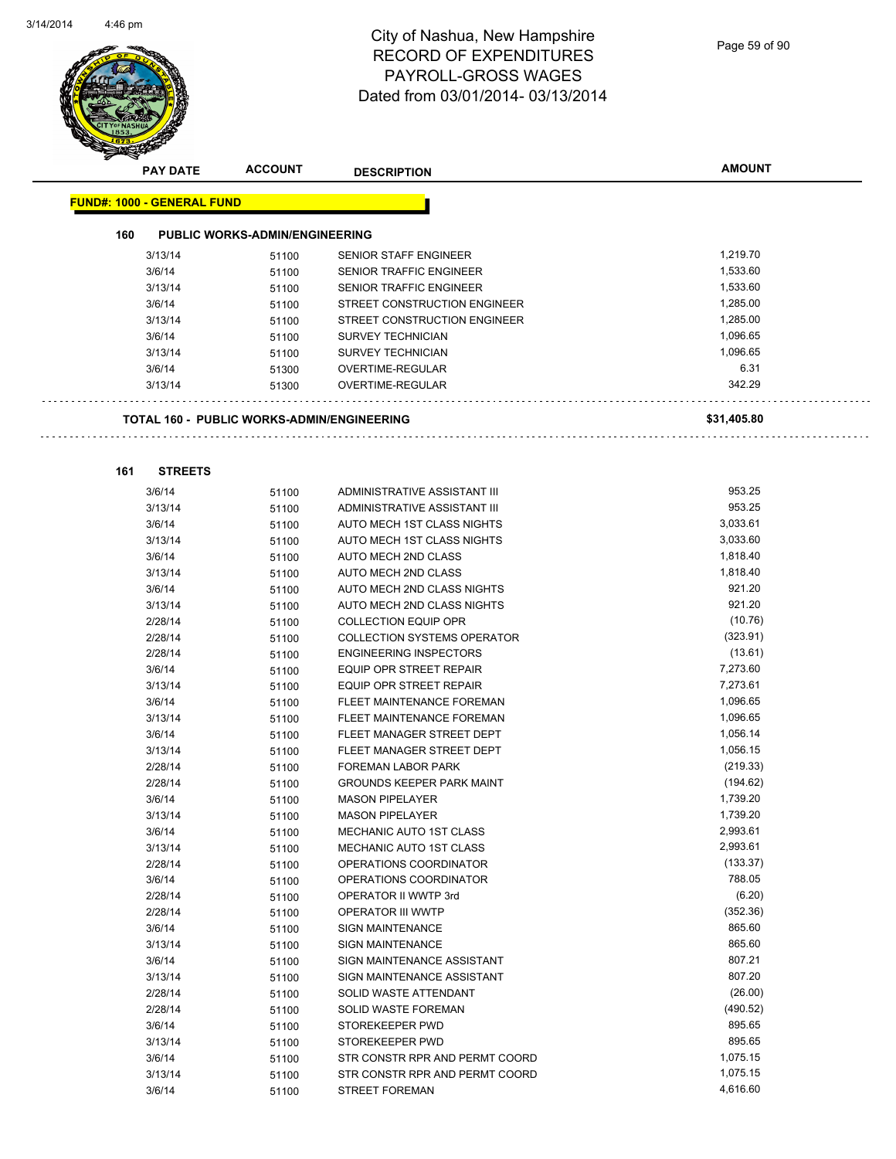$\mathbf{r}$ 

| <b>RECEPT</b> | <b>PAY DATE</b>                   | <b>ACCOUNT</b>                                    | <b>DESCRIPTION</b>                                    | <b>AMOUNT</b> |
|---------------|-----------------------------------|---------------------------------------------------|-------------------------------------------------------|---------------|
|               | <b>FUND#: 1000 - GENERAL FUND</b> |                                                   |                                                       |               |
| 160           |                                   | <b>PUBLIC WORKS-ADMIN/ENGINEERING</b>             |                                                       |               |
|               | 3/13/14                           | 51100                                             | <b>SENIOR STAFF ENGINEER</b>                          | 1,219.70      |
|               | 3/6/14                            | 51100                                             | <b>SENIOR TRAFFIC ENGINEER</b>                        | 1,533.60      |
|               | 3/13/14                           | 51100                                             | <b>SENIOR TRAFFIC ENGINEER</b>                        | 1,533.60      |
|               | 3/6/14                            | 51100                                             | STREET CONSTRUCTION ENGINEER                          | 1,285.00      |
|               | 3/13/14                           | 51100                                             | STREET CONSTRUCTION ENGINEER                          | 1,285.00      |
|               | 3/6/14                            | 51100                                             | <b>SURVEY TECHNICIAN</b>                              | 1,096.65      |
|               | 3/13/14                           | 51100                                             | <b>SURVEY TECHNICIAN</b>                              | 1,096.65      |
|               | 3/6/14                            | 51300                                             | OVERTIME-REGULAR                                      | 6.31          |
|               | 3/13/14                           | 51300                                             | OVERTIME-REGULAR                                      | 342.29        |
|               |                                   | <b>TOTAL 160 - PUBLIC WORKS-ADMIN/ENGINEERING</b> |                                                       | \$31,405.80   |
| 161           | <b>STREETS</b>                    |                                                   |                                                       |               |
|               | 3/6/14                            | 51100                                             | ADMINISTRATIVE ASSISTANT III                          | 953.25        |
|               | 3/13/14                           | 51100                                             | ADMINISTRATIVE ASSISTANT III                          | 953.25        |
|               | 3/6/14                            | 51100                                             | AUTO MECH 1ST CLASS NIGHTS                            | 3,033.61      |
|               | 3/13/14                           | 51100                                             | AUTO MECH 1ST CLASS NIGHTS                            | 3,033.60      |
|               | 3/6/14                            | 51100                                             | AUTO MECH 2ND CLASS                                   | 1,818.40      |
|               | 3/13/14                           | 51100                                             | AUTO MECH 2ND CLASS                                   | 1,818.40      |
|               | 3/6/14                            | 51100                                             | AUTO MECH 2ND CLASS NIGHTS                            | 921.20        |
|               | 3/13/14                           | 51100                                             | AUTO MECH 2ND CLASS NIGHTS                            | 921.20        |
|               | 2/28/14                           | 51100                                             | <b>COLLECTION EQUIP OPR</b>                           | (10.76)       |
|               | 2/28/14                           | 51100                                             | <b>COLLECTION SYSTEMS OPERATOR</b>                    | (323.91)      |
|               | 2/28/14                           | 51100                                             | <b>ENGINEERING INSPECTORS</b>                         | (13.61)       |
|               | 3/6/14                            | 51100                                             | <b>EQUIP OPR STREET REPAIR</b>                        | 7,273.60      |
|               | 3/13/14                           | 51100                                             | EQUIP OPR STREET REPAIR                               | 7,273.61      |
|               | 3/6/14                            | 51100                                             | FLEET MAINTENANCE FOREMAN                             | 1,096.65      |
|               | 3/13/14                           | 51100                                             | FLEET MAINTENANCE FOREMAN                             | 1,096.65      |
|               | 3/6/14                            |                                                   | FLEET MANAGER STREET DEPT                             | 1,056.14      |
|               | 3/13/14                           | 51100                                             | FLEET MANAGER STREET DEPT                             | 1,056.15      |
|               | 2/28/14                           | 51100                                             | <b>FOREMAN LABOR PARK</b>                             | (219.33)      |
|               | 2/28/14                           | 51100                                             | <b>GROUNDS KEEPER PARK MAINT</b>                      | (194.62)      |
|               | 3/6/14                            | 51100                                             | <b>MASON PIPELAYER</b>                                | 1,739.20      |
|               |                                   | 51100                                             | <b>MASON PIPELAYER</b>                                | 1,739.20      |
|               | 3/13/14<br>3/6/14                 | 51100                                             | MECHANIC AUTO 1ST CLASS                               | 2,993.61      |
|               |                                   | 51100                                             | MECHANIC AUTO 1ST CLASS                               | 2,993.61      |
|               | 3/13/14<br>2/28/14                | 51100                                             | OPERATIONS COORDINATOR                                | (133.37)      |
|               |                                   | 51100                                             | OPERATIONS COORDINATOR                                | 788.05        |
|               | 3/6/14<br>2/28/14                 | 51100                                             | OPERATOR II WWTP 3rd                                  | (6.20)        |
|               |                                   | 51100                                             |                                                       | (352.36)      |
|               | 2/28/14<br>3/6/14                 | 51100                                             | <b>OPERATOR III WWTP</b><br><b>SIGN MAINTENANCE</b>   | 865.60        |
|               |                                   | 51100                                             |                                                       | 865.60        |
|               | 3/13/14<br>3/6/14                 | 51100                                             | <b>SIGN MAINTENANCE</b><br>SIGN MAINTENANCE ASSISTANT | 807.21        |
|               | 3/13/14                           | 51100                                             | SIGN MAINTENANCE ASSISTANT                            | 807.20        |
|               | 2/28/14                           | 51100                                             |                                                       | (26.00)       |
|               |                                   | 51100                                             | SOLID WASTE ATTENDANT                                 | (490.52)      |
|               | 2/28/14                           | 51100                                             | SOLID WASTE FOREMAN                                   | 895.65        |
|               | 3/6/14                            | 51100                                             | STOREKEEPER PWD                                       |               |
|               | 3/13/14                           | 51100                                             | STOREKEEPER PWD                                       | 895.65        |
|               | 3/6/14                            | 51100                                             | STR CONSTR RPR AND PERMT COORD                        | 1,075.15      |
|               | 3/13/14                           | 51100                                             | STR CONSTR RPR AND PERMT COORD                        | 1,075.15      |
|               | 3/6/14                            | 51100                                             | <b>STREET FOREMAN</b>                                 | 4,616.60      |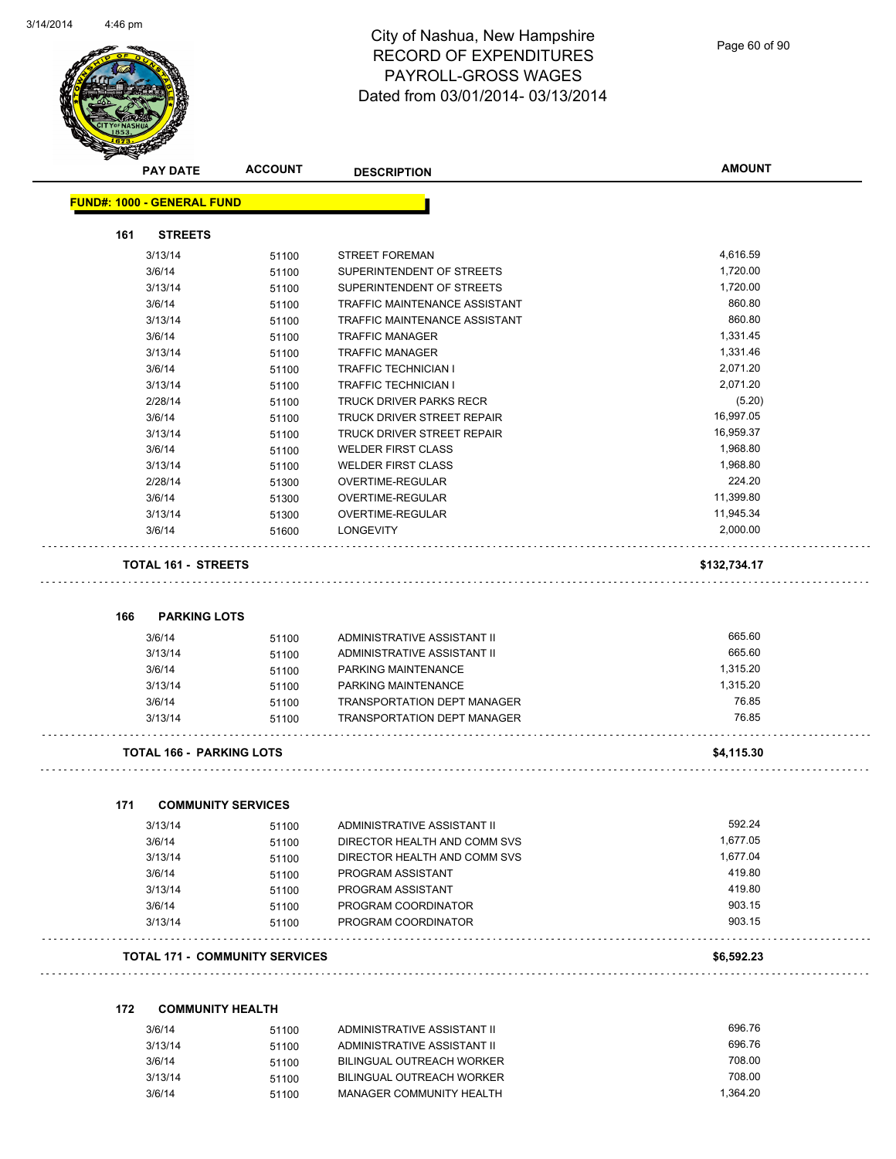

Page 60 of 90

|     | <b>PAY DATE</b>                   | <b>ACCOUNT</b>                        | <b>DESCRIPTION</b>                                                       | <b>AMOUNT</b>    |
|-----|-----------------------------------|---------------------------------------|--------------------------------------------------------------------------|------------------|
|     | <b>FUND#: 1000 - GENERAL FUND</b> |                                       |                                                                          |                  |
| 161 | <b>STREETS</b>                    |                                       |                                                                          |                  |
|     | 3/13/14                           | 51100                                 | <b>STREET FOREMAN</b>                                                    | 4,616.59         |
|     | 3/6/14                            | 51100                                 | SUPERINTENDENT OF STREETS                                                | 1,720.00         |
|     | 3/13/14                           | 51100                                 | SUPERINTENDENT OF STREETS                                                | 1,720.00         |
|     | 3/6/14                            | 51100                                 | TRAFFIC MAINTENANCE ASSISTANT                                            | 860.80           |
|     | 3/13/14                           | 51100                                 | TRAFFIC MAINTENANCE ASSISTANT                                            | 860.80           |
|     | 3/6/14                            | 51100                                 | <b>TRAFFIC MANAGER</b>                                                   | 1,331.45         |
|     | 3/13/14                           | 51100                                 | <b>TRAFFIC MANAGER</b>                                                   | 1,331.46         |
|     | 3/6/14                            | 51100                                 | <b>TRAFFIC TECHNICIAN I</b>                                              | 2,071.20         |
|     | 3/13/14                           | 51100                                 | <b>TRAFFIC TECHNICIAN I</b>                                              | 2,071.20         |
|     | 2/28/14                           | 51100                                 | <b>TRUCK DRIVER PARKS RECR</b>                                           | (5.20)           |
|     | 3/6/14                            | 51100                                 | TRUCK DRIVER STREET REPAIR                                               | 16,997.05        |
|     | 3/13/14                           | 51100                                 | TRUCK DRIVER STREET REPAIR                                               | 16,959.37        |
|     | 3/6/14                            | 51100                                 | <b>WELDER FIRST CLASS</b>                                                | 1,968.80         |
|     | 3/13/14                           | 51100                                 | <b>WELDER FIRST CLASS</b>                                                | 1,968.80         |
|     | 2/28/14                           | 51300                                 | OVERTIME-REGULAR                                                         | 224.20           |
|     | 3/6/14                            | 51300                                 | OVERTIME-REGULAR                                                         | 11,399.80        |
|     | 3/13/14                           | 51300                                 | <b>OVERTIME-REGULAR</b>                                                  | 11,945.34        |
|     | 3/6/14                            | 51600                                 | <b>LONGEVITY</b>                                                         | 2,000.00         |
|     | <b>TOTAL 161 - STREETS</b>        |                                       |                                                                          | \$132,734.17     |
|     |                                   |                                       |                                                                          |                  |
| 166 | <b>PARKING LOTS</b>               |                                       |                                                                          |                  |
|     | 3/6/14                            | 51100                                 | ADMINISTRATIVE ASSISTANT II                                              | 665.60           |
|     | 3/13/14                           | 51100                                 | ADMINISTRATIVE ASSISTANT II                                              | 665.60           |
|     | 3/6/14                            | 51100                                 | PARKING MAINTENANCE                                                      | 1,315.20         |
|     | 3/13/14                           | 51100                                 | PARKING MAINTENANCE                                                      | 1,315.20         |
|     | 3/6/14<br>3/13/14                 | 51100<br>51100                        | <b>TRANSPORTATION DEPT MANAGER</b><br><b>TRANSPORTATION DEPT MANAGER</b> | 76.85<br>76.85   |
|     | <b>TOTAL 166 - PARKING LOTS</b>   |                                       |                                                                          |                  |
|     |                                   |                                       |                                                                          |                  |
|     |                                   |                                       |                                                                          | \$4,115.30       |
| 171 | <b>COMMUNITY SERVICES</b>         |                                       |                                                                          |                  |
|     | 3/13/14                           | 51100                                 | ADMINISTRATIVE ASSISTANT II                                              | 592.24           |
|     | 3/6/14                            | 51100                                 | DIRECTOR HEALTH AND COMM SVS                                             | 1,677.05         |
|     | 3/13/14                           | 51100                                 | DIRECTOR HEALTH AND COMM SVS                                             | 1,677.04         |
|     | 3/6/14                            | 51100                                 | PROGRAM ASSISTANT                                                        | 419.80           |
|     | 3/13/14                           | 51100                                 | PROGRAM ASSISTANT                                                        | 419.80           |
|     | 3/6/14                            | 51100                                 | PROGRAM COORDINATOR                                                      | 903.15           |
|     | 3/13/14                           | 51100                                 | PROGRAM COORDINATOR                                                      | 903.15           |
|     |                                   | <b>TOTAL 171 - COMMUNITY SERVICES</b> |                                                                          | \$6,592.23       |
| 172 | <b>COMMUNITY HEALTH</b>           |                                       |                                                                          |                  |
|     |                                   |                                       |                                                                          |                  |
|     | 3/6/14                            | 51100                                 | ADMINISTRATIVE ASSISTANT II                                              | 696.76           |
|     | 3/13/14                           | 51100                                 | ADMINISTRATIVE ASSISTANT II                                              | 696.76           |
|     | 3/6/14<br>3/13/14                 | 51100<br>51100                        | <b>BILINGUAL OUTREACH WORKER</b><br><b>BILINGUAL OUTREACH WORKER</b>     | 708.00<br>708.00 |

3/6/14 51100 MANAGER COMMUNITY HEALTH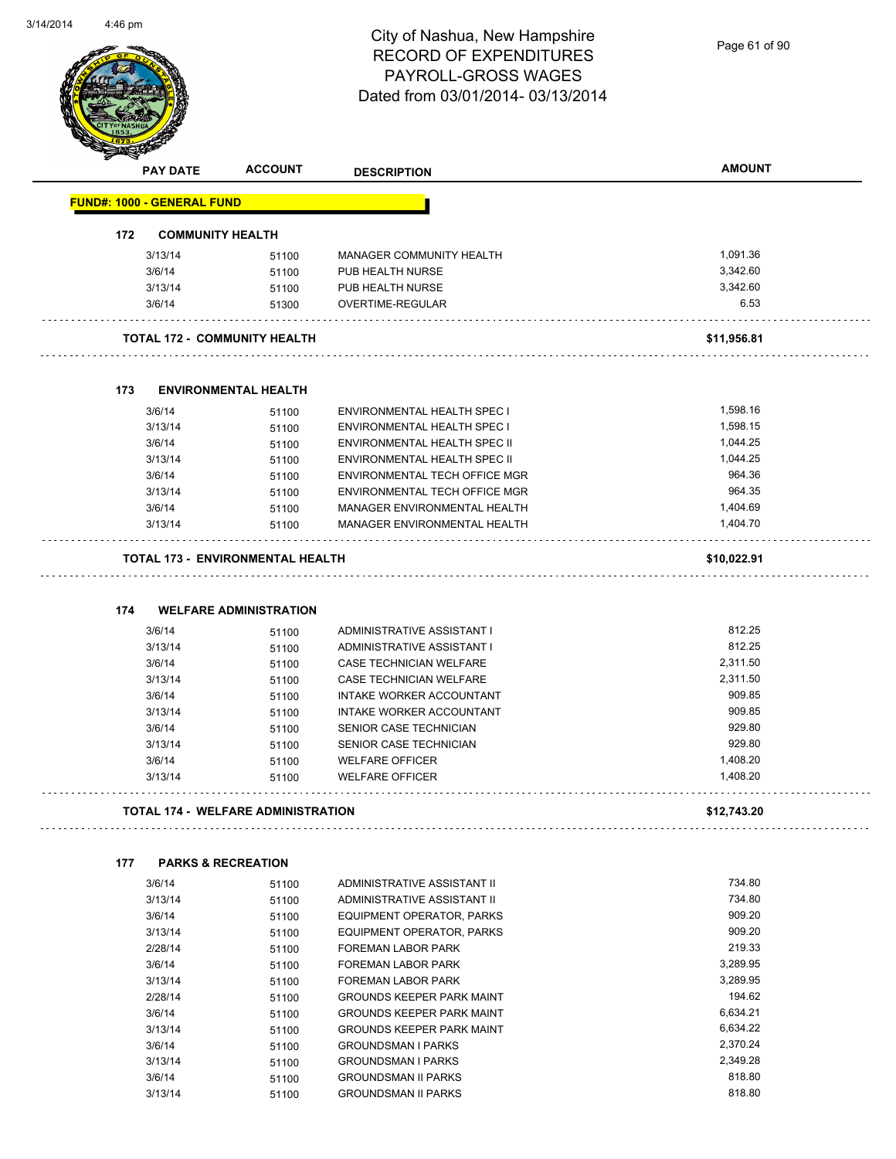Page 61 of 90

|     | <b>PAY DATE</b>                   | <b>ACCOUNT</b>                            | <b>DESCRIPTION</b>                                     | <b>AMOUNT</b>        |
|-----|-----------------------------------|-------------------------------------------|--------------------------------------------------------|----------------------|
|     | <b>FUND#: 1000 - GENERAL FUND</b> |                                           |                                                        |                      |
| 172 | <b>COMMUNITY HEALTH</b>           |                                           |                                                        |                      |
|     | 3/13/14                           | 51100                                     | MANAGER COMMUNITY HEALTH                               | 1,091.36             |
|     | 3/6/14                            | 51100                                     | PUB HEALTH NURSE                                       | 3,342.60             |
|     | 3/13/14                           | 51100                                     | PUB HEALTH NURSE                                       | 3,342.60             |
|     | 3/6/14                            | 51300                                     | OVERTIME-REGULAR                                       | 6.53                 |
|     |                                   | <b>TOTAL 172 - COMMUNITY HEALTH</b>       |                                                        | \$11,956.81          |
| 173 |                                   | <b>ENVIRONMENTAL HEALTH</b>               |                                                        |                      |
|     | 3/6/14                            | 51100                                     | ENVIRONMENTAL HEALTH SPEC I                            | 1,598.16             |
|     | 3/13/14                           | 51100                                     | ENVIRONMENTAL HEALTH SPEC I                            | 1,598.15             |
|     | 3/6/14                            | 51100                                     | <b>ENVIRONMENTAL HEALTH SPEC II</b>                    | 1,044.25             |
|     | 3/13/14                           | 51100                                     | ENVIRONMENTAL HEALTH SPEC II                           | 1,044.25             |
|     | 3/6/14                            | 51100                                     | ENVIRONMENTAL TECH OFFICE MGR                          | 964.36               |
|     | 3/13/14                           | 51100                                     | ENVIRONMENTAL TECH OFFICE MGR                          | 964.35               |
|     | 3/6/14                            | 51100                                     | MANAGER ENVIRONMENTAL HEALTH                           | 1,404.69             |
|     | 3/13/14                           | 51100                                     | MANAGER ENVIRONMENTAL HEALTH                           | 1,404.70             |
|     |                                   | <b>TOTAL 173 - ENVIRONMENTAL HEALTH</b>   |                                                        | \$10,022.91          |
| 174 | 3/6/14                            | <b>WELFARE ADMINISTRATION</b><br>51100    | ADMINISTRATIVE ASSISTANT I                             | 812.25               |
|     | 3/13/14                           | 51100                                     | ADMINISTRATIVE ASSISTANT I                             | 812.25               |
|     | 3/6/14                            | 51100                                     | CASE TECHNICIAN WELFARE                                | 2,311.50             |
|     | 3/13/14                           | 51100                                     | CASE TECHNICIAN WELFARE                                | 2,311.50             |
|     | 3/6/14                            | 51100                                     | INTAKE WORKER ACCOUNTANT                               | 909.85               |
|     | 3/13/14                           | 51100                                     | INTAKE WORKER ACCOUNTANT                               | 909.85               |
|     | 3/6/14                            | 51100                                     | SENIOR CASE TECHNICIAN                                 | 929.80               |
|     | 3/13/14                           | 51100                                     | SENIOR CASE TECHNICIAN                                 | 929.80               |
|     | 3/6/14                            | 51100                                     | <b>WELFARE OFFICER</b>                                 | 1,408.20             |
|     | 3/13/14                           | 51100                                     | <b>WELFARE OFFICER</b>                                 | 1,408.20             |
|     |                                   | <b>TOTAL 174 - WELFARE ADMINISTRATION</b> |                                                        | \$12,743.20          |
| 177 |                                   | <b>PARKS &amp; RECREATION</b>             |                                                        |                      |
|     | 3/6/14                            | 51100                                     | ADMINISTRATIVE ASSISTANT II                            | 734.80               |
|     | 3/13/14                           | 51100                                     | ADMINISTRATIVE ASSISTANT II                            | 734.80               |
|     |                                   | 51100                                     | EQUIPMENT OPERATOR, PARKS                              | 909.20               |
|     | 3/6/14                            |                                           |                                                        |                      |
|     | 3/13/14                           | 51100                                     | EQUIPMENT OPERATOR, PARKS                              | 909.20               |
|     | 2/28/14                           | 51100                                     | FOREMAN LABOR PARK                                     | 219.33               |
|     | 3/6/14                            | 51100                                     | FOREMAN LABOR PARK                                     | 3,289.95             |
|     | 3/13/14                           | 51100                                     | FOREMAN LABOR PARK                                     | 3,289.95             |
|     | 2/28/14                           | 51100                                     | <b>GROUNDS KEEPER PARK MAINT</b>                       | 194.62               |
|     | 3/6/14                            | 51100                                     | <b>GROUNDS KEEPER PARK MAINT</b>                       | 6,634.21             |
|     | 3/13/14                           | 51100                                     | <b>GROUNDS KEEPER PARK MAINT</b>                       | 6,634.22             |
|     | 3/6/14<br>3/13/14                 | 51100<br>51100                            | <b>GROUNDSMAN I PARKS</b><br><b>GROUNDSMAN I PARKS</b> | 2,370.24<br>2,349.28 |

3/13/14 51100 GROUNDSMAN II PARKS 3/13/14 818.80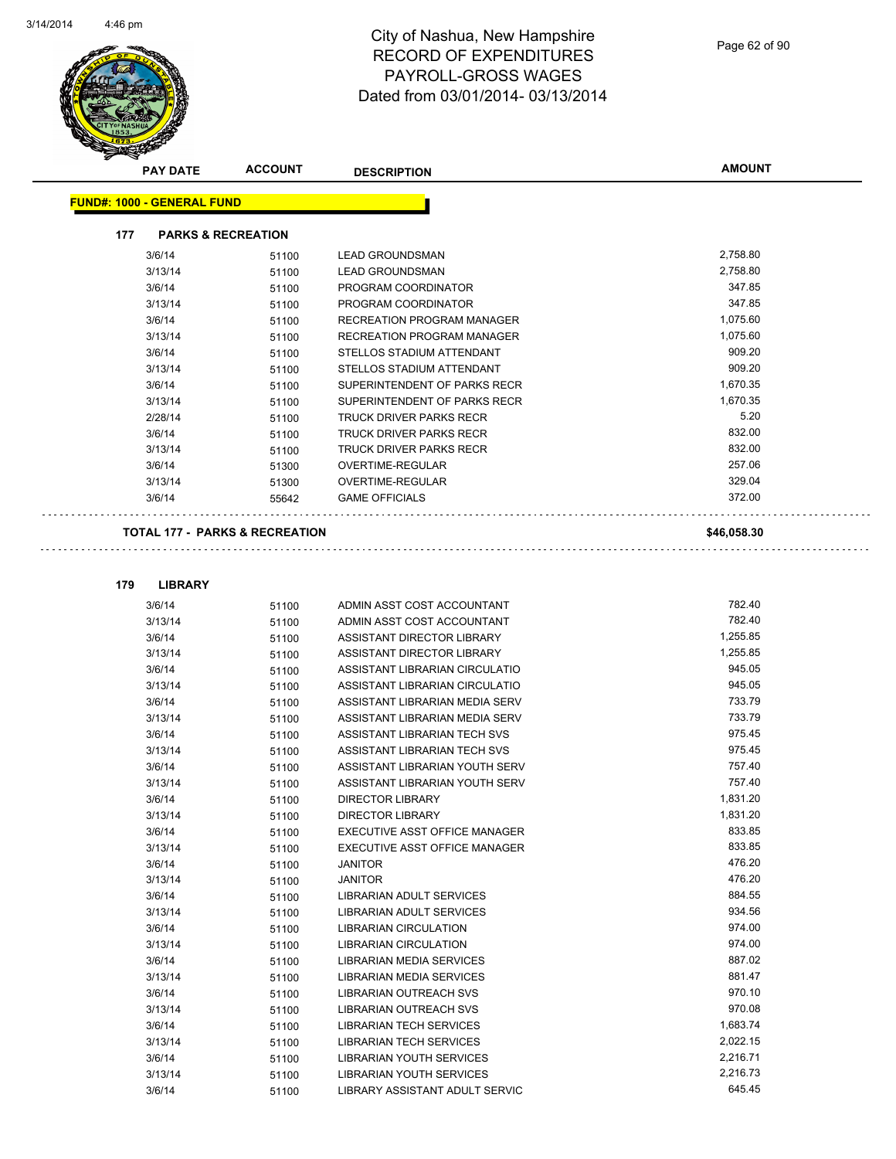

| $\boldsymbol{v}$<br><b>PAY DATE</b> | <b>ACCOUNT</b>                | <b>DESCRIPTION</b>                | <b>AMOUNT</b> |
|-------------------------------------|-------------------------------|-----------------------------------|---------------|
| <b>FUND#: 1000 - GENERAL FUND</b>   |                               |                                   |               |
| 177                                 | <b>PARKS &amp; RECREATION</b> |                                   |               |
| 3/6/14                              | 51100                         | <b>LEAD GROUNDSMAN</b>            | 2,758.80      |
| 3/13/14                             | 51100                         | <b>LEAD GROUNDSMAN</b>            | 2,758.80      |
| 3/6/14                              | 51100                         | PROGRAM COORDINATOR               | 347.85        |
| 3/13/14                             | 51100                         | PROGRAM COORDINATOR               | 347.85        |
| 3/6/14                              | 51100                         | RECREATION PROGRAM MANAGER        | 1,075.60      |
| 3/13/14                             | 51100                         | <b>RECREATION PROGRAM MANAGER</b> | 1,075.60      |
| 3/6/14                              | 51100                         | STELLOS STADIUM ATTENDANT         | 909.20        |
| 3/13/14                             | 51100                         | STELLOS STADIUM ATTENDANT         | 909.20        |
| 3/6/14                              | 51100                         | SUPERINTENDENT OF PARKS RECR      | 1,670.35      |
| 3/13/14                             | 51100                         | SUPERINTENDENT OF PARKS RECR      | 1,670.35      |
| 2/28/14                             | 51100                         | <b>TRUCK DRIVER PARKS RECR</b>    | 5.20          |
| 3/6/14                              | 51100                         | <b>TRUCK DRIVER PARKS RECR</b>    | 832.00        |
| 3/13/14                             | 51100                         | <b>TRUCK DRIVER PARKS RECR</b>    | 832.00        |
| 3/6/14                              | 51300                         | <b>OVERTIME-REGULAR</b>           | 257.06        |
| 3/13/14                             | 51300                         | <b>OVERTIME-REGULAR</b>           | 329.04        |
| 3/6/14                              | 55642                         | <b>GAME OFFICIALS</b>             | 372.00        |
| ------ ---                          | <b>BABIC A BEABEATION</b>     |                                   |               |

**TOTAL 177 - PARKS & RECREATION \$46,058.30**

**179 LIBRARY** 3/6/14 51100 ADMIN ASST COST ACCOUNTANT 782.40 3/13/14 51100 ADMIN ASST COST ACCOUNTANT 782.40 3/6/14 51100 ASSISTANT DIRECTOR LIBRARY 1,255.85 3/13/14 51100 ASSISTANT DIRECTOR LIBRARY 1,255.85 3/6/14 51100 ASSISTANT LIBRARIAN CIRCULATIO 945.05 3/13/14 51100 ASSISTANT LIBRARIAN CIRCULATIO 945.05 3/6/14 51100 ASSISTANT LIBRARIAN MEDIA SERV 733.79 3/13/14 51100 ASSISTANT LIBRARIAN MEDIA SERV 733.79 3/6/14 51100 ASSISTANT LIBRARIAN TECH SVS 975.45 3/13/14 51100 ASSISTANT LIBRARIAN TECH SVS 975.45 3/6/14 51100 ASSISTANT LIBRARIAN YOUTH SERV 757.40 3/13/14 51100 ASSISTANT LIBRARIAN YOUTH SERV 757.40 3/6/14 51100 DIRECTOR LIBRARY 1,831.20 3/13/14 51100 DIRECTOR LIBRARY 1,831.20 3/6/14 51100 EXECUTIVE ASST OFFICE MANAGER 833.85 3/13/14 51100 EXECUTIVE ASST OFFICE MANAGER 833.85 3/6/14 51100 JANITOR 476.20 3/13/14 51100 JANITOR 476.20 3/6/14 51100 LIBRARIAN ADULT SERVICES 884.55 3/13/14 51100 LIBRARIAN ADULT SERVICES 934.56 3/6/14 51100 LIBRARIAN CIRCULATION 974.00 3/13/14 51100 LIBRARIAN CIRCULATION 974.00 3/6/14 51100 LIBRARIAN MEDIA SERVICES 887.02 3/13/14 51100 LIBRARIAN MEDIA SERVICES 881.47 3/6/14 51100 LIBRARIAN OUTREACH SVS 970.10 3/13/14 51100 LIBRARIAN OUTREACH SVS 970.08 3/6/14 51100 LIBRARIAN TECH SERVICES 1,683.74 3/13/14 51100 LIBRARIAN TECH SERVICES 2,022.15 3/6/14 51100 LIBRARIAN YOUTH SERVICES 2,216.71 3/13/14 51100 LIBRARIAN YOUTH SERVICES 2,216.73

3/6/14 51100 LIBRARY ASSISTANT ADULT SERVIC 645.45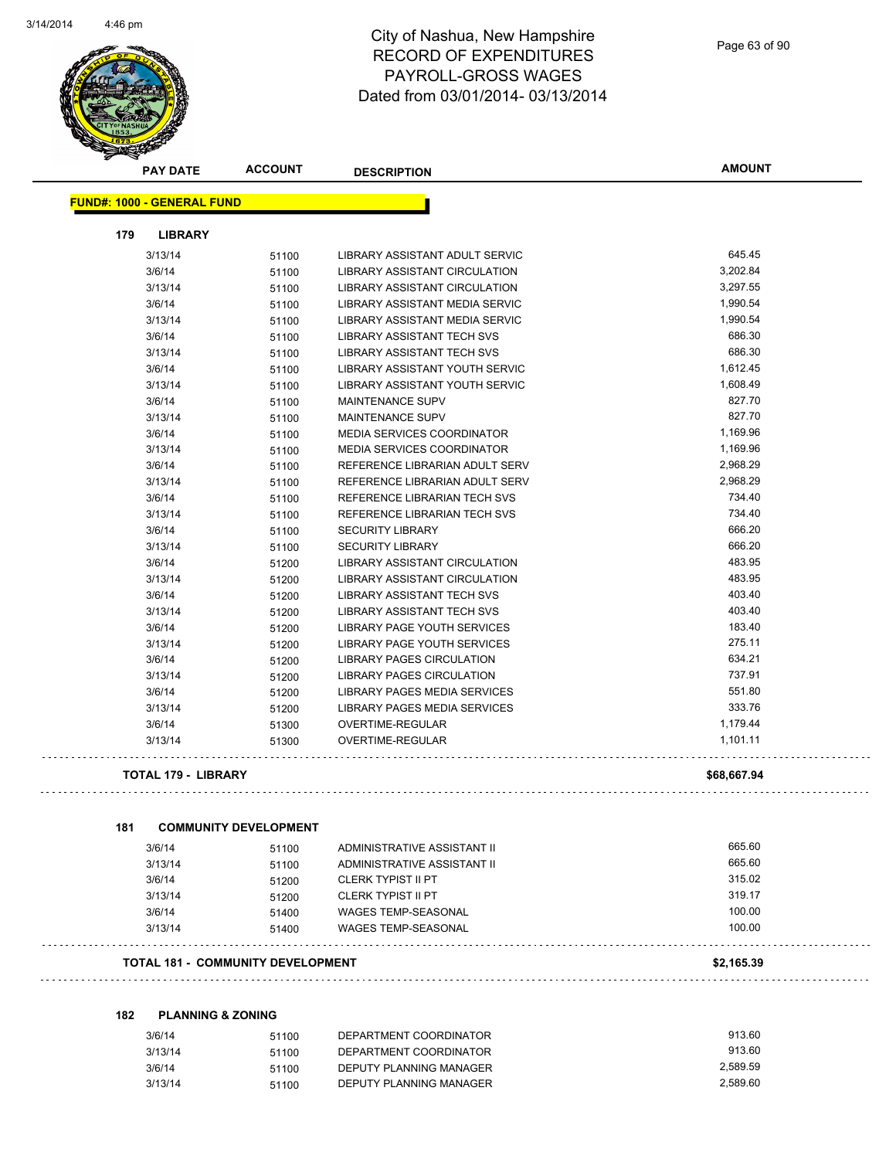

|     | <b>PAY DATE</b>                   | <b>ACCOUNT</b>                           | <b>DESCRIPTION</b>                | <b>AMOUNT</b> |
|-----|-----------------------------------|------------------------------------------|-----------------------------------|---------------|
|     | <b>FUND#: 1000 - GENERAL FUND</b> |                                          |                                   |               |
| 179 | <b>LIBRARY</b>                    |                                          |                                   |               |
|     | 3/13/14                           | 51100                                    | LIBRARY ASSISTANT ADULT SERVIC    | 645.45        |
|     | 3/6/14                            | 51100                                    | LIBRARY ASSISTANT CIRCULATION     | 3,202.84      |
|     | 3/13/14                           | 51100                                    | LIBRARY ASSISTANT CIRCULATION     | 3,297.55      |
|     | 3/6/14                            | 51100                                    | LIBRARY ASSISTANT MEDIA SERVIC    | 1,990.54      |
|     | 3/13/14                           | 51100                                    | LIBRARY ASSISTANT MEDIA SERVIC    | 1,990.54      |
|     | 3/6/14                            | 51100                                    | <b>LIBRARY ASSISTANT TECH SVS</b> | 686.30        |
|     | 3/13/14                           | 51100                                    | <b>LIBRARY ASSISTANT TECH SVS</b> | 686.30        |
|     | 3/6/14                            | 51100                                    | LIBRARY ASSISTANT YOUTH SERVIC    | 1,612.45      |
|     | 3/13/14                           | 51100                                    | LIBRARY ASSISTANT YOUTH SERVIC    | 1,608.49      |
|     | 3/6/14                            | 51100                                    | MAINTENANCE SUPV                  | 827.70        |
|     | 3/13/14                           | 51100                                    | MAINTENANCE SUPV                  | 827.70        |
|     | 3/6/14                            | 51100                                    | MEDIA SERVICES COORDINATOR        | 1,169.96      |
|     | 3/13/14                           | 51100                                    | MEDIA SERVICES COORDINATOR        | 1,169.96      |
|     | 3/6/14                            | 51100                                    | REFERENCE LIBRARIAN ADULT SERV    | 2,968.29      |
|     | 3/13/14                           | 51100                                    | REFERENCE LIBRARIAN ADULT SERV    | 2,968.29      |
|     | 3/6/14                            | 51100                                    | REFERENCE LIBRARIAN TECH SVS      | 734.40        |
|     | 3/13/14                           | 51100                                    | REFERENCE LIBRARIAN TECH SVS      | 734.40        |
|     | 3/6/14                            | 51100                                    | <b>SECURITY LIBRARY</b>           | 666.20        |
|     | 3/13/14                           | 51100                                    | <b>SECURITY LIBRARY</b>           | 666.20        |
|     | 3/6/14                            | 51200                                    | LIBRARY ASSISTANT CIRCULATION     | 483.95        |
|     | 3/13/14                           | 51200                                    | LIBRARY ASSISTANT CIRCULATION     | 483.95        |
|     | 3/6/14                            | 51200                                    | <b>LIBRARY ASSISTANT TECH SVS</b> | 403.40        |
|     | 3/13/14                           | 51200                                    | <b>LIBRARY ASSISTANT TECH SVS</b> | 403.40        |
|     | 3/6/14                            | 51200                                    | LIBRARY PAGE YOUTH SERVICES       | 183.40        |
|     | 3/13/14                           | 51200                                    | LIBRARY PAGE YOUTH SERVICES       | 275.11        |
|     | 3/6/14                            | 51200                                    | LIBRARY PAGES CIRCULATION         | 634.21        |
|     | 3/13/14                           | 51200                                    | LIBRARY PAGES CIRCULATION         | 737.91        |
|     | 3/6/14                            | 51200                                    | LIBRARY PAGES MEDIA SERVICES      | 551.80        |
|     | 3/13/14                           | 51200                                    | LIBRARY PAGES MEDIA SERVICES      | 333.76        |
|     | 3/6/14                            | 51300                                    | OVERTIME-REGULAR                  | 1,179.44      |
|     | 3/13/14                           | 51300                                    | <b>OVERTIME-REGULAR</b>           | 1,101.11      |
|     | TOTAL 179 - LIBRARY               |                                          |                                   | \$68,667.94   |
|     |                                   |                                          |                                   |               |
| 181 |                                   | <b>COMMUNITY DEVELOPMENT</b>             |                                   |               |
|     | 3/6/14                            | 51100                                    | ADMINISTRATIVE ASSISTANT II       | 665.60        |
|     | 3/13/14                           | 51100                                    | ADMINISTRATIVE ASSISTANT II       | 665.60        |
|     | 3/6/14                            | 51200                                    | <b>CLERK TYPIST II PT</b>         | 315.02        |
|     | 3/13/14                           | 51200                                    | <b>CLERK TYPIST II PT</b>         | 319.17        |
|     | 3/6/14                            | 51400                                    | <b>WAGES TEMP-SEASONAL</b>        | 100.00        |
|     | 3/13/14                           | 51400                                    | <b>WAGES TEMP-SEASONAL</b>        | 100.00        |
|     |                                   | <b>TOTAL 181 - COMMUNITY DEVELOPMENT</b> |                                   | \$2,165.39    |
|     |                                   |                                          |                                   |               |
| 182 | <b>PLANNING &amp; ZONING</b>      |                                          |                                   |               |
|     | 3/6/14                            | 51100                                    | DEPARTMENT COORDINATOR            | 913.60        |
|     | 3/13/14                           | 51100                                    | DEPARTMENT COORDINATOR            | 913.60        |

3/6/14 51100 DEPUTY PLANNING MANAGER 2,589.59

3/13/14 51100 DEPUTY PLANNING MANAGER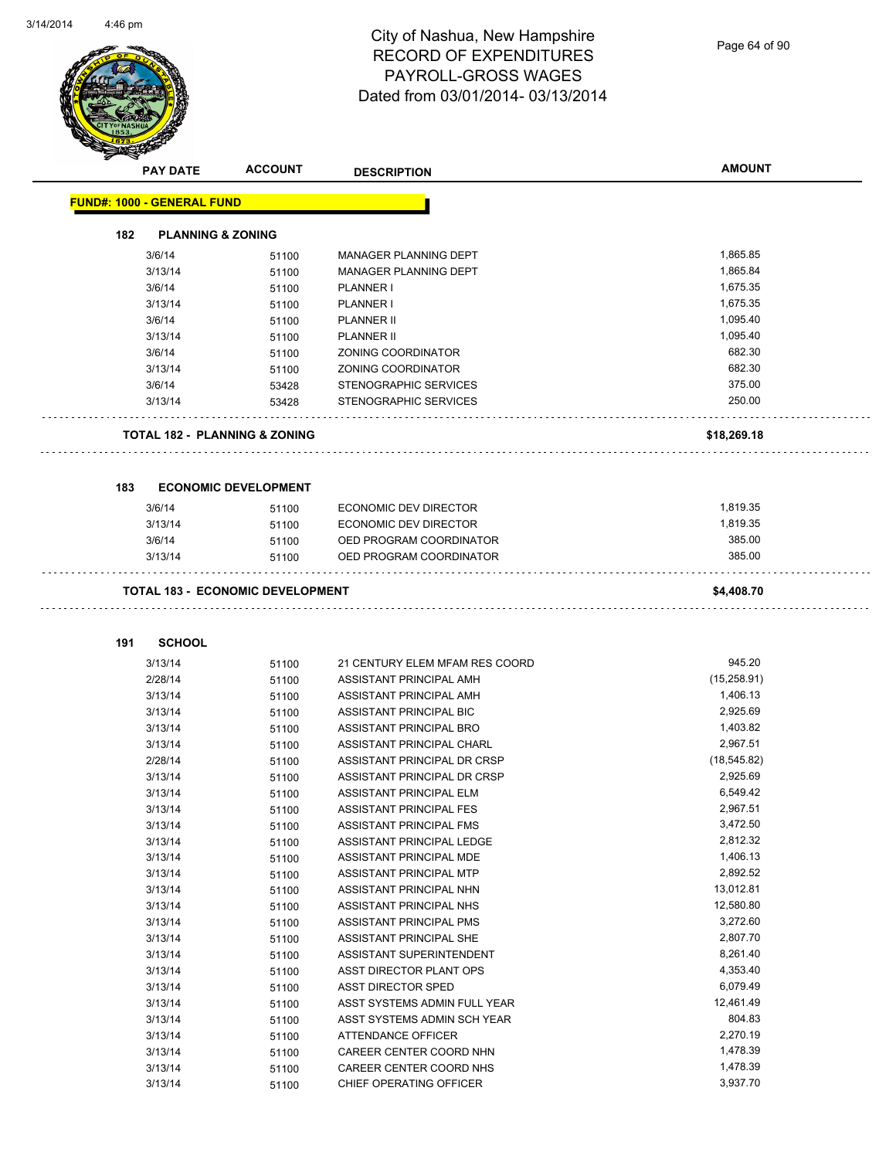

Page 64 of 90

|     | <b>PAY DATE</b>                   | <b>ACCOUNT</b>                           | <b>DESCRIPTION</b>                                 | <b>AMOUNT</b>        |
|-----|-----------------------------------|------------------------------------------|----------------------------------------------------|----------------------|
|     | <b>FUND#: 1000 - GENERAL FUND</b> |                                          |                                                    |                      |
| 182 | <b>PLANNING &amp; ZONING</b>      |                                          |                                                    |                      |
|     | 3/6/14                            | 51100                                    | MANAGER PLANNING DEPT                              | 1,865.85             |
|     | 3/13/14                           | 51100                                    | MANAGER PLANNING DEPT                              | 1,865.84             |
|     | 3/6/14                            | 51100                                    | PLANNER I                                          | 1,675.35             |
|     | 3/13/14                           | 51100                                    | <b>PLANNER I</b>                                   | 1,675.35             |
|     | 3/6/14                            | 51100                                    | <b>PLANNER II</b>                                  | 1,095.40             |
|     | 3/13/14                           |                                          | <b>PLANNER II</b>                                  | 1,095.40             |
|     | 3/6/14                            | 51100<br>51100                           | ZONING COORDINATOR                                 | 682.30               |
|     | 3/13/14                           | 51100                                    | ZONING COORDINATOR                                 | 682.30               |
|     | 3/6/14                            | 53428                                    | STENOGRAPHIC SERVICES                              | 375.00               |
|     | 3/13/14                           | 53428                                    | STENOGRAPHIC SERVICES                              | 250.00               |
|     |                                   | <b>TOTAL 182 - PLANNING &amp; ZONING</b> |                                                    |                      |
|     |                                   |                                          |                                                    | \$18,269.18          |
| 183 |                                   | <b>ECONOMIC DEVELOPMENT</b>              |                                                    |                      |
|     | 3/6/14                            | 51100                                    | <b>ECONOMIC DEV DIRECTOR</b>                       | 1,819.35             |
|     | 3/13/14                           | 51100                                    | <b>ECONOMIC DEV DIRECTOR</b>                       | 1,819.35             |
|     | 3/6/14                            | 51100                                    | OED PROGRAM COORDINATOR                            | 385.00               |
|     | 3/13/14                           | 51100                                    | OED PROGRAM COORDINATOR                            | 385.00               |
|     |                                   | <b>TOTAL 183 - ECONOMIC DEVELOPMENT</b>  |                                                    | \$4,408.70           |
| 191 | <b>SCHOOL</b>                     |                                          |                                                    |                      |
|     | 3/13/14                           | 51100                                    | 21 CENTURY ELEM MFAM RES COORD                     | 945.20               |
|     | 2/28/14                           | 51100                                    | ASSISTANT PRINCIPAL AMH                            | (15,258.91)          |
|     | 3/13/14                           | 51100                                    | ASSISTANT PRINCIPAL AMH                            | 1,406.13             |
|     | 3/13/14                           | 51100                                    | ASSISTANT PRINCIPAL BIC                            | 2,925.69             |
|     | 3/13/14                           | 51100                                    | ASSISTANT PRINCIPAL BRO                            | 1,403.82             |
|     | 3/13/14                           | 51100                                    | ASSISTANT PRINCIPAL CHARL                          | 2,967.51             |
|     | 2/28/14                           | 51100                                    | ASSISTANT PRINCIPAL DR CRSP                        | (18, 545.82)         |
|     | 3/13/14                           | 51100                                    | ASSISTANT PRINCIPAL DR CRSP                        | 2,925.69             |
|     |                                   |                                          |                                                    |                      |
|     | 3/13/14                           | 51100                                    | ASSISTANT PRINCIPAL ELM                            | 6,549.42             |
|     | 3/13/14                           |                                          | ASSISTANT PRINCIPAL FES                            | 2,967.51             |
|     | 3/13/14                           | 51100                                    | ASSISTANT PRINCIPAL FMS                            | 3,472.50             |
|     |                                   | 51100                                    |                                                    |                      |
|     | 3/13/14                           | 51100                                    | ASSISTANT PRINCIPAL LEDGE                          | 2,812.32<br>1,406.13 |
|     | 3/13/14                           | 51100                                    | ASSISTANT PRINCIPAL MDE                            | 2,892.52             |
|     | 3/13/14                           | 51100                                    | ASSISTANT PRINCIPAL MTP<br>ASSISTANT PRINCIPAL NHN | 13,012.81            |
|     | 3/13/14                           | 51100                                    | ASSISTANT PRINCIPAL NHS                            | 12,580.80            |
|     | 3/13/14                           | 51100                                    |                                                    | 3,272.60             |
|     | 3/13/14<br>3/13/14                | 51100                                    | ASSISTANT PRINCIPAL PMS<br>ASSISTANT PRINCIPAL SHE | 2,807.70             |
|     |                                   | 51100                                    | ASSISTANT SUPERINTENDENT                           | 8,261.40             |
|     | 3/13/14<br>3/13/14                | 51100                                    |                                                    |                      |
|     |                                   | 51100                                    | ASST DIRECTOR PLANT OPS                            | 4,353.40<br>6,079.49 |
|     | 3/13/14                           | 51100                                    | ASST DIRECTOR SPED                                 |                      |
|     | 3/13/14                           | 51100                                    | ASST SYSTEMS ADMIN FULL YEAR                       | 12,461.49            |
|     | 3/13/14                           | 51100                                    | ASST SYSTEMS ADMIN SCH YEAR                        | 804.83               |
|     | 3/13/14                           | 51100                                    | ATTENDANCE OFFICER                                 | 2,270.19             |
|     | 3/13/14<br>3/13/14                | 51100<br>51100                           | CAREER CENTER COORD NHN<br>CAREER CENTER COORD NHS | 1,478.39<br>1,478.39 |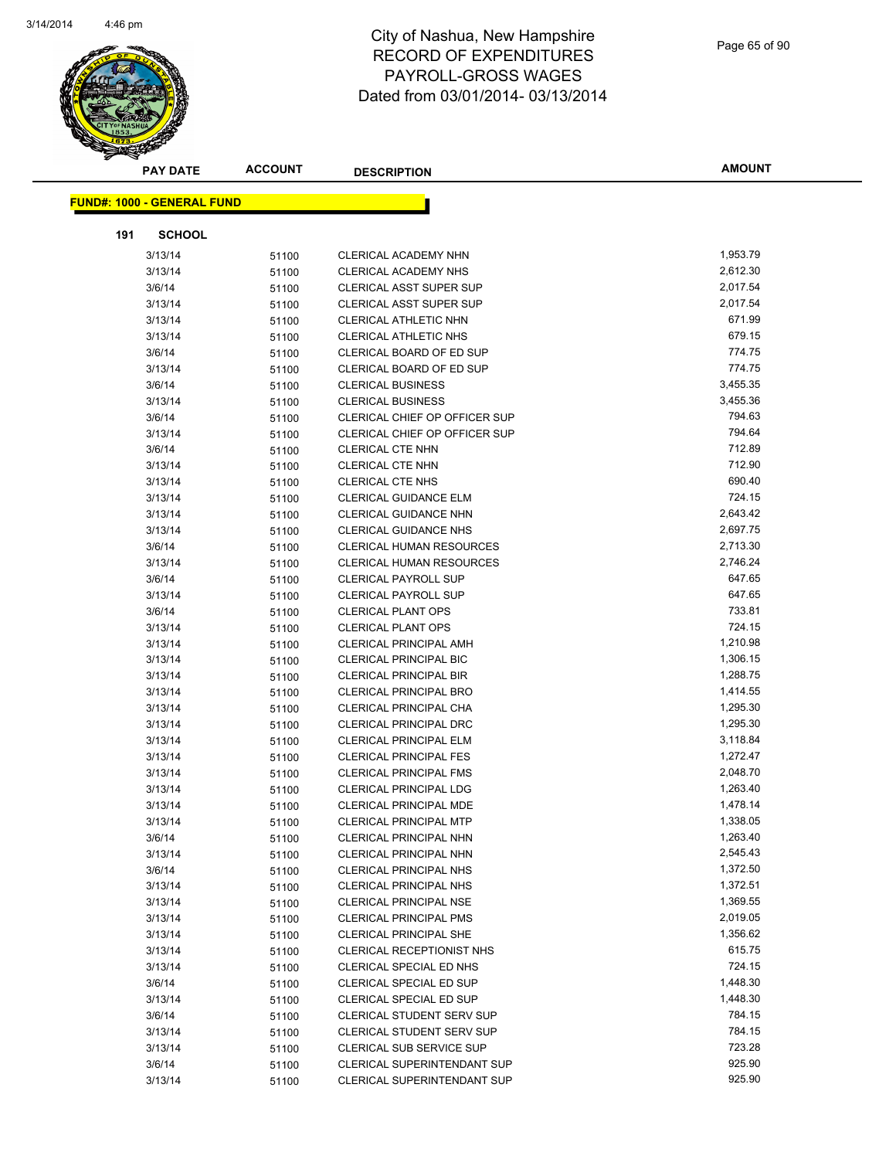

|                                   | <b>PAY DATE</b> | <b>ACCOUNT</b> | <b>DESCRIPTION</b>                                             | <b>AMOUNT</b>        |
|-----------------------------------|-----------------|----------------|----------------------------------------------------------------|----------------------|
| <b>FUND#: 1000 - GENERAL FUND</b> |                 |                |                                                                |                      |
|                                   |                 |                |                                                                |                      |
| 191                               | <b>SCHOOL</b>   |                |                                                                |                      |
| 3/13/14                           |                 | 51100          | CLERICAL ACADEMY NHN                                           | 1,953.79             |
| 3/13/14                           |                 | 51100          | CLERICAL ACADEMY NHS                                           | 2,612.30             |
| 3/6/14                            |                 | 51100          | CLERICAL ASST SUPER SUP                                        | 2,017.54             |
| 3/13/14                           |                 | 51100          | <b>CLERICAL ASST SUPER SUP</b>                                 | 2,017.54             |
| 3/13/14                           |                 | 51100          | CLERICAL ATHLETIC NHN                                          | 671.99               |
| 3/13/14                           |                 | 51100          | <b>CLERICAL ATHLETIC NHS</b>                                   | 679.15               |
| 3/6/14                            |                 | 51100          | CLERICAL BOARD OF ED SUP                                       | 774.75               |
| 3/13/14                           |                 | 51100          | CLERICAL BOARD OF ED SUP                                       | 774.75               |
| 3/6/14                            |                 | 51100          | <b>CLERICAL BUSINESS</b>                                       | 3,455.35             |
| 3/13/14                           |                 | 51100          | <b>CLERICAL BUSINESS</b>                                       | 3,455.36             |
| 3/6/14                            |                 | 51100          | CLERICAL CHIEF OP OFFICER SUP                                  | 794.63               |
| 3/13/14                           |                 | 51100          | <b>CLERICAL CHIEF OP OFFICER SUP</b>                           | 794.64               |
| 3/6/14                            |                 | 51100          | CLERICAL CTE NHN                                               | 712.89               |
| 3/13/14                           |                 | 51100          | CLERICAL CTE NHN                                               | 712.90               |
| 3/13/14                           |                 | 51100          | CLERICAL CTE NHS                                               | 690.40               |
| 3/13/14                           |                 | 51100          | <b>CLERICAL GUIDANCE ELM</b>                                   | 724.15               |
| 3/13/14                           |                 | 51100          | <b>CLERICAL GUIDANCE NHN</b>                                   | 2,643.42             |
| 3/13/14                           |                 | 51100          | <b>CLERICAL GUIDANCE NHS</b>                                   | 2,697.75             |
| 3/6/14                            |                 | 51100          | <b>CLERICAL HUMAN RESOURCES</b>                                | 2,713.30<br>2,746.24 |
| 3/13/14<br>3/6/14                 |                 | 51100          | <b>CLERICAL HUMAN RESOURCES</b><br><b>CLERICAL PAYROLL SUP</b> | 647.65               |
| 3/13/14                           |                 | 51100          | <b>CLERICAL PAYROLL SUP</b>                                    | 647.65               |
| 3/6/14                            |                 | 51100          | <b>CLERICAL PLANT OPS</b>                                      | 733.81               |
| 3/13/14                           |                 | 51100<br>51100 | <b>CLERICAL PLANT OPS</b>                                      | 724.15               |
| 3/13/14                           |                 | 51100          | <b>CLERICAL PRINCIPAL AMH</b>                                  | 1,210.98             |
| 3/13/14                           |                 | 51100          | <b>CLERICAL PRINCIPAL BIC</b>                                  | 1,306.15             |
| 3/13/14                           |                 | 51100          | <b>CLERICAL PRINCIPAL BIR</b>                                  | 1,288.75             |
| 3/13/14                           |                 | 51100          | <b>CLERICAL PRINCIPAL BRO</b>                                  | 1,414.55             |
| 3/13/14                           |                 | 51100          | CLERICAL PRINCIPAL CHA                                         | 1,295.30             |
| 3/13/14                           |                 | 51100          | <b>CLERICAL PRINCIPAL DRC</b>                                  | 1,295.30             |
| 3/13/14                           |                 | 51100          | CLERICAL PRINCIPAL ELM                                         | 3,118.84             |
| 3/13/14                           |                 | 51100          | <b>CLERICAL PRINCIPAL FES</b>                                  | 1,272.47             |
| 3/13/14                           |                 | 51100          | <b>CLERICAL PRINCIPAL FMS</b>                                  | 2,048.70             |
| 3/13/14                           |                 | 51100          | <b>CLERICAL PRINCIPAL LDG</b>                                  | 1,263.40             |
| 3/13/14                           |                 | 51100          | <b>CLERICAL PRINCIPAL MDE</b>                                  | 1,478.14             |
| 3/13/14                           |                 | 51100          | <b>CLERICAL PRINCIPAL MTP</b>                                  | 1,338.05             |
| 3/6/14                            |                 | 51100          | CLERICAL PRINCIPAL NHN                                         | 1,263.40             |
| 3/13/14                           |                 | 51100          | CLERICAL PRINCIPAL NHN                                         | 2,545.43             |
| 3/6/14                            |                 | 51100          | <b>CLERICAL PRINCIPAL NHS</b>                                  | 1,372.50             |
| 3/13/14                           |                 | 51100          | CLERICAL PRINCIPAL NHS                                         | 1,372.51             |
| 3/13/14                           |                 | 51100          | <b>CLERICAL PRINCIPAL NSE</b>                                  | 1,369.55             |
| 3/13/14                           |                 | 51100          | <b>CLERICAL PRINCIPAL PMS</b>                                  | 2,019.05             |
| 3/13/14                           |                 | 51100          | CLERICAL PRINCIPAL SHE                                         | 1,356.62             |
| 3/13/14                           |                 | 51100          | CLERICAL RECEPTIONIST NHS                                      | 615.75               |
| 3/13/14                           |                 | 51100          | CLERICAL SPECIAL ED NHS                                        | 724.15               |
| 3/6/14                            |                 | 51100          | CLERICAL SPECIAL ED SUP                                        | 1,448.30             |
| 3/13/14                           |                 | 51100          | CLERICAL SPECIAL ED SUP                                        | 1,448.30             |
| 3/6/14                            |                 | 51100          | <b>CLERICAL STUDENT SERV SUP</b>                               | 784.15               |
| 3/13/14                           |                 | 51100          | CLERICAL STUDENT SERV SUP                                      | 784.15               |
| 3/13/14                           |                 | 51100          | CLERICAL SUB SERVICE SUP                                       | 723.28               |
| 3/6/14                            |                 | 51100          | CLERICAL SUPERINTENDANT SUP                                    | 925.90               |
| 3/13/14                           |                 | 51100          | <b>CLERICAL SUPERINTENDANT SUP</b>                             | 925.90               |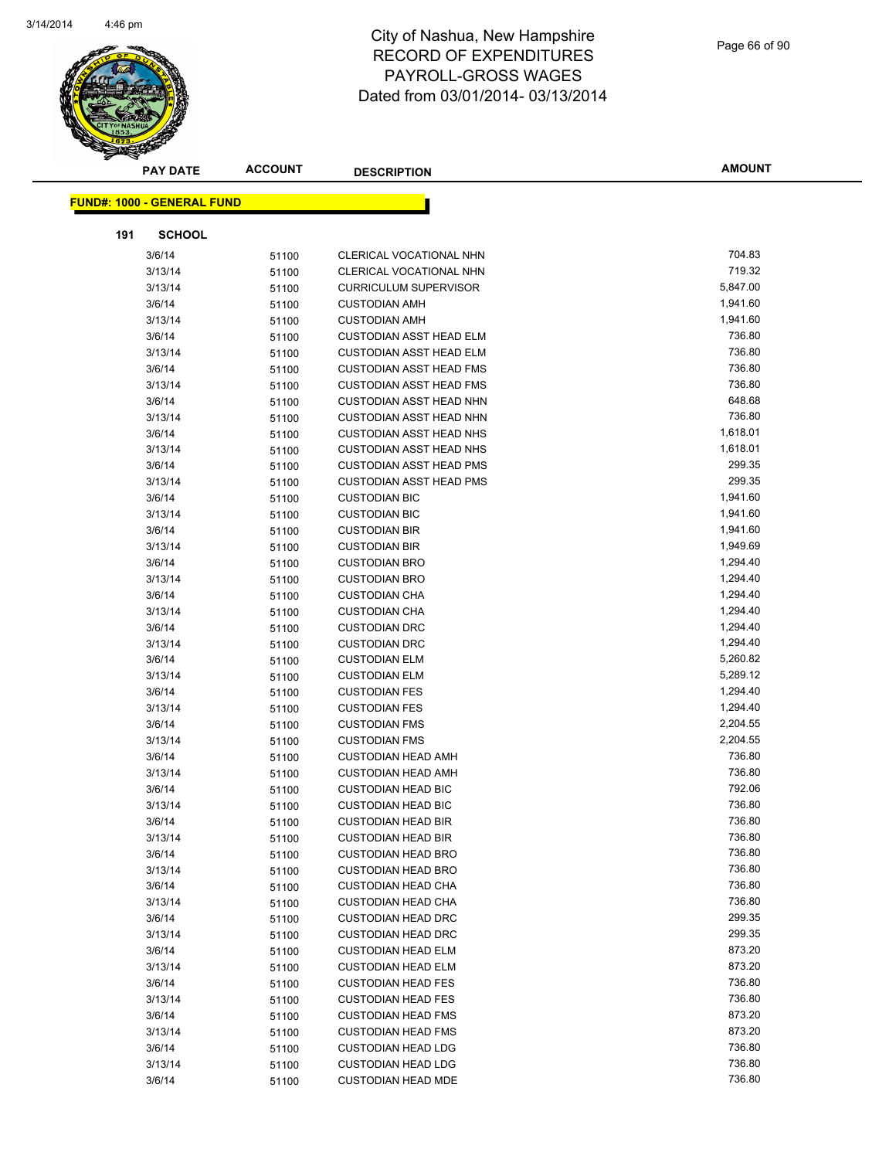

|     | <b>PAY DATE</b>                   | <b>ACCOUNT</b> | <b>DESCRIPTION</b>                           | <b>AMOUNT</b>        |
|-----|-----------------------------------|----------------|----------------------------------------------|----------------------|
|     |                                   |                |                                              |                      |
|     | <b>FUND#: 1000 - GENERAL FUND</b> |                |                                              |                      |
| 191 | <b>SCHOOL</b>                     |                |                                              |                      |
|     | 3/6/14                            | 51100          | CLERICAL VOCATIONAL NHN                      | 704.83               |
|     | 3/13/14                           | 51100          | CLERICAL VOCATIONAL NHN                      | 719.32               |
|     | 3/13/14                           | 51100          | <b>CURRICULUM SUPERVISOR</b>                 | 5,847.00             |
|     | 3/6/14                            | 51100          | <b>CUSTODIAN AMH</b>                         | 1,941.60             |
|     | 3/13/14                           | 51100          | <b>CUSTODIAN AMH</b>                         | 1,941.60             |
|     | 3/6/14                            | 51100          | <b>CUSTODIAN ASST HEAD ELM</b>               | 736.80               |
|     | 3/13/14                           | 51100          | <b>CUSTODIAN ASST HEAD ELM</b>               | 736.80               |
|     | 3/6/14                            | 51100          | <b>CUSTODIAN ASST HEAD FMS</b>               | 736.80               |
|     | 3/13/14                           | 51100          | <b>CUSTODIAN ASST HEAD FMS</b>               | 736.80               |
|     | 3/6/14                            | 51100          | CUSTODIAN ASST HEAD NHN                      | 648.68               |
|     | 3/13/14                           | 51100          | <b>CUSTODIAN ASST HEAD NHN</b>               | 736.80               |
|     | 3/6/14                            | 51100          | <b>CUSTODIAN ASST HEAD NHS</b>               | 1,618.01             |
|     | 3/13/14                           | 51100          | <b>CUSTODIAN ASST HEAD NHS</b>               | 1,618.01             |
|     | 3/6/14                            | 51100          | <b>CUSTODIAN ASST HEAD PMS</b>               | 299.35               |
|     | 3/13/14                           | 51100          | <b>CUSTODIAN ASST HEAD PMS</b>               | 299.35               |
|     | 3/6/14                            | 51100          | <b>CUSTODIAN BIC</b>                         | 1,941.60             |
|     | 3/13/14                           | 51100          | <b>CUSTODIAN BIC</b>                         | 1,941.60             |
|     | 3/6/14                            | 51100          | <b>CUSTODIAN BIR</b>                         | 1,941.60             |
|     | 3/13/14                           | 51100          | <b>CUSTODIAN BIR</b>                         | 1,949.69             |
|     | 3/6/14                            | 51100          | <b>CUSTODIAN BRO</b>                         | 1,294.40             |
|     | 3/13/14                           | 51100          | <b>CUSTODIAN BRO</b>                         | 1,294.40             |
|     | 3/6/14                            | 51100          | <b>CUSTODIAN CHA</b>                         | 1,294.40             |
|     | 3/13/14                           | 51100          | <b>CUSTODIAN CHA</b>                         | 1,294.40             |
|     | 3/6/14                            | 51100          | <b>CUSTODIAN DRC</b>                         | 1,294.40             |
|     | 3/13/14                           | 51100          | <b>CUSTODIAN DRC</b>                         | 1,294.40             |
|     | 3/6/14                            | 51100          | <b>CUSTODIAN ELM</b>                         | 5,260.82             |
|     | 3/13/14                           | 51100          | <b>CUSTODIAN ELM</b>                         | 5,289.12             |
|     | 3/6/14                            | 51100          | <b>CUSTODIAN FES</b>                         | 1,294.40<br>1,294.40 |
|     | 3/13/14<br>3/6/14                 | 51100          | <b>CUSTODIAN FES</b><br><b>CUSTODIAN FMS</b> | 2,204.55             |
|     | 3/13/14                           | 51100          | <b>CUSTODIAN FMS</b>                         | 2,204.55             |
|     | 3/6/14                            | 51100<br>51100 | <b>CUSTODIAN HEAD AMH</b>                    | 736.80               |
|     | 3/13/14                           | 51100          | <b>CUSTODIAN HEAD AMH</b>                    | 736.80               |
|     | 3/6/14                            | 51100          | <b>CUSTODIAN HEAD BIC</b>                    | 792.06               |
|     | 3/13/14                           | 51100          | <b>CUSTODIAN HEAD BIC</b>                    | 736.80               |
|     | 3/6/14                            | 51100          | <b>CUSTODIAN HEAD BIR</b>                    | 736.80               |
|     | 3/13/14                           | 51100          | <b>CUSTODIAN HEAD BIR</b>                    | 736.80               |
|     | 3/6/14                            | 51100          | <b>CUSTODIAN HEAD BRO</b>                    | 736.80               |
|     | 3/13/14                           | 51100          | <b>CUSTODIAN HEAD BRO</b>                    | 736.80               |
|     | 3/6/14                            | 51100          | <b>CUSTODIAN HEAD CHA</b>                    | 736.80               |
|     | 3/13/14                           | 51100          | <b>CUSTODIAN HEAD CHA</b>                    | 736.80               |
|     | 3/6/14                            | 51100          | <b>CUSTODIAN HEAD DRC</b>                    | 299.35               |
|     | 3/13/14                           | 51100          | <b>CUSTODIAN HEAD DRC</b>                    | 299.35               |
|     | 3/6/14                            | 51100          | <b>CUSTODIAN HEAD ELM</b>                    | 873.20               |
|     | 3/13/14                           | 51100          | <b>CUSTODIAN HEAD ELM</b>                    | 873.20               |
|     | 3/6/14                            | 51100          | <b>CUSTODIAN HEAD FES</b>                    | 736.80               |
|     | 3/13/14                           | 51100          | <b>CUSTODIAN HEAD FES</b>                    | 736.80               |
|     | 3/6/14                            | 51100          | <b>CUSTODIAN HEAD FMS</b>                    | 873.20               |
|     | 3/13/14                           | 51100          | <b>CUSTODIAN HEAD FMS</b>                    | 873.20               |
|     | 3/6/14                            | 51100          | <b>CUSTODIAN HEAD LDG</b>                    | 736.80               |
|     | 3/13/14                           | 51100          | <b>CUSTODIAN HEAD LDG</b>                    | 736.80               |
|     | 3/6/14                            | 51100          | <b>CUSTODIAN HEAD MDE</b>                    | 736.80               |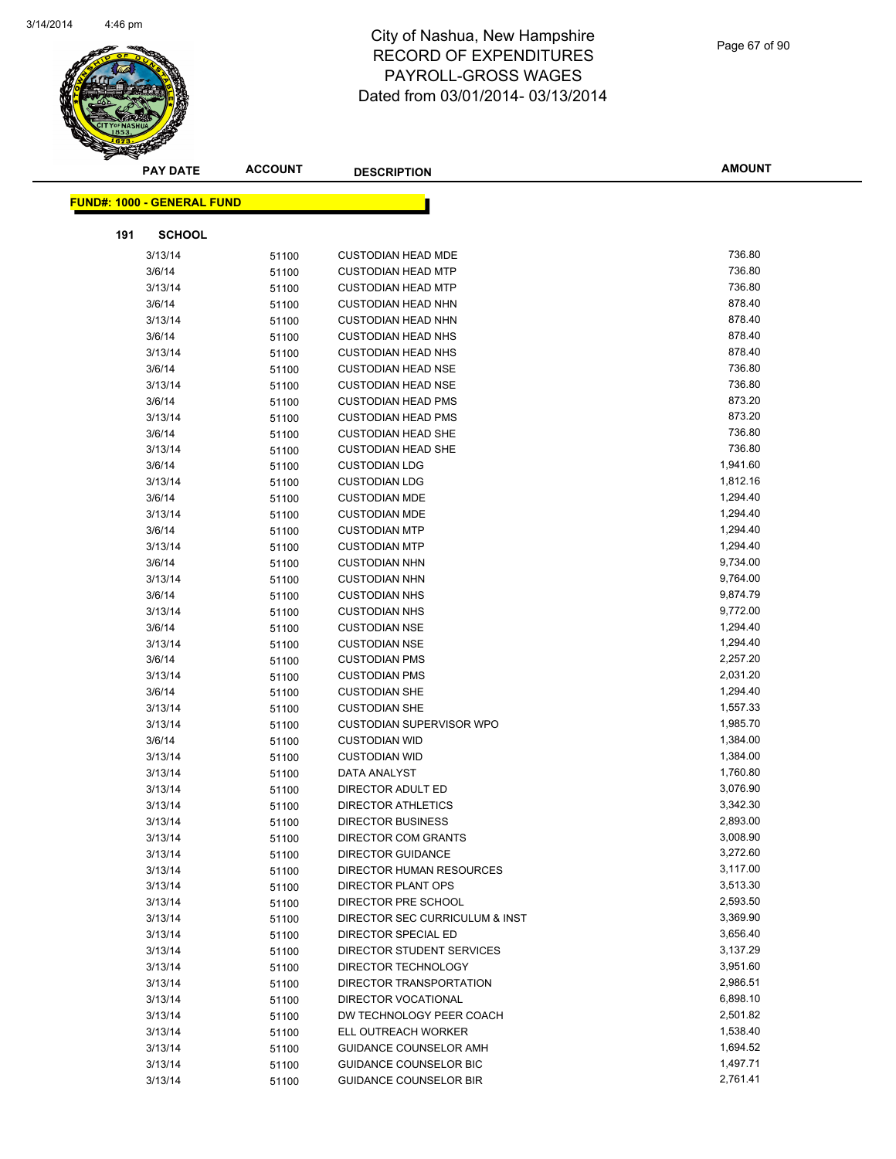

| <b>PAY DATE</b>                   | <b>ACCOUNT</b> | <b>DESCRIPTION</b>              | AMOUNT   |
|-----------------------------------|----------------|---------------------------------|----------|
|                                   |                |                                 |          |
| <b>FUND#: 1000 - GENERAL FUND</b> |                |                                 |          |
| 191<br><b>SCHOOL</b>              |                |                                 |          |
| 3/13/14                           | 51100          | <b>CUSTODIAN HEAD MDE</b>       | 736.80   |
| 3/6/14                            | 51100          | <b>CUSTODIAN HEAD MTP</b>       | 736.80   |
| 3/13/14                           | 51100          | <b>CUSTODIAN HEAD MTP</b>       | 736.80   |
| 3/6/14                            | 51100          | <b>CUSTODIAN HEAD NHN</b>       | 878.40   |
| 3/13/14                           | 51100          | <b>CUSTODIAN HEAD NHN</b>       | 878.40   |
| 3/6/14                            | 51100          | <b>CUSTODIAN HEAD NHS</b>       | 878.40   |
| 3/13/14                           | 51100          | <b>CUSTODIAN HEAD NHS</b>       | 878.40   |
| 3/6/14                            | 51100          | <b>CUSTODIAN HEAD NSE</b>       | 736.80   |
| 3/13/14                           | 51100          | <b>CUSTODIAN HEAD NSE</b>       | 736.80   |
| 3/6/14                            | 51100          | <b>CUSTODIAN HEAD PMS</b>       | 873.20   |
| 3/13/14                           | 51100          | <b>CUSTODIAN HEAD PMS</b>       | 873.20   |
| 3/6/14                            | 51100          | <b>CUSTODIAN HEAD SHE</b>       | 736.80   |
| 3/13/14                           | 51100          | <b>CUSTODIAN HEAD SHE</b>       | 736.80   |
| 3/6/14                            | 51100          | <b>CUSTODIAN LDG</b>            | 1,941.60 |
| 3/13/14                           | 51100          | <b>CUSTODIAN LDG</b>            | 1,812.16 |
| 3/6/14                            | 51100          | <b>CUSTODIAN MDE</b>            | 1,294.40 |
| 3/13/14                           | 51100          | <b>CUSTODIAN MDE</b>            | 1,294.40 |
| 3/6/14                            | 51100          | <b>CUSTODIAN MTP</b>            | 1,294.40 |
| 3/13/14                           | 51100          | <b>CUSTODIAN MTP</b>            | 1,294.40 |
| 3/6/14                            | 51100          | <b>CUSTODIAN NHN</b>            | 9,734.00 |
| 3/13/14                           | 51100          | <b>CUSTODIAN NHN</b>            | 9,764.00 |
| 3/6/14                            | 51100          | <b>CUSTODIAN NHS</b>            | 9,874.79 |
| 3/13/14                           | 51100          | <b>CUSTODIAN NHS</b>            | 9,772.00 |
| 3/6/14                            | 51100          | <b>CUSTODIAN NSE</b>            | 1,294.40 |
| 3/13/14                           | 51100          | <b>CUSTODIAN NSE</b>            | 1,294.40 |
| 3/6/14                            | 51100          | <b>CUSTODIAN PMS</b>            | 2,257.20 |
| 3/13/14                           | 51100          | <b>CUSTODIAN PMS</b>            | 2,031.20 |
| 3/6/14                            | 51100          | <b>CUSTODIAN SHE</b>            | 1,294.40 |
| 3/13/14                           | 51100          | <b>CUSTODIAN SHE</b>            | 1,557.33 |
| 3/13/14                           | 51100          | <b>CUSTODIAN SUPERVISOR WPO</b> | 1,985.70 |
| 3/6/14                            | 51100          | <b>CUSTODIAN WID</b>            | 1,384.00 |
| 3/13/14                           | 51100          | <b>CUSTODIAN WID</b>            | 1,384.00 |
| 3/13/14                           | 51100          | DATA ANALYST                    | 1,760.80 |
| 3/13/14                           | 51100          | DIRECTOR ADULT ED               | 3,076.90 |
| 3/13/14                           | 51100          | <b>DIRECTOR ATHLETICS</b>       | 3,342.30 |
| 3/13/14                           | 51100          | DIRECTOR BUSINESS               | 2,893.00 |
| 3/13/14                           | 51100          | <b>DIRECTOR COM GRANTS</b>      | 3,008.90 |
| 3/13/14                           | 51100          | <b>DIRECTOR GUIDANCE</b>        | 3,272.60 |
| 3/13/14                           | 51100          | DIRECTOR HUMAN RESOURCES        | 3,117.00 |
| 3/13/14                           | 51100          | DIRECTOR PLANT OPS              | 3,513.30 |
| 3/13/14                           | 51100          | DIRECTOR PRE SCHOOL             | 2,593.50 |
| 3/13/14                           | 51100          | DIRECTOR SEC CURRICULUM & INST  | 3,369.90 |
| 3/13/14                           | 51100          | DIRECTOR SPECIAL ED             | 3,656.40 |
| 3/13/14                           | 51100          | DIRECTOR STUDENT SERVICES       | 3,137.29 |
| 3/13/14                           | 51100          | DIRECTOR TECHNOLOGY             | 3,951.60 |
| 3/13/14                           | 51100          | DIRECTOR TRANSPORTATION         | 2,986.51 |
| 3/13/14                           | 51100          | DIRECTOR VOCATIONAL             | 6,898.10 |
| 3/13/14                           | 51100          | DW TECHNOLOGY PEER COACH        | 2,501.82 |
| 3/13/14                           | 51100          | ELL OUTREACH WORKER             | 1,538.40 |
| 3/13/14                           | 51100          | <b>GUIDANCE COUNSELOR AMH</b>   | 1,694.52 |
| 3/13/14                           | 51100          | <b>GUIDANCE COUNSELOR BIC</b>   | 1,497.71 |
| 3/13/14                           | 51100          | <b>GUIDANCE COUNSELOR BIR</b>   | 2,761.41 |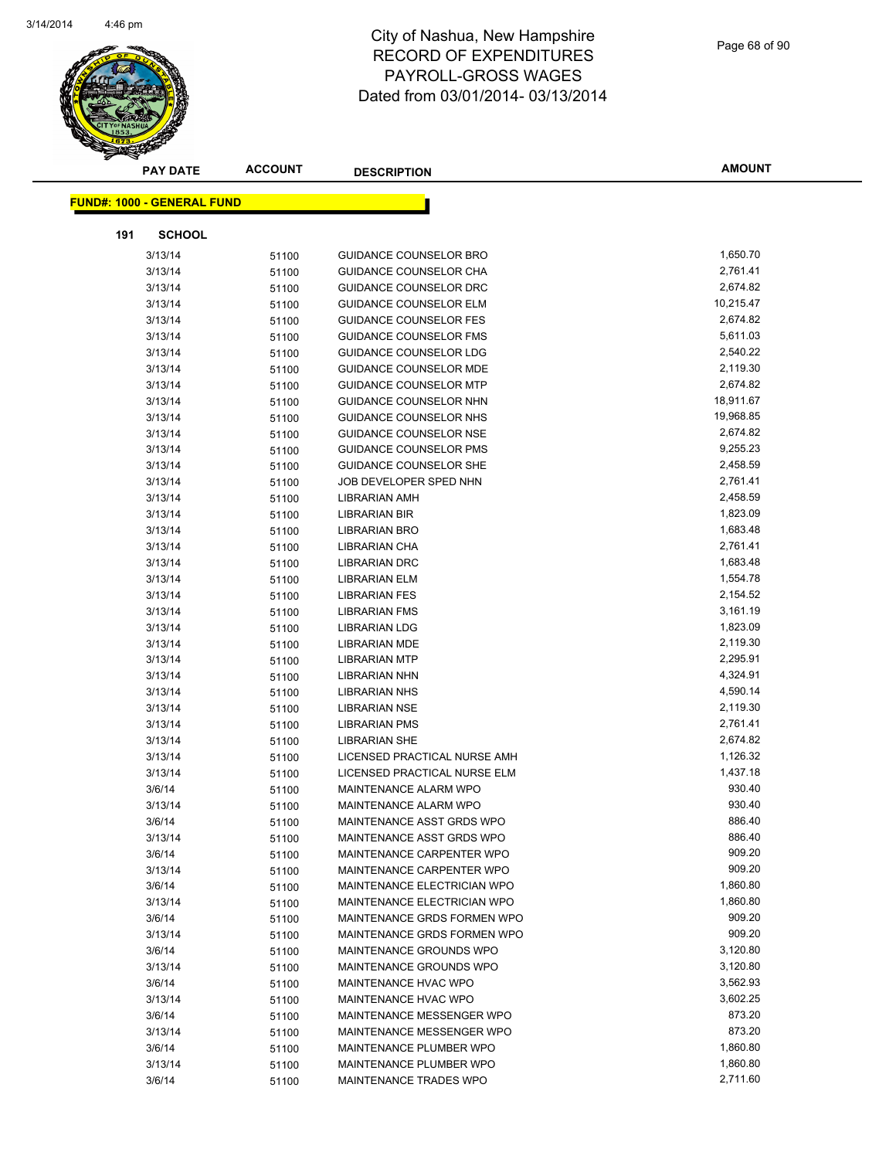

| <b>PAY DATE</b>                   | <b>ACCOUNT</b> | <b>DESCRIPTION</b>            | <b>AMOUNT</b> |
|-----------------------------------|----------------|-------------------------------|---------------|
| <b>FUND#: 1000 - GENERAL FUND</b> |                |                               |               |
|                                   |                |                               |               |
| <b>SCHOOL</b><br>191              |                |                               |               |
| 3/13/14                           | 51100          | GUIDANCE COUNSELOR BRO        | 1,650.70      |
| 3/13/14                           | 51100          | <b>GUIDANCE COUNSELOR CHA</b> | 2,761.41      |
| 3/13/14                           | 51100          | <b>GUIDANCE COUNSELOR DRC</b> | 2,674.82      |
| 3/13/14                           | 51100          | <b>GUIDANCE COUNSELOR ELM</b> | 10,215.47     |
| 3/13/14                           | 51100          | <b>GUIDANCE COUNSELOR FES</b> | 2,674.82      |
| 3/13/14                           | 51100          | <b>GUIDANCE COUNSELOR FMS</b> | 5,611.03      |
| 3/13/14                           | 51100          | GUIDANCE COUNSELOR LDG        | 2,540.22      |
| 3/13/14                           | 51100          | <b>GUIDANCE COUNSELOR MDE</b> | 2,119.30      |
| 3/13/14                           | 51100          | <b>GUIDANCE COUNSELOR MTP</b> | 2,674.82      |
| 3/13/14                           | 51100          | GUIDANCE COUNSELOR NHN        | 18,911.67     |
| 3/13/14                           | 51100          | GUIDANCE COUNSELOR NHS        | 19,968.85     |
| 3/13/14                           | 51100          | <b>GUIDANCE COUNSELOR NSE</b> | 2,674.82      |
| 3/13/14                           | 51100          | <b>GUIDANCE COUNSELOR PMS</b> | 9,255.23      |
| 3/13/14                           | 51100          | <b>GUIDANCE COUNSELOR SHE</b> | 2,458.59      |
| 3/13/14                           | 51100          | JOB DEVELOPER SPED NHN        | 2,761.41      |
| 3/13/14                           | 51100          | <b>LIBRARIAN AMH</b>          | 2,458.59      |
| 3/13/14                           | 51100          | <b>LIBRARIAN BIR</b>          | 1,823.09      |
| 3/13/14                           | 51100          | <b>LIBRARIAN BRO</b>          | 1,683.48      |
| 3/13/14                           | 51100          | LIBRARIAN CHA                 | 2,761.41      |
| 3/13/14                           | 51100          | <b>LIBRARIAN DRC</b>          | 1,683.48      |
| 3/13/14                           | 51100          | <b>LIBRARIAN ELM</b>          | 1,554.78      |
| 3/13/14                           | 51100          | <b>LIBRARIAN FES</b>          | 2,154.52      |
| 3/13/14                           | 51100          | <b>LIBRARIAN FMS</b>          | 3,161.19      |
| 3/13/14                           | 51100          | <b>LIBRARIAN LDG</b>          | 1,823.09      |
| 3/13/14                           | 51100          | <b>LIBRARIAN MDE</b>          | 2,119.30      |
| 3/13/14                           | 51100          | <b>LIBRARIAN MTP</b>          | 2,295.91      |
| 3/13/14                           | 51100          | <b>LIBRARIAN NHN</b>          | 4,324.91      |
| 3/13/14                           | 51100          | <b>LIBRARIAN NHS</b>          | 4,590.14      |
| 3/13/14                           | 51100          | <b>LIBRARIAN NSE</b>          | 2,119.30      |
| 3/13/14                           | 51100          | <b>LIBRARIAN PMS</b>          | 2,761.41      |
| 3/13/14                           | 51100          | <b>LIBRARIAN SHE</b>          | 2,674.82      |
| 3/13/14                           | 51100          | LICENSED PRACTICAL NURSE AMH  | 1,126.32      |
| 3/13/14                           | 51100          | LICENSED PRACTICAL NURSE ELM  | 1,437.18      |
| 3/6/14                            | 51100          | MAINTENANCE ALARM WPO         | 930.40        |
| 3/13/14                           | 51100          | MAINTENANCE ALARM WPO         | 930.40        |
| 3/6/14                            | 51100          | MAINTENANCE ASST GRDS WPO     | 886.40        |
| 3/13/14                           | 51100          | MAINTENANCE ASST GRDS WPO     | 886.40        |
| 3/6/14                            | 51100          | MAINTENANCE CARPENTER WPO     | 909.20        |
| 3/13/14                           | 51100          | MAINTENANCE CARPENTER WPO     | 909.20        |
| 3/6/14                            | 51100          | MAINTENANCE ELECTRICIAN WPO   | 1,860.80      |
| 3/13/14                           | 51100          | MAINTENANCE ELECTRICIAN WPO   | 1,860.80      |
| 3/6/14                            | 51100          | MAINTENANCE GRDS FORMEN WPO   | 909.20        |
| 3/13/14                           | 51100          | MAINTENANCE GRDS FORMEN WPO   | 909.20        |
| 3/6/14                            | 51100          | MAINTENANCE GROUNDS WPO       | 3,120.80      |
| 3/13/14                           | 51100          | MAINTENANCE GROUNDS WPO       | 3,120.80      |
| 3/6/14                            | 51100          | MAINTENANCE HVAC WPO          | 3,562.93      |
| 3/13/14                           | 51100          | MAINTENANCE HVAC WPO          | 3,602.25      |
| 3/6/14                            | 51100          | MAINTENANCE MESSENGER WPO     | 873.20        |
| 3/13/14                           | 51100          | MAINTENANCE MESSENGER WPO     | 873.20        |
| 3/6/14                            | 51100          | MAINTENANCE PLUMBER WPO       | 1,860.80      |
| 3/13/14                           | 51100          | MAINTENANCE PLUMBER WPO       | 1,860.80      |
| 3/6/14                            | 51100          | MAINTENANCE TRADES WPO        | 2,711.60      |
|                                   |                |                               |               |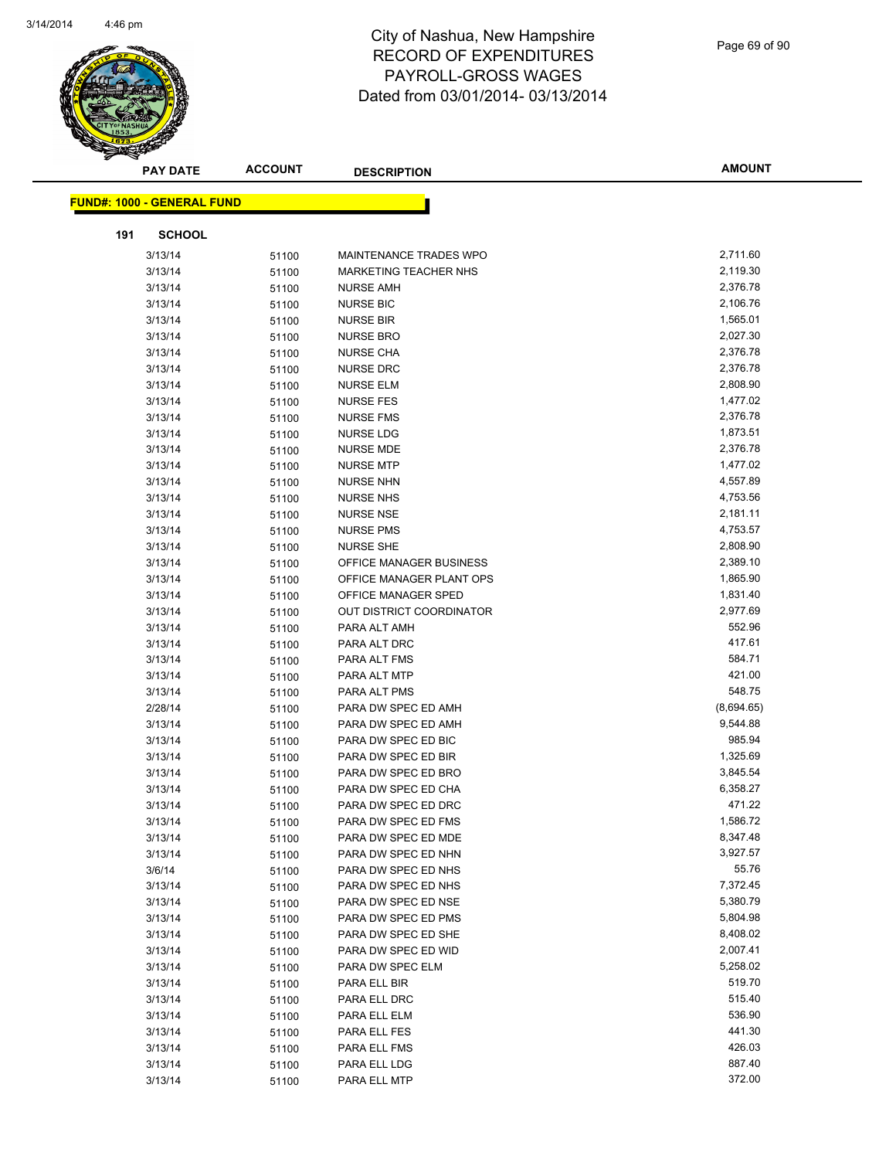

Page 69 of 90

| <b>PAY DATE</b>                   | <b>ACCOUNT</b> | <b>DESCRIPTION</b>                         | <b>AMOUNT</b>      |
|-----------------------------------|----------------|--------------------------------------------|--------------------|
|                                   |                |                                            |                    |
| <b>FUND#: 1000 - GENERAL FUND</b> |                |                                            |                    |
| 191<br><b>SCHOOL</b>              |                |                                            |                    |
| 3/13/14                           | 51100          | MAINTENANCE TRADES WPO                     | 2,711.60           |
| 3/13/14                           | 51100          | <b>MARKETING TEACHER NHS</b>               | 2,119.30           |
| 3/13/14                           | 51100          | <b>NURSE AMH</b>                           | 2,376.78           |
| 3/13/14                           | 51100          | <b>NURSE BIC</b>                           | 2,106.76           |
| 3/13/14                           | 51100          | <b>NURSE BIR</b>                           | 1,565.01           |
| 3/13/14                           | 51100          | <b>NURSE BRO</b>                           | 2,027.30           |
| 3/13/14                           | 51100          | <b>NURSE CHA</b>                           | 2,376.78           |
| 3/13/14                           | 51100          | <b>NURSE DRC</b>                           | 2,376.78           |
| 3/13/14                           | 51100          | <b>NURSE ELM</b>                           | 2,808.90           |
| 3/13/14                           | 51100          | <b>NURSE FES</b>                           | 1,477.02           |
| 3/13/14                           | 51100          | <b>NURSE FMS</b>                           | 2,376.78           |
| 3/13/14                           | 51100          | <b>NURSE LDG</b>                           | 1,873.51           |
| 3/13/14                           | 51100          | <b>NURSE MDE</b>                           | 2,376.78           |
| 3/13/14                           | 51100          | <b>NURSE MTP</b>                           | 1,477.02           |
| 3/13/14                           | 51100          | <b>NURSE NHN</b>                           | 4,557.89           |
| 3/13/14                           | 51100          | <b>NURSE NHS</b>                           | 4,753.56           |
| 3/13/14                           | 51100          | <b>NURSE NSE</b>                           | 2,181.11           |
| 3/13/14                           | 51100          | <b>NURSE PMS</b>                           | 4,753.57           |
| 3/13/14                           | 51100          | <b>NURSE SHE</b>                           | 2,808.90           |
| 3/13/14                           | 51100          | OFFICE MANAGER BUSINESS                    | 2,389.10           |
| 3/13/14                           | 51100          | OFFICE MANAGER PLANT OPS                   | 1,865.90           |
| 3/13/14                           | 51100          | OFFICE MANAGER SPED                        | 1,831.40           |
| 3/13/14                           | 51100          | OUT DISTRICT COORDINATOR                   | 2,977.69           |
| 3/13/14                           | 51100          | PARA ALT AMH                               | 552.96             |
| 3/13/14                           | 51100          | PARA ALT DRC                               | 417.61             |
| 3/13/14                           | 51100          | PARA ALT FMS                               | 584.71             |
| 3/13/14                           | 51100          | PARA ALT MTP                               | 421.00             |
| 3/13/14                           | 51100          | PARA ALT PMS                               | 548.75             |
| 2/28/14                           | 51100          | PARA DW SPEC ED AMH                        | (8,694.65)         |
| 3/13/14                           | 51100          | PARA DW SPEC ED AMH                        | 9,544.88           |
| 3/13/14                           | 51100          | PARA DW SPEC ED BIC                        | 985.94             |
| 3/13/14                           | 51100          | PARA DW SPEC ED BIR                        | 1,325.69           |
| 3/13/14                           | 51100          | PARA DW SPEC ED BRO                        | 3,845.54           |
| 3/13/14                           | 51100          | PARA DW SPEC ED CHA<br>PARA DW SPEC ED DRC | 6,358.27<br>471.22 |
| 3/13/14<br>3/13/14                | 51100<br>51100 | PARA DW SPEC ED FMS                        | 1,586.72           |
| 3/13/14                           | 51100          | PARA DW SPEC ED MDE                        | 8,347.48           |
| 3/13/14                           | 51100          | PARA DW SPEC ED NHN                        | 3,927.57           |
| 3/6/14                            | 51100          | PARA DW SPEC ED NHS                        | 55.76              |
| 3/13/14                           | 51100          | PARA DW SPEC ED NHS                        | 7,372.45           |
| 3/13/14                           | 51100          | PARA DW SPEC ED NSE                        | 5,380.79           |
| 3/13/14                           | 51100          | PARA DW SPEC ED PMS                        | 5,804.98           |
| 3/13/14                           | 51100          | PARA DW SPEC ED SHE                        | 8,408.02           |
| 3/13/14                           | 51100          | PARA DW SPEC ED WID                        | 2,007.41           |
| 3/13/14                           | 51100          | PARA DW SPEC ELM                           | 5,258.02           |
| 3/13/14                           | 51100          | PARA ELL BIR                               | 519.70             |
| 3/13/14                           | 51100          | PARA ELL DRC                               | 515.40             |
| 3/13/14                           | 51100          | PARA ELL ELM                               | 536.90             |
| 3/13/14                           | 51100          | PARA ELL FES                               | 441.30             |
| 3/13/14                           | 51100          | PARA ELL FMS                               | 426.03             |
| 3/13/14                           | 51100          | PARA ELL LDG                               | 887.40             |
| 3/13/14                           | 51100          | PARA ELL MTP                               | 372.00             |
|                                   |                |                                            |                    |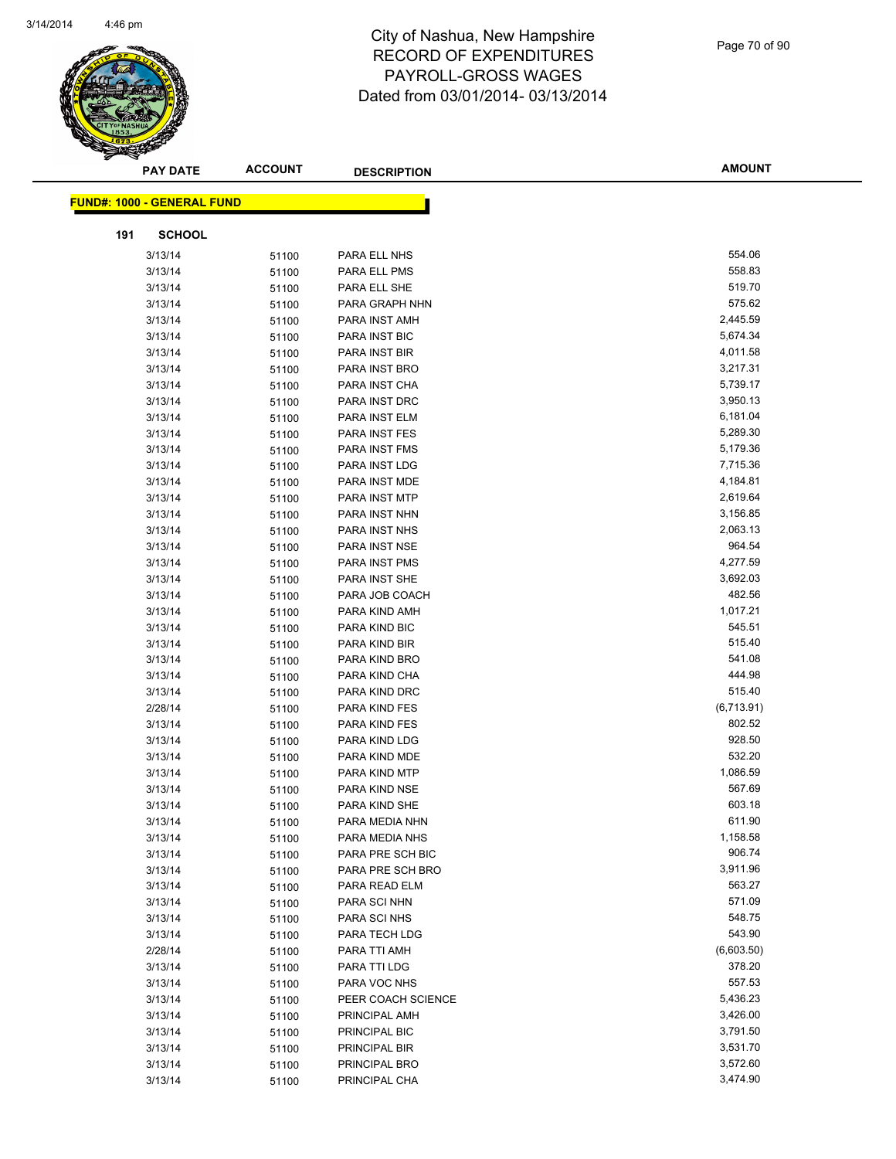

| <b>PAY DATE</b>                   | <b>ACCOUNT</b> | <b>DESCRIPTION</b> | <b>AMOUNT</b> |
|-----------------------------------|----------------|--------------------|---------------|
| <b>FUND#: 1000 - GENERAL FUND</b> |                |                    |               |
|                                   |                |                    |               |
| <b>SCHOOL</b><br>191              |                |                    |               |
| 3/13/14                           | 51100          | PARA ELL NHS       | 554.06        |
| 3/13/14                           | 51100          | PARA ELL PMS       | 558.83        |
| 3/13/14                           | 51100          | PARA ELL SHE       | 519.70        |
| 3/13/14                           | 51100          | PARA GRAPH NHN     | 575.62        |
| 3/13/14                           | 51100          | PARA INST AMH      | 2,445.59      |
| 3/13/14                           | 51100          | PARA INST BIC      | 5,674.34      |
| 3/13/14                           | 51100          | PARA INST BIR      | 4,011.58      |
| 3/13/14                           | 51100          | PARA INST BRO      | 3,217.31      |
| 3/13/14                           | 51100          | PARA INST CHA      | 5,739.17      |
| 3/13/14                           | 51100          | PARA INST DRC      | 3,950.13      |
| 3/13/14                           | 51100          | PARA INST ELM      | 6,181.04      |
| 3/13/14                           | 51100          | PARA INST FES      | 5,289.30      |
| 3/13/14                           | 51100          | PARA INST FMS      | 5,179.36      |
| 3/13/14                           | 51100          | PARA INST LDG      | 7,715.36      |
| 3/13/14                           | 51100          | PARA INST MDE      | 4,184.81      |
| 3/13/14                           | 51100          | PARA INST MTP      | 2,619.64      |
| 3/13/14                           | 51100          | PARA INST NHN      | 3,156.85      |
| 3/13/14                           | 51100          | PARA INST NHS      | 2,063.13      |
| 3/13/14                           | 51100          | PARA INST NSE      | 964.54        |
| 3/13/14                           | 51100          | PARA INST PMS      | 4,277.59      |
| 3/13/14                           | 51100          | PARA INST SHE      | 3,692.03      |
| 3/13/14                           | 51100          | PARA JOB COACH     | 482.56        |
| 3/13/14                           | 51100          | PARA KIND AMH      | 1,017.21      |
| 3/13/14                           | 51100          | PARA KIND BIC      | 545.51        |
| 3/13/14                           | 51100          | PARA KIND BIR      | 515.40        |
| 3/13/14                           | 51100          | PARA KIND BRO      | 541.08        |
| 3/13/14                           | 51100          | PARA KIND CHA      | 444.98        |
| 3/13/14                           | 51100          | PARA KIND DRC      | 515.40        |
| 2/28/14                           | 51100          | PARA KIND FES      | (6,713.91)    |
| 3/13/14                           | 51100          | PARA KIND FES      | 802.52        |
| 3/13/14                           | 51100          | PARA KIND LDG      | 928.50        |
| 3/13/14                           | 51100          | PARA KIND MDE      | 532.20        |
| 3/13/14                           | 51100          | PARA KIND MTP      | 1,086.59      |
| 3/13/14                           | 51100          | PARA KIND NSE      | 567.69        |
| 3/13/14                           | 51100          | PARA KIND SHE      | 603.18        |
| 3/13/14                           | 51100          | PARA MEDIA NHN     | 611.90        |
| 3/13/14                           | 51100          | PARA MEDIA NHS     | 1,158.58      |
| 3/13/14                           | 51100          | PARA PRE SCH BIC   | 906.74        |
| 3/13/14                           | 51100          | PARA PRE SCH BRO   | 3,911.96      |
| 3/13/14                           | 51100          | PARA READ ELM      | 563.27        |
| 3/13/14                           | 51100          | PARA SCI NHN       | 571.09        |
| 3/13/14                           | 51100          | PARA SCI NHS       | 548.75        |
| 3/13/14                           | 51100          | PARA TECH LDG      | 543.90        |
| 2/28/14                           | 51100          | PARA TTI AMH       | (6,603.50)    |
| 3/13/14                           | 51100          | PARA TTI LDG       | 378.20        |
| 3/13/14                           | 51100          | PARA VOC NHS       | 557.53        |
| 3/13/14                           | 51100          | PEER COACH SCIENCE | 5,436.23      |
| 3/13/14                           | 51100          | PRINCIPAL AMH      | 3,426.00      |
| 3/13/14                           | 51100          | PRINCIPAL BIC      | 3,791.50      |
| 3/13/14                           | 51100          | PRINCIPAL BIR      | 3,531.70      |
| 3/13/14                           | 51100          | PRINCIPAL BRO      | 3,572.60      |
| 3/13/14                           | 51100          | PRINCIPAL CHA      | 3,474.90      |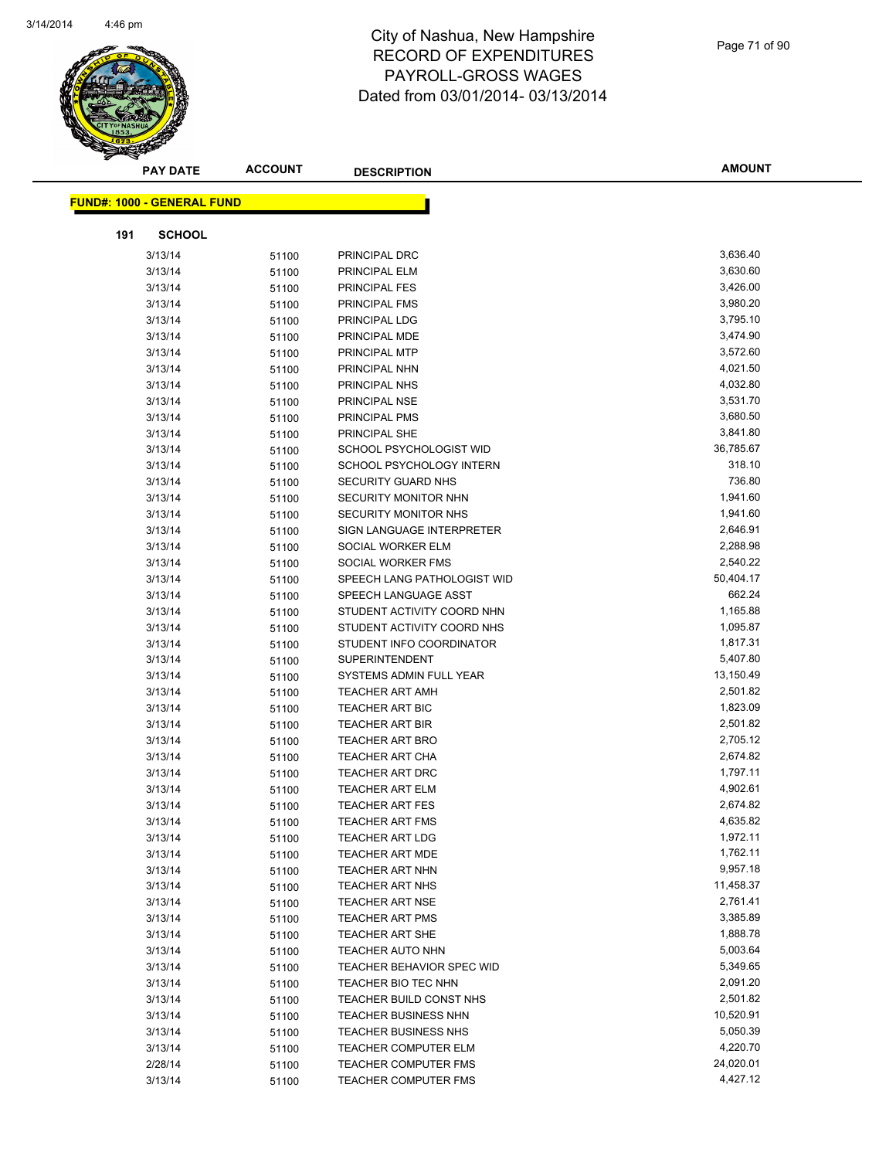

| <b>PAY DATE</b>                   | <b>ACCOUNT</b> | <b>DESCRIPTION</b>                               | <b>AMOUNT</b>        |
|-----------------------------------|----------------|--------------------------------------------------|----------------------|
| <b>FUND#: 1000 - GENERAL FUND</b> |                |                                                  |                      |
|                                   |                |                                                  |                      |
| 191<br><b>SCHOOL</b>              |                |                                                  |                      |
| 3/13/14                           | 51100          | PRINCIPAL DRC                                    | 3,636.40             |
| 3/13/14                           | 51100          | PRINCIPAL ELM                                    | 3,630.60             |
| 3/13/14                           | 51100          | <b>PRINCIPAL FES</b>                             | 3,426.00             |
| 3/13/14                           | 51100          | PRINCIPAL FMS                                    | 3,980.20             |
| 3/13/14                           | 51100          | PRINCIPAL LDG                                    | 3,795.10             |
| 3/13/14                           | 51100          | PRINCIPAL MDE                                    | 3,474.90             |
| 3/13/14                           | 51100          | PRINCIPAL MTP                                    | 3,572.60             |
| 3/13/14                           | 51100          | PRINCIPAL NHN                                    | 4,021.50             |
| 3/13/14                           | 51100          | PRINCIPAL NHS                                    | 4,032.80             |
| 3/13/14                           | 51100          | PRINCIPAL NSE                                    | 3,531.70             |
| 3/13/14                           | 51100          | PRINCIPAL PMS                                    | 3,680.50             |
| 3/13/14                           | 51100          | PRINCIPAL SHE                                    | 3,841.80             |
| 3/13/14                           | 51100          | SCHOOL PSYCHOLOGIST WID                          | 36,785.67            |
| 3/13/14                           | 51100          | SCHOOL PSYCHOLOGY INTERN                         | 318.10               |
| 3/13/14                           | 51100          | SECURITY GUARD NHS                               | 736.80               |
| 3/13/14                           | 51100          | SECURITY MONITOR NHN                             | 1,941.60             |
| 3/13/14                           | 51100          | SECURITY MONITOR NHS                             | 1,941.60             |
| 3/13/14                           | 51100          | SIGN LANGUAGE INTERPRETER                        | 2,646.91             |
| 3/13/14                           | 51100          | SOCIAL WORKER ELM                                | 2,288.98             |
| 3/13/14                           | 51100          | SOCIAL WORKER FMS                                | 2,540.22             |
| 3/13/14                           | 51100          | SPEECH LANG PATHOLOGIST WID                      | 50,404.17            |
| 3/13/14                           | 51100          | SPEECH LANGUAGE ASST                             | 662.24               |
| 3/13/14                           | 51100          | STUDENT ACTIVITY COORD NHN                       | 1,165.88             |
| 3/13/14                           | 51100          | STUDENT ACTIVITY COORD NHS                       | 1,095.87             |
| 3/13/14                           | 51100          | STUDENT INFO COORDINATOR                         | 1,817.31             |
| 3/13/14                           | 51100          | <b>SUPERINTENDENT</b>                            | 5,407.80             |
| 3/13/14                           | 51100          | SYSTEMS ADMIN FULL YEAR                          | 13,150.49            |
| 3/13/14                           | 51100          | <b>TEACHER ART AMH</b>                           | 2,501.82             |
| 3/13/14                           | 51100          | TEACHER ART BIC                                  | 1,823.09             |
| 3/13/14                           | 51100          | <b>TEACHER ART BIR</b>                           | 2,501.82             |
| 3/13/14                           | 51100          | <b>TEACHER ART BRO</b>                           | 2,705.12             |
| 3/13/14                           | 51100          | <b>TEACHER ART CHA</b>                           | 2,674.82<br>1,797.11 |
| 3/13/14                           | 51100          | <b>TEACHER ART DRC</b>                           |                      |
| 3/13/14<br>3/13/14                | 51100          | <b>TEACHER ART ELM</b><br><b>TEACHER ART FES</b> | 4,902.61<br>2,674.82 |
| 3/13/14                           | 51100          | TEACHER ART FMS                                  | 4,635.82             |
| 3/13/14                           | 51100<br>51100 | <b>TEACHER ART LDG</b>                           | 1,972.11             |
| 3/13/14                           | 51100          | <b>TEACHER ART MDE</b>                           | 1,762.11             |
| 3/13/14                           | 51100          | <b>TEACHER ART NHN</b>                           | 9,957.18             |
| 3/13/14                           | 51100          | <b>TEACHER ART NHS</b>                           | 11,458.37            |
| 3/13/14                           | 51100          | <b>TEACHER ART NSE</b>                           | 2,761.41             |
| 3/13/14                           | 51100          | <b>TEACHER ART PMS</b>                           | 3,385.89             |
| 3/13/14                           | 51100          | TEACHER ART SHE                                  | 1,888.78             |
| 3/13/14                           | 51100          | <b>TEACHER AUTO NHN</b>                          | 5,003.64             |
| 3/13/14                           | 51100          | TEACHER BEHAVIOR SPEC WID                        | 5,349.65             |
| 3/13/14                           | 51100          | TEACHER BIO TEC NHN                              | 2,091.20             |
| 3/13/14                           | 51100          | TEACHER BUILD CONST NHS                          | 2,501.82             |
| 3/13/14                           | 51100          | <b>TEACHER BUSINESS NHN</b>                      | 10,520.91            |
| 3/13/14                           | 51100          | TEACHER BUSINESS NHS                             | 5,050.39             |
| 3/13/14                           | 51100          | <b>TEACHER COMPUTER ELM</b>                      | 4,220.70             |
| 2/28/14                           | 51100          | <b>TEACHER COMPUTER FMS</b>                      | 24,020.01            |
| 3/13/14                           | 51100          | TEACHER COMPUTER FMS                             | 4,427.12             |
|                                   |                |                                                  |                      |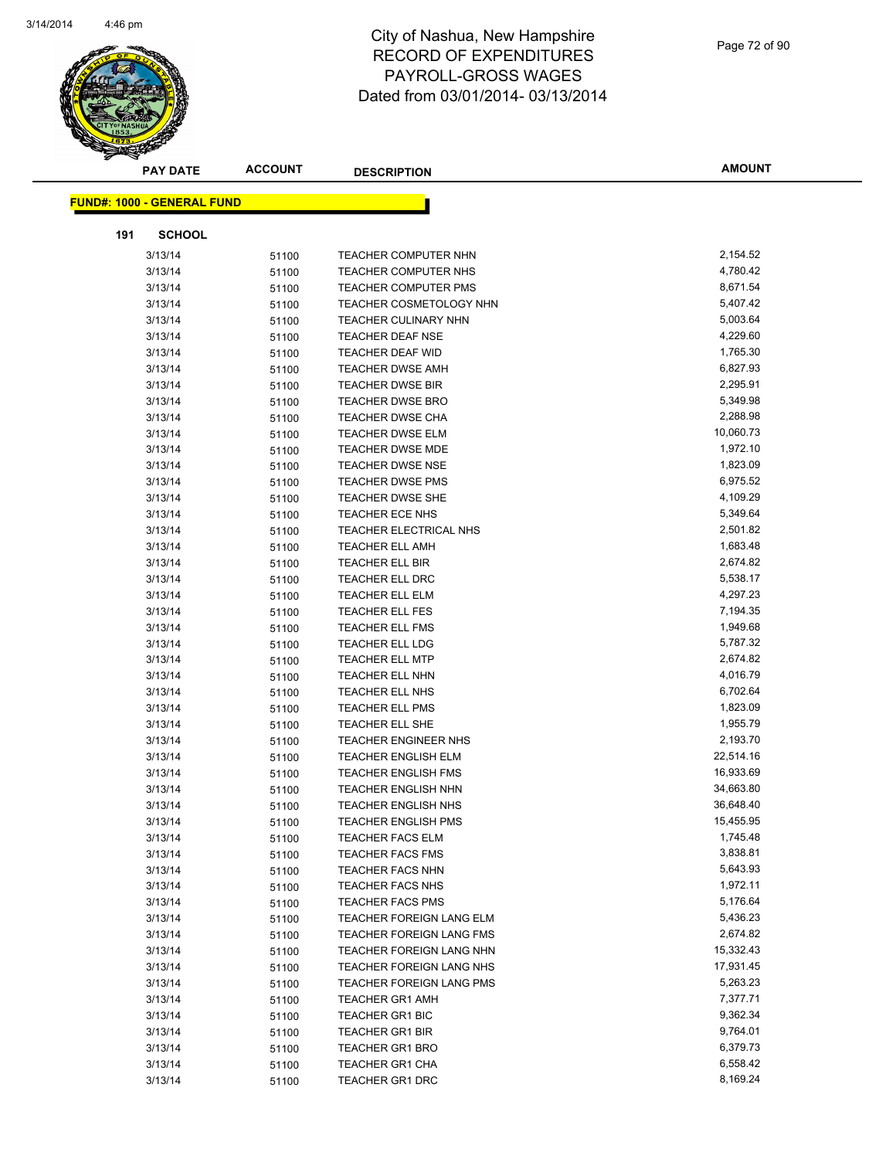

| <b>PAY DATE</b>                   | <b>ACCOUNT</b> | <b>DESCRIPTION</b>              | <b>AMOUNT</b> |
|-----------------------------------|----------------|---------------------------------|---------------|
| <b>FUND#: 1000 - GENERAL FUND</b> |                |                                 |               |
|                                   |                |                                 |               |
| 191<br><b>SCHOOL</b>              |                |                                 |               |
| 3/13/14                           | 51100          | TEACHER COMPUTER NHN            | 2,154.52      |
| 3/13/14                           | 51100          | <b>TEACHER COMPUTER NHS</b>     | 4,780.42      |
| 3/13/14                           | 51100          | <b>TEACHER COMPUTER PMS</b>     | 8,671.54      |
| 3/13/14                           | 51100          | TEACHER COSMETOLOGY NHN         | 5,407.42      |
| 3/13/14                           | 51100          | <b>TEACHER CULINARY NHN</b>     | 5,003.64      |
| 3/13/14                           | 51100          | TEACHER DEAF NSE                | 4,229.60      |
| 3/13/14                           | 51100          | <b>TEACHER DEAF WID</b>         | 1,765.30      |
| 3/13/14                           | 51100          | <b>TEACHER DWSE AMH</b>         | 6,827.93      |
| 3/13/14                           | 51100          | TEACHER DWSE BIR                | 2,295.91      |
| 3/13/14                           | 51100          | <b>TEACHER DWSE BRO</b>         | 5,349.98      |
| 3/13/14                           | 51100          | <b>TEACHER DWSE CHA</b>         | 2,288.98      |
| 3/13/14                           | 51100          | TEACHER DWSE ELM                | 10,060.73     |
| 3/13/14                           | 51100          | <b>TEACHER DWSE MDE</b>         | 1,972.10      |
| 3/13/14                           | 51100          | <b>TEACHER DWSE NSE</b>         | 1,823.09      |
| 3/13/14                           | 51100          | <b>TEACHER DWSE PMS</b>         | 6,975.52      |
| 3/13/14                           | 51100          | <b>TEACHER DWSE SHE</b>         | 4,109.29      |
| 3/13/14                           | 51100          | TEACHER ECE NHS                 | 5,349.64      |
| 3/13/14                           | 51100          | TEACHER ELECTRICAL NHS          | 2,501.82      |
| 3/13/14                           | 51100          | <b>TEACHER ELL AMH</b>          | 1,683.48      |
| 3/13/14                           | 51100          | TEACHER ELL BIR                 | 2,674.82      |
| 3/13/14                           | 51100          | <b>TEACHER ELL DRC</b>          | 5,538.17      |
| 3/13/14                           | 51100          | <b>TEACHER ELL ELM</b>          | 4,297.23      |
| 3/13/14                           | 51100          | <b>TEACHER ELL FES</b>          | 7,194.35      |
| 3/13/14                           | 51100          | <b>TEACHER ELL FMS</b>          | 1,949.68      |
| 3/13/14                           | 51100          | <b>TEACHER ELL LDG</b>          | 5,787.32      |
| 3/13/14                           | 51100          | <b>TEACHER ELL MTP</b>          | 2,674.82      |
| 3/13/14                           | 51100          | <b>TEACHER ELL NHN</b>          | 4,016.79      |
| 3/13/14                           | 51100          | TEACHER ELL NHS                 | 6,702.64      |
| 3/13/14                           | 51100          | TEACHER ELL PMS                 | 1,823.09      |
| 3/13/14                           | 51100          | TEACHER ELL SHE                 | 1,955.79      |
| 3/13/14                           | 51100          | <b>TEACHER ENGINEER NHS</b>     | 2,193.70      |
| 3/13/14                           | 51100          | <b>TEACHER ENGLISH ELM</b>      | 22,514.16     |
| 3/13/14                           | 51100          | TEACHER ENGLISH FMS             | 16,933.69     |
| 3/13/14                           | 51100          | <b>TEACHER ENGLISH NHN</b>      | 34,663.80     |
| 3/13/14                           | 51100          | <b>TEACHER ENGLISH NHS</b>      | 36,648.40     |
| 3/13/14                           | 51100          | TEACHER ENGLISH PMS             | 15,455.95     |
| 3/13/14                           | 51100          | <b>TEACHER FACS ELM</b>         | 1,745.48      |
| 3/13/14                           | 51100          | <b>TEACHER FACS FMS</b>         | 3,838.81      |
| 3/13/14                           | 51100          | <b>TEACHER FACS NHN</b>         | 5,643.93      |
| 3/13/14                           | 51100          | TEACHER FACS NHS                | 1,972.11      |
| 3/13/14                           | 51100          | <b>TEACHER FACS PMS</b>         | 5,176.64      |
| 3/13/14                           | 51100          | TEACHER FOREIGN LANG ELM        | 5,436.23      |
| 3/13/14                           | 51100          | TEACHER FOREIGN LANG FMS        | 2,674.82      |
| 3/13/14                           | 51100          | TEACHER FOREIGN LANG NHN        | 15,332.43     |
| 3/13/14                           | 51100          | TEACHER FOREIGN LANG NHS        | 17,931.45     |
| 3/13/14                           | 51100          | <b>TEACHER FOREIGN LANG PMS</b> | 5,263.23      |
| 3/13/14                           | 51100          | <b>TEACHER GR1 AMH</b>          | 7,377.71      |
| 3/13/14                           | 51100          | TEACHER GR1 BIC                 | 9,362.34      |
| 3/13/14                           | 51100          | <b>TEACHER GR1 BIR</b>          | 9,764.01      |
| 3/13/14                           | 51100          | <b>TEACHER GR1 BRO</b>          | 6,379.73      |
| 3/13/14                           | 51100          | TEACHER GR1 CHA                 | 6,558.42      |
| 3/13/14                           | 51100          | TEACHER GR1 DRC                 | 8,169.24      |
|                                   |                |                                 |               |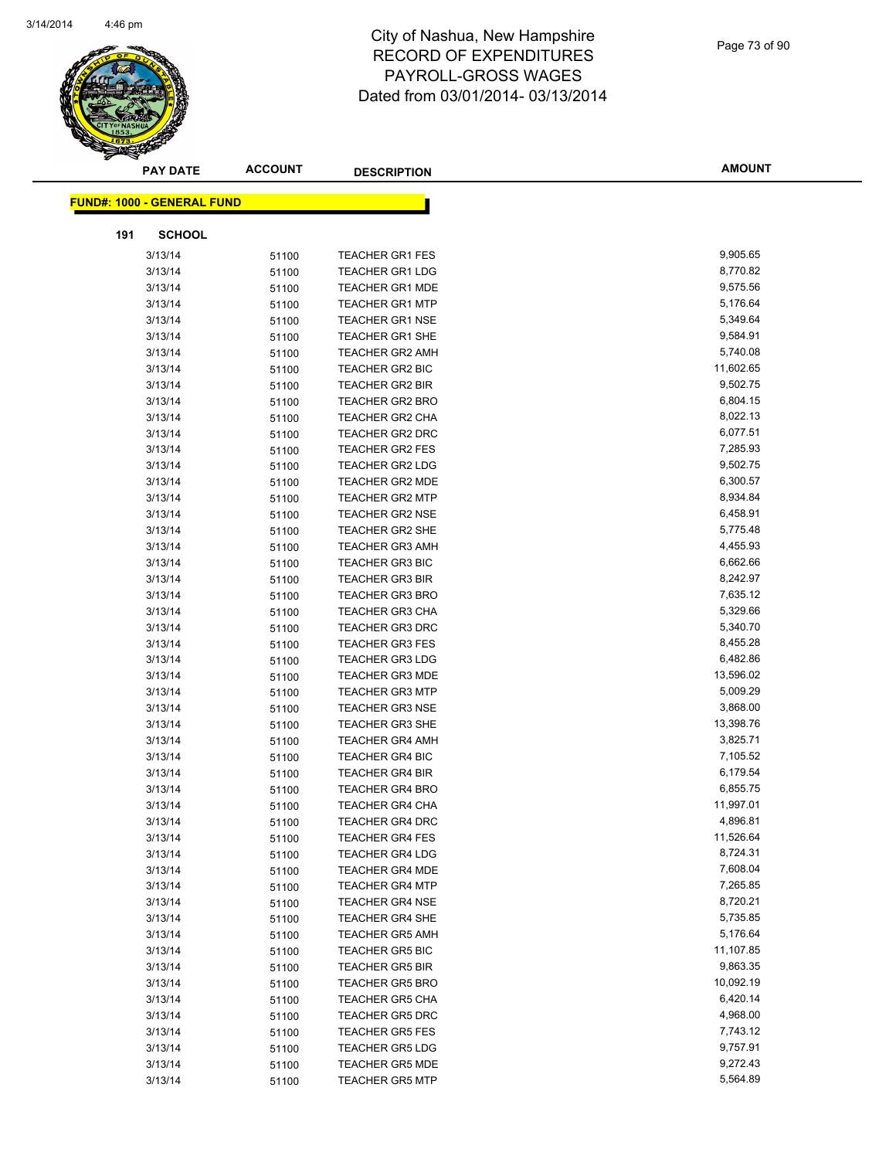

| <b>PAY DATE</b>                   | <b>ACCOUNT</b> | <b>DESCRIPTION</b>                               | <b>AMOUNT</b>         |
|-----------------------------------|----------------|--------------------------------------------------|-----------------------|
| <b>FUND#: 1000 - GENERAL FUND</b> |                |                                                  |                       |
|                                   |                |                                                  |                       |
| 191<br><b>SCHOOL</b>              |                |                                                  |                       |
| 3/13/14                           | 51100          | <b>TEACHER GR1 FES</b>                           | 9,905.65              |
| 3/13/14                           | 51100          | TEACHER GR1 LDG                                  | 8,770.82              |
| 3/13/14                           | 51100          | <b>TEACHER GR1 MDE</b>                           | 9,575.56              |
| 3/13/14                           | 51100          | <b>TEACHER GR1 MTP</b>                           | 5,176.64              |
| 3/13/14                           | 51100          | <b>TEACHER GR1 NSE</b>                           | 5,349.64              |
| 3/13/14                           | 51100          | <b>TEACHER GR1 SHE</b>                           | 9,584.91              |
| 3/13/14                           | 51100          | <b>TEACHER GR2 AMH</b>                           | 5,740.08              |
| 3/13/14                           | 51100          | TEACHER GR2 BIC                                  | 11,602.65             |
| 3/13/14                           | 51100          | <b>TEACHER GR2 BIR</b>                           | 9,502.75              |
| 3/13/14                           | 51100          | <b>TEACHER GR2 BRO</b>                           | 6,804.15              |
| 3/13/14                           | 51100          | <b>TEACHER GR2 CHA</b>                           | 8,022.13              |
| 3/13/14                           | 51100          | <b>TEACHER GR2 DRC</b>                           | 6,077.51              |
| 3/13/14                           | 51100          | <b>TEACHER GR2 FES</b>                           | 7,285.93              |
| 3/13/14                           | 51100          | <b>TEACHER GR2 LDG</b>                           | 9,502.75              |
| 3/13/14                           | 51100          | TEACHER GR2 MDE                                  | 6,300.57              |
| 3/13/14                           | 51100          | <b>TEACHER GR2 MTP</b>                           | 8,934.84              |
| 3/13/14                           | 51100          | <b>TEACHER GR2 NSE</b>                           | 6,458.91              |
| 3/13/14                           | 51100          | <b>TEACHER GR2 SHE</b>                           | 5,775.48              |
| 3/13/14                           | 51100          | <b>TEACHER GR3 AMH</b>                           | 4,455.93              |
| 3/13/14                           | 51100          | <b>TEACHER GR3 BIC</b>                           | 6,662.66              |
| 3/13/14                           | 51100          | <b>TEACHER GR3 BIR</b>                           | 8,242.97              |
| 3/13/14                           | 51100          | <b>TEACHER GR3 BRO</b>                           | 7,635.12              |
| 3/13/14                           | 51100          | TEACHER GR3 CHA                                  | 5,329.66              |
| 3/13/14                           | 51100          | <b>TEACHER GR3 DRC</b>                           | 5,340.70              |
| 3/13/14                           | 51100          | <b>TEACHER GR3 FES</b>                           | 8,455.28              |
| 3/13/14                           | 51100          | <b>TEACHER GR3 LDG</b>                           | 6,482.86              |
| 3/13/14                           | 51100          | <b>TEACHER GR3 MDE</b>                           | 13,596.02             |
| 3/13/14                           | 51100          | <b>TEACHER GR3 MTP</b>                           | 5,009.29              |
| 3/13/14                           | 51100          | <b>TEACHER GR3 NSE</b>                           | 3,868.00              |
| 3/13/14                           | 51100          | <b>TEACHER GR3 SHE</b>                           | 13,398.76             |
| 3/13/14                           | 51100          | <b>TEACHER GR4 AMH</b>                           | 3,825.71              |
| 3/13/14                           | 51100          | <b>TEACHER GR4 BIC</b>                           | 7,105.52              |
| 3/13/14                           | 51100          | <b>TEACHER GR4 BIR</b>                           | 6,179.54              |
| 3/13/14                           | 51100          | <b>TEACHER GR4 BRO</b>                           | 6,855.75              |
| 3/13/14                           | 51100          | <b>TEACHER GR4 CHA</b>                           | 11,997.01             |
| 3/13/14                           | 51100          | <b>TEACHER GR4 DRC</b>                           | 4,896.81              |
| 3/13/14                           | 51100          | <b>TEACHER GR4 FES</b>                           | 11,526.64             |
| 3/13/14                           | 51100          | <b>TEACHER GR4 LDG</b>                           | 8,724.31              |
| 3/13/14                           | 51100          | <b>TEACHER GR4 MDE</b>                           | 7,608.04              |
| 3/13/14                           | 51100          | <b>TEACHER GR4 MTP</b>                           | 7,265.85              |
| 3/13/14                           | 51100          | <b>TEACHER GR4 NSE</b>                           | 8,720.21              |
| 3/13/14                           | 51100          | <b>TEACHER GR4 SHE</b>                           | 5,735.85<br>5,176.64  |
| 3/13/14                           | 51100          | <b>TEACHER GR5 AMH</b>                           |                       |
| 3/13/14                           | 51100          | <b>TEACHER GR5 BIC</b>                           | 11,107.85<br>9,863.35 |
| 3/13/14                           | 51100          | <b>TEACHER GR5 BIR</b>                           | 10,092.19             |
| 3/13/14                           | 51100          | <b>TEACHER GR5 BRO</b><br><b>TEACHER GR5 CHA</b> | 6,420.14              |
| 3/13/14                           | 51100          |                                                  | 4,968.00              |
| 3/13/14                           | 51100          | <b>TEACHER GR5 DRC</b>                           | 7,743.12              |
| 3/13/14                           | 51100          | <b>TEACHER GR5 FES</b>                           | 9,757.91              |
| 3/13/14<br>3/13/14                | 51100          | <b>TEACHER GR5 LDG</b>                           | 9,272.43              |
|                                   | 51100          | <b>TEACHER GR5 MDE</b>                           | 5,564.89              |
| 3/13/14                           | 51100          | <b>TEACHER GR5 MTP</b>                           |                       |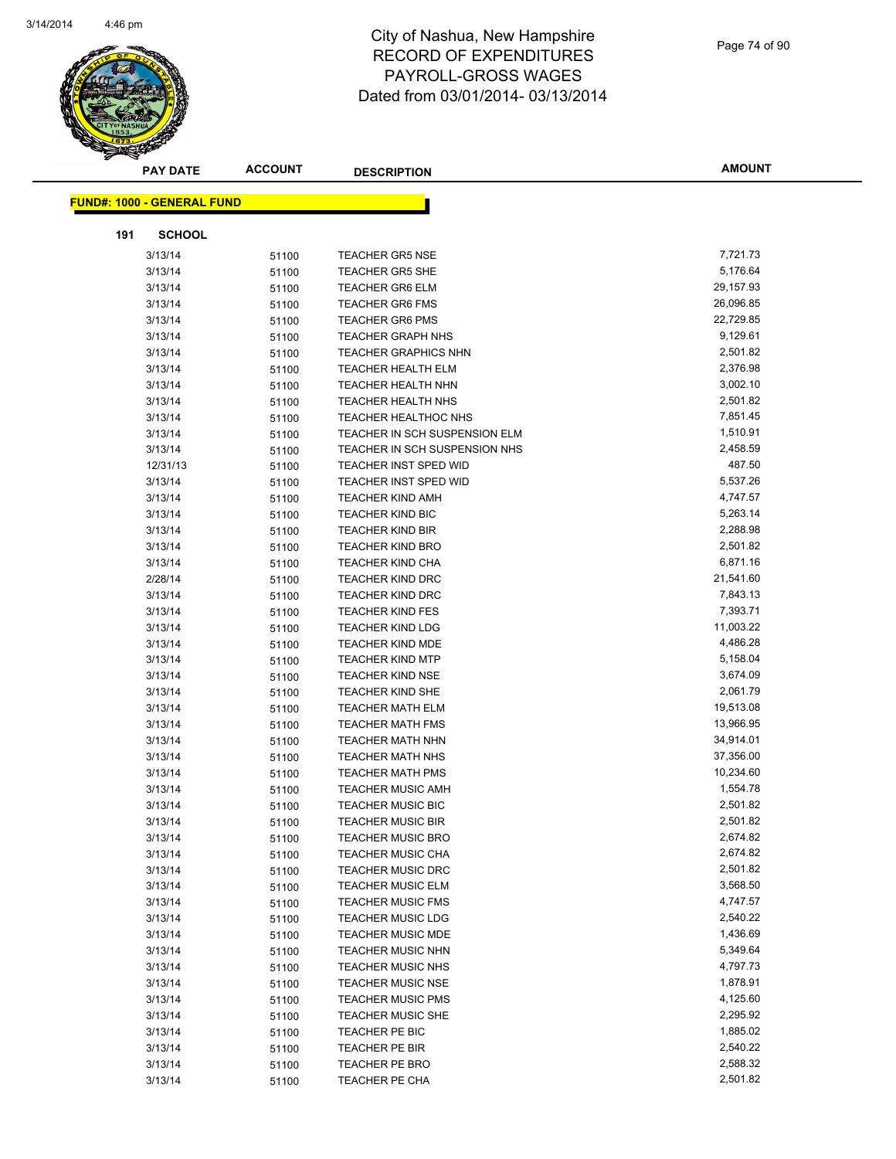

| <b>PAY DATE</b>                   | <b>ACCOUNT</b> | <b>DESCRIPTION</b>                                 | <b>AMOUNT</b>        |
|-----------------------------------|----------------|----------------------------------------------------|----------------------|
| <b>FUND#: 1000 - GENERAL FUND</b> |                |                                                    |                      |
|                                   |                |                                                    |                      |
| 191<br><b>SCHOOL</b>              |                |                                                    |                      |
| 3/13/14                           | 51100          | <b>TEACHER GR5 NSE</b>                             | 7,721.73             |
| 3/13/14                           | 51100          | <b>TEACHER GR5 SHE</b>                             | 5,176.64             |
| 3/13/14                           | 51100          | <b>TEACHER GR6 ELM</b>                             | 29,157.93            |
| 3/13/14                           | 51100          | <b>TEACHER GR6 FMS</b>                             | 26,096.85            |
| 3/13/14                           | 51100          | <b>TEACHER GR6 PMS</b>                             | 22,729.85            |
| 3/13/14                           | 51100          | <b>TEACHER GRAPH NHS</b>                           | 9,129.61             |
| 3/13/14                           | 51100          | <b>TEACHER GRAPHICS NHN</b>                        | 2,501.82             |
| 3/13/14                           | 51100          | <b>TEACHER HEALTH ELM</b>                          | 2,376.98             |
| 3/13/14                           | 51100          | <b>TEACHER HEALTH NHN</b>                          | 3,002.10             |
| 3/13/14                           | 51100          | <b>TEACHER HEALTH NHS</b>                          | 2,501.82             |
| 3/13/14                           | 51100          | <b>TEACHER HEALTHOC NHS</b>                        | 7,851.45             |
| 3/13/14                           | 51100          | TEACHER IN SCH SUSPENSION ELM                      | 1,510.91             |
| 3/13/14                           | 51100          | TEACHER IN SCH SUSPENSION NHS                      | 2,458.59             |
| 12/31/13                          | 51100          | TEACHER INST SPED WID                              | 487.50               |
| 3/13/14                           | 51100          | <b>TEACHER INST SPED WID</b>                       | 5,537.26             |
| 3/13/14                           | 51100          | <b>TEACHER KIND AMH</b>                            | 4,747.57             |
| 3/13/14                           | 51100          | <b>TEACHER KIND BIC</b>                            | 5,263.14             |
| 3/13/14                           | 51100          | <b>TEACHER KIND BIR</b>                            | 2,288.98             |
| 3/13/14                           | 51100          | <b>TEACHER KIND BRO</b>                            | 2,501.82             |
| 3/13/14                           | 51100          | <b>TEACHER KIND CHA</b>                            | 6,871.16             |
| 2/28/14                           | 51100          | <b>TEACHER KIND DRC</b>                            | 21,541.60            |
| 3/13/14                           | 51100          | <b>TEACHER KIND DRC</b>                            | 7,843.13             |
| 3/13/14                           | 51100          | <b>TEACHER KIND FES</b>                            | 7,393.71             |
| 3/13/14                           | 51100          | <b>TEACHER KIND LDG</b>                            | 11,003.22            |
| 3/13/14                           | 51100          | <b>TEACHER KIND MDE</b>                            | 4,486.28             |
| 3/13/14                           | 51100          | <b>TEACHER KIND MTP</b>                            | 5,158.04             |
| 3/13/14                           | 51100          | <b>TEACHER KIND NSE</b>                            | 3,674.09<br>2,061.79 |
| 3/13/14<br>3/13/14                | 51100          | <b>TEACHER KIND SHE</b><br><b>TEACHER MATH ELM</b> | 19,513.08            |
| 3/13/14                           | 51100<br>51100 | <b>TEACHER MATH FMS</b>                            | 13,966.95            |
| 3/13/14                           | 51100          | <b>TEACHER MATH NHN</b>                            | 34,914.01            |
| 3/13/14                           | 51100          | <b>TEACHER MATH NHS</b>                            | 37,356.00            |
| 3/13/14                           | 51100          | <b>TEACHER MATH PMS</b>                            | 10,234.60            |
| 3/13/14                           | 51100          | <b>TEACHER MUSIC AMH</b>                           | 1,554.78             |
| 3/13/14                           | 51100          | <b>TEACHER MUSIC BIC</b>                           | 2,501.82             |
| 3/13/14                           | 51100          | <b>TEACHER MUSIC BIR</b>                           | 2,501.82             |
| 3/13/14                           | 51100          | <b>TEACHER MUSIC BRO</b>                           | 2,674.82             |
| 3/13/14                           | 51100          | <b>TEACHER MUSIC CHA</b>                           | 2,674.82             |
| 3/13/14                           | 51100          | <b>TEACHER MUSIC DRC</b>                           | 2,501.82             |
| 3/13/14                           | 51100          | <b>TEACHER MUSIC ELM</b>                           | 3,568.50             |
| 3/13/14                           | 51100          | <b>TEACHER MUSIC FMS</b>                           | 4,747.57             |
| 3/13/14                           | 51100          | <b>TEACHER MUSIC LDG</b>                           | 2,540.22             |
| 3/13/14                           | 51100          | TEACHER MUSIC MDE                                  | 1,436.69             |
| 3/13/14                           | 51100          | <b>TEACHER MUSIC NHN</b>                           | 5,349.64             |
| 3/13/14                           | 51100          | <b>TEACHER MUSIC NHS</b>                           | 4,797.73             |
| 3/13/14                           | 51100          | <b>TEACHER MUSIC NSE</b>                           | 1,878.91             |
| 3/13/14                           | 51100          | <b>TEACHER MUSIC PMS</b>                           | 4,125.60             |
| 3/13/14                           | 51100          | <b>TEACHER MUSIC SHE</b>                           | 2,295.92             |
| 3/13/14                           | 51100          | TEACHER PE BIC                                     | 1,885.02             |
| 3/13/14                           | 51100          | TEACHER PE BIR                                     | 2,540.22             |
| 3/13/14                           | 51100          | TEACHER PE BRO                                     | 2,588.32             |
| 3/13/14                           | 51100          | TEACHER PE CHA                                     | 2,501.82             |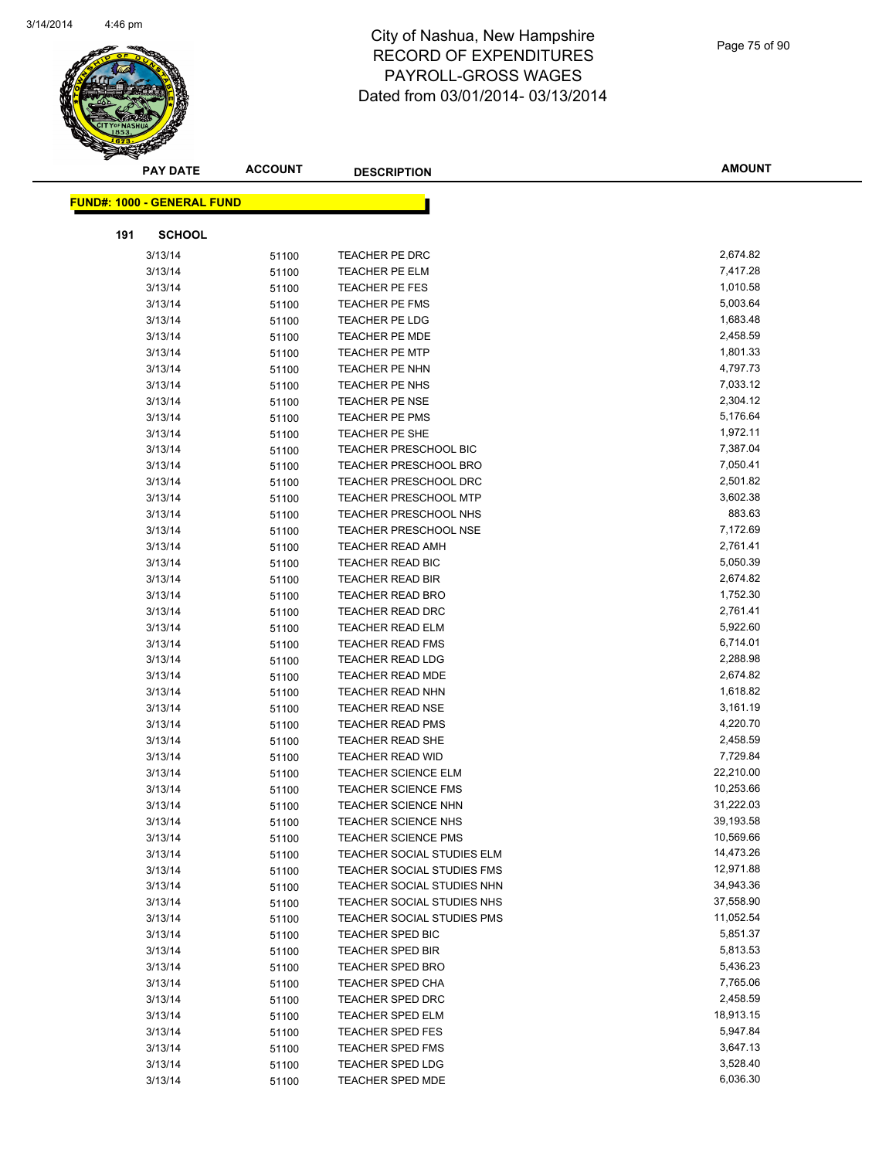

|     | <b>PAY DATE</b>                   | <b>ACCOUNT</b> | <b>DESCRIPTION</b>                                 | <b>AMOUNT</b>        |
|-----|-----------------------------------|----------------|----------------------------------------------------|----------------------|
|     | <b>FUND#: 1000 - GENERAL FUND</b> |                |                                                    |                      |
|     |                                   |                |                                                    |                      |
| 191 | <b>SCHOOL</b>                     |                |                                                    |                      |
|     | 3/13/14                           | 51100          | TEACHER PE DRC                                     | 2,674.82             |
|     | 3/13/14                           | 51100          | TEACHER PE ELM                                     | 7,417.28             |
|     | 3/13/14                           | 51100          | TEACHER PE FES                                     | 1,010.58             |
|     | 3/13/14                           | 51100          | <b>TEACHER PE FMS</b>                              | 5,003.64             |
|     | 3/13/14                           | 51100          | TEACHER PE LDG                                     | 1,683.48             |
|     | 3/13/14                           | 51100          | TEACHER PE MDE                                     | 2,458.59             |
|     | 3/13/14                           | 51100          | <b>TEACHER PE MTP</b>                              | 1,801.33             |
|     | 3/13/14                           | 51100          | TEACHER PE NHN                                     | 4,797.73             |
|     | 3/13/14                           | 51100          | TEACHER PE NHS                                     | 7,033.12             |
|     | 3/13/14                           | 51100          | TEACHER PE NSE                                     | 2,304.12             |
|     | 3/13/14                           | 51100          | <b>TEACHER PE PMS</b>                              | 5,176.64             |
|     | 3/13/14                           | 51100          | TEACHER PE SHE                                     | 1,972.11             |
|     | 3/13/14                           | 51100          | TEACHER PRESCHOOL BIC                              | 7,387.04             |
|     | 3/13/14                           | 51100          | <b>TEACHER PRESCHOOL BRO</b>                       | 7,050.41             |
|     | 3/13/14                           | 51100          | <b>TEACHER PRESCHOOL DRC</b>                       | 2,501.82             |
|     | 3/13/14                           | 51100          | <b>TEACHER PRESCHOOL MTP</b>                       | 3,602.38             |
|     | 3/13/14                           | 51100          | <b>TEACHER PRESCHOOL NHS</b>                       | 883.63               |
|     | 3/13/14                           | 51100          | <b>TEACHER PRESCHOOL NSE</b>                       | 7,172.69             |
|     | 3/13/14                           | 51100          | <b>TEACHER READ AMH</b>                            | 2,761.41             |
|     | 3/13/14<br>3/13/14                | 51100          | <b>TEACHER READ BIC</b>                            | 5,050.39<br>2,674.82 |
|     |                                   | 51100          | <b>TEACHER READ BIR</b>                            | 1,752.30             |
|     | 3/13/14<br>3/13/14                | 51100          | <b>TEACHER READ BRO</b><br><b>TEACHER READ DRC</b> | 2,761.41             |
|     | 3/13/14                           | 51100<br>51100 | TEACHER READ ELM                                   | 5,922.60             |
|     | 3/13/14                           | 51100          | <b>TEACHER READ FMS</b>                            | 6,714.01             |
|     | 3/13/14                           | 51100          | <b>TEACHER READ LDG</b>                            | 2,288.98             |
|     | 3/13/14                           | 51100          | <b>TEACHER READ MDE</b>                            | 2,674.82             |
|     | 3/13/14                           | 51100          | <b>TEACHER READ NHN</b>                            | 1,618.82             |
|     | 3/13/14                           | 51100          | TEACHER READ NSE                                   | 3,161.19             |
|     | 3/13/14                           | 51100          | <b>TEACHER READ PMS</b>                            | 4,220.70             |
|     | 3/13/14                           | 51100          | TEACHER READ SHE                                   | 2,458.59             |
|     | 3/13/14                           | 51100          | <b>TEACHER READ WID</b>                            | 7,729.84             |
|     | 3/13/14                           | 51100          | <b>TEACHER SCIENCE ELM</b>                         | 22,210.00            |
|     | 3/13/14                           | 51100          | <b>TEACHER SCIENCE FMS</b>                         | 10,253.66            |
|     | 3/13/14                           | 51100          | <b>TEACHER SCIENCE NHN</b>                         | 31,222.03            |
|     | 3/13/14                           | 51100          | <b>TEACHER SCIENCE NHS</b>                         | 39,193.58            |
|     | 3/13/14                           | 51100          | <b>TEACHER SCIENCE PMS</b>                         | 10,569.66            |
|     | 3/13/14                           | 51100          | TEACHER SOCIAL STUDIES ELM                         | 14,473.26            |
|     | 3/13/14                           | 51100          | <b>TEACHER SOCIAL STUDIES FMS</b>                  | 12,971.88            |
|     | 3/13/14                           | 51100          | TEACHER SOCIAL STUDIES NHN                         | 34,943.36            |
|     | 3/13/14                           | 51100          | TEACHER SOCIAL STUDIES NHS                         | 37,558.90            |
|     | 3/13/14                           | 51100          | TEACHER SOCIAL STUDIES PMS                         | 11,052.54            |
|     | 3/13/14                           | 51100          | TEACHER SPED BIC                                   | 5,851.37             |
|     | 3/13/14                           | 51100          | <b>TEACHER SPED BIR</b>                            | 5,813.53             |
|     | 3/13/14                           | 51100          | <b>TEACHER SPED BRO</b>                            | 5,436.23             |
|     | 3/13/14                           | 51100          | <b>TEACHER SPED CHA</b>                            | 7,765.06             |
|     | 3/13/14                           | 51100          | <b>TEACHER SPED DRC</b>                            | 2,458.59             |
|     | 3/13/14                           | 51100          | TEACHER SPED ELM                                   | 18,913.15            |
|     | 3/13/14                           | 51100          | TEACHER SPED FES                                   | 5,947.84             |
|     | 3/13/14                           | 51100          | <b>TEACHER SPED FMS</b>                            | 3,647.13             |
|     | 3/13/14                           | 51100          | TEACHER SPED LDG                                   | 3,528.40             |
|     | 3/13/14                           | 51100          | TEACHER SPED MDE                                   | 6,036.30             |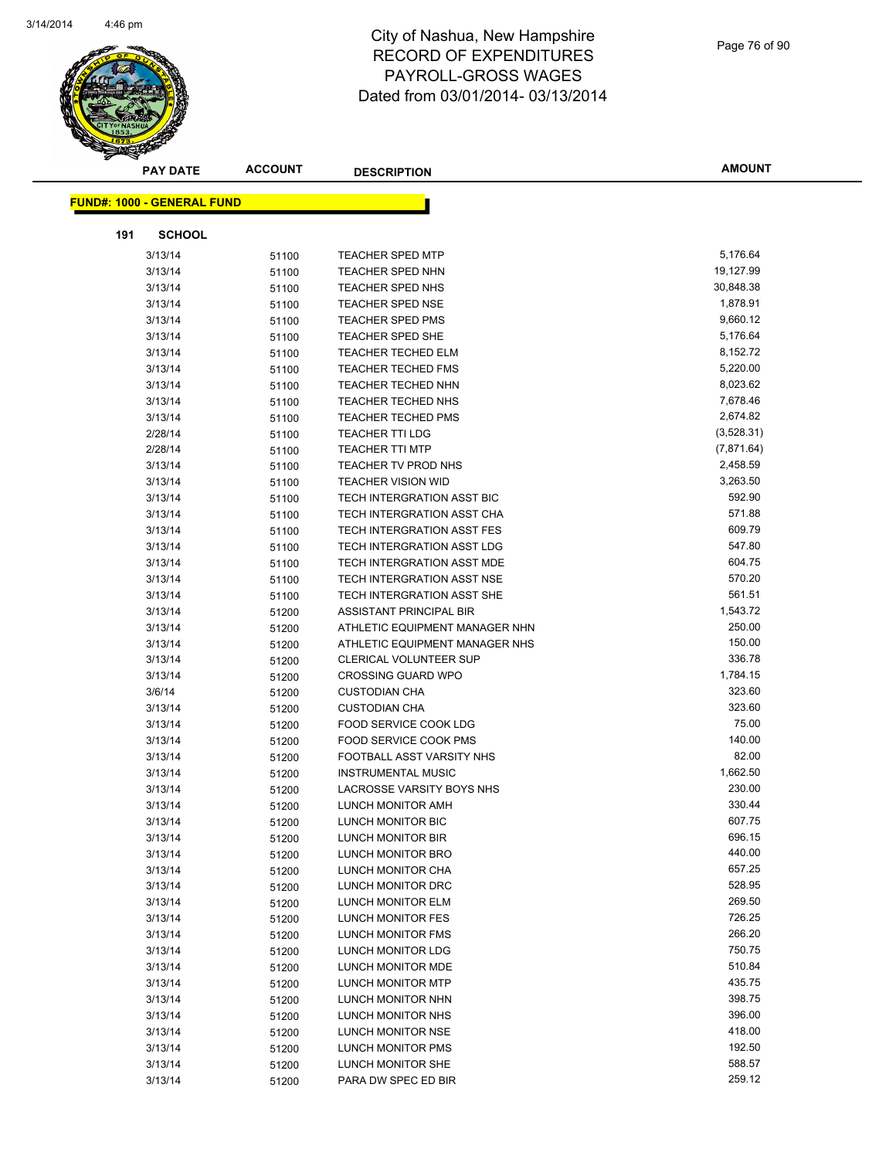

Page 76 of 90

| <b>PAY DATE</b>                   | <b>ACCOUNT</b> | <b>DESCRIPTION</b>                                     | <b>AMOUNT</b>        |
|-----------------------------------|----------------|--------------------------------------------------------|----------------------|
|                                   |                |                                                        |                      |
| <b>FUND#: 1000 - GENERAL FUND</b> |                |                                                        |                      |
|                                   |                |                                                        |                      |
| 191<br><b>SCHOOL</b>              |                |                                                        |                      |
| 3/13/14                           | 51100          | <b>TEACHER SPED MTP</b>                                | 5,176.64             |
| 3/13/14                           | 51100          | <b>TEACHER SPED NHN</b>                                | 19,127.99            |
| 3/13/14                           | 51100          | TEACHER SPED NHS                                       | 30,848.38            |
| 3/13/14                           | 51100          | <b>TEACHER SPED NSE</b>                                | 1,878.91             |
| 3/13/14                           | 51100          | <b>TEACHER SPED PMS</b>                                | 9,660.12             |
| 3/13/14                           | 51100          | <b>TEACHER SPED SHE</b>                                | 5,176.64<br>8,152.72 |
| 3/13/14<br>3/13/14                | 51100          | <b>TEACHER TECHED ELM</b><br><b>TEACHER TECHED FMS</b> | 5,220.00             |
| 3/13/14                           | 51100          | <b>TEACHER TECHED NHN</b>                              | 8,023.62             |
| 3/13/14                           | 51100<br>51100 | TEACHER TECHED NHS                                     | 7,678.46             |
| 3/13/14                           | 51100          | <b>TEACHER TECHED PMS</b>                              | 2,674.82             |
| 2/28/14                           | 51100          | <b>TEACHER TTI LDG</b>                                 | (3,528.31)           |
| 2/28/14                           | 51100          | <b>TEACHER TTI MTP</b>                                 | (7,871.64)           |
| 3/13/14                           | 51100          | TEACHER TV PROD NHS                                    | 2,458.59             |
| 3/13/14                           | 51100          | <b>TEACHER VISION WID</b>                              | 3,263.50             |
| 3/13/14                           | 51100          | TECH INTERGRATION ASST BIC                             | 592.90               |
| 3/13/14                           | 51100          | TECH INTERGRATION ASST CHA                             | 571.88               |
| 3/13/14                           | 51100          | TECH INTERGRATION ASST FES                             | 609.79               |
| 3/13/14                           | 51100          | TECH INTERGRATION ASST LDG                             | 547.80               |
| 3/13/14                           | 51100          | TECH INTERGRATION ASST MDE                             | 604.75               |
| 3/13/14                           | 51100          | TECH INTERGRATION ASST NSE                             | 570.20               |
| 3/13/14                           | 51100          | TECH INTERGRATION ASST SHE                             | 561.51               |
| 3/13/14                           | 51200          | ASSISTANT PRINCIPAL BIR                                | 1,543.72             |
| 3/13/14                           | 51200          | ATHLETIC EQUIPMENT MANAGER NHN                         | 250.00               |
| 3/13/14                           | 51200          | ATHLETIC EQUIPMENT MANAGER NHS                         | 150.00               |
| 3/13/14                           | 51200          | <b>CLERICAL VOLUNTEER SUP</b>                          | 336.78               |
| 3/13/14                           | 51200          | <b>CROSSING GUARD WPO</b>                              | 1,784.15             |
| 3/6/14                            | 51200          | <b>CUSTODIAN CHA</b>                                   | 323.60               |
| 3/13/14                           | 51200          | <b>CUSTODIAN CHA</b>                                   | 323.60               |
| 3/13/14                           | 51200          | FOOD SERVICE COOK LDG                                  | 75.00                |
| 3/13/14                           | 51200          | FOOD SERVICE COOK PMS                                  | 140.00               |
| 3/13/14                           | 51200          | FOOTBALL ASST VARSITY NHS                              | 82.00                |
| 3/13/14                           | 51200          | <b>INSTRUMENTAL MUSIC</b>                              | 1,662.50             |
| 3/13/14                           | 51200          | LACROSSE VARSITY BOYS NHS                              | 230.00               |
| 3/13/14                           | 51200          | LUNCH MONITOR AMH                                      | 330.44               |
| 3/13/14                           | 51200          | LUNCH MONITOR BIC                                      | 607.75               |
| 3/13/14                           | 51200          | <b>LUNCH MONITOR BIR</b>                               | 696.15               |
| 3/13/14                           | 51200          | LUNCH MONITOR BRO                                      | 440.00               |
| 3/13/14                           | 51200          | LUNCH MONITOR CHA                                      | 657.25               |
| 3/13/14                           | 51200          | LUNCH MONITOR DRC                                      | 528.95               |
| 3/13/14                           | 51200          | LUNCH MONITOR ELM                                      | 269.50<br>726.25     |
| 3/13/14                           | 51200          | LUNCH MONITOR FES                                      | 266.20               |
| 3/13/14                           | 51200          | LUNCH MONITOR FMS                                      | 750.75               |
| 3/13/14<br>3/13/14                | 51200          | LUNCH MONITOR LDG<br>LUNCH MONITOR MDE                 | 510.84               |
| 3/13/14                           | 51200<br>51200 | LUNCH MONITOR MTP                                      | 435.75               |
| 3/13/14                           | 51200          | LUNCH MONITOR NHN                                      | 398.75               |
| 3/13/14                           | 51200          | LUNCH MONITOR NHS                                      | 396.00               |
| 3/13/14                           | 51200          | LUNCH MONITOR NSE                                      | 418.00               |
| 3/13/14                           | 51200          | LUNCH MONITOR PMS                                      | 192.50               |
| 3/13/14                           | 51200          | LUNCH MONITOR SHE                                      | 588.57               |
| 3/13/14                           | 51200          | PARA DW SPEC ED BIR                                    | 259.12               |
|                                   |                |                                                        |                      |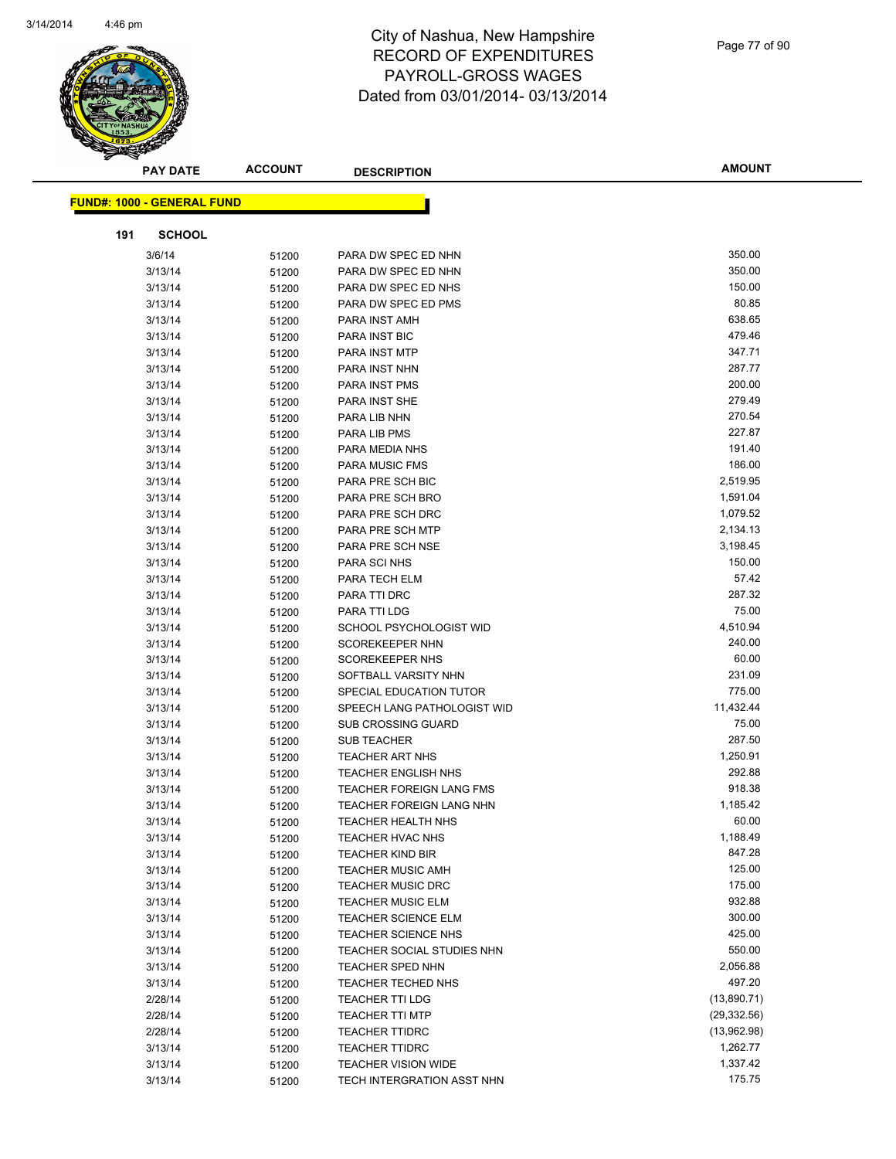

| <b>PAY DATE</b>                   | <b>ACCOUNT</b> | <b>DESCRIPTION</b>              | <b>AMOUNT</b> |
|-----------------------------------|----------------|---------------------------------|---------------|
| <b>FUND#: 1000 - GENERAL FUND</b> |                |                                 |               |
|                                   |                |                                 |               |
| <b>SCHOOL</b><br>191              |                |                                 |               |
| 3/6/14                            | 51200          | PARA DW SPEC ED NHN             | 350.00        |
| 3/13/14                           | 51200          | PARA DW SPEC ED NHN             | 350.00        |
| 3/13/14                           | 51200          | PARA DW SPEC ED NHS             | 150.00        |
| 3/13/14                           | 51200          | PARA DW SPEC ED PMS             | 80.85         |
| 3/13/14                           | 51200          | PARA INST AMH                   | 638.65        |
| 3/13/14                           | 51200          | PARA INST BIC                   | 479.46        |
| 3/13/14                           | 51200          | PARA INST MTP                   | 347.71        |
| 3/13/14                           | 51200          | PARA INST NHN                   | 287.77        |
| 3/13/14                           | 51200          | PARA INST PMS                   | 200.00        |
| 3/13/14                           | 51200          | PARA INST SHE                   | 279.49        |
| 3/13/14                           | 51200          | PARA LIB NHN                    | 270.54        |
| 3/13/14                           | 51200          | PARA LIB PMS                    | 227.87        |
| 3/13/14                           | 51200          | PARA MEDIA NHS                  | 191.40        |
| 3/13/14                           | 51200          | <b>PARA MUSIC FMS</b>           | 186.00        |
| 3/13/14                           | 51200          | PARA PRE SCH BIC                | 2,519.95      |
| 3/13/14                           | 51200          | PARA PRE SCH BRO                | 1,591.04      |
| 3/13/14                           | 51200          | PARA PRE SCH DRC                | 1,079.52      |
| 3/13/14                           | 51200          | PARA PRE SCH MTP                | 2,134.13      |
| 3/13/14                           | 51200          | PARA PRE SCH NSE                | 3,198.45      |
| 3/13/14                           | 51200          | PARA SCI NHS                    | 150.00        |
| 3/13/14                           | 51200          | PARA TECH ELM                   | 57.42         |
| 3/13/14                           | 51200          | PARA TTI DRC                    | 287.32        |
| 3/13/14                           | 51200          | PARA TTI LDG                    | 75.00         |
| 3/13/14                           | 51200          | SCHOOL PSYCHOLOGIST WID         | 4,510.94      |
| 3/13/14                           | 51200          | <b>SCOREKEEPER NHN</b>          | 240.00        |
| 3/13/14                           | 51200          | <b>SCOREKEEPER NHS</b>          | 60.00         |
| 3/13/14                           | 51200          | SOFTBALL VARSITY NHN            | 231.09        |
| 3/13/14                           | 51200          | SPECIAL EDUCATION TUTOR         | 775.00        |
| 3/13/14                           | 51200          | SPEECH LANG PATHOLOGIST WID     | 11,432.44     |
| 3/13/14                           | 51200          | <b>SUB CROSSING GUARD</b>       | 75.00         |
| 3/13/14                           | 51200          | <b>SUB TEACHER</b>              | 287.50        |
| 3/13/14                           | 51200          | <b>TEACHER ART NHS</b>          | 1,250.91      |
| 3/13/14                           | 51200          | <b>TEACHER ENGLISH NHS</b>      | 292.88        |
| 3/13/14                           | 51200          | TEACHER FOREIGN LANG FMS        | 918.38        |
| 3/13/14                           | 51200          | <b>TEACHER FOREIGN LANG NHN</b> | 1,185.42      |
| 3/13/14                           | 51200          | TEACHER HEALTH NHS              | 60.00         |
| 3/13/14                           | 51200          | <b>TEACHER HVAC NHS</b>         | 1,188.49      |
| 3/13/14                           | 51200          | <b>TEACHER KIND BIR</b>         | 847.28        |
| 3/13/14                           | 51200          | <b>TEACHER MUSIC AMH</b>        | 125.00        |
| 3/13/14                           | 51200          | <b>TEACHER MUSIC DRC</b>        | 175.00        |
| 3/13/14                           | 51200          | <b>TEACHER MUSIC ELM</b>        | 932.88        |
| 3/13/14                           | 51200          | <b>TEACHER SCIENCE ELM</b>      | 300.00        |
| 3/13/14                           | 51200          | <b>TEACHER SCIENCE NHS</b>      | 425.00        |
| 3/13/14                           | 51200          | TEACHER SOCIAL STUDIES NHN      | 550.00        |
| 3/13/14                           | 51200          | <b>TEACHER SPED NHN</b>         | 2,056.88      |
| 3/13/14                           | 51200          | TEACHER TECHED NHS              | 497.20        |
| 2/28/14                           | 51200          | <b>TEACHER TTI LDG</b>          | (13,890.71)   |
| 2/28/14                           | 51200          | <b>TEACHER TTI MTP</b>          | (29, 332.56)  |
| 2/28/14                           | 51200          | <b>TEACHER TTIDRC</b>           | (13,962.98)   |
| 3/13/14                           | 51200          | <b>TEACHER TTIDRC</b>           | 1,262.77      |
| 3/13/14                           | 51200          | <b>TEACHER VISION WIDE</b>      | 1,337.42      |
| 3/13/14                           | 51200          | TECH INTERGRATION ASST NHN      | 175.75        |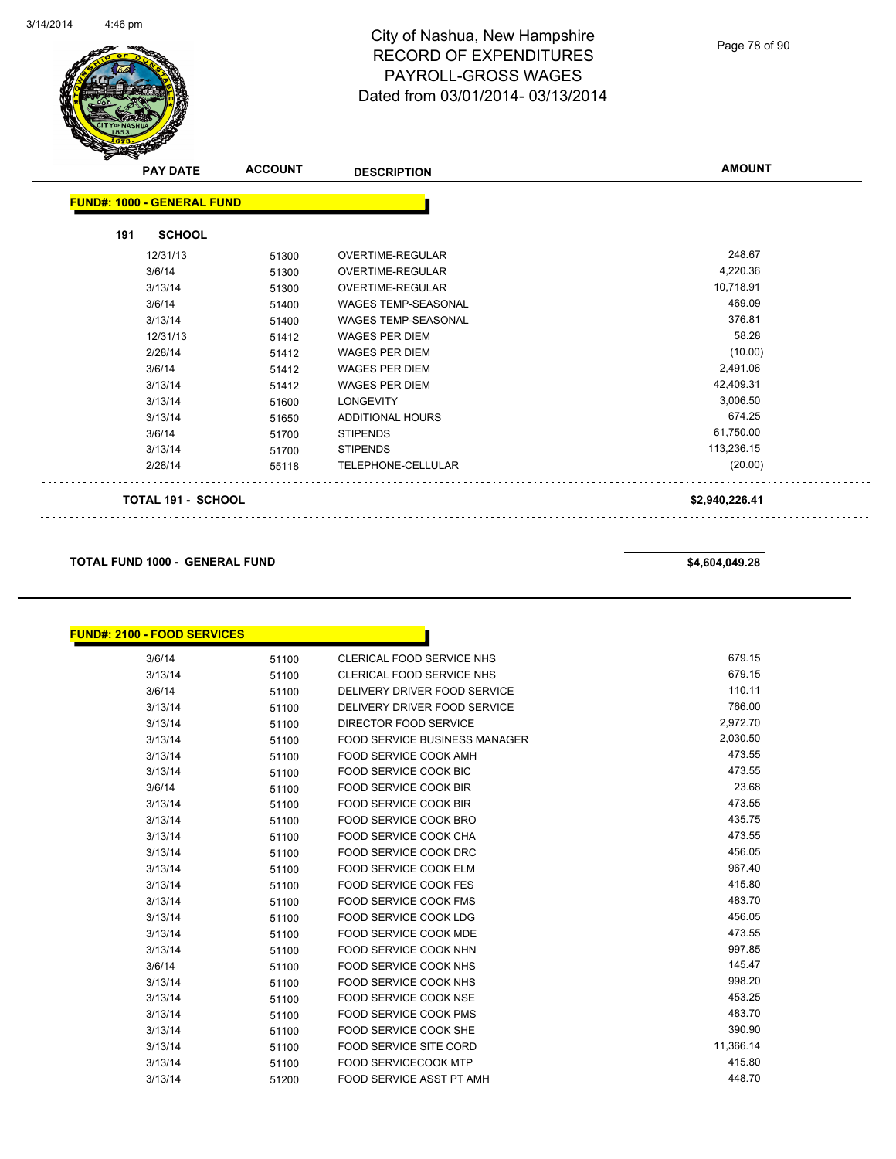

Page 78 of 90

|     | <b>PAY DATE</b>                   | <b>ACCOUNT</b> | <b>DESCRIPTION</b>         | <b>AMOUNT</b>  |
|-----|-----------------------------------|----------------|----------------------------|----------------|
|     | <b>FUND#: 1000 - GENERAL FUND</b> |                |                            |                |
| 191 | <b>SCHOOL</b>                     |                |                            |                |
|     | 12/31/13                          | 51300          | <b>OVERTIME-REGULAR</b>    | 248.67         |
|     | 3/6/14                            | 51300          | OVERTIME-REGULAR           | 4,220.36       |
|     | 3/13/14                           | 51300          | OVERTIME-REGULAR           | 10,718.91      |
|     | 3/6/14                            | 51400          | WAGES TEMP-SEASONAL        | 469.09         |
|     | 3/13/14                           | 51400          | <b>WAGES TEMP-SEASONAL</b> | 376.81         |
|     | 12/31/13                          | 51412          | <b>WAGES PER DIEM</b>      | 58.28          |
|     | 2/28/14                           | 51412          | <b>WAGES PER DIEM</b>      | (10.00)        |
|     | 3/6/14                            | 51412          | <b>WAGES PER DIEM</b>      | 2,491.06       |
|     | 3/13/14                           | 51412          | <b>WAGES PER DIEM</b>      | 42,409.31      |
|     | 3/13/14                           | 51600          | <b>LONGEVITY</b>           | 3,006.50       |
|     | 3/13/14                           | 51650          | <b>ADDITIONAL HOURS</b>    | 674.25         |
|     | 3/6/14                            | 51700          | <b>STIPENDS</b>            | 61,750.00      |
|     | 3/13/14                           | 51700          | <b>STIPENDS</b>            | 113,236.15     |
|     | 2/28/14                           | 55118          | TELEPHONE-CELLULAR         | (20.00)        |
|     | <b>TOTAL 191 - SCHOOL</b>         |                |                            | \$2,940,226.41 |

**TOTAL FUND 1000 - GENERAL FUND \$4,604,049.28** 

 $\mathbb{R}^2$ 

| <u> FUND#: 2100 - FOOD SERVICES</u> |       |                                      |           |
|-------------------------------------|-------|--------------------------------------|-----------|
| 3/6/14                              | 51100 | CLERICAL FOOD SERVICE NHS            | 679.15    |
| 3/13/14                             | 51100 | <b>CLERICAL FOOD SERVICE NHS</b>     | 679.15    |
| 3/6/14                              | 51100 | DELIVERY DRIVER FOOD SERVICE         | 110.11    |
| 3/13/14                             | 51100 | DELIVERY DRIVER FOOD SERVICE         | 766.00    |
| 3/13/14                             | 51100 | DIRECTOR FOOD SERVICE                | 2,972.70  |
| 3/13/14                             | 51100 | <b>FOOD SERVICE BUSINESS MANAGER</b> | 2,030.50  |
| 3/13/14                             | 51100 | FOOD SERVICE COOK AMH                | 473.55    |
| 3/13/14                             | 51100 | <b>FOOD SERVICE COOK BIC</b>         | 473.55    |
| 3/6/14                              | 51100 | FOOD SERVICE COOK BIR                | 23.68     |
| 3/13/14                             | 51100 | FOOD SERVICE COOK BIR                | 473.55    |
| 3/13/14                             | 51100 | <b>FOOD SERVICE COOK BRO</b>         | 435.75    |
| 3/13/14                             | 51100 | <b>FOOD SERVICE COOK CHA</b>         | 473.55    |
| 3/13/14                             | 51100 | <b>FOOD SERVICE COOK DRC</b>         | 456.05    |
| 3/13/14                             | 51100 | FOOD SERVICE COOK ELM                | 967.40    |
| 3/13/14                             | 51100 | FOOD SERVICE COOK FES                | 415.80    |
| 3/13/14                             | 51100 | <b>FOOD SERVICE COOK FMS</b>         | 483.70    |
| 3/13/14                             | 51100 | <b>FOOD SERVICE COOK LDG</b>         | 456.05    |
| 3/13/14                             | 51100 | <b>FOOD SERVICE COOK MDE</b>         | 473.55    |
| 3/13/14                             | 51100 | FOOD SERVICE COOK NHN                | 997.85    |
| 3/6/14                              | 51100 | FOOD SERVICE COOK NHS                | 145.47    |
| 3/13/14                             | 51100 | FOOD SERVICE COOK NHS                | 998.20    |
| 3/13/14                             | 51100 | <b>FOOD SERVICE COOK NSE</b>         | 453.25    |
| 3/13/14                             | 51100 | <b>FOOD SERVICE COOK PMS</b>         | 483.70    |
| 3/13/14                             | 51100 | <b>FOOD SERVICE COOK SHE</b>         | 390.90    |
| 3/13/14                             | 51100 | <b>FOOD SERVICE SITE CORD</b>        | 11,366.14 |
| 3/13/14                             | 51100 | <b>FOOD SERVICECOOK MTP</b>          | 415.80    |
| 3/13/14                             | 51200 | <b>FOOD SERVICE ASST PT AMH</b>      | 448.70    |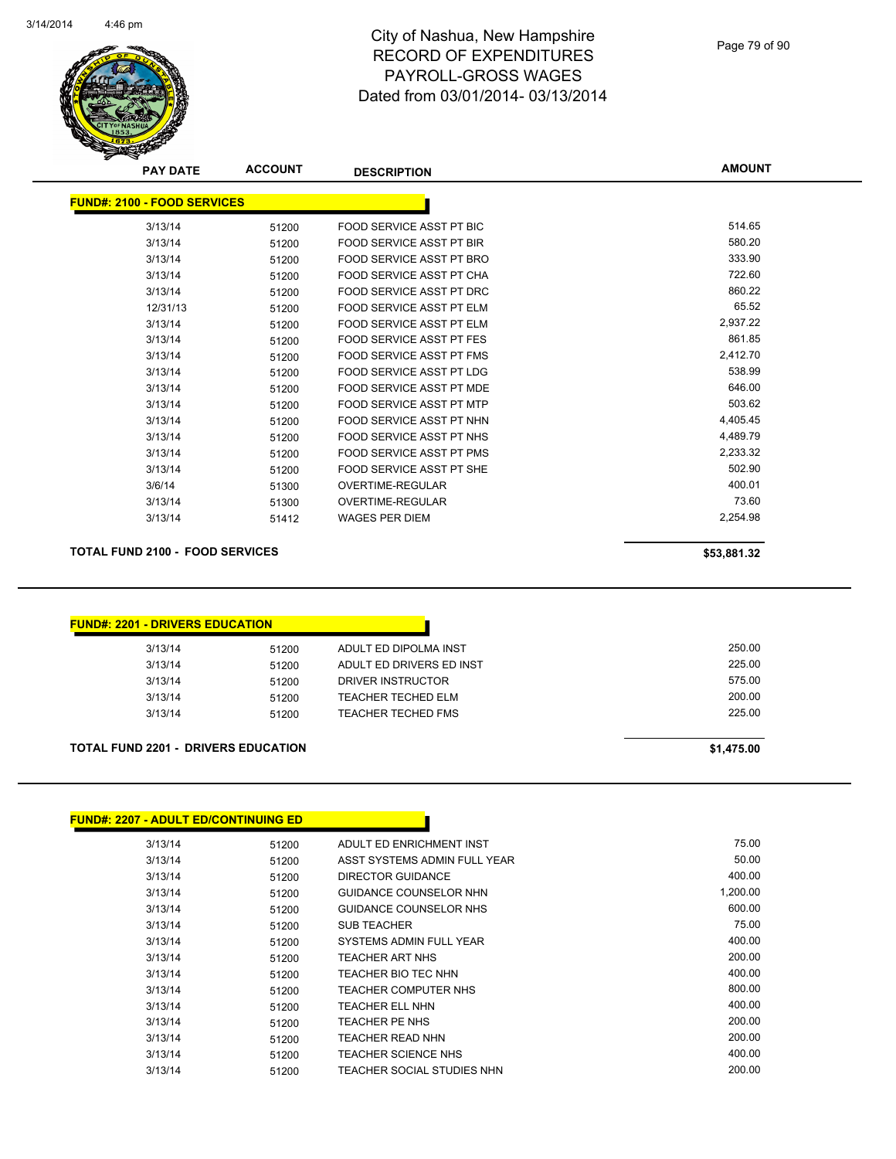

Page 79 of 90

| <b>ACCOUNT</b><br><b>PAY DATE</b>  | <b>DESCRIPTION</b>              | <b>AMOUNT</b> |
|------------------------------------|---------------------------------|---------------|
| <b>FUND#: 2100 - FOOD SERVICES</b> |                                 |               |
| 51200                              | FOOD SERVICE ASST PT BIC        | 514.65        |
| 51200                              | FOOD SERVICE ASST PT BIR        | 580.20        |
| 51200                              | FOOD SERVICE ASST PT BRO        | 333.90        |
| 51200                              | FOOD SERVICE ASST PT CHA        | 722.60        |
| 51200                              | <b>FOOD SERVICE ASST PT DRC</b> | 860.22        |
| 12/31/13<br>51200                  | FOOD SERVICE ASST PT ELM        | 65.52         |
| 51200                              | FOOD SERVICE ASST PT ELM        | 2,937.22      |
| 51200                              | <b>FOOD SERVICE ASST PT FES</b> | 861.85        |
| 51200                              | <b>FOOD SERVICE ASST PT FMS</b> | 2,412.70      |
| 51200                              | <b>FOOD SERVICE ASST PT LDG</b> | 538.99        |
| 51200                              | <b>FOOD SERVICE ASST PT MDE</b> | 646.00        |
| 51200                              | FOOD SERVICE ASST PT MTP        | 503.62        |
| 51200                              | FOOD SERVICE ASST PT NHN        | 4,405.45      |
| 51200                              | <b>FOOD SERVICE ASST PT NHS</b> | 4,489.79      |
| 51200                              | FOOD SERVICE ASST PT PMS        | 2,233.32      |
| 51200                              | FOOD SERVICE ASST PT SHE        | 502.90        |
| 51300                              | <b>OVERTIME-REGULAR</b>         | 400.01        |
| 51300                              | <b>OVERTIME-REGULAR</b>         | 73.60         |
| 51412                              | <b>WAGES PER DIEM</b>           | 2,254.98      |
|                                    |                                 |               |

#### **TOTAL FUND 2100 - FOOD SERVICES \$53,881.32**

| <b>FUND#: 2201 - DRIVERS EDUCATION</b>     |       |                           |            |
|--------------------------------------------|-------|---------------------------|------------|
| 3/13/14                                    | 51200 | ADULT ED DIPOLMA INST     | 250.00     |
| 3/13/14                                    | 51200 | ADULT ED DRIVERS ED INST  | 225.00     |
| 3/13/14                                    | 51200 | DRIVER INSTRUCTOR         | 575.00     |
| 3/13/14                                    | 51200 | <b>TEACHER TECHED ELM</b> | 200.00     |
| 3/13/14                                    | 51200 | TEACHER TECHED FMS        | 225.00     |
| <b>TOTAL FUND 2201 - DRIVERS EDUCATION</b> |       |                           | \$1,475.00 |

#### **FUND#: 2207 - ADULT ED/CONTINUING ED** 3/13/14 51200 ADULT ED ENRICHMENT INST 3/13/14 51200 ASST SYSTEMS ADMIN FULL YEAR 50.00 3/13/14 51200 DIRECTOR GUIDANCE 400.00 3/13/14 51200 GUIDANCE COUNSELOR NHN 1,200.00 3/13/14 51200 GUIDANCE COUNSELOR NHS 600.00 3/13/14 51200 SUB TEACHER 75.00 3/13/14 51200 SYSTEMS ADMIN FULL YEAR 3/13/14 51200 TEACHER ART NHS 200.00 3/13/14 51200 TEACHER BIO TEC NHN 400.00 3/13/14 51200 TEACHER COMPUTER NHS 800.00 3/13/14 51200 TEACHER ELL NHN 3/13/14 51200 TEACHER PE NHS 200.00 3/13/14 51200 TEACHER READ NHN 200.00 3/13/14 51200 TEACHER SCIENCE NHS 400.00 3/13/14 51200 TEACHER SOCIAL STUDIES NHN 200.00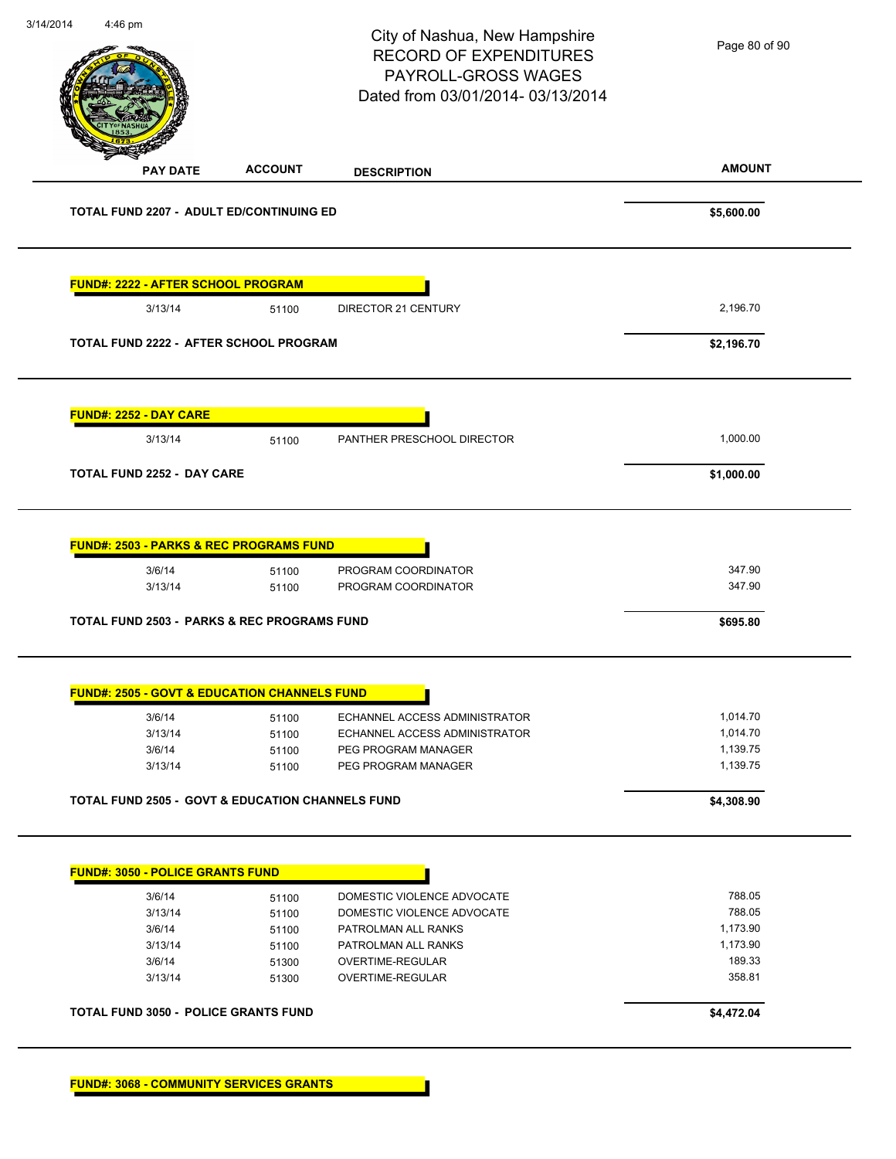| 4:46 pm                                                                                                                           |                | City of Nashua, New Hampshire<br><b>RECORD OF EXPENDITURES</b><br>PAYROLL-GROSS WAGES<br>Dated from 03/01/2014-03/13/2014 | Page 80 of 90                |
|-----------------------------------------------------------------------------------------------------------------------------------|----------------|---------------------------------------------------------------------------------------------------------------------------|------------------------------|
| <b>PAY DATE</b>                                                                                                                   | <b>ACCOUNT</b> | <b>DESCRIPTION</b>                                                                                                        | <b>AMOUNT</b>                |
| <b>TOTAL FUND 2207 - ADULT ED/CONTINUING ED</b>                                                                                   |                |                                                                                                                           | \$5,600.00                   |
| <b>FUND#: 2222 - AFTER SCHOOL PROGRAM</b>                                                                                         |                |                                                                                                                           |                              |
| 3/13/14                                                                                                                           | 51100          | <b>DIRECTOR 21 CENTURY</b>                                                                                                | 2,196.70                     |
| TOTAL FUND 2222 - AFTER SCHOOL PROGRAM                                                                                            |                |                                                                                                                           | \$2,196.70                   |
| <b>FUND#: 2252 - DAY CARE</b>                                                                                                     |                |                                                                                                                           |                              |
| 3/13/14                                                                                                                           | 51100          | PANTHER PRESCHOOL DIRECTOR                                                                                                | 1,000.00                     |
| TOTAL FUND 2252 - DAY CARE                                                                                                        |                |                                                                                                                           | \$1,000.00                   |
| <b>FUND#: 2503 - PARKS &amp; REC PROGRAMS FUND</b><br>3/6/14<br>3/13/14<br><b>TOTAL FUND 2503 - PARKS &amp; REC PROGRAMS FUND</b> | 51100<br>51100 | PROGRAM COORDINATOR<br>PROGRAM COORDINATOR                                                                                | 347.90<br>347.90<br>\$695.80 |
| <b>FUND#: 2505 - GOVT &amp; EDUCATION CHANNELS FUND</b>                                                                           |                |                                                                                                                           |                              |
| 3/6/14                                                                                                                            | 51100          | ECHANNEL ACCESS ADMINISTRATOR                                                                                             | 1,014.70                     |
| 3/13/14                                                                                                                           | 51100          | ECHANNEL ACCESS ADMINISTRATOR                                                                                             | 1,014.70                     |
| 3/6/14                                                                                                                            | 51100          | PEG PROGRAM MANAGER<br>PEG PROGRAM MANAGER                                                                                | 1,139.75<br>1,139.75         |
| 3/13/14                                                                                                                           | 51100          |                                                                                                                           |                              |
| <b>TOTAL FUND 2505 - GOVT &amp; EDUCATION CHANNELS FUND</b>                                                                       |                |                                                                                                                           | \$4,308.90                   |
| <b>FUND#: 3050 - POLICE GRANTS FUND</b>                                                                                           |                |                                                                                                                           |                              |
| 3/6/14                                                                                                                            | 51100          | DOMESTIC VIOLENCE ADVOCATE                                                                                                | 788.05                       |
| 3/13/14                                                                                                                           | 51100          | DOMESTIC VIOLENCE ADVOCATE                                                                                                | 788.05                       |
| 3/6/14                                                                                                                            | 51100          | PATROLMAN ALL RANKS                                                                                                       | 1,173.90                     |
| 3/13/14<br>3/6/14                                                                                                                 | 51100<br>51300 | PATROLMAN ALL RANKS<br>OVERTIME-REGULAR                                                                                   | 1,173.90<br>189.33           |
| 3/13/14                                                                                                                           | 51300          | OVERTIME-REGULAR                                                                                                          | 358.81                       |
| <b>TOTAL FUND 3050 - POLICE GRANTS FUND</b>                                                                                       |                |                                                                                                                           | \$4,472.04                   |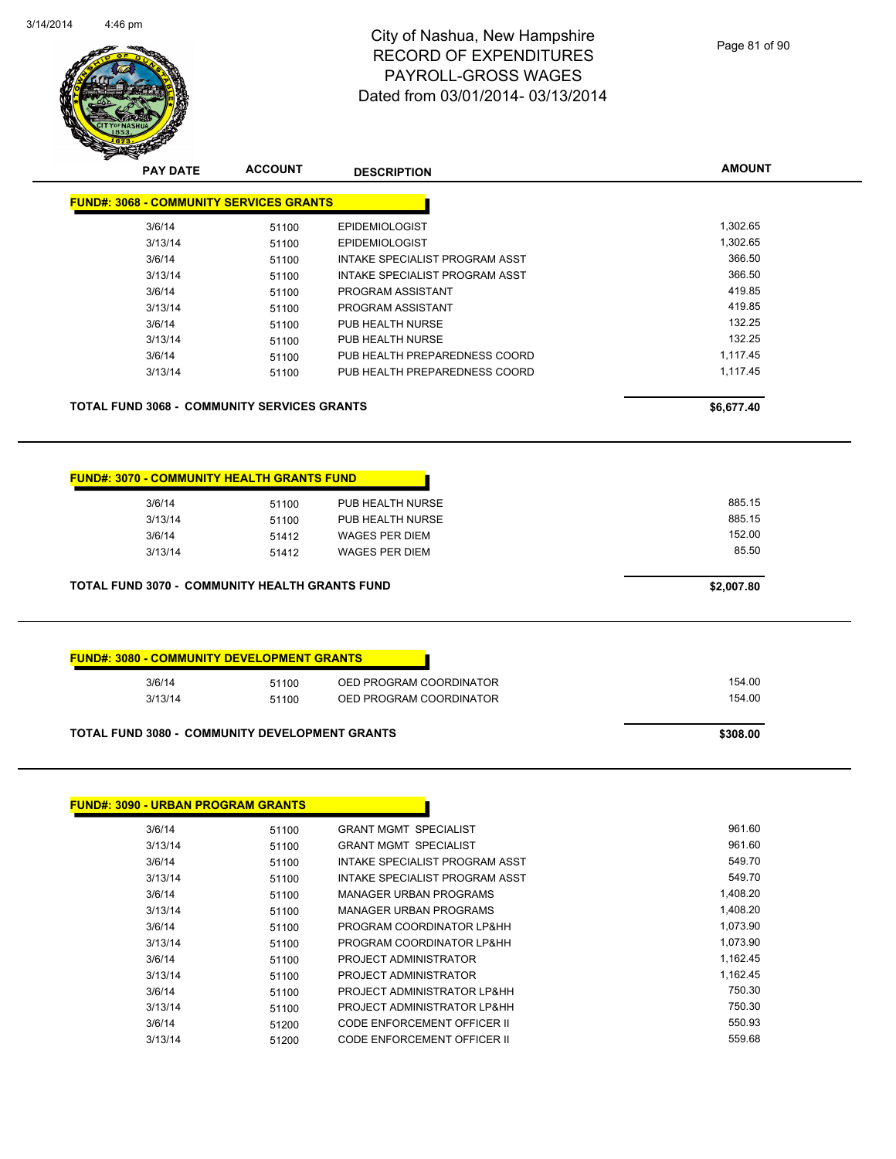

|                                        | <b>ACCOUNT</b>                                        | <b>DESCRIPTION</b>                                                                     | <b>AMOUNT</b>                       |  |
|----------------------------------------|-------------------------------------------------------|----------------------------------------------------------------------------------------|-------------------------------------|--|
|                                        | <b>FUND#: 3068 - COMMUNITY SERVICES GRANTS</b>        |                                                                                        |                                     |  |
| 3/6/14                                 | 51100                                                 | <b>EPIDEMIOLOGIST</b>                                                                  | 1,302.65                            |  |
| 3/13/14                                | 51100                                                 | <b>EPIDEMIOLOGIST</b>                                                                  | 1,302.65                            |  |
| 3/6/14                                 | 51100                                                 | INTAKE SPECIALIST PROGRAM ASST                                                         | 366.50                              |  |
| 3/13/14                                | 51100                                                 | INTAKE SPECIALIST PROGRAM ASST                                                         | 366.50                              |  |
| 3/6/14                                 | 51100                                                 | PROGRAM ASSISTANT                                                                      | 419.85                              |  |
| 3/13/14                                | 51100                                                 | PROGRAM ASSISTANT                                                                      | 419.85                              |  |
| 3/6/14                                 | 51100                                                 | PUB HEALTH NURSE                                                                       | 132.25                              |  |
| 3/13/14                                | 51100                                                 | PUB HEALTH NURSE                                                                       | 132.25                              |  |
| 3/6/14                                 | 51100                                                 | PUB HEALTH PREPAREDNESS COORD                                                          | 1,117.45                            |  |
| 3/13/14                                | 51100                                                 | PUB HEALTH PREPAREDNESS COORD                                                          | 1,117.45                            |  |
|                                        | <b>TOTAL FUND 3068 - COMMUNITY SERVICES GRANTS</b>    |                                                                                        | \$6,677.40                          |  |
| 3/6/14<br>3/13/14<br>3/6/14<br>3/13/14 | 51100<br>51100<br>51412<br>51412                      | PUB HEALTH NURSE<br>PUB HEALTH NURSE<br><b>WAGES PER DIEM</b><br><b>WAGES PER DIEM</b> | 885.15<br>885.15<br>152.00<br>85.50 |  |
|                                        | <b>TOTAL FUND 3070 - COMMUNITY HEALTH GRANTS FUND</b> |                                                                                        | \$2,007.80                          |  |
|                                        |                                                       |                                                                                        |                                     |  |
|                                        | <b>FUND#: 3080 - COMMUNITY DEVELOPMENT GRANTS</b>     |                                                                                        |                                     |  |
| 3/6/14                                 | 51100                                                 | OED PROGRAM COORDINATOR                                                                | 154.00                              |  |
| 3/13/14                                | 51100                                                 | OED PROGRAM COORDINATOR                                                                | 154.00                              |  |

3/6/14 51100 PROGRAM COORDINATOR LP&HH 1,073.90 3/13/14 51100 PROGRAM COORDINATOR LP&HH 1,073.90 3/6/14 51100 PROJECT ADMINISTRATOR 1,162.45 3/13/14 51100 PROJECT ADMINISTRATOR 1,162.45 3/6/14 51100 PROJECT ADMINISTRATOR LP&HH 750.30 3/13/14 51100 PROJECT ADMINISTRATOR LP&HH 750.30 3/6/14 51200 CODE ENFORCEMENT OFFICER II 550.93 3/13/14 51200 CODE ENFORCEMENT OFFICER II 559.68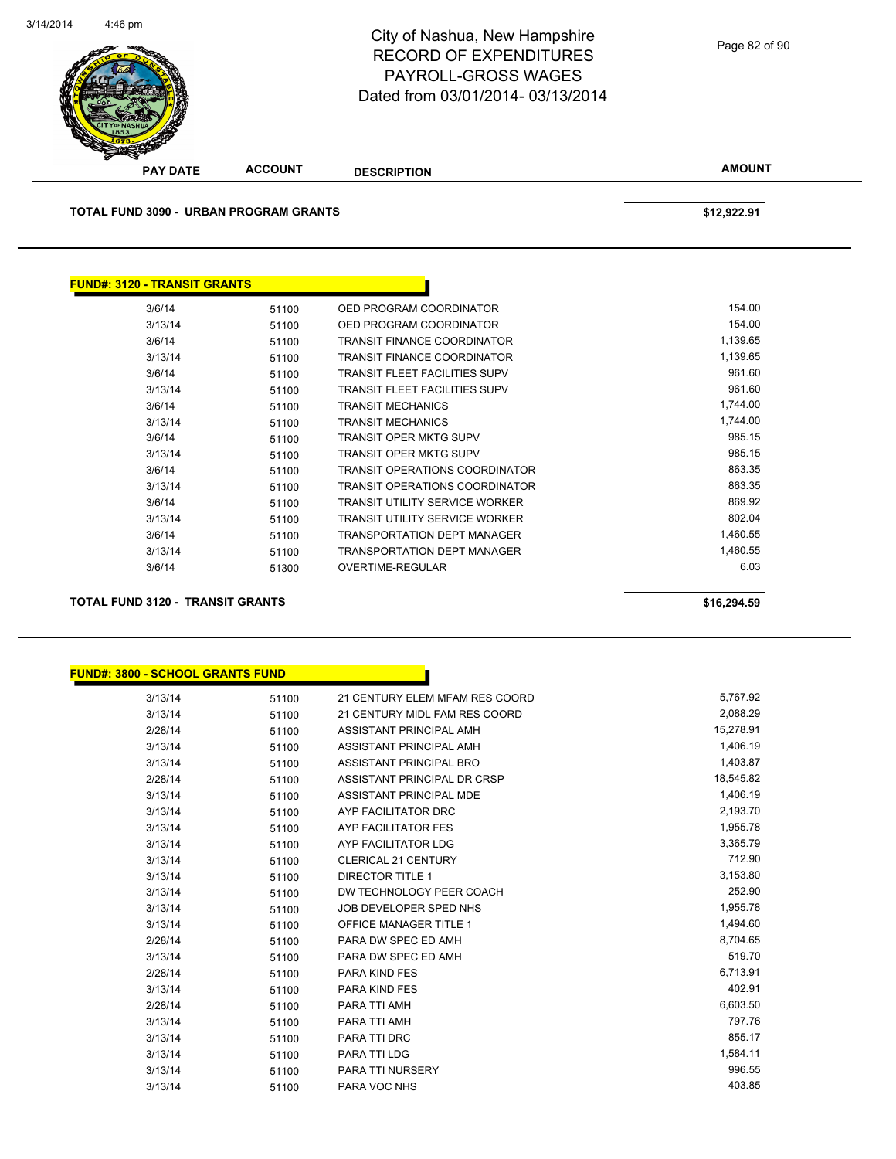

**AMOUNT PAY DATE ACCOUNT DESCRIPTION TOTAL FUND 3090 - URBAN PROGRAM GRANTS \$12,922.91 FUND#: 3120 - TRANSIT GRANTS** 3/6/14 51100 OED PROGRAM COORDINATOR 154.00 3/13/14 51100 OED PROGRAM COORDINATOR 154.00 3/6/14 51100 TRANSIT FINANCE COORDINATOR 1,139.65 3/13/14 51100 TRANSIT FINANCE COORDINATOR 1,139.65 3/6/14 51100 TRANSIT FLEET FACILITIES SUPV 961.60 3/13/14 51100 TRANSIT FLEET FACILITIES SUPV 961.60 3/6/14 51100 TRANSIT MECHANICS 1,744.00 3/13/14 51100 TRANSIT MECHANICS 1,744.00 3/6/14 51100 TRANSIT OPER MKTG SUPV 985.15 3/13/14 51100 TRANSIT OPER MKTG SUPV 985.15 3/6/14 51100 TRANSIT OPERATIONS COORDINATOR 863.35 3/13/14 51100 TRANSIT OPERATIONS COORDINATOR 863.35

> 3/6/14 51100 TRANSIT UTILITY SERVICE WORKER 869.92 3/13/14 51100 TRANSIT UTILITY SERVICE WORKER 802.04 3/6/14 51100 TRANSPORTATION DEPT MANAGER 1,460.55 3/13/14 51100 TRANSPORTATION DEPT MANAGER 1,460.55 3/6/14 51300 OVERTIME-REGULAR 6.03

**TOTAL FUND 3120 - TRANSIT GRANTS \$16,294.59** 

**FUND#: 3800 - SCHOOL GRANTS FUND**

| 3/13/14 | 51100 | 21 CENTURY ELEM MFAM RES COORD | 5,767.92  |
|---------|-------|--------------------------------|-----------|
| 3/13/14 | 51100 | 21 CENTURY MIDL FAM RES COORD  | 2,088.29  |
| 2/28/14 | 51100 | ASSISTANT PRINCIPAL AMH        | 15,278.91 |
| 3/13/14 | 51100 | ASSISTANT PRINCIPAL AMH        | 1,406.19  |
| 3/13/14 | 51100 | ASSISTANT PRINCIPAL BRO        | 1,403.87  |
| 2/28/14 | 51100 | ASSISTANT PRINCIPAL DR CRSP    | 18,545.82 |
| 3/13/14 | 51100 | ASSISTANT PRINCIPAL MDE        | 1,406.19  |
| 3/13/14 | 51100 | AYP FACILITATOR DRC            | 2,193.70  |
| 3/13/14 | 51100 | AYP FACILITATOR FES            | 1,955.78  |
| 3/13/14 | 51100 | AYP FACILITATOR LDG            | 3,365.79  |
| 3/13/14 | 51100 | <b>CLERICAL 21 CENTURY</b>     | 712.90    |
| 3/13/14 | 51100 | <b>DIRECTOR TITLE 1</b>        | 3,153.80  |
| 3/13/14 | 51100 | DW TECHNOLOGY PEER COACH       | 252.90    |
| 3/13/14 | 51100 | JOB DEVELOPER SPED NHS         | 1,955.78  |
| 3/13/14 | 51100 | <b>OFFICE MANAGER TITLE 1</b>  | 1,494.60  |
| 2/28/14 | 51100 | PARA DW SPEC ED AMH            | 8,704.65  |
| 3/13/14 | 51100 | PARA DW SPEC ED AMH            | 519.70    |
| 2/28/14 | 51100 | <b>PARA KIND FES</b>           | 6,713.91  |
| 3/13/14 | 51100 | <b>PARA KIND FES</b>           | 402.91    |
| 2/28/14 | 51100 | PARA TTI AMH                   | 6,603.50  |
| 3/13/14 | 51100 | PARA TTI AMH                   | 797.76    |
| 3/13/14 | 51100 | PARA TTI DRC                   | 855.17    |
| 3/13/14 | 51100 | <b>PARA TTI LDG</b>            | 1,584.11  |
| 3/13/14 | 51100 | <b>PARA TTI NURSERY</b>        | 996.55    |
| 3/13/14 | 51100 | PARA VOC NHS                   | 403.85    |
|         |       |                                |           |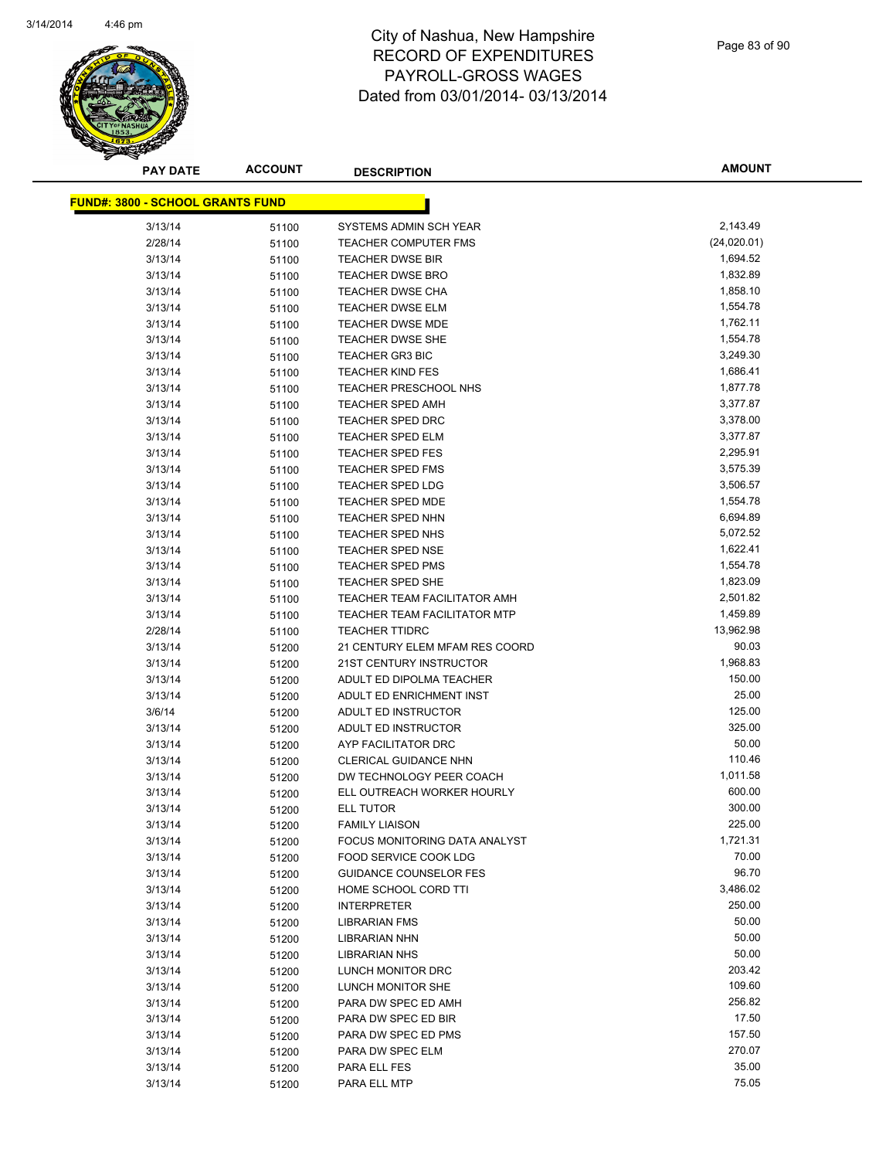

| <b>PAY DATE</b>                         | <b>ACCOUNT</b> | <b>DESCRIPTION</b>             | <b>AMOUNT</b>    |
|-----------------------------------------|----------------|--------------------------------|------------------|
| <b>FUND#: 3800 - SCHOOL GRANTS FUND</b> |                |                                |                  |
| 3/13/14                                 |                | SYSTEMS ADMIN SCH YEAR         | 2,143.49         |
| 2/28/14                                 | 51100<br>51100 | <b>TEACHER COMPUTER FMS</b>    | (24,020.01)      |
| 3/13/14                                 |                | <b>TEACHER DWSE BIR</b>        | 1,694.52         |
| 3/13/14                                 | 51100<br>51100 | TEACHER DWSE BRO               | 1,832.89         |
| 3/13/14                                 | 51100          | TEACHER DWSE CHA               | 1,858.10         |
| 3/13/14                                 | 51100          | <b>TEACHER DWSE ELM</b>        | 1,554.78         |
| 3/13/14                                 | 51100          | <b>TEACHER DWSE MDE</b>        | 1,762.11         |
| 3/13/14                                 | 51100          | <b>TEACHER DWSE SHE</b>        | 1,554.78         |
| 3/13/14                                 | 51100          | <b>TEACHER GR3 BIC</b>         | 3,249.30         |
| 3/13/14                                 | 51100          | <b>TEACHER KIND FES</b>        | 1,686.41         |
| 3/13/14                                 | 51100          | TEACHER PRESCHOOL NHS          | 1,877.78         |
| 3/13/14                                 | 51100          | <b>TEACHER SPED AMH</b>        | 3,377.87         |
| 3/13/14                                 | 51100          | TEACHER SPED DRC               | 3,378.00         |
| 3/13/14                                 | 51100          | <b>TEACHER SPED ELM</b>        | 3,377.87         |
| 3/13/14                                 | 51100          | <b>TEACHER SPED FES</b>        | 2,295.91         |
| 3/13/14                                 | 51100          | <b>TEACHER SPED FMS</b>        | 3,575.39         |
| 3/13/14                                 | 51100          | <b>TEACHER SPED LDG</b>        | 3,506.57         |
| 3/13/14                                 | 51100          | <b>TEACHER SPED MDE</b>        | 1,554.78         |
| 3/13/14                                 | 51100          | <b>TEACHER SPED NHN</b>        | 6,694.89         |
| 3/13/14                                 | 51100          | TEACHER SPED NHS               | 5,072.52         |
| 3/13/14                                 | 51100          | <b>TEACHER SPED NSE</b>        | 1,622.41         |
| 3/13/14                                 | 51100          | <b>TEACHER SPED PMS</b>        | 1,554.78         |
| 3/13/14                                 | 51100          | TEACHER SPED SHE               | 1,823.09         |
| 3/13/14                                 | 51100          | TEACHER TEAM FACILITATOR AMH   | 2,501.82         |
| 3/13/14                                 | 51100          | TEACHER TEAM FACILITATOR MTP   | 1,459.89         |
| 2/28/14                                 | 51100          | <b>TEACHER TTIDRC</b>          | 13,962.98        |
| 3/13/14                                 | 51200          | 21 CENTURY ELEM MFAM RES COORD | 90.03            |
| 3/13/14                                 | 51200          | 21ST CENTURY INSTRUCTOR        | 1,968.83         |
| 3/13/14                                 | 51200          | ADULT ED DIPOLMA TEACHER       | 150.00           |
| 3/13/14                                 | 51200          | ADULT ED ENRICHMENT INST       | 25.00            |
| 3/6/14                                  | 51200          | ADULT ED INSTRUCTOR            | 125.00           |
| 3/13/14                                 | 51200          | ADULT ED INSTRUCTOR            | 325.00           |
| 3/13/14                                 | 51200          | AYP FACILITATOR DRC            | 50.00            |
| 3/13/14                                 | 51200          | <b>CLERICAL GUIDANCE NHN</b>   | 110.46           |
| 3/13/14                                 | 51200          | DW TECHNOLOGY PEER COACH       | 1,011.58         |
| 3/13/14                                 | 51200          | ELL OUTREACH WORKER HOURLY     | 600.00           |
| 3/13/14                                 | 51200          | <b>ELL TUTOR</b>               | 300.00           |
| 3/13/14                                 | 51200          | <b>FAMILY LIAISON</b>          | 225.00           |
| 3/13/14                                 | 51200          | FOCUS MONITORING DATA ANALYST  | 1,721.31         |
| 3/13/14                                 | 51200          | FOOD SERVICE COOK LDG          | 70.00            |
| 3/13/14                                 | 51200          | <b>GUIDANCE COUNSELOR FES</b>  | 96.70            |
| 3/13/14                                 | 51200          | HOME SCHOOL CORD TTI           | 3,486.02         |
| 3/13/14                                 | 51200          | <b>INTERPRETER</b>             | 250.00           |
| 3/13/14                                 | 51200          | LIBRARIAN FMS                  | 50.00            |
| 3/13/14                                 | 51200          | LIBRARIAN NHN                  | 50.00            |
| 3/13/14                                 | 51200          | LIBRARIAN NHS                  | 50.00            |
| 3/13/14                                 | 51200          | LUNCH MONITOR DRC              | 203.42           |
| 3/13/14                                 | 51200          | LUNCH MONITOR SHE              | 109.60           |
| 3/13/14                                 | 51200          | PARA DW SPEC ED AMH            | 256.82           |
| 3/13/14                                 | 51200          | PARA DW SPEC ED BIR            | 17.50            |
| 3/13/14                                 | 51200          | PARA DW SPEC ED PMS            | 157.50<br>270.07 |
| 3/13/14                                 | 51200          | PARA DW SPEC ELM               | 35.00            |
| 3/13/14                                 | 51200          | PARA ELL FES                   | 75.05            |
| 3/13/14                                 | 51200          | PARA ELL MTP                   |                  |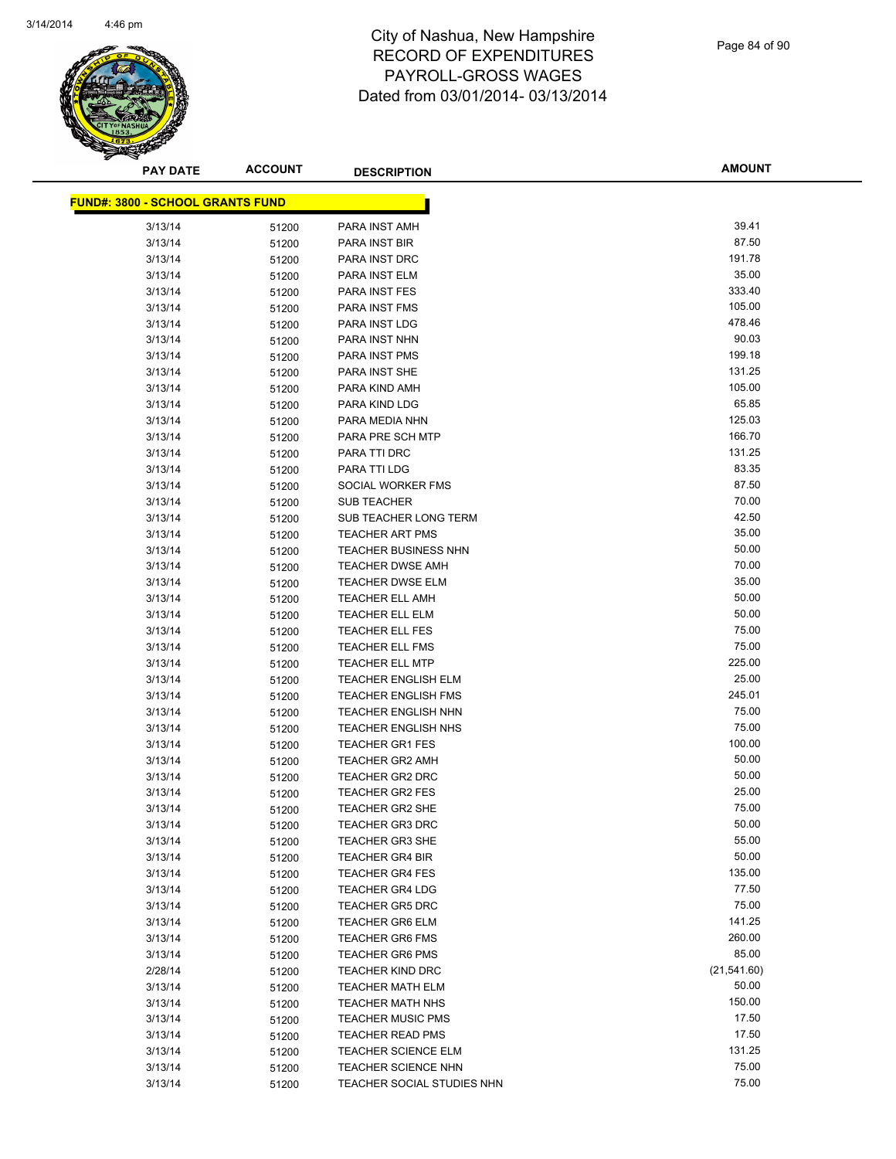

| <b>PAY DATE</b>                         | <b>ACCOUNT</b> | <b>DESCRIPTION</b>          | <b>AMOUNT</b> |
|-----------------------------------------|----------------|-----------------------------|---------------|
| <b>FUND#: 3800 - SCHOOL GRANTS FUND</b> |                |                             |               |
| 3/13/14                                 |                | PARA INST AMH               | 39.41         |
| 3/13/14                                 | 51200<br>51200 | PARA INST BIR               | 87.50         |
| 3/13/14                                 | 51200          | PARA INST DRC               | 191.78        |
| 3/13/14                                 |                | PARA INST ELM               | 35.00         |
| 3/13/14                                 | 51200          | <b>PARA INST FES</b>        | 333.40        |
| 3/13/14                                 | 51200          | <b>PARA INST FMS</b>        | 105.00        |
| 3/13/14                                 | 51200          | PARA INST LDG               | 478.46        |
| 3/13/14                                 | 51200          | PARA INST NHN               | 90.03         |
| 3/13/14                                 | 51200          | <b>PARA INST PMS</b>        | 199.18        |
| 3/13/14                                 | 51200<br>51200 | PARA INST SHE               | 131.25        |
| 3/13/14                                 | 51200          | PARA KIND AMH               | 105.00        |
| 3/13/14                                 | 51200          | PARA KIND LDG               | 65.85         |
| 3/13/14                                 | 51200          | PARA MEDIA NHN              | 125.03        |
| 3/13/14                                 | 51200          | PARA PRE SCH MTP            | 166.70        |
| 3/13/14                                 | 51200          | PARA TTI DRC                | 131.25        |
| 3/13/14                                 | 51200          | PARA TTI LDG                | 83.35         |
| 3/13/14                                 | 51200          | SOCIAL WORKER FMS           | 87.50         |
| 3/13/14                                 | 51200          | <b>SUB TEACHER</b>          | 70.00         |
| 3/13/14                                 | 51200          | SUB TEACHER LONG TERM       | 42.50         |
| 3/13/14                                 | 51200          | <b>TEACHER ART PMS</b>      | 35.00         |
| 3/13/14                                 | 51200          | <b>TEACHER BUSINESS NHN</b> | 50.00         |
| 3/13/14                                 | 51200          | <b>TEACHER DWSE AMH</b>     | 70.00         |
| 3/13/14                                 | 51200          | <b>TEACHER DWSE ELM</b>     | 35.00         |
| 3/13/14                                 | 51200          | <b>TEACHER ELL AMH</b>      | 50.00         |
| 3/13/14                                 | 51200          | <b>TEACHER ELL ELM</b>      | 50.00         |
| 3/13/14                                 | 51200          | <b>TEACHER ELL FES</b>      | 75.00         |
| 3/13/14                                 | 51200          | <b>TEACHER ELL FMS</b>      | 75.00         |
| 3/13/14                                 | 51200          | <b>TEACHER ELL MTP</b>      | 225.00        |
| 3/13/14                                 | 51200          | <b>TEACHER ENGLISH ELM</b>  | 25.00         |
| 3/13/14                                 | 51200          | <b>TEACHER ENGLISH FMS</b>  | 245.01        |
| 3/13/14                                 | 51200          | <b>TEACHER ENGLISH NHN</b>  | 75.00         |
| 3/13/14                                 | 51200          | <b>TEACHER ENGLISH NHS</b>  | 75.00         |
| 3/13/14                                 | 51200          | <b>TEACHER GR1 FES</b>      | 100.00        |
| 3/13/14                                 | 51200          | <b>TEACHER GR2 AMH</b>      | 50.00         |
| 3/13/14                                 | 51200          | TEACHER GR2 DRC             | 50.00         |
| 3/13/14                                 | 51200          | <b>TEACHER GR2 FES</b>      | 25.00         |
| 3/13/14                                 | 51200          | <b>TEACHER GR2 SHE</b>      | 75.00         |
| 3/13/14                                 | 51200          | <b>TEACHER GR3 DRC</b>      | 50.00         |
| 3/13/14                                 | 51200          | <b>TEACHER GR3 SHE</b>      | 55.00         |
| 3/13/14                                 | 51200          | <b>TEACHER GR4 BIR</b>      | 50.00         |
| 3/13/14                                 | 51200          | <b>TEACHER GR4 FES</b>      | 135.00        |
| 3/13/14                                 | 51200          | <b>TEACHER GR4 LDG</b>      | 77.50         |
| 3/13/14                                 | 51200          | <b>TEACHER GR5 DRC</b>      | 75.00         |
| 3/13/14                                 | 51200          | <b>TEACHER GR6 ELM</b>      | 141.25        |
| 3/13/14                                 | 51200          | <b>TEACHER GR6 FMS</b>      | 260.00        |
| 3/13/14                                 | 51200          | <b>TEACHER GR6 PMS</b>      | 85.00         |
| 2/28/14                                 | 51200          | <b>TEACHER KIND DRC</b>     | (21, 541.60)  |
| 3/13/14                                 | 51200          | <b>TEACHER MATH ELM</b>     | 50.00         |
| 3/13/14                                 | 51200          | <b>TEACHER MATH NHS</b>     | 150.00        |
| 3/13/14                                 | 51200          | <b>TEACHER MUSIC PMS</b>    | 17.50         |
| 3/13/14                                 | 51200          | <b>TEACHER READ PMS</b>     | 17.50         |
| 3/13/14                                 | 51200          | <b>TEACHER SCIENCE ELM</b>  | 131.25        |
| 3/13/14                                 | 51200          | <b>TEACHER SCIENCE NHN</b>  | 75.00         |
| 3/13/14                                 | 51200          | TEACHER SOCIAL STUDIES NHN  | 75.00         |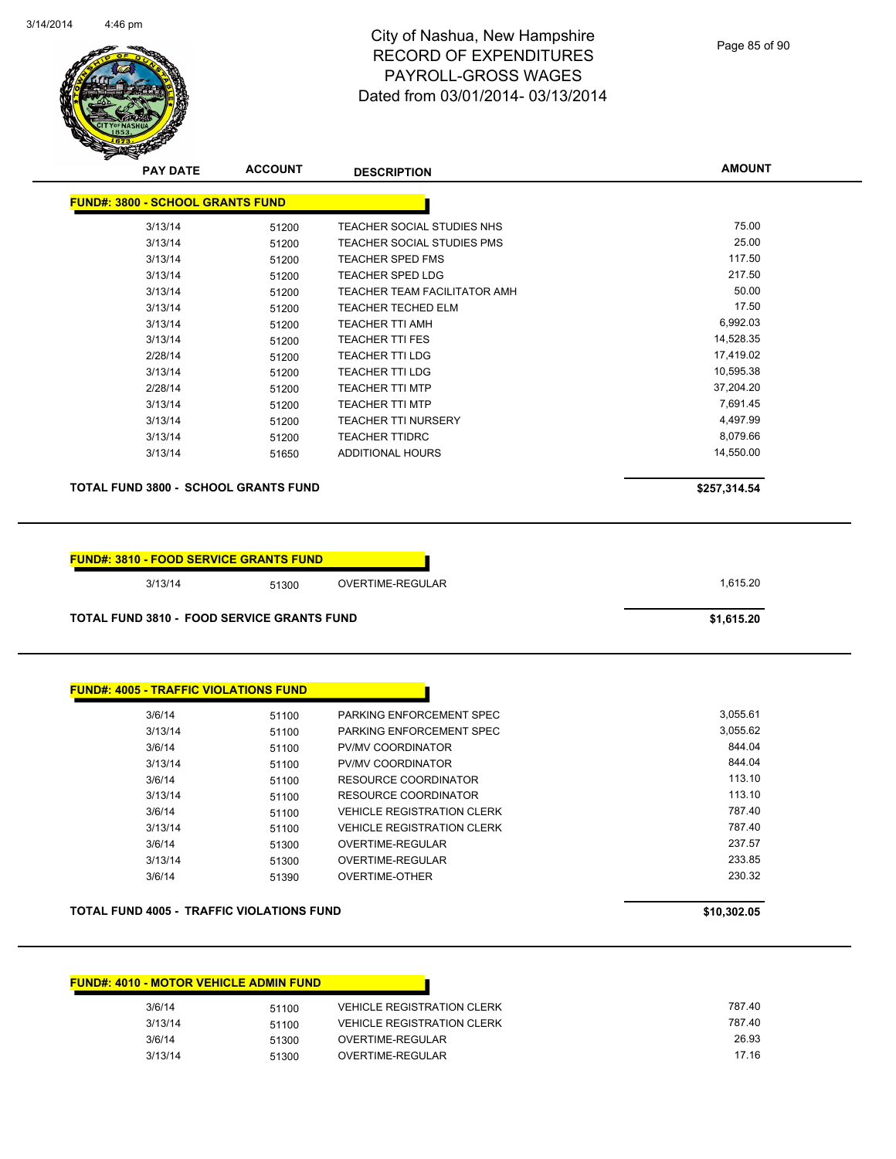

Page 85 of 90

| <b>FUND#: 3800 - SCHOOL GRANTS FUND</b>                                                                      |       |                                   |              |
|--------------------------------------------------------------------------------------------------------------|-------|-----------------------------------|--------------|
|                                                                                                              |       |                                   |              |
| 3/13/14                                                                                                      | 51200 | TEACHER SOCIAL STUDIES NHS        | 75.00        |
| 3/13/14                                                                                                      | 51200 | TEACHER SOCIAL STUDIES PMS        | 25.00        |
| 3/13/14                                                                                                      | 51200 | <b>TEACHER SPED FMS</b>           | 117.50       |
| 3/13/14                                                                                                      | 51200 | <b>TEACHER SPED LDG</b>           | 217.50       |
| 3/13/14                                                                                                      | 51200 | TEACHER TEAM FACILITATOR AMH      | 50.00        |
| 3/13/14                                                                                                      | 51200 | <b>TEACHER TECHED ELM</b>         | 17.50        |
| 3/13/14                                                                                                      | 51200 | <b>TEACHER TTI AMH</b>            | 6,992.03     |
| 3/13/14                                                                                                      | 51200 | <b>TEACHER TTI FES</b>            | 14,528.35    |
| 2/28/14                                                                                                      | 51200 | <b>TEACHER TTI LDG</b>            | 17,419.02    |
| 3/13/14                                                                                                      | 51200 | <b>TEACHER TTI LDG</b>            | 10,595.38    |
| 2/28/14                                                                                                      | 51200 | <b>TEACHER TTI MTP</b>            | 37,204.20    |
| 3/13/14                                                                                                      | 51200 | <b>TEACHER TTI MTP</b>            | 7,691.45     |
| 3/13/14                                                                                                      | 51200 | <b>TEACHER TTI NURSERY</b>        | 4,497.99     |
| 3/13/14                                                                                                      | 51200 | <b>TEACHER TTIDRC</b>             | 8,079.66     |
| 3/13/14                                                                                                      | 51650 | <b>ADDITIONAL HOURS</b>           | 14,550.00    |
| <b>TOTAL FUND 3800 - SCHOOL GRANTS FUND</b>                                                                  |       |                                   | \$257,314.54 |
| <b>FUND#: 3810 - FOOD SERVICE GRANTS FUND</b>                                                                |       |                                   |              |
| 3/13/14                                                                                                      | 51300 | OVERTIME-REGULAR                  | 1,615.20     |
|                                                                                                              |       |                                   | \$1,615.20   |
|                                                                                                              |       |                                   |              |
| 3/6/14                                                                                                       | 51100 | PARKING ENFORCEMENT SPEC          | 3,055.61     |
| 3/13/14                                                                                                      | 51100 | PARKING ENFORCEMENT SPEC          | 3,055.62     |
| 3/6/14                                                                                                       | 51100 | PV/MV COORDINATOR                 | 844.04       |
| 3/13/14                                                                                                      | 51100 | PV/MV COORDINATOR                 | 844.04       |
| 3/6/14                                                                                                       | 51100 | <b>RESOURCE COORDINATOR</b>       | 113.10       |
| 3/13/14                                                                                                      | 51100 | <b>RESOURCE COORDINATOR</b>       | 113.10       |
| 3/6/14                                                                                                       | 51100 | <b>VEHICLE REGISTRATION CLERK</b> | 787.40       |
| 3/13/14                                                                                                      | 51100 | <b>VEHICLE REGISTRATION CLERK</b> | 787.40       |
| 3/6/14                                                                                                       | 51300 | OVERTIME-REGULAR                  | 237.57       |
| 3/13/14                                                                                                      | 51300 | OVERTIME-REGULAR                  | 233.85       |
| <b>TOTAL FUND 3810 - FOOD SERVICE GRANTS FUND</b><br><u> FUND#: 4005 - TRAFFIC VIOLATIONS FUND</u><br>3/6/14 | 51390 | <b>OVERTIME-OTHER</b>             | 230.32       |

| 3/6/14  | 51100 | <b>VEHICLE REGISTRATION CLERK</b> | 787.40 |
|---------|-------|-----------------------------------|--------|
| 3/13/14 | 51100 | <b>VEHICLE REGISTRATION CLERK</b> | 787.40 |
| 3/6/14  | 51300 | OVERTIME-REGULAR                  | 26.93  |
| 3/13/14 | 51300 | OVERTIME-REGULAR                  | 17.16  |

**FUND#: 4010 - MOTOR VEHICLE ADMIN FUND**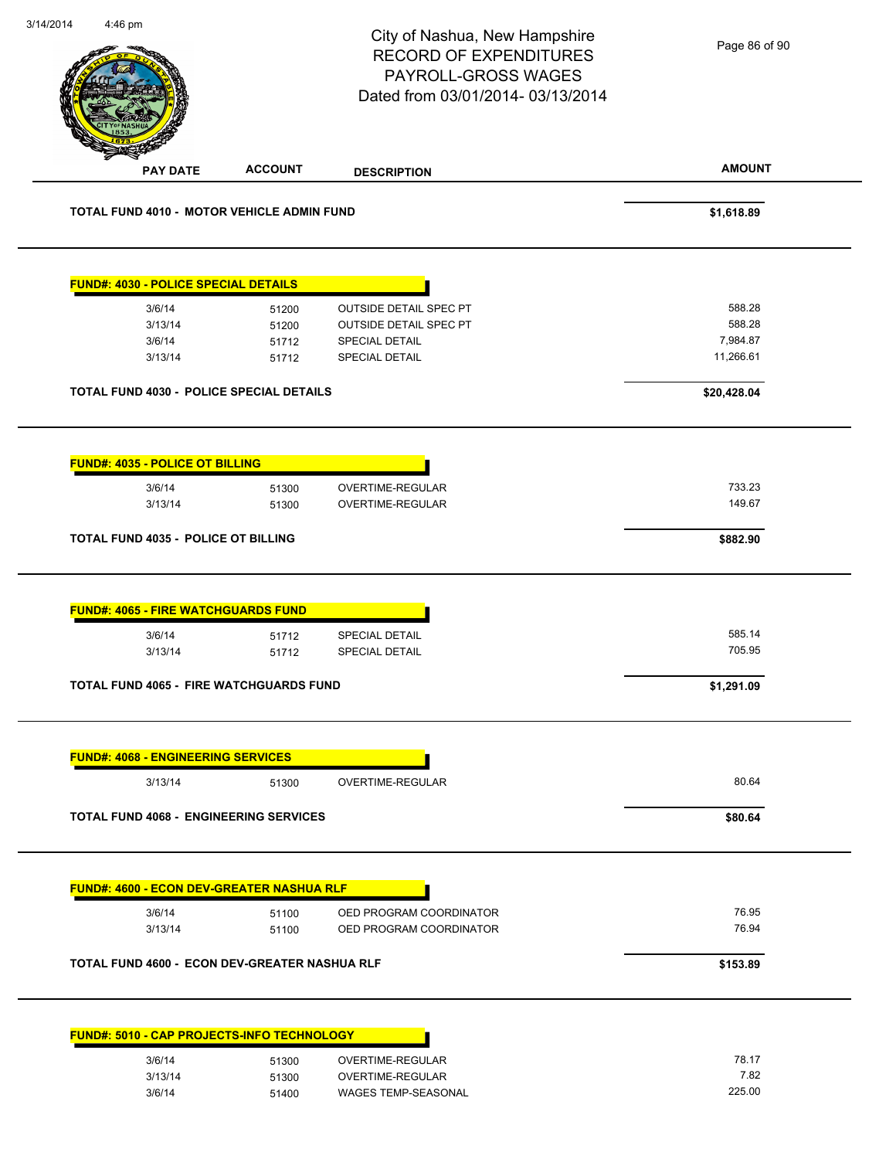| 4:46 pm                                              |                | City of Nashua, New Hampshire<br><b>RECORD OF EXPENDITURES</b><br>PAYROLL-GROSS WAGES<br>Dated from 03/01/2014-03/13/2014 | Page 86 of 90         |
|------------------------------------------------------|----------------|---------------------------------------------------------------------------------------------------------------------------|-----------------------|
| <b>PAY DATE</b>                                      | <b>ACCOUNT</b> | <b>DESCRIPTION</b>                                                                                                        | <b>AMOUNT</b>         |
| <b>TOTAL FUND 4010 - MOTOR VEHICLE ADMIN FUND</b>    |                |                                                                                                                           | \$1,618.89            |
| <b>FUND#: 4030 - POLICE SPECIAL DETAILS</b>          |                |                                                                                                                           |                       |
| 3/6/14                                               | 51200          | <b>OUTSIDE DETAIL SPEC PT</b>                                                                                             | 588.28                |
| 3/13/14                                              | 51200          | <b>OUTSIDE DETAIL SPEC PT</b>                                                                                             | 588.28                |
| 3/6/14<br>3/13/14                                    | 51712<br>51712 | <b>SPECIAL DETAIL</b><br><b>SPECIAL DETAIL</b>                                                                            | 7,984.87<br>11,266.61 |
| <b>TOTAL FUND 4030 - POLICE SPECIAL DETAILS</b>      |                |                                                                                                                           | \$20,428.04           |
| FUND#: 4035 - POLICE OT BILLING                      |                |                                                                                                                           |                       |
| 3/6/14                                               | 51300          | OVERTIME-REGULAR                                                                                                          | 733.23                |
| 3/13/14                                              | 51300          | OVERTIME-REGULAR                                                                                                          | 149.67                |
| <b>TOTAL FUND 4035 - POLICE OT BILLING</b>           |                |                                                                                                                           | \$882.90              |
| <b>FUND#: 4065 - FIRE WATCHGUARDS FUND</b>           |                |                                                                                                                           |                       |
| 3/6/14                                               | 51712          | SPECIAL DETAIL                                                                                                            | 585.14                |
| 3/13/14                                              | 51712          | <b>SPECIAL DETAIL</b>                                                                                                     | 705.95                |
| <b>TOTAL FUND 4065 - FIRE WATCHGUARDS FUND</b>       |                |                                                                                                                           | \$1,291.09            |
| <b>FUND#: 4068 - ENGINEERING SERVICES</b>            |                |                                                                                                                           |                       |
| 3/13/14                                              | 51300          | OVERTIME-REGULAR                                                                                                          | 80.64                 |
| <b>TOTAL FUND 4068 - ENGINEERING SERVICES</b>        |                |                                                                                                                           | \$80.64               |
|                                                      |                |                                                                                                                           |                       |
|                                                      |                |                                                                                                                           |                       |
| <b>FUND#: 4600 - ECON DEV-GREATER NASHUA RLF</b>     |                |                                                                                                                           |                       |
| 3/6/14<br>3/13/14                                    | 51100<br>51100 | OED PROGRAM COORDINATOR<br>OED PROGRAM COORDINATOR                                                                        | 76.95<br>76.94        |
| <b>TOTAL FUND 4600 - ECON DEV-GREATER NASHUA RLF</b> |                |                                                                                                                           | \$153.89              |
| FUND#: 5010 - CAP PROJECTS-INFO TECHNOLOGY           |                |                                                                                                                           |                       |
|                                                      |                |                                                                                                                           | 78.17                 |
| 3/6/14<br>3/13/14                                    | 51300<br>51300 | OVERTIME-REGULAR<br>OVERTIME-REGULAR                                                                                      | 7.82                  |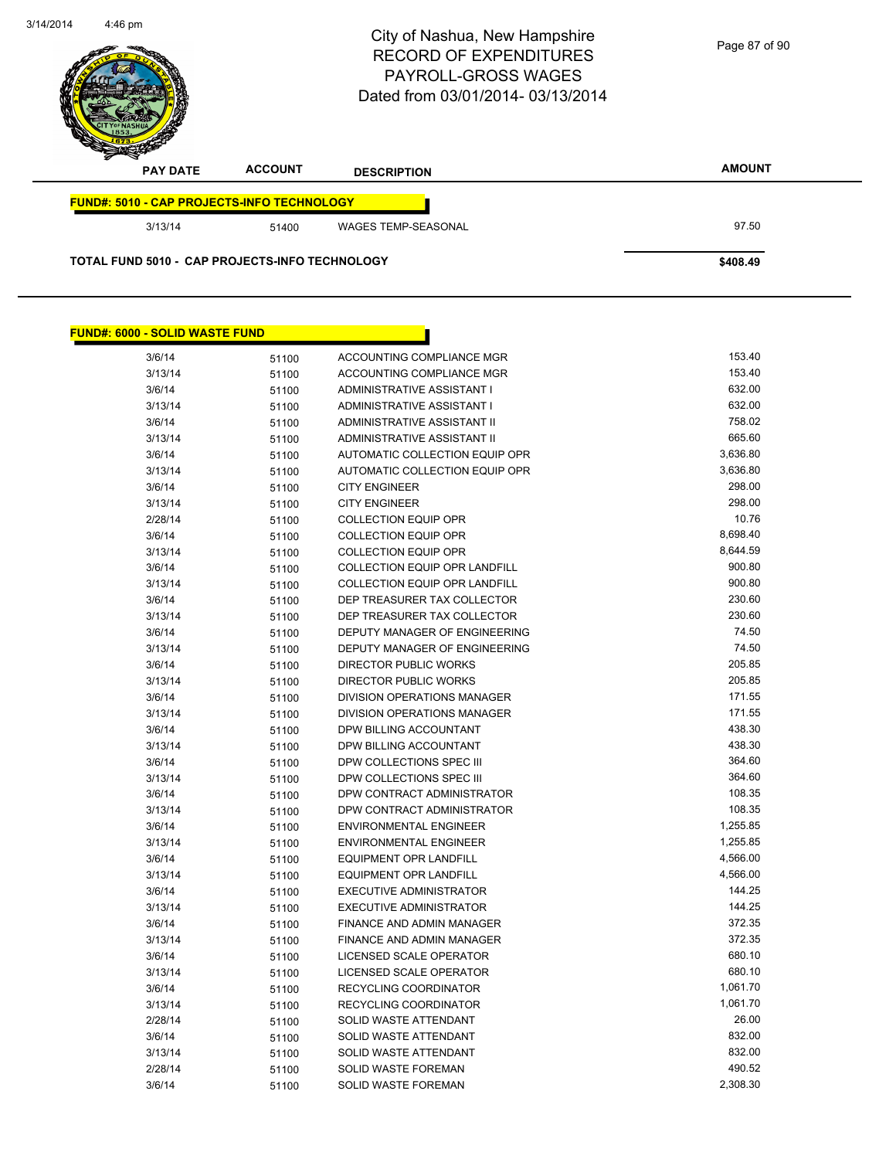

| <b>FUND#: 6000 - SOLID WASTE FUND</b> |       |                                      |          |
|---------------------------------------|-------|--------------------------------------|----------|
| 3/6/14                                | 51100 | ACCOUNTING COMPLIANCE MGR            | 153.40   |
| 3/13/14                               | 51100 | ACCOUNTING COMPLIANCE MGR            | 153.40   |
| 3/6/14                                | 51100 | ADMINISTRATIVE ASSISTANT I           | 632.00   |
| 3/13/14                               | 51100 | ADMINISTRATIVE ASSISTANT I           | 632.00   |
| 3/6/14                                | 51100 | ADMINISTRATIVE ASSISTANT II          | 758.02   |
| 3/13/14                               | 51100 | ADMINISTRATIVE ASSISTANT II          | 665.60   |
| 3/6/14                                | 51100 | AUTOMATIC COLLECTION EQUIP OPR       | 3,636.80 |
| 3/13/14                               | 51100 | AUTOMATIC COLLECTION EQUIP OPR       | 3,636.80 |
| 3/6/14                                | 51100 | <b>CITY ENGINEER</b>                 | 298.00   |
| 3/13/14                               | 51100 | <b>CITY ENGINEER</b>                 | 298.00   |
| 2/28/14                               | 51100 | <b>COLLECTION EQUIP OPR</b>          | 10.76    |
| 3/6/14                                | 51100 | <b>COLLECTION EQUIP OPR</b>          | 8,698.40 |
| 3/13/14                               | 51100 | <b>COLLECTION EQUIP OPR</b>          | 8,644.59 |
| 3/6/14                                | 51100 | <b>COLLECTION EQUIP OPR LANDFILL</b> | 900.80   |
| 3/13/14                               | 51100 | <b>COLLECTION EQUIP OPR LANDFILL</b> | 900.80   |
| 3/6/14                                | 51100 | DEP TREASURER TAX COLLECTOR          | 230.60   |
| 3/13/14                               | 51100 | DEP TREASURER TAX COLLECTOR          | 230.60   |
| 3/6/14                                | 51100 | DEPUTY MANAGER OF ENGINEERING        | 74.50    |
| 3/13/14                               | 51100 | DEPUTY MANAGER OF ENGINEERING        | 74.50    |
| 3/6/14                                | 51100 | DIRECTOR PUBLIC WORKS                | 205.85   |
| 3/13/14                               | 51100 | DIRECTOR PUBLIC WORKS                | 205.85   |
| 3/6/14                                | 51100 | DIVISION OPERATIONS MANAGER          | 171.55   |
| 3/13/14                               | 51100 | DIVISION OPERATIONS MANAGER          | 171.55   |
| 3/6/14                                | 51100 | DPW BILLING ACCOUNTANT               | 438.30   |
| 3/13/14                               | 51100 | DPW BILLING ACCOUNTANT               | 438.30   |
| 3/6/14                                | 51100 | DPW COLLECTIONS SPEC III             | 364.60   |
| 3/13/14                               | 51100 | DPW COLLECTIONS SPEC III             | 364.60   |
| 3/6/14                                | 51100 | DPW CONTRACT ADMINISTRATOR           | 108.35   |
| 3/13/14                               | 51100 | DPW CONTRACT ADMINISTRATOR           | 108.35   |
| 3/6/14                                | 51100 | <b>ENVIRONMENTAL ENGINEER</b>        | 1,255.85 |
| 3/13/14                               | 51100 | ENVIRONMENTAL ENGINEER               | 1,255.85 |
| 3/6/14                                | 51100 | EQUIPMENT OPR LANDFILL               | 4,566.00 |
| 3/13/14                               | 51100 | <b>EQUIPMENT OPR LANDFILL</b>        | 4,566.00 |
| 3/6/14                                | 51100 | EXECUTIVE ADMINISTRATOR              | 144.25   |
| 3/13/14                               | 51100 | EXECUTIVE ADMINISTRATOR              | 144.25   |
| 3/6/14                                | 51100 | FINANCE AND ADMIN MANAGER            | 372.35   |
| 3/13/14                               | 51100 | FINANCE AND ADMIN MANAGER            | 372.35   |
| 3/6/14                                | 51100 | LICENSED SCALE OPERATOR              | 680.10   |
| 3/13/14                               | 51100 | LICENSED SCALE OPERATOR              | 680.10   |
| 3/6/14                                | 51100 | RECYCLING COORDINATOR                | 1,061.70 |
| 3/13/14                               | 51100 | RECYCLING COORDINATOR                | 1,061.70 |
| 2/28/14                               | 51100 | SOLID WASTE ATTENDANT                | 26.00    |
| 3/6/14                                | 51100 | SOLID WASTE ATTENDANT                | 832.00   |
| 3/13/14                               | 51100 | SOLID WASTE ATTENDANT                | 832.00   |
| 2/28/14                               | 51100 | SOLID WASTE FOREMAN                  | 490.52   |
| 3/6/14                                | 51100 | SOLID WASTE FOREMAN                  | 2,308.30 |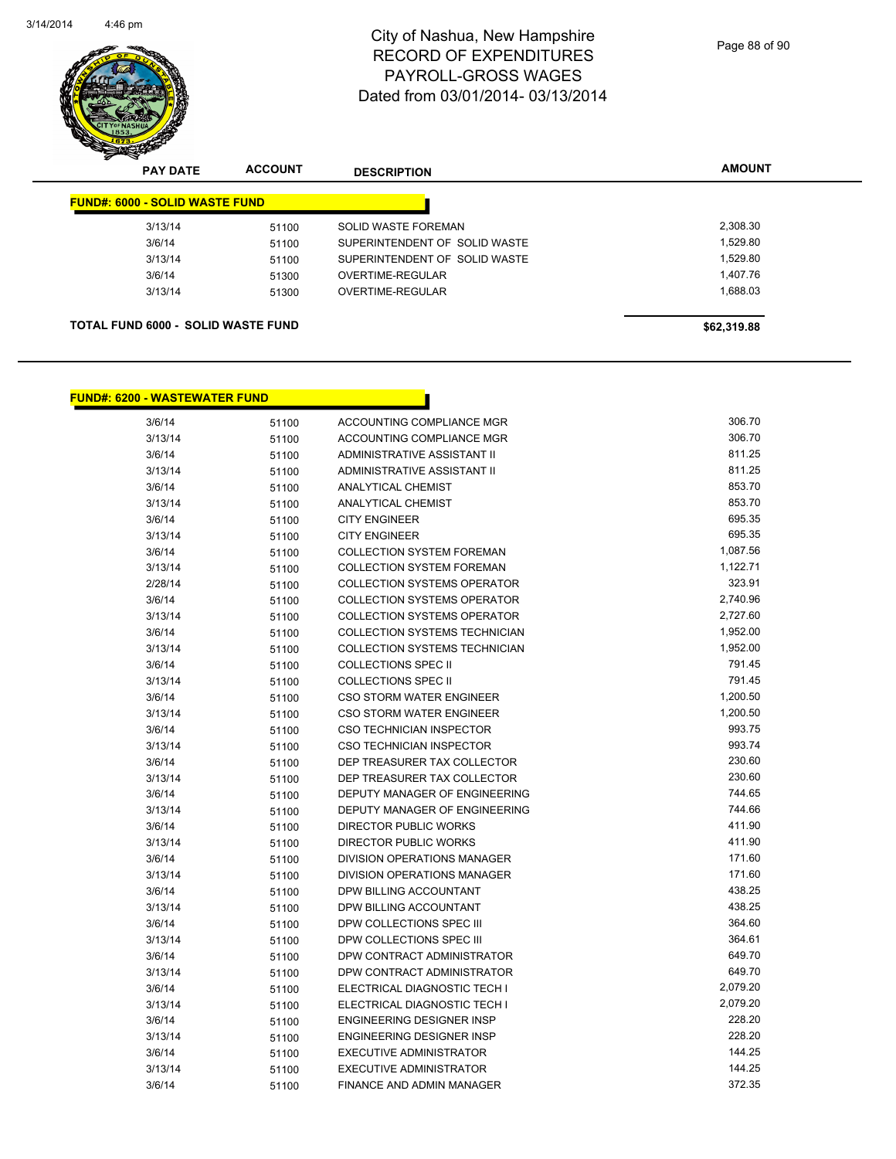

Page 88 of 90

| <b>PAY DATE</b>                       | <b>ACCOUNT</b> | <b>DESCRIPTION</b>            | <b>AMOUNT</b> |
|---------------------------------------|----------------|-------------------------------|---------------|
| <b>FUND#: 6000 - SOLID WASTE FUND</b> |                |                               |               |
| 3/13/14                               | 51100          | SOLID WASTE FOREMAN           | 2,308.30      |
| 3/6/14                                | 51100          | SUPERINTENDENT OF SOLID WASTE | 1,529.80      |
| 3/13/14                               | 51100          | SUPERINTENDENT OF SOLID WASTE | 1,529.80      |
| 3/6/14                                | 51300          | OVERTIME-REGULAR              | 1.407.76      |
| 3/13/14                               | 51300          | OVERTIME-REGULAR              | 1,688.03      |

#### **FUND#: 6200 - WASTEWATER FUND**

| 3/6/14  | 51100 | ACCOUNTING COMPLIANCE MGR            | 306.70   |
|---------|-------|--------------------------------------|----------|
| 3/13/14 | 51100 | ACCOUNTING COMPLIANCE MGR            | 306.70   |
| 3/6/14  | 51100 | ADMINISTRATIVE ASSISTANT II          | 811.25   |
| 3/13/14 | 51100 | ADMINISTRATIVE ASSISTANT II          | 811.25   |
| 3/6/14  | 51100 | <b>ANALYTICAL CHEMIST</b>            | 853.70   |
| 3/13/14 | 51100 | <b>ANALYTICAL CHEMIST</b>            | 853.70   |
| 3/6/14  | 51100 | <b>CITY ENGINEER</b>                 | 695.35   |
| 3/13/14 | 51100 | <b>CITY ENGINEER</b>                 | 695.35   |
| 3/6/14  | 51100 | <b>COLLECTION SYSTEM FOREMAN</b>     | 1,087.56 |
| 3/13/14 | 51100 | <b>COLLECTION SYSTEM FOREMAN</b>     | 1,122.71 |
| 2/28/14 | 51100 | <b>COLLECTION SYSTEMS OPERATOR</b>   | 323.91   |
| 3/6/14  | 51100 | <b>COLLECTION SYSTEMS OPERATOR</b>   | 2,740.96 |
| 3/13/14 | 51100 | <b>COLLECTION SYSTEMS OPERATOR</b>   | 2,727.60 |
| 3/6/14  | 51100 | <b>COLLECTION SYSTEMS TECHNICIAN</b> | 1,952.00 |
| 3/13/14 | 51100 | COLLECTION SYSTEMS TECHNICIAN        | 1,952.00 |
| 3/6/14  | 51100 | <b>COLLECTIONS SPEC II</b>           | 791.45   |
| 3/13/14 | 51100 | <b>COLLECTIONS SPEC II</b>           | 791.45   |
| 3/6/14  | 51100 | CSO STORM WATER ENGINEER             | 1,200.50 |
| 3/13/14 | 51100 | CSO STORM WATER ENGINEER             | 1,200.50 |
| 3/6/14  | 51100 | <b>CSO TECHNICIAN INSPECTOR</b>      | 993.75   |
| 3/13/14 | 51100 | <b>CSO TECHNICIAN INSPECTOR</b>      | 993.74   |
| 3/6/14  | 51100 | DEP TREASURER TAX COLLECTOR          | 230.60   |
| 3/13/14 | 51100 | DEP TREASURER TAX COLLECTOR          | 230.60   |
| 3/6/14  | 51100 | DEPUTY MANAGER OF ENGINEERING        | 744.65   |
| 3/13/14 | 51100 | DEPUTY MANAGER OF ENGINEERING        | 744.66   |
| 3/6/14  | 51100 | DIRECTOR PUBLIC WORKS                | 411.90   |
| 3/13/14 | 51100 | <b>DIRECTOR PUBLIC WORKS</b>         | 411.90   |
| 3/6/14  | 51100 | DIVISION OPERATIONS MANAGER          | 171.60   |
| 3/13/14 | 51100 | <b>DIVISION OPERATIONS MANAGER</b>   | 171.60   |
| 3/6/14  | 51100 | DPW BILLING ACCOUNTANT               | 438.25   |
| 3/13/14 | 51100 | DPW BILLING ACCOUNTANT               | 438.25   |
| 3/6/14  | 51100 | DPW COLLECTIONS SPEC III             | 364.60   |
| 3/13/14 | 51100 | DPW COLLECTIONS SPEC III             | 364.61   |
| 3/6/14  | 51100 | DPW CONTRACT ADMINISTRATOR           | 649.70   |
| 3/13/14 | 51100 | DPW CONTRACT ADMINISTRATOR           | 649.70   |
| 3/6/14  | 51100 | ELECTRICAL DIAGNOSTIC TECH I         | 2,079.20 |
| 3/13/14 | 51100 | ELECTRICAL DIAGNOSTIC TECH I         | 2,079.20 |
| 3/6/14  | 51100 | <b>ENGINEERING DESIGNER INSP</b>     | 228.20   |
| 3/13/14 | 51100 | <b>ENGINEERING DESIGNER INSP</b>     | 228.20   |
| 3/6/14  | 51100 | <b>EXECUTIVE ADMINISTRATOR</b>       | 144.25   |
| 3/13/14 | 51100 | <b>EXECUTIVE ADMINISTRATOR</b>       | 144.25   |
| 3/6/14  | 51100 | FINANCE AND ADMIN MANAGER            | 372.35   |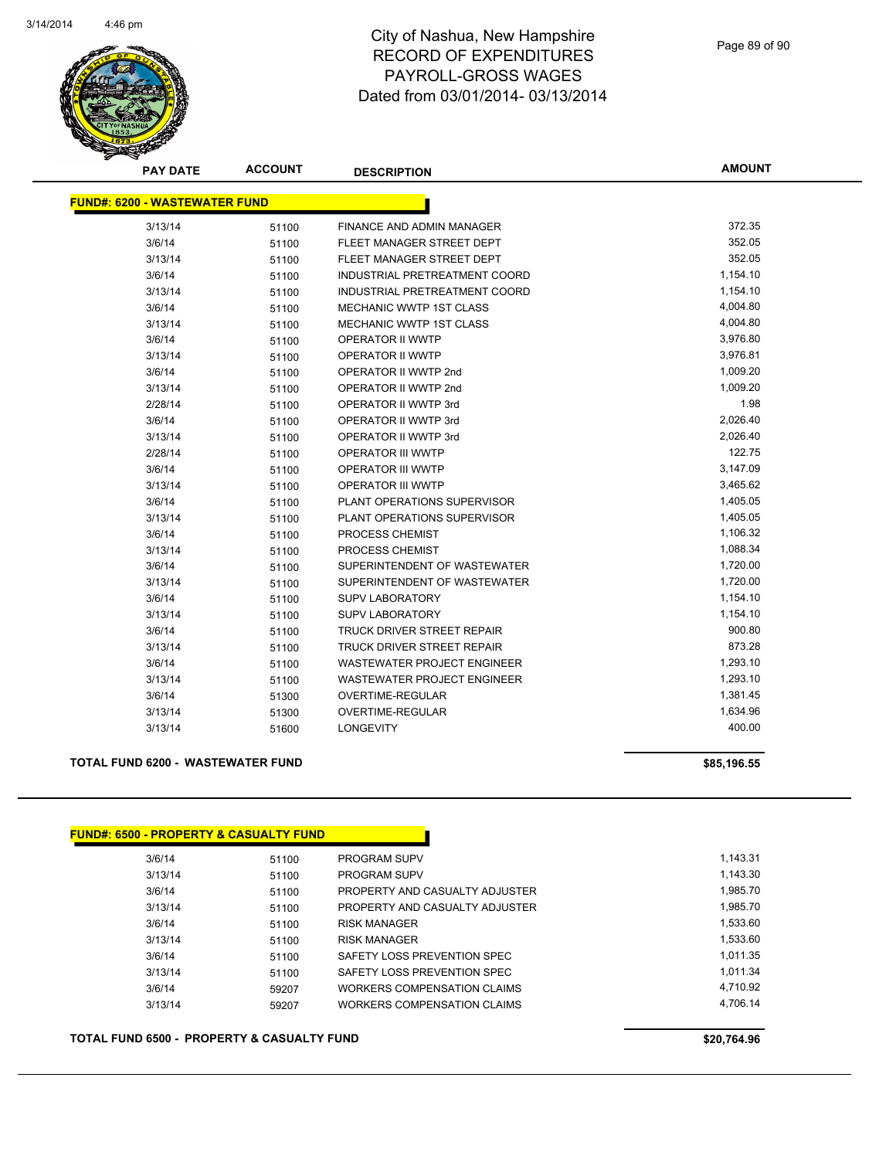

| <b>PAY DATE</b>                      | <b>ACCOUNT</b> | <b>DESCRIPTION</b>                 | <b>AMOUNT</b> |
|--------------------------------------|----------------|------------------------------------|---------------|
| <b>FUND#: 6200 - WASTEWATER FUND</b> |                |                                    |               |
|                                      |                |                                    |               |
| 3/13/14                              | 51100          | <b>FINANCE AND ADMIN MANAGER</b>   | 372.35        |
| 3/6/14                               | 51100          | FLEET MANAGER STREET DEPT          | 352.05        |
| 3/13/14                              | 51100          | FLEET MANAGER STREET DEPT          | 352.05        |
| 3/6/14                               | 51100          | INDUSTRIAL PRETREATMENT COORD      | 1,154.10      |
| 3/13/14                              | 51100          | INDUSTRIAL PRETREATMENT COORD      | 1,154.10      |
| 3/6/14                               | 51100          | <b>MECHANIC WWTP 1ST CLASS</b>     | 4,004.80      |
| 3/13/14                              | 51100          | <b>MECHANIC WWTP 1ST CLASS</b>     | 4,004.80      |
| 3/6/14                               | 51100          | <b>OPERATOR II WWTP</b>            | 3,976.80      |
| 3/13/14                              | 51100          | <b>OPERATOR II WWTP</b>            | 3,976.81      |
| 3/6/14                               | 51100          | OPERATOR II WWTP 2nd               | 1,009.20      |
| 3/13/14                              | 51100          | OPERATOR II WWTP 2nd               | 1,009.20      |
| 2/28/14                              | 51100          | OPERATOR II WWTP 3rd               | 1.98          |
| 3/6/14                               | 51100          | OPERATOR II WWTP 3rd               | 2,026.40      |
| 3/13/14                              | 51100          | OPERATOR II WWTP 3rd               | 2,026.40      |
| 2/28/14                              | 51100          | <b>OPERATOR III WWTP</b>           | 122.75        |
| 3/6/14                               | 51100          | OPERATOR III WWTP                  | 3,147.09      |
| 3/13/14                              | 51100          | <b>OPERATOR III WWTP</b>           | 3,465.62      |
| 3/6/14                               | 51100          | PLANT OPERATIONS SUPERVISOR        | 1,405.05      |
| 3/13/14                              | 51100          | PLANT OPERATIONS SUPERVISOR        | 1,405.05      |
| 3/6/14                               | 51100          | PROCESS CHEMIST                    | 1,106.32      |
| 3/13/14                              | 51100          | PROCESS CHEMIST                    | 1,088.34      |
| 3/6/14                               | 51100          | SUPERINTENDENT OF WASTEWATER       | 1,720.00      |
| 3/13/14                              | 51100          | SUPERINTENDENT OF WASTEWATER       | 1,720.00      |
| 3/6/14                               | 51100          | <b>SUPV LABORATORY</b>             | 1,154.10      |
| 3/13/14                              | 51100          | <b>SUPV LABORATORY</b>             | 1,154.10      |
| 3/6/14                               | 51100          | TRUCK DRIVER STREET REPAIR         | 900.80        |
| 3/13/14                              | 51100          | TRUCK DRIVER STREET REPAIR         | 873.28        |
| 3/6/14                               | 51100          | <b>WASTEWATER PROJECT ENGINEER</b> | 1,293.10      |
| 3/13/14                              | 51100          | <b>WASTEWATER PROJECT ENGINEER</b> | 1,293.10      |
| 3/6/14                               | 51300          | <b>OVERTIME-REGULAR</b>            | 1,381.45      |
| 3/13/14                              | 51300          | <b>OVERTIME-REGULAR</b>            | 1,634.96      |
| 3/13/14                              | 51600          | <b>LONGEVITY</b>                   | 400.00        |
|                                      |                |                                    |               |

#### **TOTAL FUND 6200 - WASTEWATER FUND \$85,196.55**

#### **FUND#: 6500 - PROPERTY & CASUALTY FUND**

| 3/6/14  | 51100 | <b>PROGRAM SUPV</b>            | 1.143.31 |
|---------|-------|--------------------------------|----------|
| 3/13/14 | 51100 | <b>PROGRAM SUPV</b>            | 1,143.30 |
| 3/6/14  | 51100 | PROPERTY AND CASUALTY ADJUSTER | 1.985.70 |
| 3/13/14 | 51100 | PROPERTY AND CASUALTY ADJUSTER | 1,985.70 |
| 3/6/14  | 51100 | <b>RISK MANAGER</b>            | 1,533.60 |
| 3/13/14 | 51100 | <b>RISK MANAGER</b>            | 1,533.60 |
| 3/6/14  | 51100 | SAFETY LOSS PREVENTION SPEC    | 1.011.35 |
| 3/13/14 | 51100 | SAFETY LOSS PREVENTION SPEC    | 1.011.34 |
| 3/6/14  | 59207 | WORKERS COMPENSATION CLAIMS    | 4.710.92 |
| 3/13/14 | 59207 | WORKERS COMPENSATION CLAIMS    | 4.706.14 |
|         |       |                                |          |

#### **TOTAL FUND 6500 - PROPERTY & CASUALTY FUND \$20,764.96**